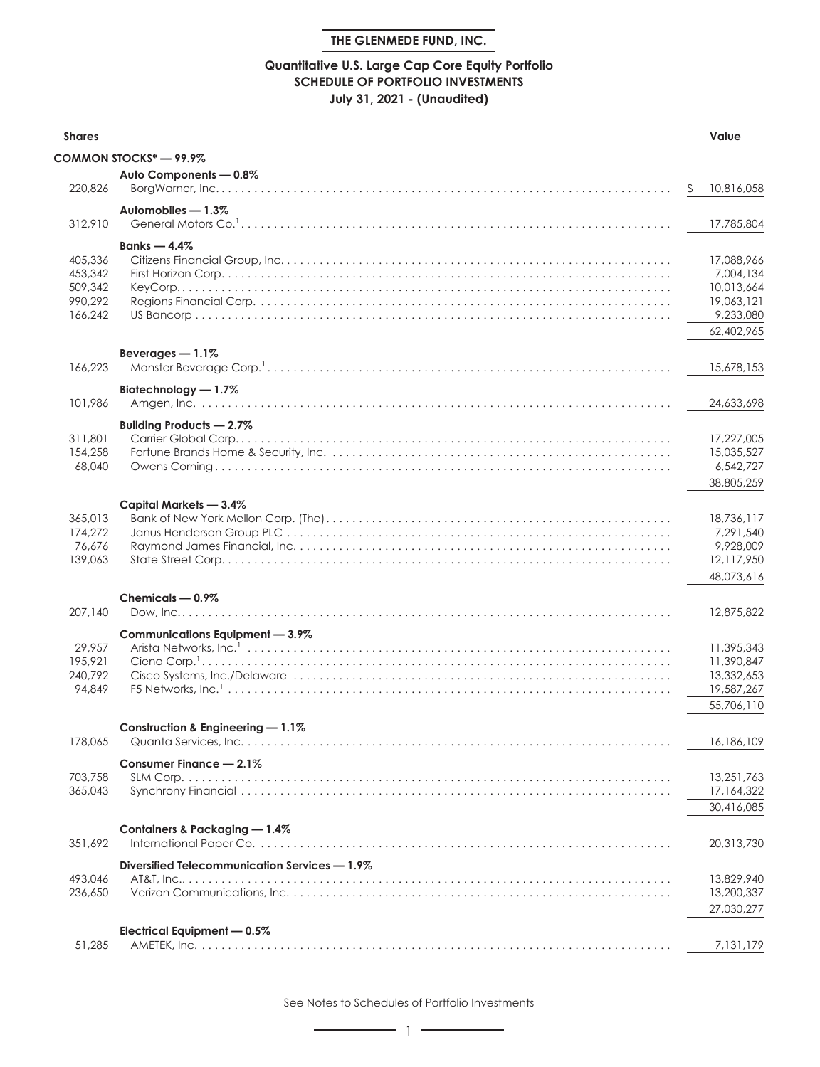## **Quantitative U.S. Large Cap Core Equity Portfolio SCHEDULE OF PORTFOLIO INVESTMENTS July 31, 2021 - (Unaudited)**

| <b>Shares</b>      |                                               | Value                    |
|--------------------|-----------------------------------------------|--------------------------|
|                    | COMMON STOCKS* - 99.9%                        |                          |
|                    | Auto Components - 0.8%                        |                          |
| 220,826            |                                               | \$<br>10,816,058         |
|                    | Automobiles - 1.3%                            |                          |
| 312,910            |                                               | 17,785,804               |
|                    | Banks $-4.4\%$                                |                          |
| 405,336            |                                               | 17,088,966               |
| 453,342            |                                               | 7.004.134                |
| 509,342            |                                               | 10,013,664               |
| 990.292            |                                               | 19,063,121               |
| 166.242            |                                               | 9,233,080                |
|                    |                                               | 62,402,965               |
|                    | Beverages $-1.1\%$                            |                          |
| 166,223            |                                               | 15,678,153               |
|                    | Biotechnology - 1.7%                          |                          |
| 101,986            |                                               | 24,633,698               |
|                    | Building Products - 2.7%                      |                          |
| 311,801            |                                               | 17,227,005               |
| 154,258            |                                               | 15,035,527               |
| 68,040             |                                               | 6,542,727                |
|                    |                                               | 38,805,259               |
|                    | Capital Markets - 3.4%                        |                          |
| 365.013            |                                               | 18,736,117               |
| 174,272            |                                               | 7,291,540                |
| 76,676             |                                               | 9,928,009                |
| 139,063            |                                               | 12,117,950               |
|                    |                                               | 48,073,616               |
|                    | Chemicals - 0.9%                              |                          |
| 207,140            |                                               | 12,875,822               |
|                    | Communications Equipment - 3.9%               |                          |
| 29,957             |                                               | 11,395,343               |
| 195,921<br>240,792 |                                               | 11,390,847<br>13,332,653 |
| 94,849             |                                               | 19,587,267               |
|                    |                                               | 55,706,110               |
|                    |                                               |                          |
|                    | Construction & Engineering - 1.1%             |                          |
| 178,065            |                                               | 16,186,109               |
|                    | Consumer Finance - 2.1%                       |                          |
| 703,758            |                                               | 13,251,763               |
| 365,043            |                                               | 17,164,322               |
|                    |                                               | 30,416,085               |
|                    | Containers & Packaging - 1.4%                 |                          |
| 351,692            |                                               | 20,313,730               |
|                    | Diversified Telecommunication Services - 1.9% |                          |
| 493,046            |                                               | 13,829,940               |
| 236,650            |                                               | 13,200,337               |
|                    |                                               | 27,030,277               |
|                    | Electrical Equipment - 0.5%                   |                          |
| 51,285             |                                               | 7,131,179                |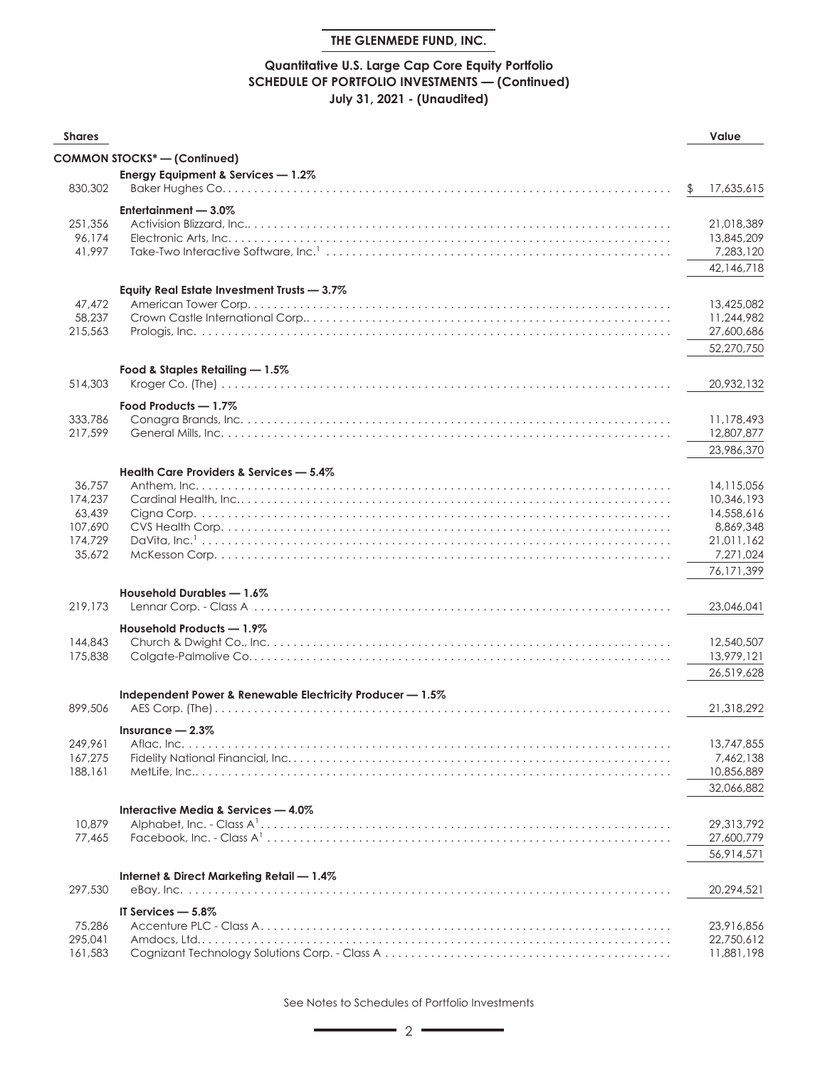## **Quantitative U.S. Large Cap Core Equity Portfolio SCHEDULE OF PORTFOLIO INVESTMENTS — (Continued) July 31, 2021 - (Unaudited)**

| <b>Shares</b>      |                                                           | Value                    |
|--------------------|-----------------------------------------------------------|--------------------------|
|                    | <b>COMMON STOCKS* - (Continued)</b>                       |                          |
|                    | Energy Equipment & Services - 1.2%                        |                          |
| 830,302            |                                                           | \$<br>17,635,615         |
|                    |                                                           |                          |
| 251,356            | Entertainment $-3.0\%$                                    | 21,018,389               |
| 96,174             |                                                           | 13,845,209               |
| 41,997             |                                                           | 7,283,120                |
|                    |                                                           | 42,146,718               |
|                    |                                                           |                          |
|                    | Equity Real Estate Investment Trusts - 3.7%               |                          |
| 47,472             |                                                           | 13,425,082               |
| 58,237             |                                                           | 11,244,982               |
| 215,563            |                                                           | 27,600,686               |
|                    |                                                           | 52,270,750               |
|                    | Food & Staples Retailing - 1.5%                           |                          |
| 514,303            |                                                           | 20,932,132               |
|                    | Food Products - 1.7%                                      |                          |
| 333,786            |                                                           | 11,178,493               |
| 217,599            |                                                           | 12,807,877               |
|                    |                                                           | 23,986,370               |
|                    |                                                           |                          |
|                    | Health Care Providers & Services - 5.4%                   |                          |
| 36,757<br>174,237  |                                                           | 14,115,056               |
| 63,439             |                                                           | 10,346,193<br>14,558,616 |
| 107,690            |                                                           | 8,869,348                |
| 174,729            |                                                           | 21,011,162               |
| 35,672             |                                                           | 7,271,024                |
|                    |                                                           | 76,171,399               |
|                    |                                                           |                          |
|                    | Household Durables - 1.6%                                 |                          |
| 219,173            |                                                           | 23,046,041               |
|                    | Household Products - 1.9%                                 |                          |
| 144,843            |                                                           | 12,540,507               |
| 175,838            |                                                           | 13,979,121               |
|                    |                                                           | 26,519,628               |
|                    | Independent Power & Renewable Electricity Producer - 1.5% |                          |
| 899,506            |                                                           | 21,318,292               |
|                    |                                                           |                          |
|                    | Insurance $-2.3\%$                                        |                          |
| 249,961<br>167.275 |                                                           | 13,747,855<br>7,462,138  |
| 188,161            |                                                           | 10,856,889               |
|                    |                                                           | 32,066,882               |
|                    |                                                           |                          |
|                    | Interactive Media & Services - 4.0%                       |                          |
| 10,879             |                                                           | 29,313,792               |
| 77,465             |                                                           | 27,600,779               |
|                    |                                                           | 56,914,571               |
|                    | Internet & Direct Marketing Retail - 1.4%                 |                          |
| 297.530            |                                                           | 20,294,521               |
|                    | IT Services - 5.8%                                        |                          |
| 75,286             |                                                           | 23,916,856               |
| 295,041            |                                                           | 22,750,612               |
| 161,583            |                                                           | 11,881,198               |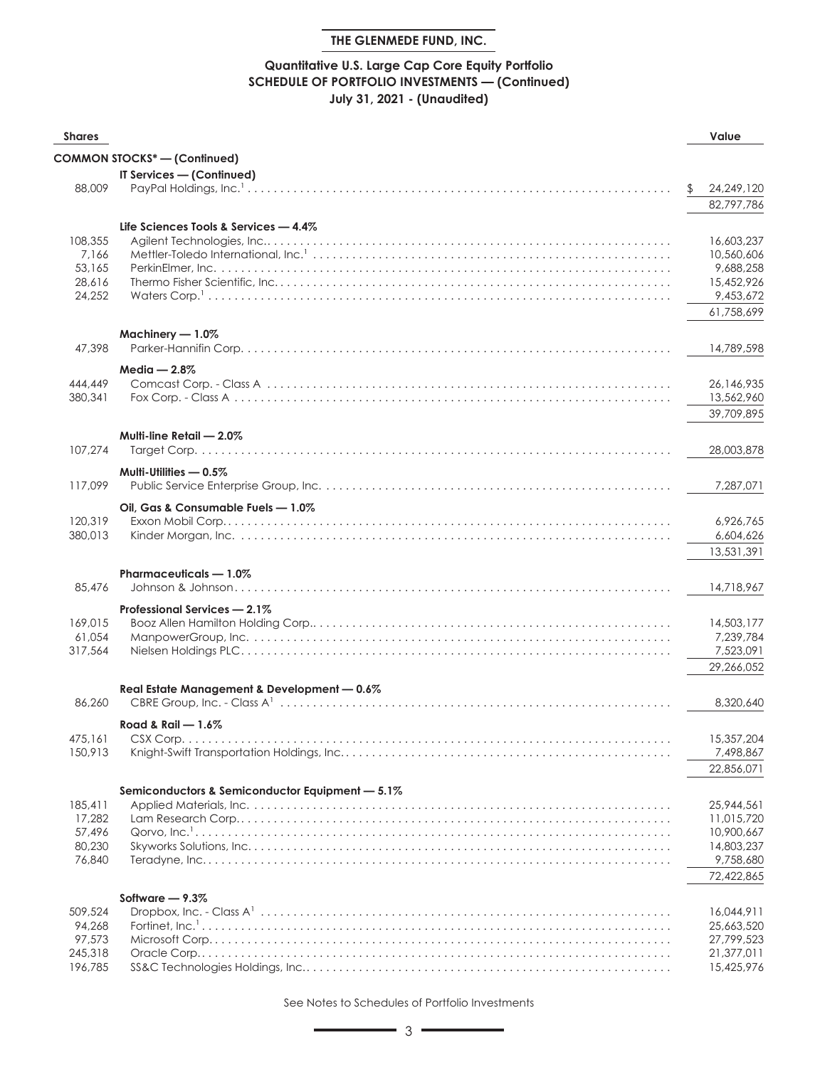## **Quantitative U.S. Large Cap Core Equity Portfolio SCHEDULE OF PORTFOLIO INVESTMENTS — (Continued) July 31, 2021 - (Unaudited)**

| <b>Shares</b>                                     |                                                 | Value                                                                           |
|---------------------------------------------------|-------------------------------------------------|---------------------------------------------------------------------------------|
|                                                   | <b>COMMON STOCKS*-(Continued)</b>               |                                                                                 |
| 88,009                                            | IT Services - (Continued)                       | \$<br>24,249,120<br>82,797,786                                                  |
| 108,355<br>7,166<br>53,165<br>28,616<br>24.252    | Life Sciences Tools & Services - 4.4%           | 16,603,237<br>10,560,606<br>9,688,258<br>15,452,926<br>9,453,672<br>61,758,699  |
| 47,398                                            | Machinery - 1.0%                                | 14,789,598                                                                      |
| 444,449<br>380,341                                | Media $-2.8\%$                                  | 26,146,935<br>13,562,960<br>39,709,895                                          |
| 107,274                                           | Multi-line Retail - 2.0%                        | 28,003,878                                                                      |
| 117,099                                           | Multi-Utilities - 0.5%                          | 7,287,071                                                                       |
| 120,319<br>380,013                                | Oil, Gas & Consumable Fuels - 1.0%              | 6,926,765<br>6,604,626<br>13,531,391                                            |
| 85,476                                            | Pharmaceuticals - 1.0%                          | 14,718,967                                                                      |
| 169,015<br>61,054<br>317,564                      | Professional Services - 2.1%                    | 14,503,177<br>7,239,784<br>7,523,091<br>29,266,052                              |
| 86,260                                            | Real Estate Management & Development - 0.6%     | 8,320,640                                                                       |
| 475,161<br>150,913                                | Road & Rail $-1.6\%$                            | 15,357,204<br>7,498,867<br>22,856,071                                           |
| 185,411<br>17,282<br>57,496<br>80,230<br>76,840   | Semiconductors & Semiconductor Equipment - 5.1% | 25,944,561<br>11,015,720<br>10,900,667<br>14,803,237<br>9,758,680<br>72,422,865 |
| 509,524<br>94,268<br>97,573<br>245,318<br>196,785 | Software $-9.3\%$                               | 16,044,911<br>25,663,520<br>27,799,523<br>21,377,011<br>15,425,976              |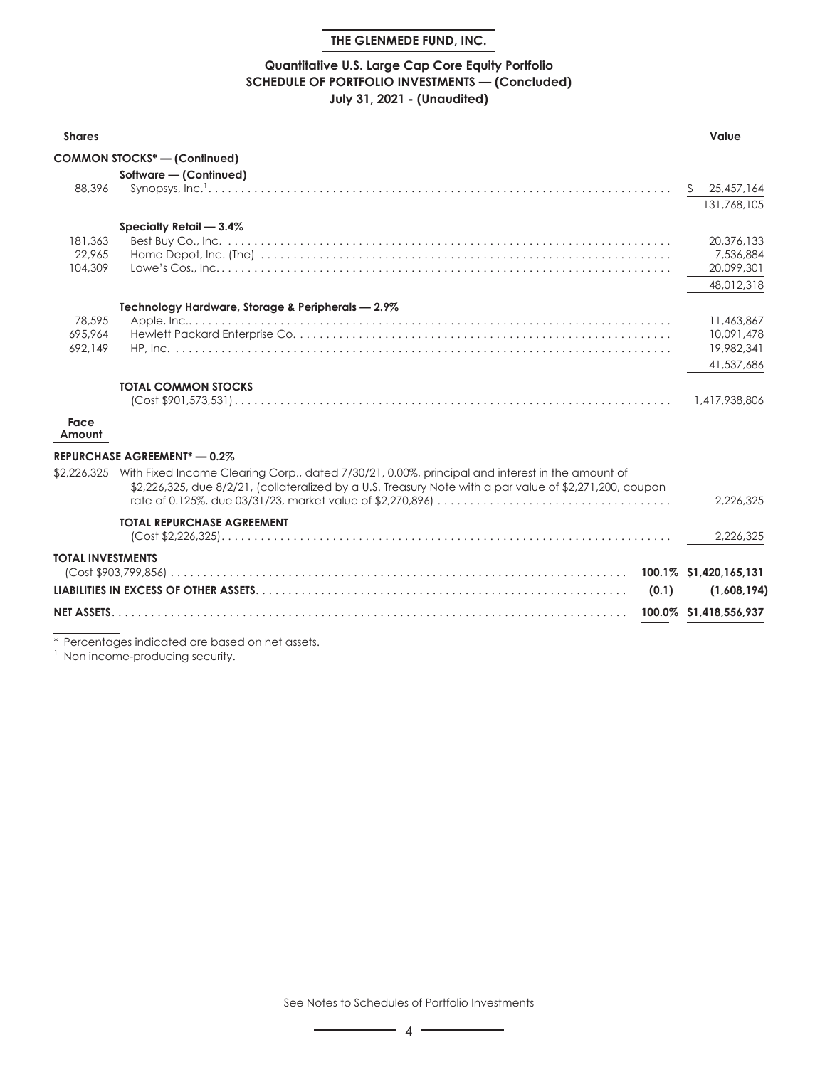## **Quantitative U.S. Large Cap Core Equity Portfolio SCHEDULE OF PORTFOLIO INVESTMENTS — (Concluded) July 31, 2021 - (Unaudited)**

| <b>Shares</b>            |                                                                                                                                                                                                                         | Value                  |
|--------------------------|-------------------------------------------------------------------------------------------------------------------------------------------------------------------------------------------------------------------------|------------------------|
|                          | <b>COMMON STOCKS*- (Confinued)</b>                                                                                                                                                                                      |                        |
|                          | Software - (Continued)                                                                                                                                                                                                  |                        |
| 88,396                   |                                                                                                                                                                                                                         | 25,457,164             |
|                          |                                                                                                                                                                                                                         | 131,768,105            |
|                          | Specialty Retail - 3.4%                                                                                                                                                                                                 |                        |
| 181,363                  |                                                                                                                                                                                                                         | 20,376,133             |
| 22.965                   |                                                                                                                                                                                                                         | 7,536,884              |
| 104,309                  |                                                                                                                                                                                                                         | 20,099,301             |
|                          |                                                                                                                                                                                                                         | 48,012,318             |
|                          | Technology Hardware, Storage & Peripherals - 2.9%                                                                                                                                                                       |                        |
| 78.595                   |                                                                                                                                                                                                                         | 11,463,867             |
| 695.964                  |                                                                                                                                                                                                                         | 10,091,478             |
| 692.149                  |                                                                                                                                                                                                                         | 19,982,341             |
|                          |                                                                                                                                                                                                                         | 41,537,686             |
|                          | <b>TOTAL COMMON STOCKS</b>                                                                                                                                                                                              |                        |
|                          |                                                                                                                                                                                                                         | 1,417,938,806          |
| Face<br>Amount           |                                                                                                                                                                                                                         |                        |
|                          | <b>REPURCHASE AGREEMENT*-0.2%</b>                                                                                                                                                                                       |                        |
|                          | \$2,226,325 With Fixed Income Clearing Corp., dated 7/30/21, 0.00%, principal and interest in the amount of<br>\$2,226,325, due 8/2/21, (collateralized by a U.S. Treasury Note with a par value of \$2,271,200, coupon | 2,226,325              |
|                          |                                                                                                                                                                                                                         |                        |
|                          | <b>TOTAL REPURCHASE AGREEMENT</b>                                                                                                                                                                                       | 2,226,325              |
| <b>TOTAL INVESTMENTS</b> |                                                                                                                                                                                                                         |                        |
|                          |                                                                                                                                                                                                                         | 100.1% \$1,420,165,131 |
|                          | (0.1)                                                                                                                                                                                                                   | (1,608,194)            |
| <b>NET ASSETS.</b>       |                                                                                                                                                                                                                         | 100.0% \$1,418,556,937 |
|                          |                                                                                                                                                                                                                         |                        |

\* Percentages indicated are based on net assets.

<sup>1</sup> Non income-producing security.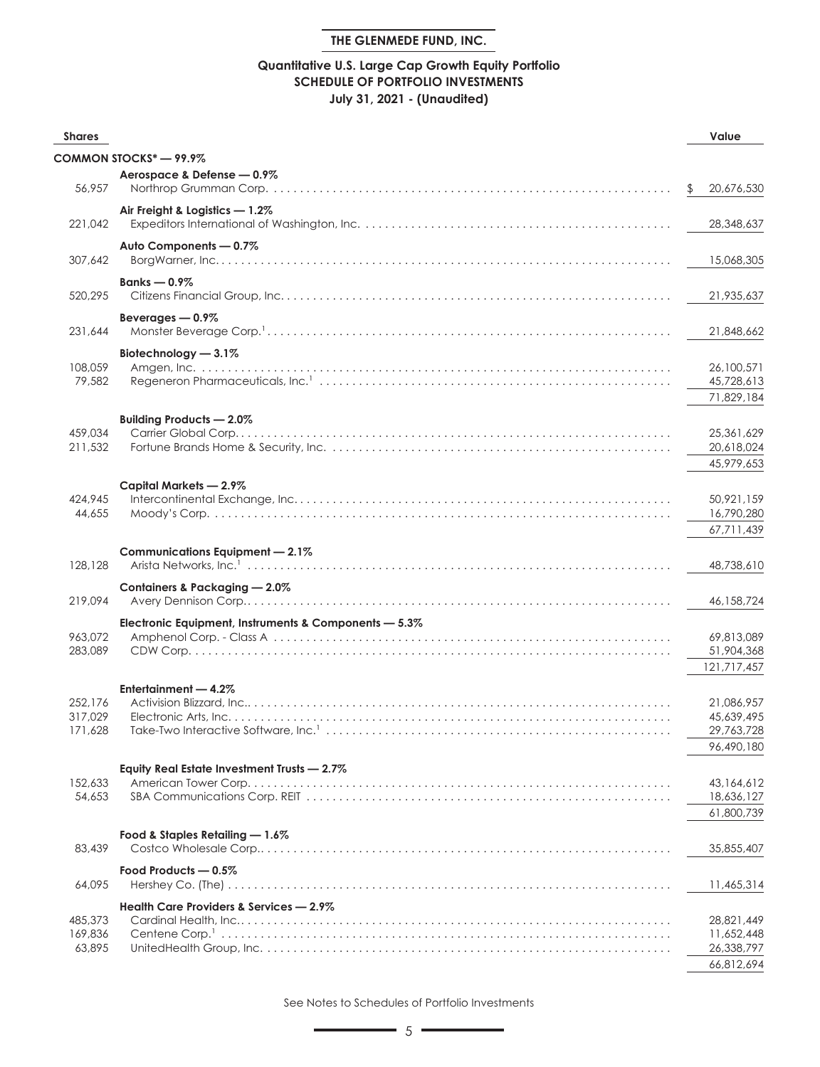## **Quantitative U.S. Large Cap Growth Equity Portfolio SCHEDULE OF PORTFOLIO INVESTMENTS July 31, 2021 - (Unaudited)**

| <b>Shares</b>      |                                                       | Value                      |
|--------------------|-------------------------------------------------------|----------------------------|
|                    | COMMON STOCKS* - 99.9%                                |                            |
|                    | Aerospace & Defense - 0.9%                            |                            |
| 56,957             |                                                       | \$<br>20,676,530           |
|                    | Air Freight & Logistics - 1.2%                        |                            |
| 221,042            |                                                       | 28,348,637                 |
|                    | Auto Components - 0.7%                                |                            |
| 307,642            |                                                       | 15,068,305                 |
|                    |                                                       |                            |
| 520,295            | Banks $-0.9\%$                                        | 21,935,637                 |
|                    |                                                       |                            |
| 231,644            | Beverages - 0.9%                                      | 21,848,662                 |
|                    |                                                       |                            |
|                    | Biotechnology - 3.1%                                  |                            |
| 108,059<br>79,582  |                                                       | 26,100,571<br>45,728,613   |
|                    |                                                       | 71,829,184                 |
|                    |                                                       |                            |
|                    | Building Products - 2.0%                              |                            |
| 459,034<br>211,532 |                                                       | 25, 361, 629<br>20,618,024 |
|                    |                                                       | 45,979,653                 |
|                    |                                                       |                            |
|                    | Capital Markets - 2.9%                                |                            |
| 424,945<br>44,655  |                                                       | 50,921,159<br>16,790,280   |
|                    |                                                       | 67,711,439                 |
|                    |                                                       |                            |
| 128,128            | Communications Equipment - 2.1%                       | 48,738,610                 |
|                    |                                                       |                            |
|                    | Containers & Packaging - 2.0%                         |                            |
| 219,094            |                                                       | 46,158,724                 |
|                    | Electronic Equipment, Instruments & Components - 5.3% |                            |
| 963,072            |                                                       | 69,813,089                 |
| 283,089            |                                                       | 51,904,368                 |
|                    |                                                       | 121,717,457                |
|                    | Entertainment - 4.2%                                  |                            |
| 252,176<br>317.029 |                                                       | 21,086,957                 |
| 171,628            |                                                       | 45,639,495<br>29,763,728   |
|                    |                                                       | 96,490,180                 |
|                    |                                                       |                            |
| 152,633            | Equity Real Estate Investment Trusts - 2.7%           | 43,164,612                 |
| 54,653             |                                                       | 18,636,127                 |
|                    |                                                       | 61,800,739                 |
|                    |                                                       |                            |
| 83,439             | Food & Staples Retailing - 1.6%                       | 35,855,407                 |
|                    |                                                       |                            |
|                    | Food Products - 0.5%                                  |                            |
| 64,095             |                                                       | 11,465,314                 |
|                    | Health Care Providers & Services - 2.9%               |                            |
| 485,373            |                                                       | 28,821,449                 |
| 169,836<br>63,895  |                                                       | 11,652,448<br>26,338,797   |
|                    |                                                       | 66,812,694                 |
|                    |                                                       |                            |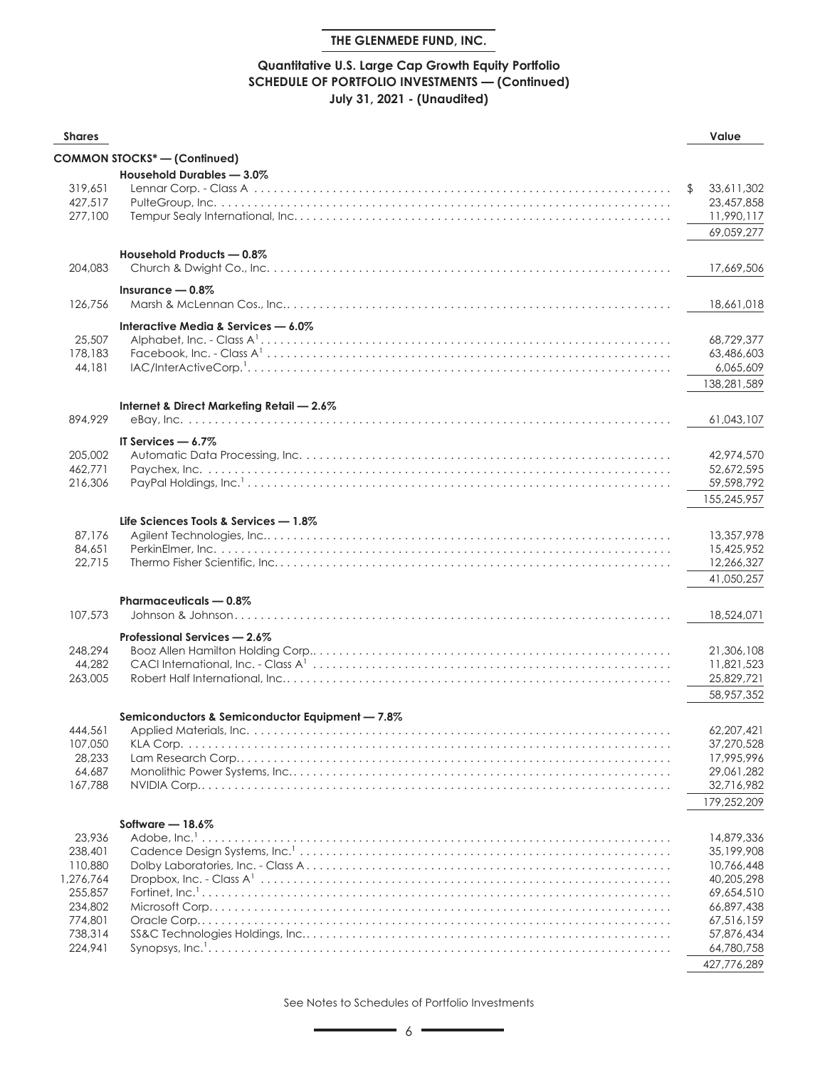## **Quantitative U.S. Large Cap Growth Equity Portfolio SCHEDULE OF PORTFOLIO INVESTMENTS — (Continued) July 31, 2021 - (Unaudited)**

| <b>Shares</b>                                                                                    |                                                 | Value                                                                                                                                     |
|--------------------------------------------------------------------------------------------------|-------------------------------------------------|-------------------------------------------------------------------------------------------------------------------------------------------|
|                                                                                                  | <b>COMMON STOCKS*-(Continued)</b>               |                                                                                                                                           |
| 319,651<br>427,517<br>277,100                                                                    | Household Durables - 3.0%                       | 33,611,302<br>\$.<br>23,457,858<br>11,990,117                                                                                             |
| 204,083                                                                                          | Household Products - 0.8%                       | 69,059,277<br>17,669,506                                                                                                                  |
| 126,756                                                                                          | Insurance $-0.8\%$                              | 18,661,018                                                                                                                                |
|                                                                                                  | Interactive Media & Services - 6.0%             |                                                                                                                                           |
| 25,507<br>178,183<br>44,181                                                                      |                                                 | 68,729,377<br>63,486,603<br>6,065,609<br>138,281,589                                                                                      |
|                                                                                                  | Internet & Direct Marketing Retail - 2.6%       |                                                                                                                                           |
| 894,929                                                                                          |                                                 | 61,043,107                                                                                                                                |
| 205,002<br>462,771<br>216,306                                                                    | IT Services $-6.7\%$                            | 42,974,570<br>52,672,595<br>59,598,792<br>155,245,957                                                                                     |
| 87,176<br>84,651<br>22,715                                                                       | Life Sciences Tools & Services - 1.8%           | 13,357,978<br>15,425,952<br>12,266,327<br>41,050,257                                                                                      |
| 107,573                                                                                          | Pharmaceuticals - 0.8%                          | 18,524,071                                                                                                                                |
| 248,294<br>44,282<br>263,005                                                                     | Professional Services - 2.6%                    | 21,306,108<br>11,821,523<br>25,829,721<br>58,957,352                                                                                      |
|                                                                                                  | Semiconductors & Semiconductor Equipment - 7.8% |                                                                                                                                           |
| 444,561<br>107,050<br>28,233<br>64,687<br>167,788                                                |                                                 | 62,207,421<br>37,270,528<br>17,995,996<br>29,061,282<br>32,716,982<br>179,252,209                                                         |
|                                                                                                  | Software $-18.6\%$                              |                                                                                                                                           |
| 23,936<br>238,401<br>110,880<br>1,276,764<br>255,857<br>234,802<br>774,801<br>738,314<br>224,941 |                                                 | 14,879,336<br>35,199,908<br>10,766,448<br>40,205,298<br>69,654,510<br>66,897,438<br>67,516,159<br>57,876,434<br>64,780,758<br>427,776,289 |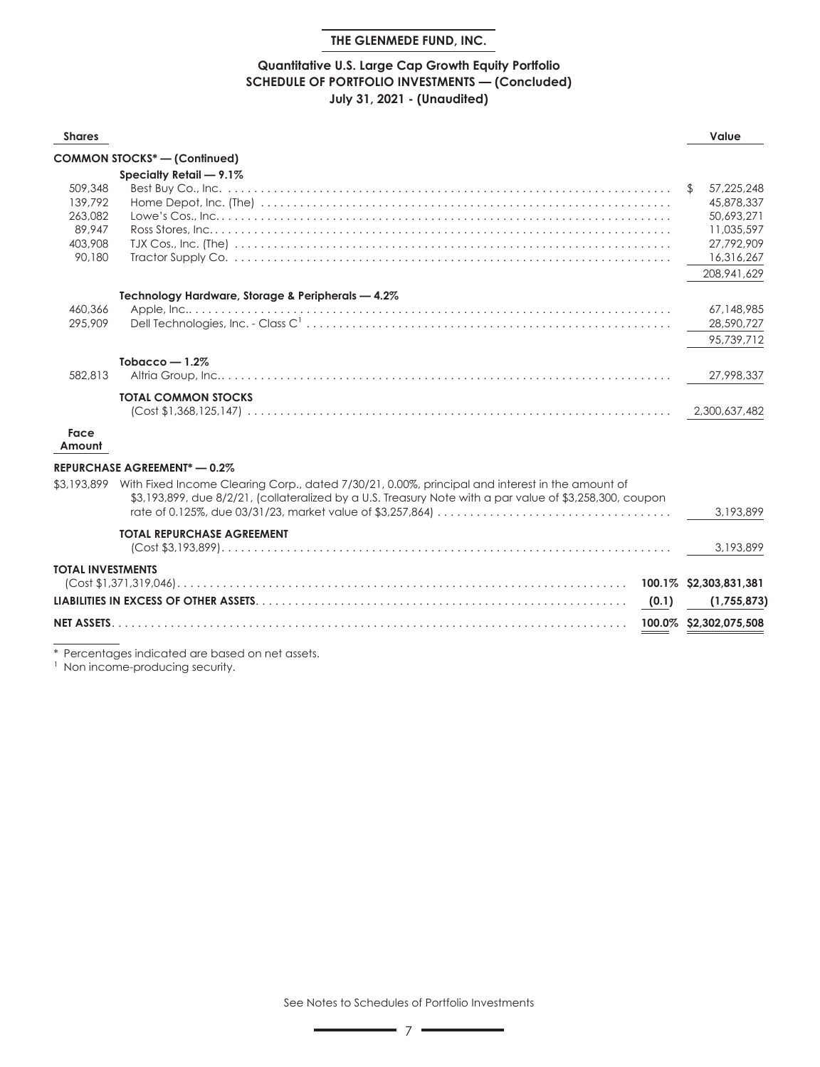#### **Quantitative U.S. Large Cap Growth Equity Portfolio SCHEDULE OF PORTFOLIO INVESTMENTS — (Concluded) July 31, 2021 - (Unaudited)**

| <b>Shares</b>            |                                                                                                                                                                                                                         |       | Value                  |
|--------------------------|-------------------------------------------------------------------------------------------------------------------------------------------------------------------------------------------------------------------------|-------|------------------------|
|                          | <b>COMMON STOCKS*- (Continued)</b>                                                                                                                                                                                      |       |                        |
|                          | Specialty Retail - 9.1%                                                                                                                                                                                                 |       |                        |
| 509,348                  |                                                                                                                                                                                                                         |       | 57,225,248             |
| 139,792                  |                                                                                                                                                                                                                         |       | 45,878,337             |
| 263.082                  |                                                                                                                                                                                                                         |       | 50.693.271             |
| 89.947                   |                                                                                                                                                                                                                         |       | 11,035,597             |
| 403,908                  |                                                                                                                                                                                                                         |       | 27,792,909             |
| 90,180                   |                                                                                                                                                                                                                         |       | 16,316,267             |
|                          |                                                                                                                                                                                                                         |       | 208, 941, 629          |
|                          | Technology Hardware, Storage & Peripherals - 4.2%                                                                                                                                                                       |       |                        |
| 460,366                  |                                                                                                                                                                                                                         |       | 67.148.985             |
| 295.909                  |                                                                                                                                                                                                                         |       | 28,590,727             |
|                          |                                                                                                                                                                                                                         |       | 95.739.712             |
|                          | Tobacco $-1.2%$                                                                                                                                                                                                         |       |                        |
| 582.813                  |                                                                                                                                                                                                                         |       | 27,998,337             |
|                          | <b>TOTAL COMMON STOCKS</b>                                                                                                                                                                                              |       |                        |
|                          |                                                                                                                                                                                                                         |       | 2,300,637,482          |
| Face<br>Amount           |                                                                                                                                                                                                                         |       |                        |
|                          | <b>REPURCHASE AGREEMENT*-0.2%</b>                                                                                                                                                                                       |       |                        |
|                          | \$3,193,899 With Fixed Income Clearing Corp., dated 7/30/21, 0.00%, principal and interest in the amount of<br>\$3,193,899, due 8/2/21, (collateralized by a U.S. Treasury Note with a par value of \$3,258,300, coupon |       | 3.193.899              |
|                          | <b>TOTAL REPURCHASE AGREEMENT</b>                                                                                                                                                                                       |       |                        |
|                          |                                                                                                                                                                                                                         |       | 3,193,899              |
| <b>TOTAL INVESTMENTS</b> |                                                                                                                                                                                                                         |       |                        |
|                          |                                                                                                                                                                                                                         |       | 100.1% \$2,303,831,381 |
|                          |                                                                                                                                                                                                                         | (0.1) | (1,755,873)            |
| <b>NET ASSETS</b>        |                                                                                                                                                                                                                         |       | 100.0% \$2,302,075,508 |
|                          |                                                                                                                                                                                                                         |       |                        |

\* Percentages indicated are based on net assets.

<sup>1</sup> Non income-producing security.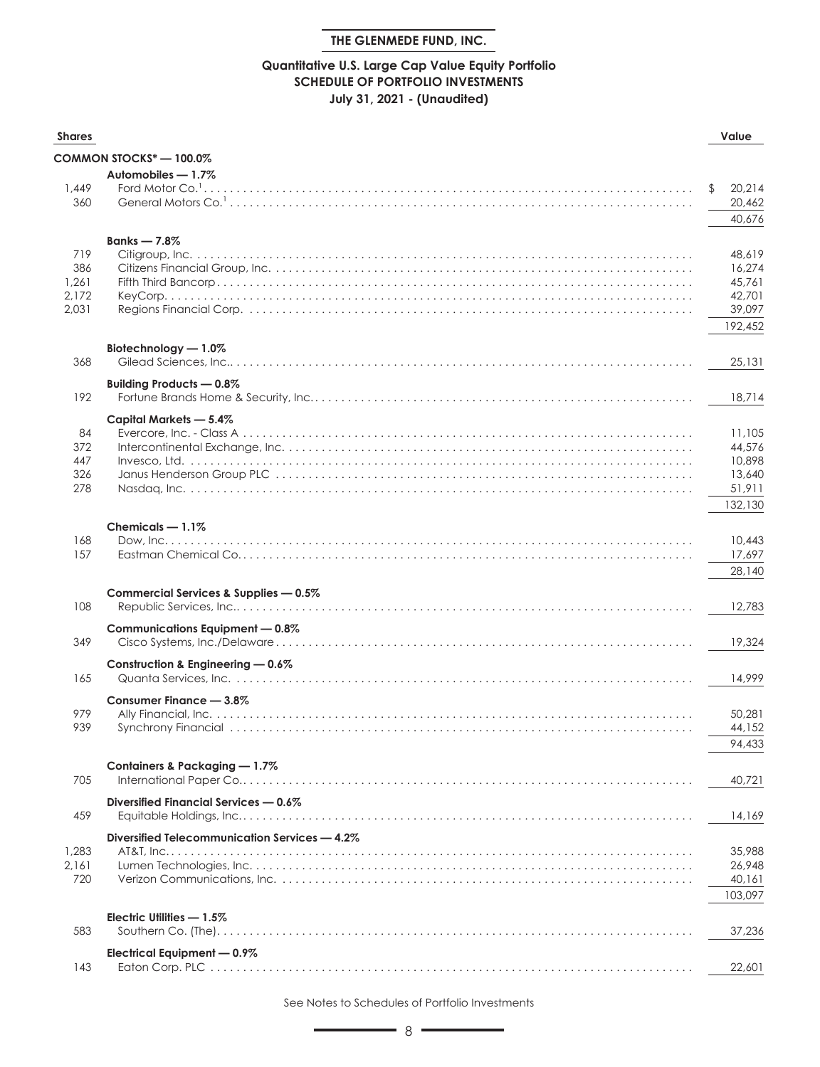## **Quantitative U.S. Large Cap Value Equity Portfolio SCHEDULE OF PORTFOLIO INVESTMENTS July 31, 2021 - (Unaudited)**

| <b>Shares</b>  |                                               | Value                  |
|----------------|-----------------------------------------------|------------------------|
|                | COMMON STOCKS* — 100.0%                       |                        |
|                | Automobiles - 1.7%                            |                        |
| 1,449<br>360   | Ford Motor Co. <sup>1</sup> .                 | \$<br>20,214<br>20,462 |
|                |                                               | 40,676                 |
|                | Banks $-7.8\%$                                |                        |
| 719            |                                               | 48,619                 |
| 386            |                                               | 16,274                 |
| 1,261          |                                               | 45,761                 |
| 2,172<br>2,031 |                                               | 42,701<br>39,097       |
|                |                                               | 192,452                |
|                |                                               |                        |
| 368            | Biotechnology - 1.0%                          |                        |
|                |                                               | 25,131                 |
|                | Building Products — 0.8%                      |                        |
| 192            |                                               | 18.714                 |
|                | Capital Markets - 5.4%                        |                        |
| 84             |                                               | 11,105                 |
| 372<br>447     |                                               | 44,576<br>10,898       |
| 326            |                                               | 13,640                 |
| 278            |                                               | 51,911                 |
|                |                                               | 132,130                |
|                | Chemicals $-1.1\%$                            |                        |
| 168            |                                               | 10,443                 |
| 157            |                                               | 17,697                 |
|                |                                               | 28,140                 |
|                | Commercial Services & Supplies - 0.5%         |                        |
| 108            |                                               | 12,783                 |
|                |                                               |                        |
| 349            | Communications Equipment - 0.8%               | 19,324                 |
|                |                                               |                        |
| 165            | Construction & Engineering - 0.6%             | 14,999                 |
|                |                                               |                        |
|                | Consumer Finance - 3.8%                       |                        |
| 979<br>939     |                                               | 50,281<br>44,152       |
|                |                                               | 94,433                 |
|                |                                               |                        |
|                | Containers & Packaging - 1.7%                 |                        |
| 705            |                                               | 40,721                 |
|                | Diversified Financial Services - 0.6%         |                        |
| 459            |                                               | 14,169                 |
|                | Diversified Telecommunication Services - 4.2% |                        |
| 1,283          |                                               | 35,988                 |
| 2,161          |                                               | 26,948                 |
| 720            |                                               | 40,161                 |
|                |                                               | 103,097                |
|                | Electric Utilities - 1.5%                     |                        |
| 583            | Southern Co. (The)                            | 37,236                 |
|                | Electrical Equipment - 0.9%                   |                        |
| 143            |                                               | 22,601                 |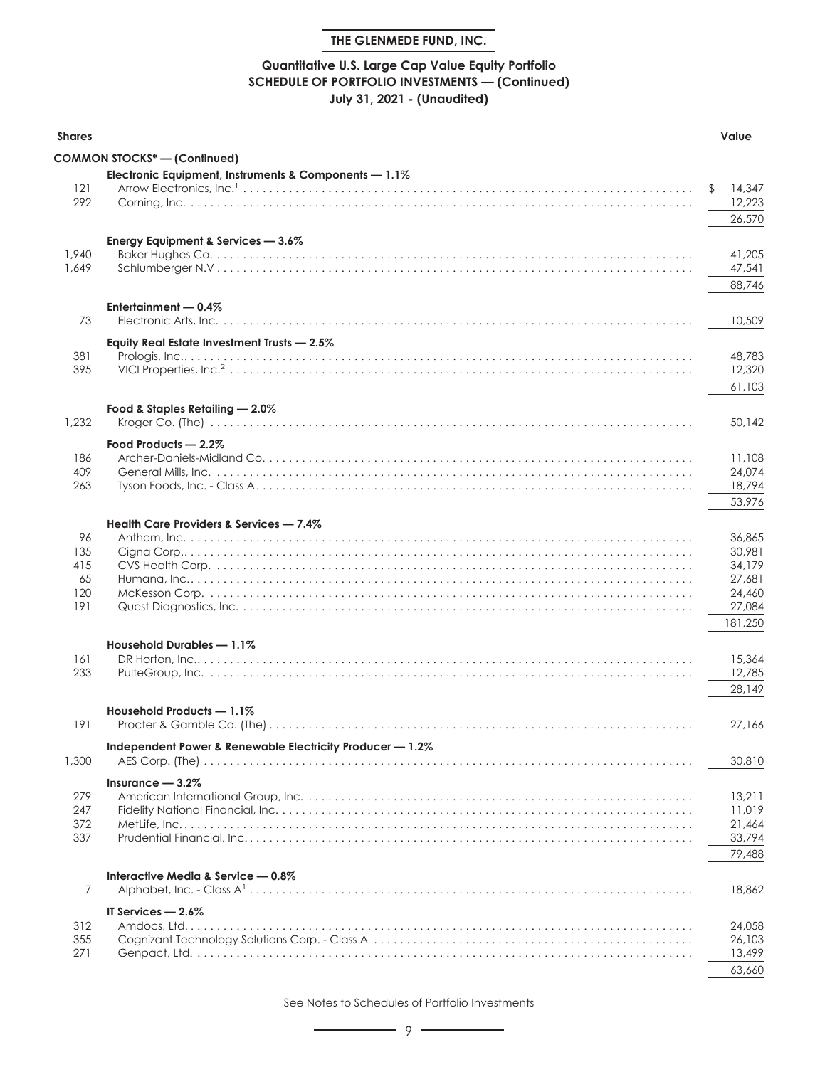## **Quantitative U.S. Large Cap Value Equity Portfolio SCHEDULE OF PORTFOLIO INVESTMENTS — (Continued) July 31, 2021 - (Unaudited)**

| <b>Shares</b> |                                                           | Value            |
|---------------|-----------------------------------------------------------|------------------|
|               | <b>COMMON STOCKS*-(Confinued)</b>                         |                  |
|               | Electronic Equipment, Instruments & Components - 1.1%     |                  |
| 121           |                                                           | 14,347           |
| 292           |                                                           | 12,223           |
|               |                                                           | 26,570           |
|               | Energy Equipment & Services $-3.6\%$                      |                  |
| 1,940         |                                                           | 41,205           |
| 1,649         |                                                           | 47,541           |
|               |                                                           | 88,746           |
|               | Entertainment - 0.4%                                      |                  |
| 73            |                                                           | 10,509           |
|               |                                                           |                  |
|               | Equity Real Estate Investment Trusts $-2.5\%$             |                  |
| 381           |                                                           | 48,783           |
| 395           |                                                           | 12,320           |
|               |                                                           | 61,103           |
|               | Food & Staples Retailing - 2.0%                           |                  |
| 1,232         |                                                           | 50,142           |
|               | Food Products - 2.2%                                      |                  |
| 186           |                                                           | 11,108           |
| 409           |                                                           | 24,074           |
| 263           |                                                           | 18,794           |
|               |                                                           | 53,976           |
|               | Health Care Providers & Services - 7.4%                   |                  |
| 96            |                                                           | 36,865           |
| 135           |                                                           | 30,981           |
| 415           |                                                           | 34,179           |
| 65            |                                                           | 27,681           |
| 120           |                                                           | 24,460           |
| 191           |                                                           | 27,084           |
|               |                                                           | 181,250          |
|               | Household Durables - 1.1%                                 |                  |
| 161           |                                                           | 15,364           |
| 233           |                                                           | 12,785           |
|               |                                                           | 28,149           |
|               | Household Products - 1.1%                                 |                  |
| 191           |                                                           | 27,166           |
|               |                                                           |                  |
| 1,300         | Independent Power & Renewable Electricity Producer - 1.2% | 30,810           |
|               |                                                           |                  |
|               | Insurance $-3.2\%$                                        |                  |
| 279           |                                                           | 13,211           |
| 247<br>372    |                                                           | 11,019           |
| 337           |                                                           | 21,464<br>33,794 |
|               |                                                           | 79.488           |
|               |                                                           |                  |
|               | Interactive Media & Service - 0.8%                        |                  |
| 7             |                                                           | 18,862           |
|               | IT Services $-2.6\%$                                      |                  |
| 312           |                                                           | 24,058           |
| 355           |                                                           | 26,103           |
| 271           |                                                           | 13,499           |
|               |                                                           | 63,660           |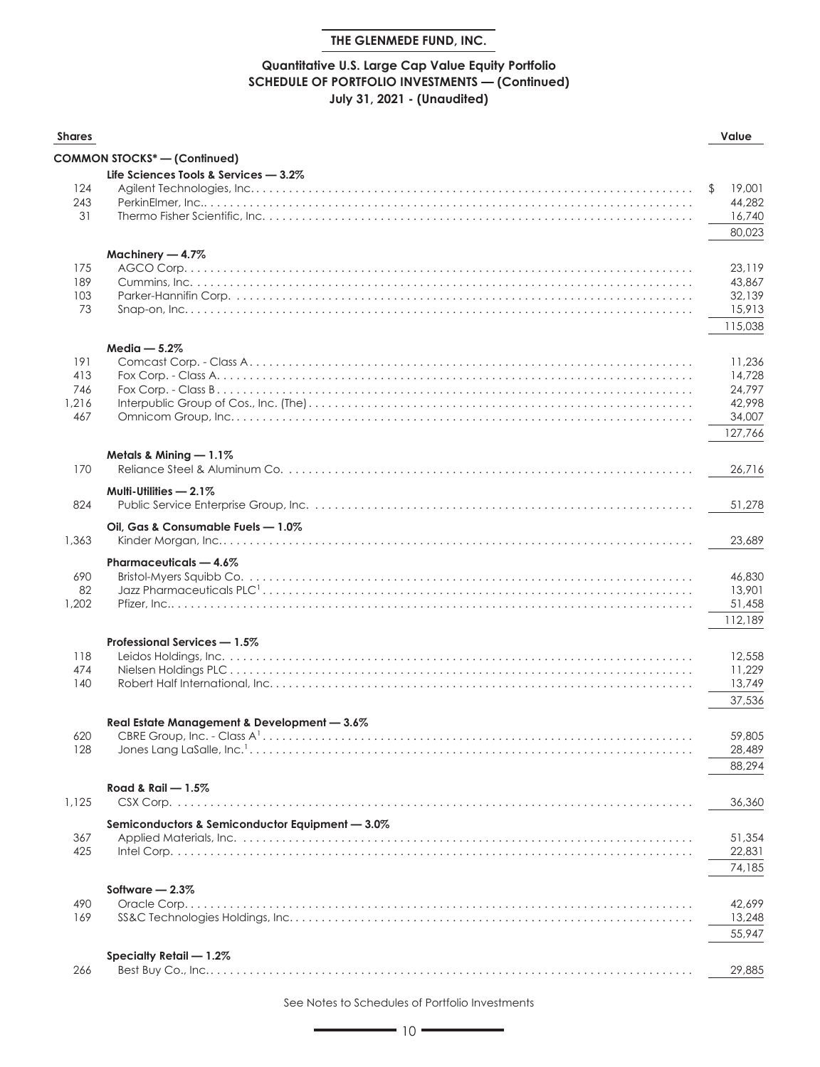## **Quantitative U.S. Large Cap Value Equity Portfolio SCHEDULE OF PORTFOLIO INVESTMENTS — (Continued) July 31, 2021 - (Unaudited)**

| <b>Shares</b> |                                                 | Value        |
|---------------|-------------------------------------------------|--------------|
|               | COMMON STOCKS* - (Continued)                    |              |
|               | Life Sciences Tools & Services - 3.2%           |              |
| 124           |                                                 | 19,001<br>\$ |
| 243           |                                                 | 44,282       |
| 31            |                                                 | 16,740       |
|               |                                                 | 80,023       |
|               | Machinery - 4.7%                                |              |
| 175           |                                                 | 23,119       |
| 189           |                                                 | 43,867       |
| 103           |                                                 | 32,139       |
| 73            |                                                 | 15,913       |
|               |                                                 | 115,038      |
|               | Media $-5.2%$                                   |              |
| 191           |                                                 | 11,236       |
| 413           |                                                 | 14,728       |
| 746           |                                                 | 24,797       |
| 1,216         |                                                 | 42.998       |
| 467           |                                                 | 34,007       |
|               |                                                 | 127,766      |
|               | Metals & Mining $-1.1\%$                        |              |
| 170           |                                                 | 26.716       |
|               | Multi-Utilities $-2.1\%$                        |              |
| 824           |                                                 | 51,278       |
|               |                                                 |              |
| 1,363         | Oil, Gas & Consumable Fuels - 1.0%              | 23,689       |
|               |                                                 |              |
|               | Pharmaceuticals - 4.6%                          |              |
| 690           |                                                 | 46,830       |
| 82            |                                                 | 13,901       |
| 1,202         |                                                 | 51,458       |
|               |                                                 | 112,189      |
|               | Professional Services - 1.5%                    |              |
| 118           |                                                 | 12,558       |
| 474           |                                                 | 11,229       |
| 140           |                                                 | 13,749       |
|               |                                                 | 37,536       |
|               | Real Estate Management & Development - 3.6%     |              |
| 620           |                                                 | 59,805       |
| 128           |                                                 | 28,489       |
|               |                                                 | 88,294       |
|               | Road & Rail - 1.5%                              |              |
| 1.125         |                                                 | 36,360       |
|               |                                                 |              |
| 367           | Semiconductors & Semiconductor Equipment - 3.0% | 51,354       |
| 425           |                                                 | 22,831       |
|               |                                                 | 74,185       |
|               |                                                 |              |
|               | Software $-2.3\%$                               |              |
| 490<br>169    | Oracle Corp.                                    | 42,699       |
|               |                                                 | 13,248       |
|               |                                                 | 55,947       |
|               | Specialty Retail - 1.2%                         |              |
| 266           |                                                 | 29,885       |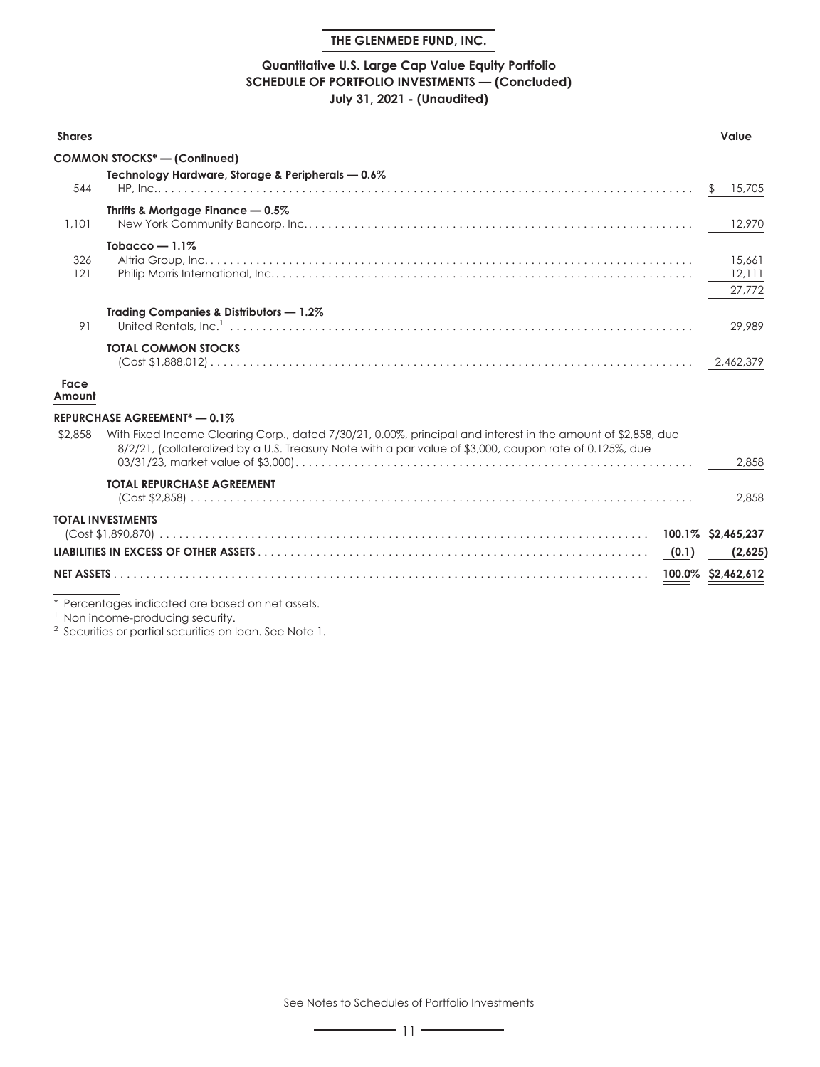#### **Quantitative U.S. Large Cap Value Equity Portfolio SCHEDULE OF PORTFOLIO INVESTMENTS — (Concluded) July 31, 2021 - (Unaudited)**

| <b>Shares</b>     |                                                                                                                                                                                                                         | Value                      |
|-------------------|-------------------------------------------------------------------------------------------------------------------------------------------------------------------------------------------------------------------------|----------------------------|
|                   | <b>COMMON STOCKS<sup>*</sup></b> - (Confinued)                                                                                                                                                                          |                            |
| 544               | Technology Hardware, Storage & Peripherals - 0.6%                                                                                                                                                                       | 15,705                     |
| 1,101             | Thrifts & Mortgage Finance — 0.5%                                                                                                                                                                                       | 12,970                     |
| 326<br>121        | Tobacco $-1.1\%$                                                                                                                                                                                                        | 15,661<br>12,111<br>27.772 |
| 91                | <b>Trading Companies &amp; Distributors - 1.2%</b>                                                                                                                                                                      | 29,989                     |
|                   | <b>TOTAL COMMON STOCKS</b>                                                                                                                                                                                              | 2,462,379                  |
| Face<br>Amount    |                                                                                                                                                                                                                         |                            |
|                   | REPURCHASE AGREEMENT <sup>*</sup> - 0.1%                                                                                                                                                                                |                            |
| \$2,858           | With Fixed Income Clearing Corp., dated 7/30/21, 0.00%, principal and interest in the amount of \$2,858, due<br>8/2/21, (collateralized by a U.S. Treasury Note with a par value of \$3,000, coupon rate of 0.125%, due | 2.858                      |
|                   | <b>TOTAL REPURCHASE AGREEMENT</b>                                                                                                                                                                                       | 2.858                      |
|                   | <b>TOTAL INVESTMENTS</b>                                                                                                                                                                                                | 100.1% \$2,465,237         |
|                   | (0.1)                                                                                                                                                                                                                   | (2,625)                    |
| <b>NET ASSETS</b> |                                                                                                                                                                                                                         | 100.0% \$2,462,612         |

\* Percentages indicated are based on net assets.

<sup>1</sup> Non income-producing security.

<sup>2</sup> Securities or partial securities on loan. See Note 1.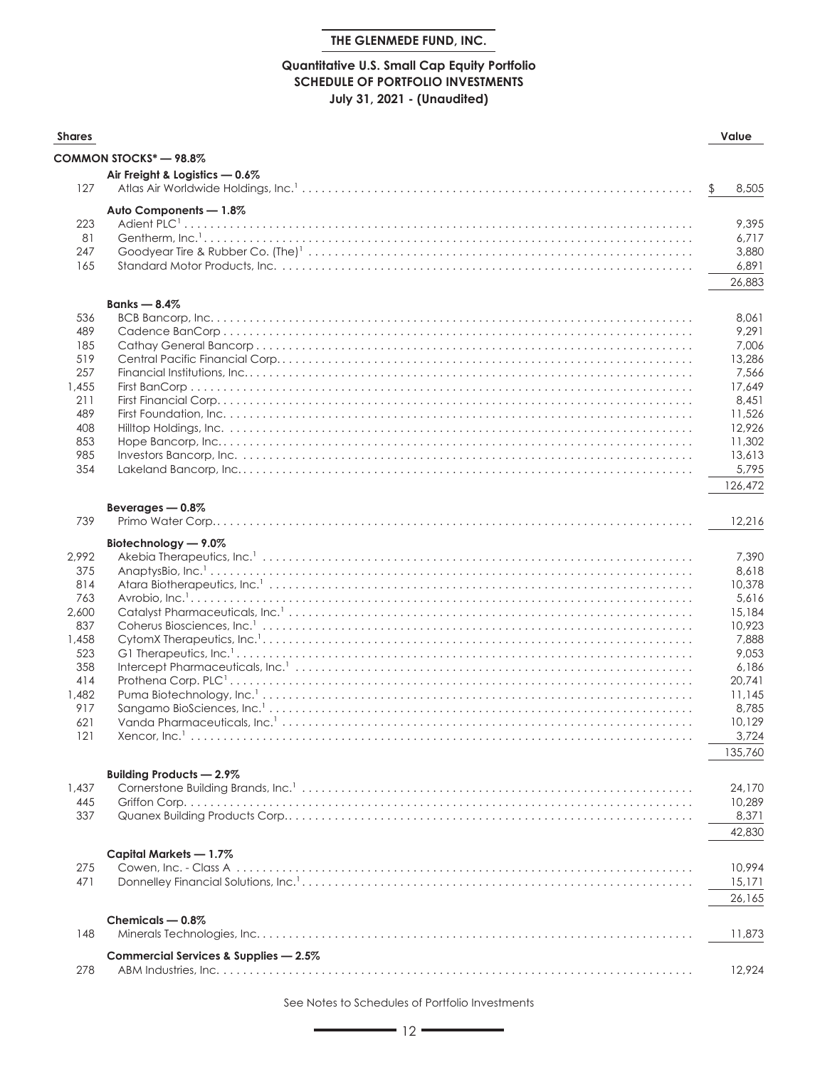## **Quantitative U.S. Small Cap Equity Portfolio SCHEDULE OF PORTFOLIO INVESTMENTS July 31, 2021 - (Unaudited)**

| <b>Shares</b> |                                       | Value            |
|---------------|---------------------------------------|------------------|
|               | COMMON STOCKS* - 98.8%                |                  |
|               | Air Freight & Logistics - 0.6%        |                  |
| 127           |                                       | \$<br>8,505      |
|               |                                       |                  |
| 223           | Auto Components - 1.8%                | 9,395            |
| 81            |                                       | 6,717            |
| 247           |                                       | 3,880            |
| 165           |                                       | 6,891            |
|               |                                       | 26,883           |
|               |                                       |                  |
| 536           | Banks $-8.4%$                         |                  |
| 489           |                                       | 8,061<br>9,291   |
| 185           |                                       | 7,006            |
| 519           |                                       | 13,286           |
| 257           |                                       | 7,566            |
| 1,455         |                                       | 17,649           |
| 211           |                                       | 8,451            |
| 489           |                                       | 11,526           |
| 408           |                                       | 12,926           |
| 853           |                                       | 11,302           |
| 985           |                                       | 13,613           |
| 354           |                                       | 5,795            |
|               |                                       | 126,472          |
|               | Beverages - 0.8%                      |                  |
| 739           |                                       | 12,216           |
|               | Biotechnology - 9.0%                  |                  |
| 2,992         |                                       | 7,390            |
| 375           |                                       | 8,618            |
| 814           |                                       | 10,378           |
| 763           |                                       | 5,616            |
| 2,600         |                                       | 15,184           |
| 837           |                                       | 10,923           |
| 1,458         |                                       | 7,888            |
| 523           |                                       | 9,053            |
| 358           |                                       | 6,186            |
| 414<br>1,482  |                                       | 20,741<br>11,145 |
| 917           |                                       | 8,785            |
| 621           |                                       | 10,129           |
| 121           | Xencor, Inc. <sup>1</sup>             | 3,724            |
|               |                                       | 135,760          |
|               |                                       |                  |
|               | <b>Building Products - 2.9%</b>       |                  |
| 1,437<br>445  |                                       | 24,170           |
| 337           |                                       | 10,289<br>8,371  |
|               |                                       |                  |
|               |                                       | 42,830           |
|               | Capital Markets - 1.7%                |                  |
| 275           |                                       | 10,994           |
| 471           |                                       | 15,171           |
|               |                                       | 26,165           |
|               | Chemicals - 0.8%                      |                  |
| 148           |                                       | 11,873           |
|               |                                       |                  |
| 278           | Commercial Services & Supplies - 2.5% | 12,924           |
|               |                                       |                  |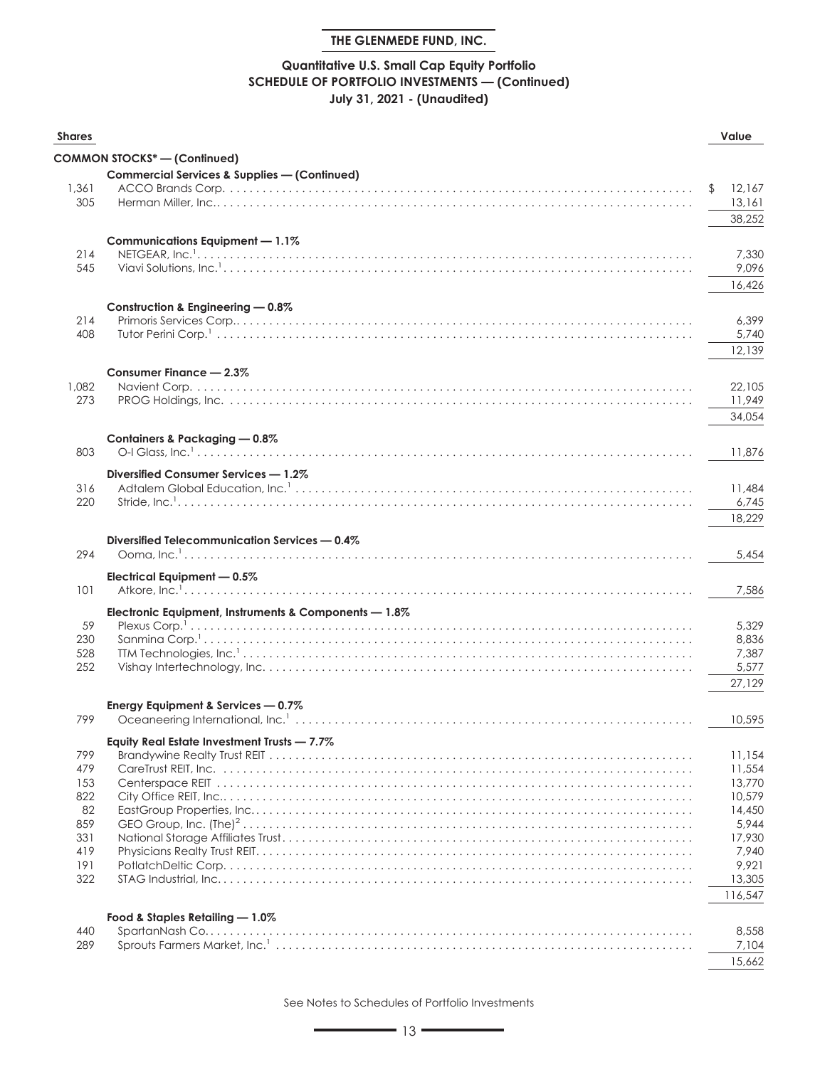## **Quantitative U.S. Small Cap Equity Portfolio SCHEDULE OF PORTFOLIO INVESTMENTS — (Continued) July 31, 2021 - (Unaudited)**

| <b>Shares</b> |                                                         | Value          |
|---------------|---------------------------------------------------------|----------------|
|               | <b>COMMON STOCKS* - (Continued)</b>                     |                |
|               | <b>Commercial Services &amp; Supplies - (Continued)</b> |                |
| 1,361         |                                                         | 12,167<br>\$   |
| 305           |                                                         | 13,161         |
|               |                                                         | 38,252         |
|               |                                                         |                |
|               | Communications Equipment - 1.1%                         |                |
| 214<br>545    |                                                         | 7,330          |
|               |                                                         | 9,096          |
|               |                                                         | 16,426         |
|               | Construction & Engineering - 0.8%                       |                |
| 214           |                                                         | 6,399          |
| 408           |                                                         | 5,740          |
|               |                                                         | 12,139         |
|               | Consumer Finance - 2.3%                                 |                |
| 1,082         |                                                         | 22,105         |
| 273           |                                                         | 11,949         |
|               |                                                         | 34,054         |
|               |                                                         |                |
|               | Containers & Packaging - 0.8%                           |                |
| 803           |                                                         | 11,876         |
|               | Diversified Consumer Services - 1.2%                    |                |
| 316           |                                                         | 11,484         |
| 220           |                                                         | 6,745          |
|               |                                                         | 18,229         |
|               | Diversified Telecommunication Services - 0.4%           |                |
| 294           |                                                         | 5,454          |
|               |                                                         |                |
| 101           | Electrical Equipment - 0.5%                             |                |
|               |                                                         | 7,586          |
|               | Electronic Equipment, Instruments & Components - 1.8%   |                |
| 59            |                                                         | 5,329          |
| 230           |                                                         | 8,836          |
| 528<br>252    |                                                         | 7,387<br>5,577 |
|               |                                                         |                |
|               |                                                         | 27,129         |
|               | Energy Equipment & Services - 0.7%                      |                |
| 799           |                                                         | 10,595         |
|               | Equity Real Estate Investment Trusts - 7.7%             |                |
| 799           |                                                         | 11.154         |
| 479           |                                                         | 11,554         |
| 153           |                                                         | 13,770         |
| 822           |                                                         | 10,579         |
| 82            |                                                         | 14,450         |
| 859           |                                                         | 5,944          |
| 331           |                                                         | 17,930         |
| 419<br>191    |                                                         | 7,940<br>9,921 |
| 322           |                                                         | 13,305         |
|               |                                                         | 116,547        |
|               |                                                         |                |
|               | Food & Staples Retailing - 1.0%                         |                |
| 440           | SpartanNash Co                                          | 8,558          |
| 289           |                                                         | 7,104          |
|               |                                                         | 15,662         |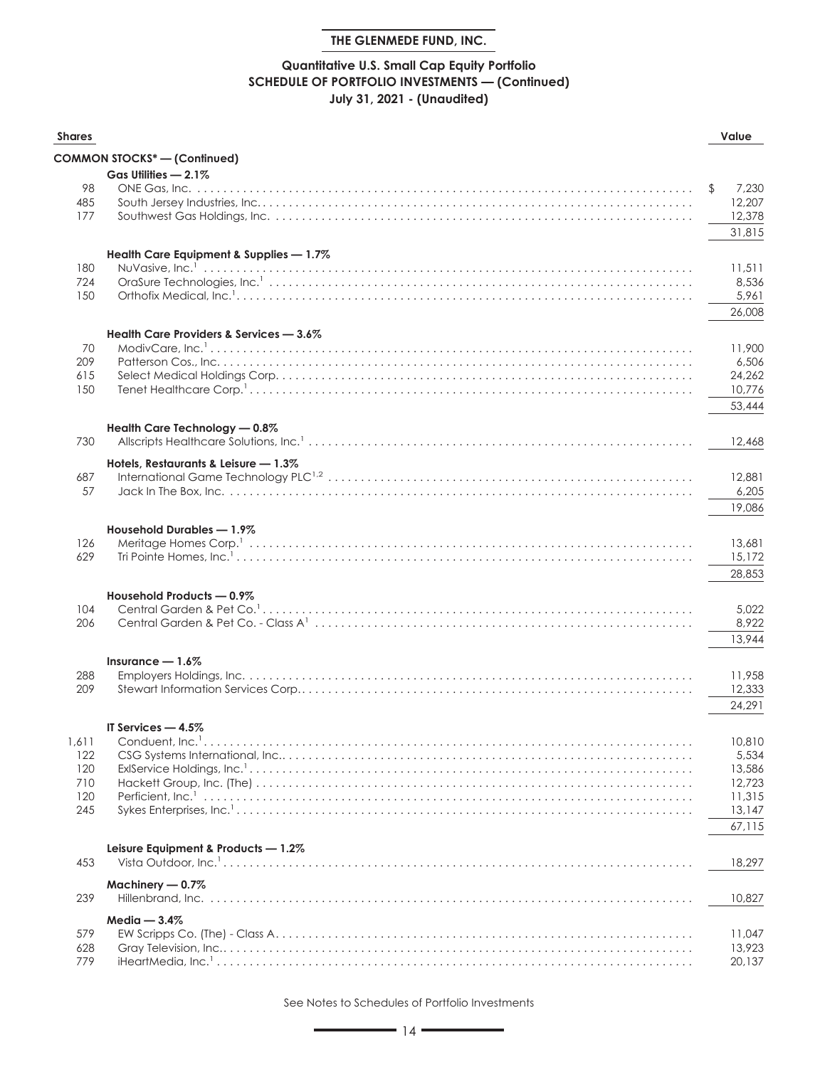## **Quantitative U.S. Small Cap Equity Portfolio SCHEDULE OF PORTFOLIO INVESTMENTS — (Continued) July 31, 2021 - (Unaudited)**

| <b>Shares</b> |                                                                                                                                                                                                                   | Value       |
|---------------|-------------------------------------------------------------------------------------------------------------------------------------------------------------------------------------------------------------------|-------------|
|               | <b>COMMON STOCKS*-(Continued)</b>                                                                                                                                                                                 |             |
|               | Gas Utilities - 2.1%                                                                                                                                                                                              |             |
| 98            |                                                                                                                                                                                                                   | \$<br>7,230 |
| 485           |                                                                                                                                                                                                                   | 12,207      |
| 177           |                                                                                                                                                                                                                   | 12,378      |
|               |                                                                                                                                                                                                                   | 31,815      |
|               | Health Care Equipment & Supplies - 1.7%                                                                                                                                                                           |             |
| 180           |                                                                                                                                                                                                                   | 11,511      |
| 724           |                                                                                                                                                                                                                   | 8,536       |
| 150           |                                                                                                                                                                                                                   | 5,961       |
|               |                                                                                                                                                                                                                   | 26,008      |
|               | Health Care Providers & Services - 3.6%                                                                                                                                                                           |             |
| 70            |                                                                                                                                                                                                                   | 11,900      |
| 209           |                                                                                                                                                                                                                   | 6,506       |
| 615           |                                                                                                                                                                                                                   | 24,262      |
| 150           |                                                                                                                                                                                                                   | 10,776      |
|               |                                                                                                                                                                                                                   | 53,444      |
|               | Health Care Technology - 0.8%                                                                                                                                                                                     |             |
| 730           |                                                                                                                                                                                                                   | 12,468      |
|               | Hotels, Restaurants & Leisure - 1.3%                                                                                                                                                                              |             |
| 687           |                                                                                                                                                                                                                   | 12,881      |
| 57            |                                                                                                                                                                                                                   | 6,205       |
|               |                                                                                                                                                                                                                   | 19,086      |
|               |                                                                                                                                                                                                                   |             |
|               | Household Durables - 1.9%                                                                                                                                                                                         |             |
| 126           |                                                                                                                                                                                                                   | 13,681      |
| 629           |                                                                                                                                                                                                                   | 15,172      |
|               |                                                                                                                                                                                                                   | 28,853      |
|               | Household Products - 0.9%                                                                                                                                                                                         |             |
| 104           |                                                                                                                                                                                                                   | 5,022       |
| 206           |                                                                                                                                                                                                                   | 8,922       |
|               |                                                                                                                                                                                                                   | 13,944      |
|               | Insurance $-1.6\%$                                                                                                                                                                                                |             |
| 288           |                                                                                                                                                                                                                   | 11,958      |
| 209           |                                                                                                                                                                                                                   | 12,333      |
|               |                                                                                                                                                                                                                   | 24,291      |
|               | IT Services - 4.5%                                                                                                                                                                                                |             |
| 1,611         |                                                                                                                                                                                                                   | 10,810      |
| 122           |                                                                                                                                                                                                                   | 5,534       |
| 120           |                                                                                                                                                                                                                   | 13,586      |
| 710           |                                                                                                                                                                                                                   | 12,723      |
| 120           |                                                                                                                                                                                                                   | 11,315      |
| 245           |                                                                                                                                                                                                                   | 13,147      |
|               |                                                                                                                                                                                                                   | 67,115      |
|               | Leisure Equipment & Products - 1.2%                                                                                                                                                                               |             |
| 453           | Vista Outdoor, $\ln c$ , $\ldots$ , $\ldots$ , $\ldots$ , $\ldots$ , $\ldots$ , $\ldots$ , $\ldots$ , $\ldots$ , $\ldots$ , $\ldots$ , $\ldots$ , $\ldots$ , $\ldots$ , $\ldots$ , $\ldots$ , $\ldots$ , $\ldots$ | 18,297      |
|               | Machinery $-0.7\%$                                                                                                                                                                                                |             |
| 239           | Hillenbrand, Inc.                                                                                                                                                                                                 | 10,827      |
|               | Media $-3.4\%$                                                                                                                                                                                                    |             |
| 579           |                                                                                                                                                                                                                   | 11,047      |
| 628           |                                                                                                                                                                                                                   | 13,923      |
| 779           |                                                                                                                                                                                                                   | 20,137      |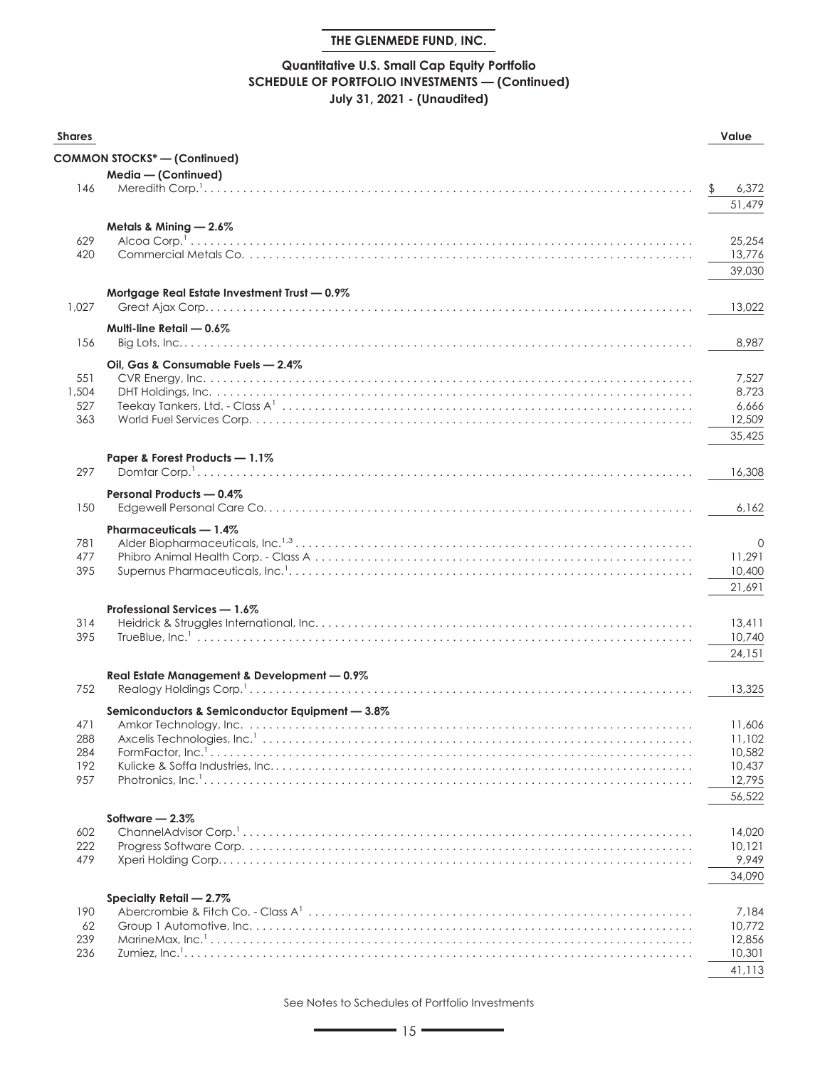## **Quantitative U.S. Small Cap Equity Portfolio SCHEDULE OF PORTFOLIO INVESTMENTS — (Continued) July 31, 2021 - (Unaudited)**

| <b>Shares</b> |                                                                                                                                                                                                                                                                                                                                                                                                                              | Value            |
|---------------|------------------------------------------------------------------------------------------------------------------------------------------------------------------------------------------------------------------------------------------------------------------------------------------------------------------------------------------------------------------------------------------------------------------------------|------------------|
|               | <b>COMMON STOCKS*-(Continued)</b>                                                                                                                                                                                                                                                                                                                                                                                            |                  |
|               | Media - (Continued)                                                                                                                                                                                                                                                                                                                                                                                                          |                  |
| 146           |                                                                                                                                                                                                                                                                                                                                                                                                                              | 6,372<br>51.479  |
|               |                                                                                                                                                                                                                                                                                                                                                                                                                              |                  |
| 629           | Metals & Mining - 2.6%                                                                                                                                                                                                                                                                                                                                                                                                       | 25,254           |
| 420           |                                                                                                                                                                                                                                                                                                                                                                                                                              | 13,776           |
|               |                                                                                                                                                                                                                                                                                                                                                                                                                              | 39,030           |
|               | Mortgage Real Estate Investment Trust - 0.9%                                                                                                                                                                                                                                                                                                                                                                                 |                  |
| 1,027         |                                                                                                                                                                                                                                                                                                                                                                                                                              | 13,022           |
|               | Multi-line Retail - 0.6%                                                                                                                                                                                                                                                                                                                                                                                                     |                  |
| 156           |                                                                                                                                                                                                                                                                                                                                                                                                                              | 8,987            |
|               | Oil, Gas & Consumable Fuels - 2.4%                                                                                                                                                                                                                                                                                                                                                                                           |                  |
| 551           |                                                                                                                                                                                                                                                                                                                                                                                                                              | 7,527            |
| 1,504<br>527  |                                                                                                                                                                                                                                                                                                                                                                                                                              | 8,723<br>6,666   |
| 363           |                                                                                                                                                                                                                                                                                                                                                                                                                              | 12,509           |
|               |                                                                                                                                                                                                                                                                                                                                                                                                                              | 35,425           |
|               | Paper & Forest Products - 1.1%                                                                                                                                                                                                                                                                                                                                                                                               |                  |
| 297           | Domtar Corp. $\frac{1}{1}, \ldots, \frac{1}{1}, \ldots, \frac{1}{1}, \ldots, \frac{1}{1}, \ldots, \frac{1}{1}, \ldots, \frac{1}{1}, \ldots, \frac{1}{1}, \ldots, \frac{1}{1}, \ldots, \frac{1}{1}, \ldots, \frac{1}{1}, \ldots, \frac{1}{1}, \ldots, \frac{1}{1}, \ldots, \frac{1}{1}, \ldots, \frac{1}{1}, \ldots, \frac{1}{1}, \ldots, \frac{1}{1}, \ldots, \frac{1}{1}, \ldots, \frac{1}{1}, \ldots, \frac{1}{1}, \ldots$ | 16,308           |
|               | Personal Products - 0.4%                                                                                                                                                                                                                                                                                                                                                                                                     |                  |
| 150           |                                                                                                                                                                                                                                                                                                                                                                                                                              | 6,162            |
|               | Pharmaceuticals - 1.4%                                                                                                                                                                                                                                                                                                                                                                                                       |                  |
| 781           |                                                                                                                                                                                                                                                                                                                                                                                                                              | $\mathbf 0$      |
| 477<br>395    |                                                                                                                                                                                                                                                                                                                                                                                                                              | 11,291<br>10,400 |
|               |                                                                                                                                                                                                                                                                                                                                                                                                                              | 21,691           |
|               |                                                                                                                                                                                                                                                                                                                                                                                                                              |                  |
| 314           | Professional Services - 1.6%                                                                                                                                                                                                                                                                                                                                                                                                 | 13,411           |
| 395           |                                                                                                                                                                                                                                                                                                                                                                                                                              | 10,740           |
|               |                                                                                                                                                                                                                                                                                                                                                                                                                              | 24,151           |
|               | Real Estate Management & Development - 0.9%                                                                                                                                                                                                                                                                                                                                                                                  |                  |
| 752           |                                                                                                                                                                                                                                                                                                                                                                                                                              | 13,325           |
|               | Semiconductors & Semiconductor Equipment - 3.8%                                                                                                                                                                                                                                                                                                                                                                              |                  |
| 471           |                                                                                                                                                                                                                                                                                                                                                                                                                              | 11,606           |
| 288           | Axcelis Technologies, Inc. <sup>1</sup>                                                                                                                                                                                                                                                                                                                                                                                      | 11.102           |
| 284           |                                                                                                                                                                                                                                                                                                                                                                                                                              | 10,582           |
| 192<br>957    |                                                                                                                                                                                                                                                                                                                                                                                                                              | 10.437<br>12,795 |
|               |                                                                                                                                                                                                                                                                                                                                                                                                                              | 56,522           |
|               |                                                                                                                                                                                                                                                                                                                                                                                                                              |                  |
| 602           | Software $-2.3\%$                                                                                                                                                                                                                                                                                                                                                                                                            | 14,020           |
| 222           |                                                                                                                                                                                                                                                                                                                                                                                                                              | 10,121           |
| 479           |                                                                                                                                                                                                                                                                                                                                                                                                                              | 9,949            |
|               |                                                                                                                                                                                                                                                                                                                                                                                                                              | 34,090           |
|               | Specialty Retail - 2.7%                                                                                                                                                                                                                                                                                                                                                                                                      |                  |
| 190           |                                                                                                                                                                                                                                                                                                                                                                                                                              | 7.184            |
| 62            |                                                                                                                                                                                                                                                                                                                                                                                                                              | 10,772           |
| 239<br>236    |                                                                                                                                                                                                                                                                                                                                                                                                                              | 12,856<br>10,301 |
|               |                                                                                                                                                                                                                                                                                                                                                                                                                              | 41,113           |
|               |                                                                                                                                                                                                                                                                                                                                                                                                                              |                  |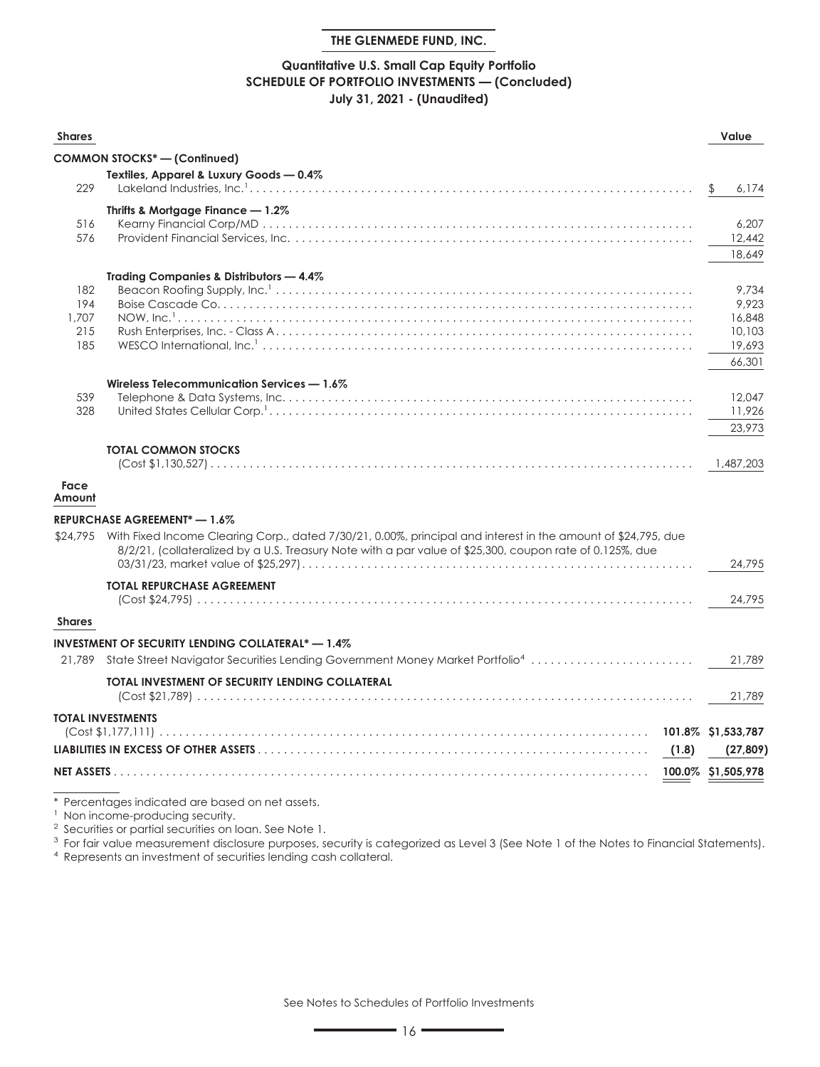#### **Quantitative U.S. Small Cap Equity Portfolio SCHEDULE OF PORTFOLIO INVESTMENTS — (Concluded) July 31, 2021 - (Unaudited)**

| <b>Shares</b>  |                                                                                                                        |       | Value                           |
|----------------|------------------------------------------------------------------------------------------------------------------------|-------|---------------------------------|
|                | COMMON STOCKS* — (Continued)                                                                                           |       |                                 |
|                | Textiles, Apparel & Luxury Goods - 0.4%                                                                                |       |                                 |
| 229            |                                                                                                                        |       | 6,174                           |
|                | Thrifts & Mortgage Finance $-1.2\%$                                                                                    |       |                                 |
| 516<br>576     |                                                                                                                        |       | 6,207<br>12,442                 |
|                |                                                                                                                        |       | 18,649                          |
|                | Trading Companies & Distributors - 4.4%                                                                                |       |                                 |
| 182            |                                                                                                                        |       | 9.734                           |
| 194            |                                                                                                                        |       | 9,923                           |
| 1,707<br>215   |                                                                                                                        |       | 16,848<br>10,103                |
| 185            |                                                                                                                        |       | 19,693                          |
|                |                                                                                                                        |       | 66,301                          |
|                | Wireless Telecommunication Services - 1.6%                                                                             |       |                                 |
| 539            |                                                                                                                        |       | 12,047                          |
| 328            |                                                                                                                        |       | 11,926                          |
|                |                                                                                                                        |       | 23.973                          |
|                | <b>TOTAL COMMON STOCKS</b>                                                                                             |       |                                 |
|                |                                                                                                                        |       | 1,487,203                       |
| Face<br>Amount |                                                                                                                        |       |                                 |
|                | REPURCHASE AGREEMENT <sup>*</sup> - 1.6%                                                                               |       |                                 |
|                | \$24,795 With Fixed Income Clearing Corp., dated 7/30/21, 0.00%, principal and interest in the amount of \$24,795, due |       |                                 |
|                | 8/2/21, (collateralized by a U.S. Treasury Note with a par value of \$25,300, coupon rate of 0.125%, due               |       |                                 |
|                |                                                                                                                        |       | 24,795                          |
|                | <b>TOTAL REPURCHASE AGREEMENT</b>                                                                                      |       |                                 |
|                |                                                                                                                        |       | 24,795                          |
| <b>Shares</b>  |                                                                                                                        |       |                                 |
|                | INVESTMENT OF SECURITY LENDING COLLATERAL* — 1.4%                                                                      |       |                                 |
|                | 21,789 State Street Navigator Securities Lending Government Money Market Portfolio <sup>4</sup>                        |       | 21.789                          |
|                | TOTAL INVESTMENT OF SECURITY LENDING COLLATERAL                                                                        |       |                                 |
|                |                                                                                                                        |       | 21,789                          |
|                | <b>TOTAL INVESTMENTS</b>                                                                                               |       |                                 |
|                |                                                                                                                        |       | 101.8% \$1,533,787<br>(27, 809) |
|                |                                                                                                                        | (1.8) |                                 |
|                |                                                                                                                        |       | 100.0% \$1,505,978              |
|                | Percentages indicated are based on net assets.                                                                         |       |                                 |

<sup>1</sup> Non income-producing security.

<sup>2</sup> Securities or partial securities on loan. See Note 1.

<sup>3</sup> For fair value measurement disclosure purposes, security is categorized as Level 3 (See Note 1 of the Notes to Financial Statements).

<sup>4</sup> Represents an investment of securities lending cash collateral.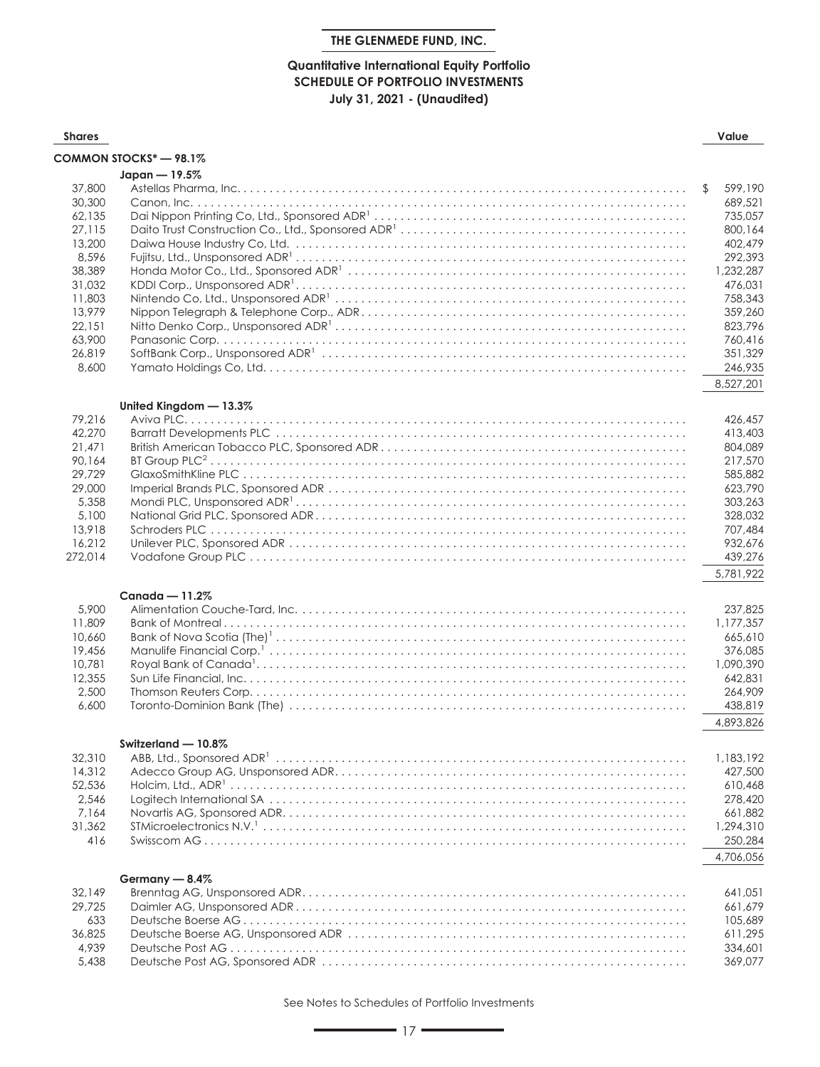#### **Quantitative International Equity Portfolio SCHEDULE OF PORTFOLIO INVESTMENTS July 31, 2021 - (Unaudited)**

| <b>Shares</b>                                                                                                                          |                        | Value                                                                                                                                                                       |
|----------------------------------------------------------------------------------------------------------------------------------------|------------------------|-----------------------------------------------------------------------------------------------------------------------------------------------------------------------------|
|                                                                                                                                        | COMMON STOCKS* - 98.1% |                                                                                                                                                                             |
|                                                                                                                                        | Japan - 19.5%          |                                                                                                                                                                             |
| 37,800<br>30,300<br>62,135<br>27,115<br>13,200<br>8,596<br>38,389<br>31,032<br>11,803<br>13,979<br>22,151<br>63,900<br>26,819<br>8,600 |                        | 599,190<br>\$<br>689,521<br>735,057<br>800,164<br>402,479<br>292,393<br>1,232,287<br>476,031<br>758,343<br>359,260<br>823,796<br>760,416<br>351,329<br>246,935<br>8,527,201 |
|                                                                                                                                        |                        |                                                                                                                                                                             |
| 79.216<br>42,270<br>21,471<br>90,164<br>29,729<br>29,000<br>5,358<br>5,100<br>13,918<br>16,212<br>272,014                              | United Kingdom - 13.3% | 426.457<br>413,403<br>804.089<br>217,570<br>585,882<br>623,790<br>303,263<br>328,032<br>707,484<br>932,676<br>439,276<br>5,781,922                                          |
| 5,900<br>11,809<br>10,660<br>19,456<br>10,781<br>12,355<br>2,500<br>6,600                                                              | Canada $-11.2\%$       | 237,825<br>1,177,357<br>665,610<br>376,085<br>1,090,390<br>642,831<br>264,909<br>438,819<br>4,893,826                                                                       |
| 32,310<br>14,312<br>52,536<br>2,546<br>7,164<br>31,362<br>416                                                                          | Switzerland - 10.8%    | 1,183,192<br>427,500<br>610,468<br>278,420<br>661,882<br>1,294,310<br>250,284<br>4,706,056                                                                                  |
| 32,149<br>29,725<br>633<br>36,825<br>4,939<br>5,438                                                                                    | Germany - 8.4%         | 641.051<br>661,679<br>105,689<br>611,295<br>334,601<br>369,077                                                                                                              |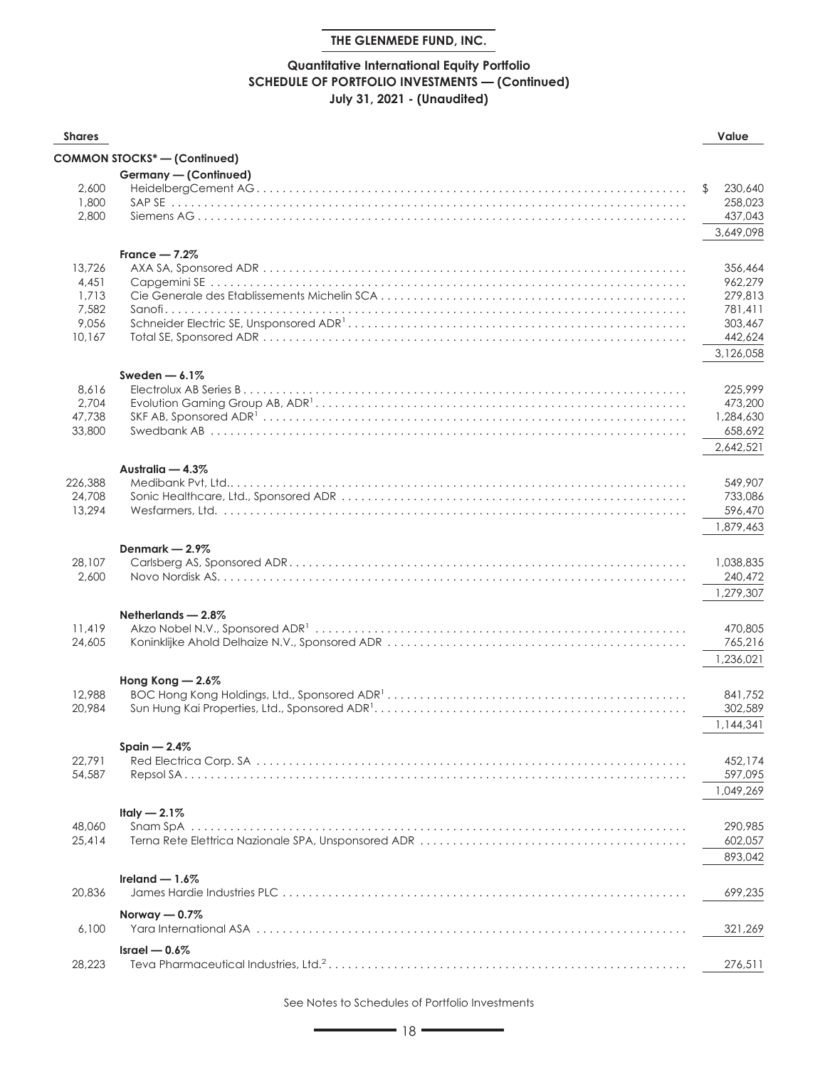## **Quantitative International Equity Portfolio SCHEDULE OF PORTFOLIO INVESTMENTS — (Continued) July 31, 2021 - (Unaudited)**

| <b>Shares</b> |                              | Value                |
|---------------|------------------------------|----------------------|
|               | COMMON STOCKS* - (Continued) |                      |
|               | Germany - (Continued)        |                      |
| 2,600         |                              | 230,640<br>\$        |
| 1,800         |                              | 258,023              |
| 2,800         |                              | 437,043              |
|               |                              | 3,649,098            |
|               | France $-7.2%$               |                      |
| 13,726        |                              | 356,464              |
| 4,451         |                              | 962,279              |
| 1,713         |                              | 279,813              |
| 7,582         |                              | 781.411              |
| 9,056         |                              | 303,467              |
| 10,167        |                              | 442,624              |
|               |                              | 3,126,058            |
|               | Sweden $-6.1\%$              |                      |
| 8,616         |                              | 225,999              |
| 2,704         |                              | 473,200              |
| 47,738        |                              | 1,284,630            |
| 33,800        |                              | 658,692              |
|               |                              | 2,642,521            |
|               | Australia - 4.3%             |                      |
| 226,388       |                              | 549.907              |
| 24,708        |                              | 733,086              |
| 13,294        |                              | 596,470              |
|               |                              | 1,879,463            |
|               | Denmark - 2.9%               |                      |
| 28,107        |                              | 1,038,835            |
| 2,600         |                              | 240,472<br>1,279,307 |
|               |                              |                      |
| 11,419        | Netherlands $-2.8\%$         | 470,805              |
| 24,605        |                              | 765,216              |
|               |                              | 1,236,021            |
|               |                              |                      |
| 12,988        | Hong Kong - 2.6%             | 841,752              |
| 20,984        |                              | 302,589              |
|               |                              | 1,144,341            |
|               |                              |                      |
| 22,791        | Spain $-2.4%$                | 452,174              |
| 54,587        |                              | 597,095              |
|               |                              | 1,049,269            |
|               |                              |                      |
| 48,060        | Italy $-2.1\%$               | 290,985              |
| 25,414        |                              | 602,057              |
|               |                              | 893,042              |
|               |                              |                      |
| 20,836        | Ireland $-1.6\%$             | 699,235              |
|               |                              |                      |
|               | Norway $-0.7\%$              |                      |
| 6,100         |                              | 321,269              |
|               | Israel $-0.6\%$              |                      |
| 28,223        |                              | 276,511              |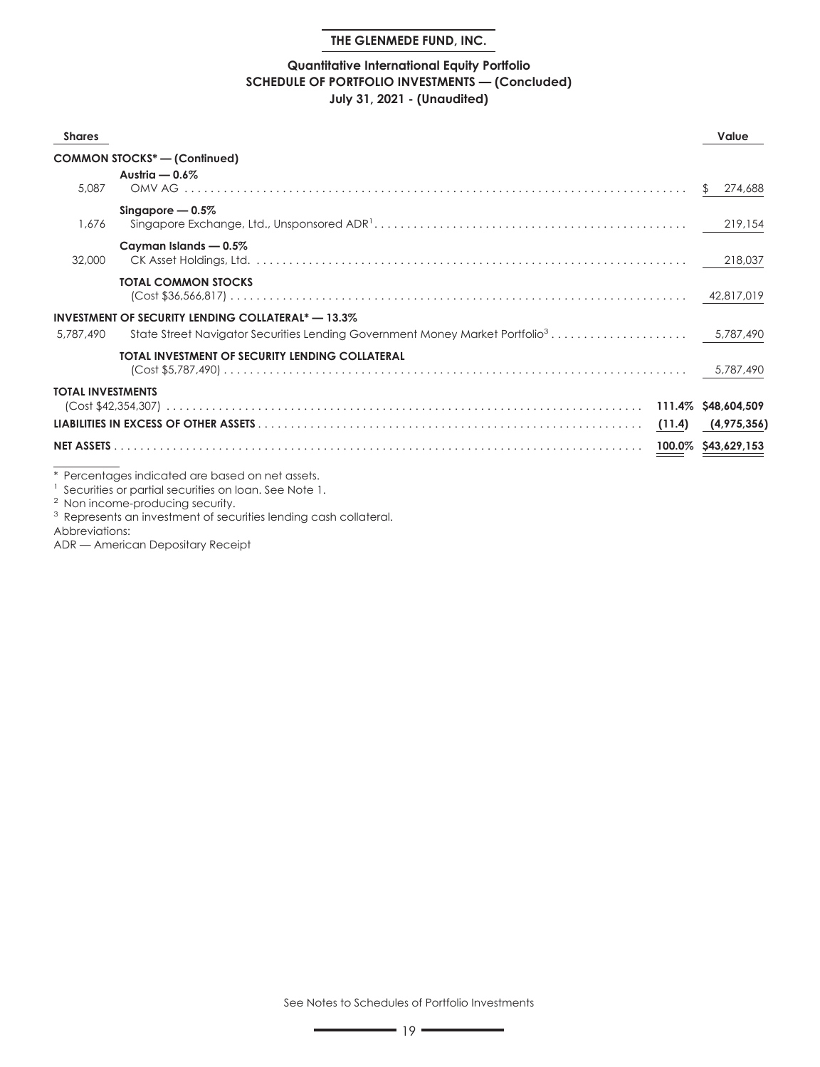#### **Quantitative International Equity Portfolio SCHEDULE OF PORTFOLIO INVESTMENTS — (Concluded) July 31, 2021 - (Unaudited)**

| <b>Shares</b>            |                                                                      | Value                   |
|--------------------------|----------------------------------------------------------------------|-------------------------|
|                          | <b>COMMON STOCKS*-(Confinued)</b>                                    |                         |
| 5,087                    | Austria $-0.6\%$                                                     | 274,688<br>$\mathbb{S}$ |
| 1.676                    | Singapore $-0.5\%$                                                   | 219,154                 |
| 32,000                   | Cayman Islands - 0.5%                                                | 218,037                 |
|                          | <b>TOTAL COMMON STOCKS</b>                                           |                         |
| 5.787.490                | <b>INVESTMENT OF SECURITY LENDING COLLATERAL<sup>*</sup> - 13.3%</b> |                         |
|                          | TOTAL INVESTMENT OF SECURITY LENDING COLLATERAL                      |                         |
| <b>TOTAL INVESTMENTS</b> |                                                                      |                         |
|                          |                                                                      | (4,975,356)             |
|                          |                                                                      |                         |
|                          | * Percentages indicated are based on net assets.                     |                         |

1 Securities or partial securities on loan. See Note 1.

<sup>2</sup> Non income-producing security.

<sup>3</sup> Represents an investment of securities lending cash collateral.

Abbreviations:

ADR — American Depositary Receipt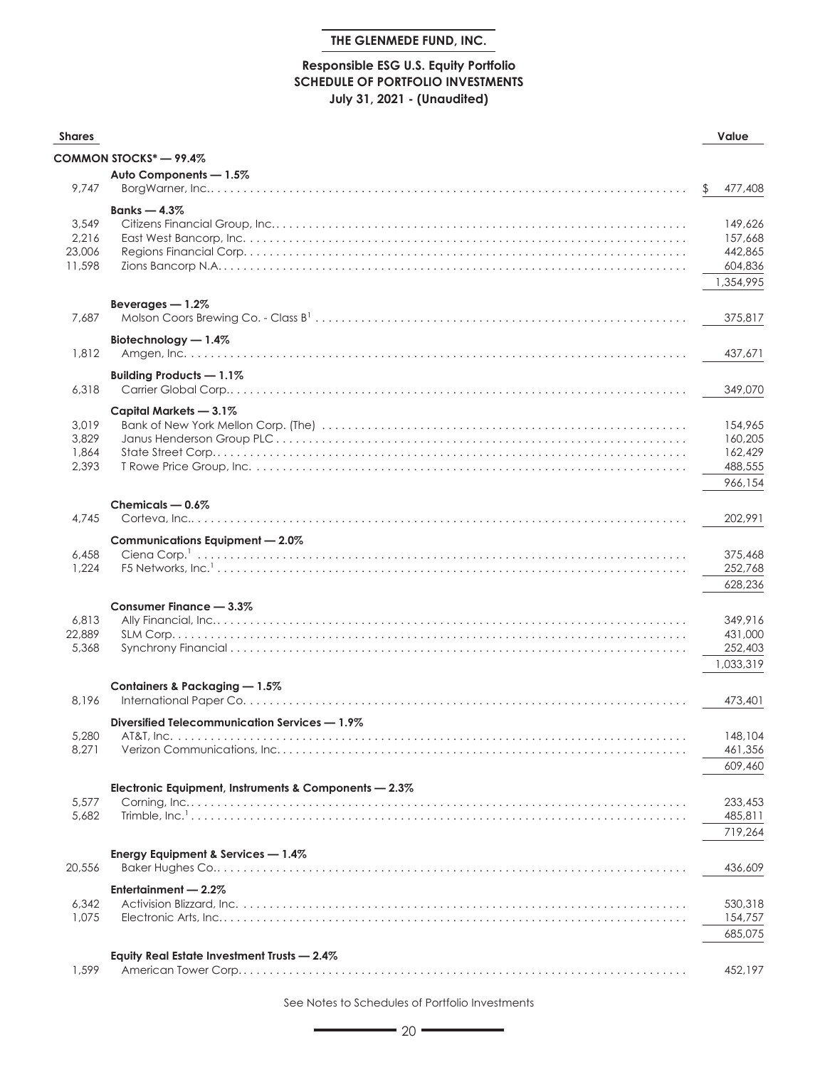## **Responsible ESG U.S. Equity Portfolio SCHEDULE OF PORTFOLIO INVESTMENTS July 31, 2021 - (Unaudited)**

| <b>Shares</b>  |                                                                                                                                                                                                                                                                                                                                                                                                                                                                                                                                   | Value              |
|----------------|-----------------------------------------------------------------------------------------------------------------------------------------------------------------------------------------------------------------------------------------------------------------------------------------------------------------------------------------------------------------------------------------------------------------------------------------------------------------------------------------------------------------------------------|--------------------|
|                | COMMON STOCKS* — 99.4%                                                                                                                                                                                                                                                                                                                                                                                                                                                                                                            |                    |
|                | Auto Components - 1.5%                                                                                                                                                                                                                                                                                                                                                                                                                                                                                                            |                    |
| 9,747          |                                                                                                                                                                                                                                                                                                                                                                                                                                                                                                                                   | \$<br>477,408      |
|                | Banks $-4.3\%$                                                                                                                                                                                                                                                                                                                                                                                                                                                                                                                    |                    |
| 3,549          |                                                                                                                                                                                                                                                                                                                                                                                                                                                                                                                                   | 149,626            |
| 2,216          |                                                                                                                                                                                                                                                                                                                                                                                                                                                                                                                                   | 157,668            |
| 23,006         |                                                                                                                                                                                                                                                                                                                                                                                                                                                                                                                                   | 442,865            |
| 11,598         |                                                                                                                                                                                                                                                                                                                                                                                                                                                                                                                                   | 604,836            |
|                |                                                                                                                                                                                                                                                                                                                                                                                                                                                                                                                                   | 1,354,995          |
|                | Beverages - 1.2%                                                                                                                                                                                                                                                                                                                                                                                                                                                                                                                  |                    |
| 7.687          |                                                                                                                                                                                                                                                                                                                                                                                                                                                                                                                                   | 375,817            |
|                | Biotechnology - 1.4%                                                                                                                                                                                                                                                                                                                                                                                                                                                                                                              |                    |
| 1,812          |                                                                                                                                                                                                                                                                                                                                                                                                                                                                                                                                   | 437,671            |
|                | Building Products - 1.1%                                                                                                                                                                                                                                                                                                                                                                                                                                                                                                          |                    |
| 6,318          |                                                                                                                                                                                                                                                                                                                                                                                                                                                                                                                                   | 349,070            |
|                |                                                                                                                                                                                                                                                                                                                                                                                                                                                                                                                                   |                    |
|                | Capital Markets - 3.1%                                                                                                                                                                                                                                                                                                                                                                                                                                                                                                            |                    |
| 3,019          |                                                                                                                                                                                                                                                                                                                                                                                                                                                                                                                                   | 154,965            |
| 3,829<br>1,864 |                                                                                                                                                                                                                                                                                                                                                                                                                                                                                                                                   | 160,205<br>162,429 |
| 2,393          |                                                                                                                                                                                                                                                                                                                                                                                                                                                                                                                                   | 488,555            |
|                |                                                                                                                                                                                                                                                                                                                                                                                                                                                                                                                                   |                    |
|                |                                                                                                                                                                                                                                                                                                                                                                                                                                                                                                                                   | 966,154            |
|                | Chemicals $-0.6\%$                                                                                                                                                                                                                                                                                                                                                                                                                                                                                                                |                    |
| 4.745          |                                                                                                                                                                                                                                                                                                                                                                                                                                                                                                                                   | 202,991            |
|                | Communications Equipment - 2.0%                                                                                                                                                                                                                                                                                                                                                                                                                                                                                                   |                    |
| 6,458          |                                                                                                                                                                                                                                                                                                                                                                                                                                                                                                                                   | 375,468            |
| 1,224          |                                                                                                                                                                                                                                                                                                                                                                                                                                                                                                                                   | 252,768            |
|                |                                                                                                                                                                                                                                                                                                                                                                                                                                                                                                                                   | 628,236            |
|                | Consumer Finance - 3.3%                                                                                                                                                                                                                                                                                                                                                                                                                                                                                                           |                    |
| 6,813          |                                                                                                                                                                                                                                                                                                                                                                                                                                                                                                                                   | 349,916            |
| 22,889         |                                                                                                                                                                                                                                                                                                                                                                                                                                                                                                                                   | 431,000            |
| 5,368          |                                                                                                                                                                                                                                                                                                                                                                                                                                                                                                                                   | 252,403            |
|                |                                                                                                                                                                                                                                                                                                                                                                                                                                                                                                                                   | 1,033,319          |
|                | Containers & Packaging - 1.5%                                                                                                                                                                                                                                                                                                                                                                                                                                                                                                     |                    |
| 8,196          |                                                                                                                                                                                                                                                                                                                                                                                                                                                                                                                                   | 473,401            |
|                | Diversified Telecommunication Services - 1.9%                                                                                                                                                                                                                                                                                                                                                                                                                                                                                     |                    |
| 5,280          |                                                                                                                                                                                                                                                                                                                                                                                                                                                                                                                                   | 148,104            |
| 8,271          |                                                                                                                                                                                                                                                                                                                                                                                                                                                                                                                                   | 461,356            |
|                |                                                                                                                                                                                                                                                                                                                                                                                                                                                                                                                                   | 609,460            |
|                | Electronic Equipment, Instruments & Components - 2.3%                                                                                                                                                                                                                                                                                                                                                                                                                                                                             |                    |
| 5,577          | $\mathsf{Corning}, \mathsf{Inc}, \ldots, \mathsf{lex}, \ldots, \mathsf{lex}, \mathsf{lex}, \ldots, \mathsf{lex}, \mathsf{lex}, \mathsf{lex}, \mathsf{lex}, \mathsf{lex}, \mathsf{lex}, \mathsf{lex}, \mathsf{lex}, \mathsf{lex}, \mathsf{lex}, \mathsf{lex}, \mathsf{lex}, \mathsf{lex}, \mathsf{lex}, \mathsf{lex}, \mathsf{lex}, \mathsf{lex}, \mathsf{lex}, \mathsf{lex}, \mathsf{lex}, \mathsf{lex}, \mathsf{lex}, \mathsf{lex}, \mathsf{lex}, \mathsf{lex}, \mathsf{lex}, \mathsf{lex}, \mathsf{lex}, \mathsf{lex}, \mathsf$ | 233,453            |
| 5,682          |                                                                                                                                                                                                                                                                                                                                                                                                                                                                                                                                   | 485,811            |
|                |                                                                                                                                                                                                                                                                                                                                                                                                                                                                                                                                   | 719,264            |
|                | Energy Equipment & Services - 1.4%                                                                                                                                                                                                                                                                                                                                                                                                                                                                                                |                    |
| 20,556         |                                                                                                                                                                                                                                                                                                                                                                                                                                                                                                                                   | 436,609            |
|                |                                                                                                                                                                                                                                                                                                                                                                                                                                                                                                                                   |                    |
| 6,342          | Entertainment - 2.2%                                                                                                                                                                                                                                                                                                                                                                                                                                                                                                              |                    |
| 1,075          |                                                                                                                                                                                                                                                                                                                                                                                                                                                                                                                                   | 530,318            |
|                |                                                                                                                                                                                                                                                                                                                                                                                                                                                                                                                                   | 154,757            |
|                |                                                                                                                                                                                                                                                                                                                                                                                                                                                                                                                                   | 685,075            |
|                | Equity Real Estate Investment Trusts - 2.4%                                                                                                                                                                                                                                                                                                                                                                                                                                                                                       |                    |
| 1,599          |                                                                                                                                                                                                                                                                                                                                                                                                                                                                                                                                   | 452,197            |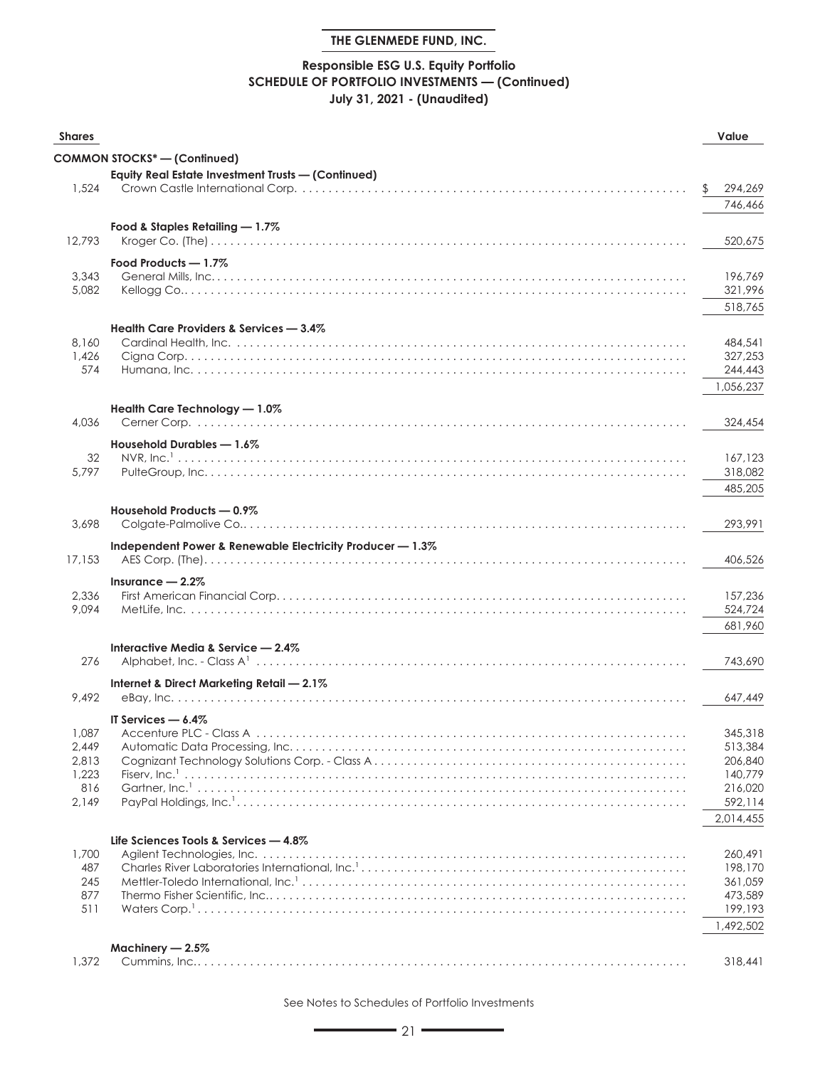## **Responsible ESG U.S. Equity Portfolio SCHEDULE OF PORTFOLIO INVESTMENTS — (Continued) July 31, 2021 - (Unaudited)**

| <b>Shares</b>  |                                                           | Value              |
|----------------|-----------------------------------------------------------|--------------------|
|                | <b>COMMON STOCKS*-(Continued)</b>                         |                    |
|                | Equity Real Estate Investment Trusts - (Continued)        |                    |
| 1,524          |                                                           | 294,269            |
|                |                                                           | 746,466            |
|                | Food & Staples Retailing - 1.7%                           |                    |
| 12,793         |                                                           | 520,675            |
|                |                                                           |                    |
|                | Food Products - 1.7%                                      |                    |
| 3,343<br>5,082 |                                                           | 196,769<br>321,996 |
|                |                                                           | 518,765            |
|                |                                                           |                    |
|                | Health Care Providers & Services - 3.4%                   |                    |
| 8,160<br>1,426 |                                                           | 484,541<br>327,253 |
| 574            |                                                           | 244,443            |
|                |                                                           | 1,056,237          |
|                |                                                           |                    |
|                | Health Care Technology - 1.0%                             |                    |
| 4,036          |                                                           | 324,454            |
|                | Household Durables - 1.6%                                 |                    |
| 32             |                                                           | 167,123            |
| 5.797          |                                                           | 318,082            |
|                |                                                           | 485,205            |
|                | Household Products - 0.9%                                 |                    |
| 3,698          |                                                           | 293,991            |
|                | Independent Power & Renewable Electricity Producer - 1.3% |                    |
| 17,153         |                                                           | 406,526            |
|                | Insurance $-2.2\%$                                        |                    |
| 2,336          |                                                           | 157,236            |
| 9,094          |                                                           | 524,724            |
|                |                                                           | 681,960            |
|                | Interactive Media & Service - 2.4%                        |                    |
| 276            |                                                           | 743,690            |
|                | Internet & Direct Marketing Retail - 2.1%                 |                    |
| 9,492          |                                                           | 647.449            |
|                |                                                           |                    |
| 1,087          | IT Services $-6.4\%$                                      | 345,318            |
| 2,449          |                                                           | 513,384            |
| 2,813          |                                                           | 206,840            |
| 1,223          |                                                           | 140,779            |
| 816            |                                                           | 216,020            |
| 2,149          |                                                           | 592,114            |
|                |                                                           | 2,014,455          |
|                | Life Sciences Tools & Services - 4.8%                     |                    |
| 1,700          |                                                           | 260,491            |
| 487            |                                                           | 198,170            |
| 245            |                                                           | 361,059            |
| 877            |                                                           | 473,589            |
| 511            |                                                           | 199,193            |
|                |                                                           | 1,492,502          |
|                | Machinery $-2.5\%$                                        |                    |
| 1,372          |                                                           | 318,441            |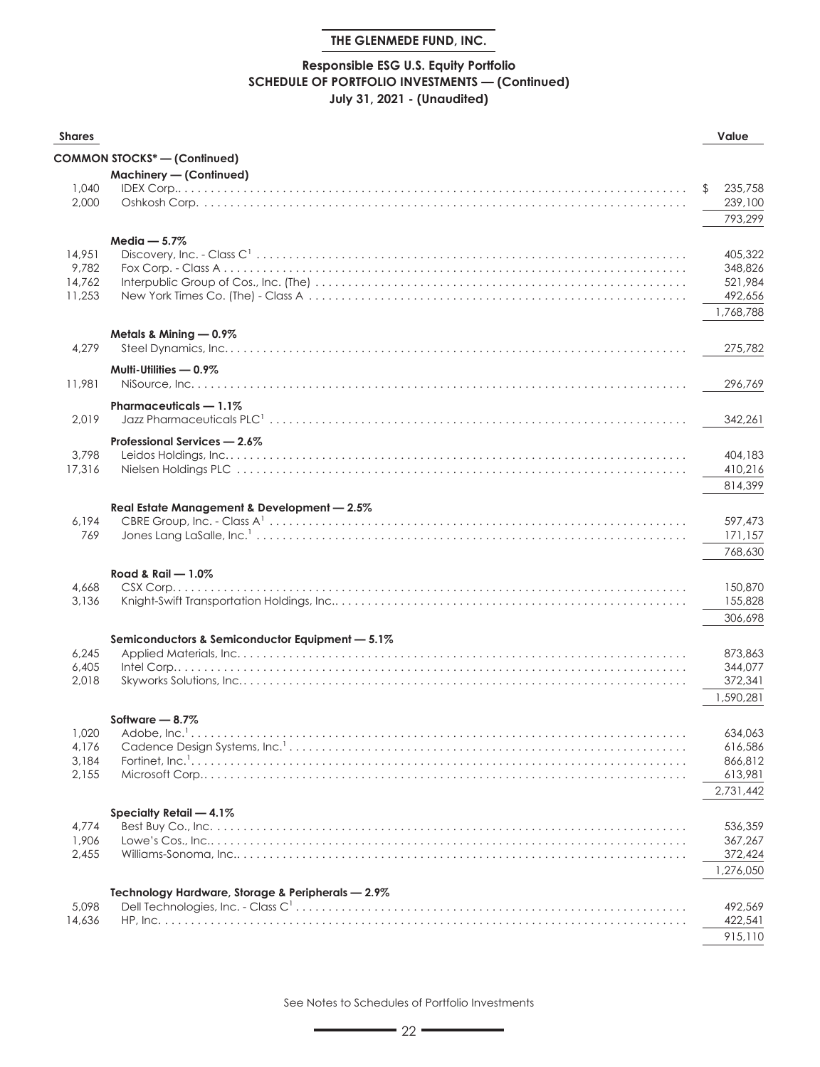## **Responsible ESG U.S. Equity Portfolio SCHEDULE OF PORTFOLIO INVESTMENTS — (Continued) July 31, 2021 - (Unaudited)**

| <b>Shares</b>  |                                                   | Value              |
|----------------|---------------------------------------------------|--------------------|
|                | <b>COMMON STOCKS*-(Continued)</b>                 |                    |
|                | Machinery - (Continued)                           |                    |
| 1,040          |                                                   | \$<br>235,758      |
| 2,000          |                                                   | 239,100            |
|                |                                                   | 793,299            |
|                | $Media - 5.7%$                                    |                    |
| 14,951         |                                                   | 405,322            |
| 9,782          |                                                   | 348,826            |
| 14,762         |                                                   | 521.984            |
| 11,253         |                                                   | 492,656            |
|                |                                                   | 1,768,788          |
|                | Metals & Mining - 0.9%                            |                    |
| 4,279          |                                                   | 275,782            |
|                | Multi-Utilities - 0.9%                            |                    |
| 11,981         |                                                   | 296,769            |
|                | Pharmaceuticals - 1.1%                            |                    |
| 2.019          |                                                   | 342,261            |
|                | Professional Services - 2.6%                      |                    |
| 3,798          |                                                   | 404,183            |
| 17,316         |                                                   | 410,216            |
|                |                                                   | 814,399            |
|                | Real Estate Management & Development - 2.5%       |                    |
| 6,194          |                                                   | 597,473            |
| 769            |                                                   | 171,157            |
|                |                                                   | 768,630            |
|                | Road & Rail - 1.0%                                |                    |
| 4,668          |                                                   | 150,870            |
| 3,136          |                                                   | 155,828            |
|                |                                                   | 306,698            |
|                | Semiconductors & Semiconductor Equipment - 5.1%   |                    |
| 6,245          |                                                   | 873,863            |
| 6,405          |                                                   | 344,077            |
| 2,018          |                                                   | 372,341            |
|                |                                                   | 1,590.281          |
|                | Software $-8.7\%$                                 |                    |
| 1,020          |                                                   | 634,063            |
| 4,176<br>3,184 |                                                   | 616,586<br>866,812 |
| 2,155          |                                                   | 613,981            |
|                |                                                   | 2,731,442          |
|                |                                                   |                    |
| 4,774          | Specialty Retail - 4.1%                           | 536,359            |
| 1,906          |                                                   | 367,267            |
| 2,455          |                                                   | 372,424            |
|                |                                                   | 1,276,050          |
|                | Technology Hardware, Storage & Peripherals - 2.9% |                    |
| 5,098          |                                                   | 492,569            |
| 14,636         |                                                   | 422,541            |
|                |                                                   | 915,110            |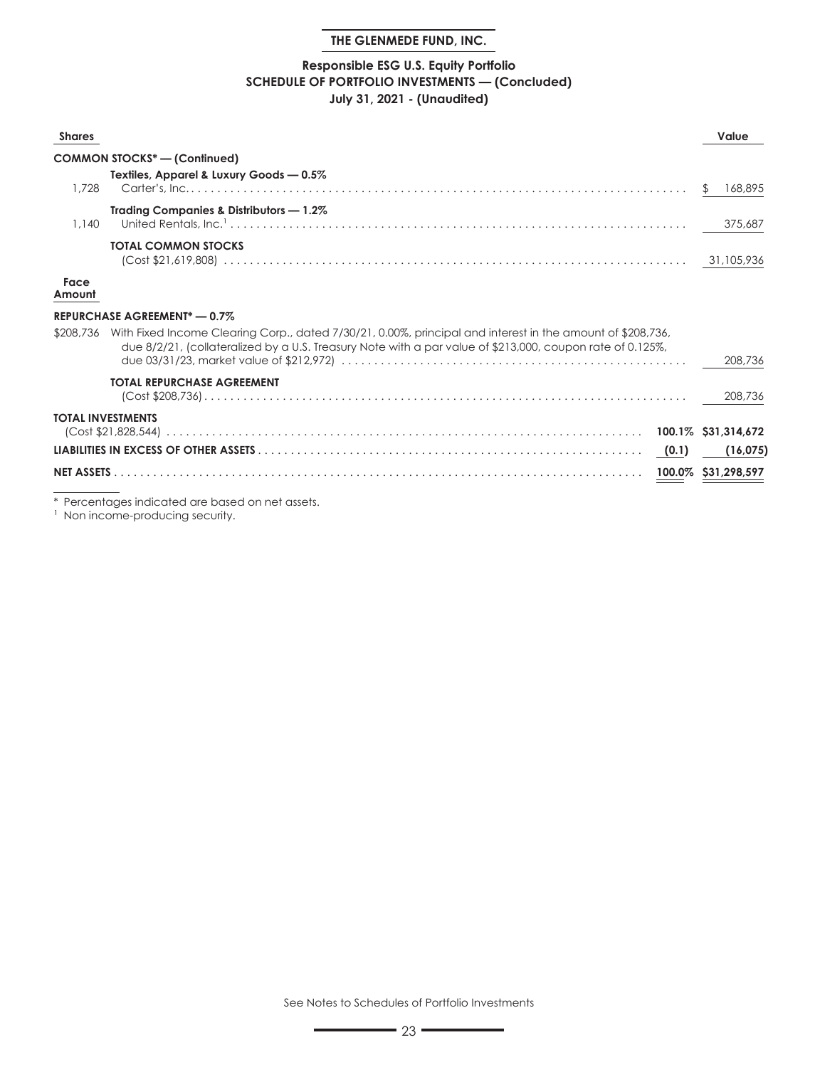## **Responsible ESG U.S. Equity Portfolio SCHEDULE OF PORTFOLIO INVESTMENTS — (Concluded) July 31, 2021 - (Unaudited)**

| <b>Shares</b>     |                                                                                                                                                                                                                                                               | Value               |
|-------------------|---------------------------------------------------------------------------------------------------------------------------------------------------------------------------------------------------------------------------------------------------------------|---------------------|
|                   | <b>COMMON STOCKS*-(Continued)</b>                                                                                                                                                                                                                             |                     |
| 1.728             | Textiles, Apparel & Luxury Goods - 0.5%                                                                                                                                                                                                                       | 168,895             |
| 1.140             | Trading Companies & Distributors - 1.2%<br>United Rentals, $\ln c$ , $\ldots$ , $\ldots$ , $\ldots$ , $\ldots$ , $\ldots$ , $\ldots$ , $\ldots$ , $\ldots$ , $\ldots$ , $\ldots$ , $\ldots$ , $\ldots$ , $\ldots$ , $\ldots$ , $\ldots$ , $\ldots$ , $\ldots$ | 375,687             |
|                   | <b>TOTAL COMMON STOCKS</b>                                                                                                                                                                                                                                    |                     |
| Face<br>Amount    |                                                                                                                                                                                                                                                               |                     |
|                   | REPURCHASE AGREEMENT* - 0.7%                                                                                                                                                                                                                                  |                     |
| \$208,736         | With Fixed Income Clearing Corp., dated 7/30/21, 0.00%, principal and interest in the amount of \$208,736,<br>due 8/2/21, (collateralized by a U.S. Treasury Note with a par value of \$213,000, coupon rate of 0.125%,                                       | 208.736             |
|                   | <b>TOTAL REPURCHASE AGREEMENT</b>                                                                                                                                                                                                                             | 208,736             |
|                   | <b>TOTAL INVESTMENTS</b>                                                                                                                                                                                                                                      |                     |
|                   |                                                                                                                                                                                                                                                               | (16, 075)           |
| <b>NET ASSETS</b> |                                                                                                                                                                                                                                                               | 100.0% \$31,298,597 |

\* Percentages indicated are based on net assets.

<sup>1</sup> Non income-producing security.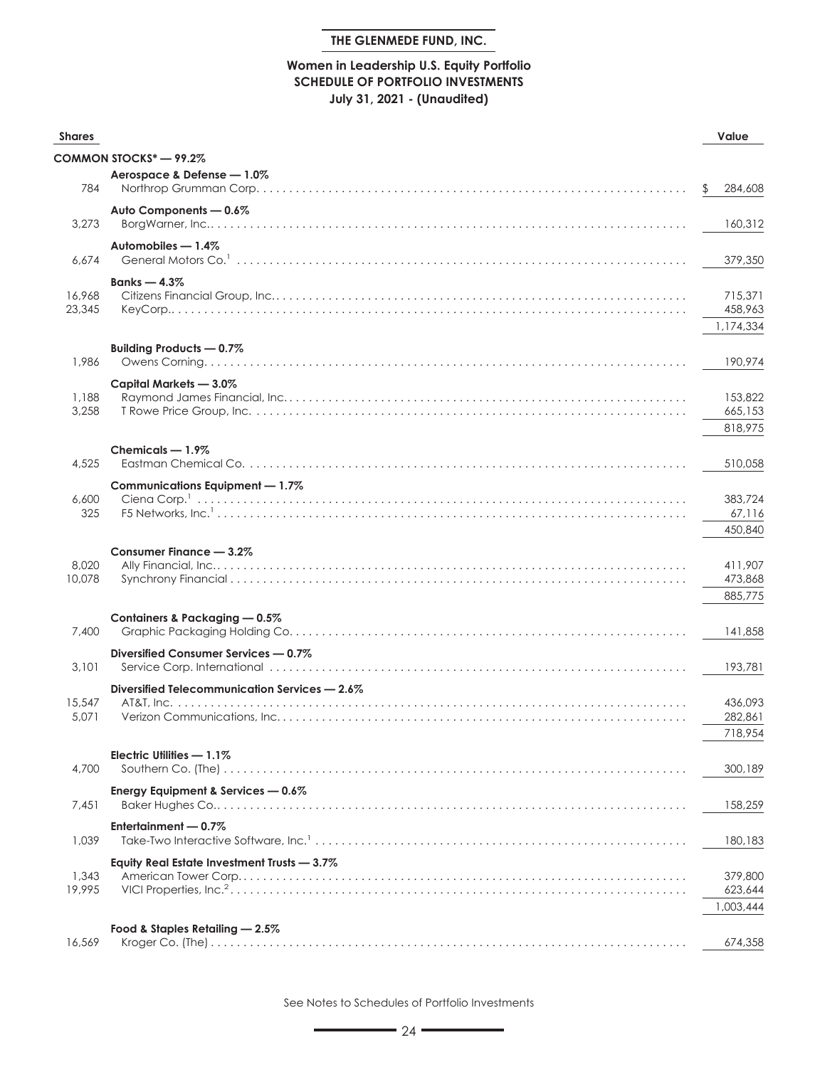#### **Women in Leadership U.S. Equity Portfolio SCHEDULE OF PORTFOLIO INVESTMENTS July 31, 2021 - (Unaudited)**

| <b>Shares</b> |                                               | Value         |
|---------------|-----------------------------------------------|---------------|
|               | COMMON STOCKS* — 99.2%                        |               |
|               | Aerospace & Defense - 1.0%                    |               |
| 784           |                                               | \$<br>284,608 |
|               | Auto Components - 0.6%                        |               |
| 3,273         |                                               | 160,312       |
|               | Automobiles - 1.4%                            |               |
| 6,674         | General Motors Co. <sup>1</sup>               | 379,350       |
|               | Banks $-4.3\%$                                |               |
| 16,968        |                                               | 715,371       |
| 23,345        |                                               | 458,963       |
|               |                                               | 1,174,334     |
|               | Building Products - 0.7%                      |               |
| 1,986         |                                               | 190,974       |
|               | Capital Markets - 3.0%                        |               |
| 1,188         |                                               | 153,822       |
| 3,258         |                                               | 665,153       |
|               |                                               | 818,975       |
|               | Chemicals - 1.9%                              |               |
| 4,525         |                                               | 510.058       |
|               | Communications Equipment - 1.7%               |               |
| 6,600         |                                               | 383,724       |
| 325           |                                               | 67,116        |
|               |                                               | 450,840       |
|               | Consumer Finance - 3.2%                       |               |
| 8,020         |                                               | 411,907       |
| 10,078        |                                               | 473,868       |
|               |                                               | 885,775       |
|               | Containers & Packaging - 0.5%                 |               |
| 7,400         |                                               | 141,858       |
|               | Diversified Consumer Services - 0.7%          |               |
| 3,101         |                                               | 193,781       |
|               | Diversified Telecommunication Services - 2.6% |               |
| 15,547        |                                               | 436,093       |
| 5,071         |                                               | 282,861       |
|               |                                               | 718,954       |
|               | Electric Utilities - 1.1%                     |               |
| 4,700         |                                               | 300,189       |
|               | Energy Equipment & Services - 0.6%            |               |
| 7,451         |                                               | 158,259       |
|               | Entertainment - 0.7%                          |               |
| 1,039         |                                               | 180,183       |
|               | Equity Real Estate Investment Trusts - 3.7%   |               |
| 1,343         |                                               | 379,800       |
| 19.995        |                                               | 623,644       |
|               |                                               | 1,003,444     |
|               | Food & Staples Retailing - 2.5%               |               |
| 16,569        |                                               | 674,358       |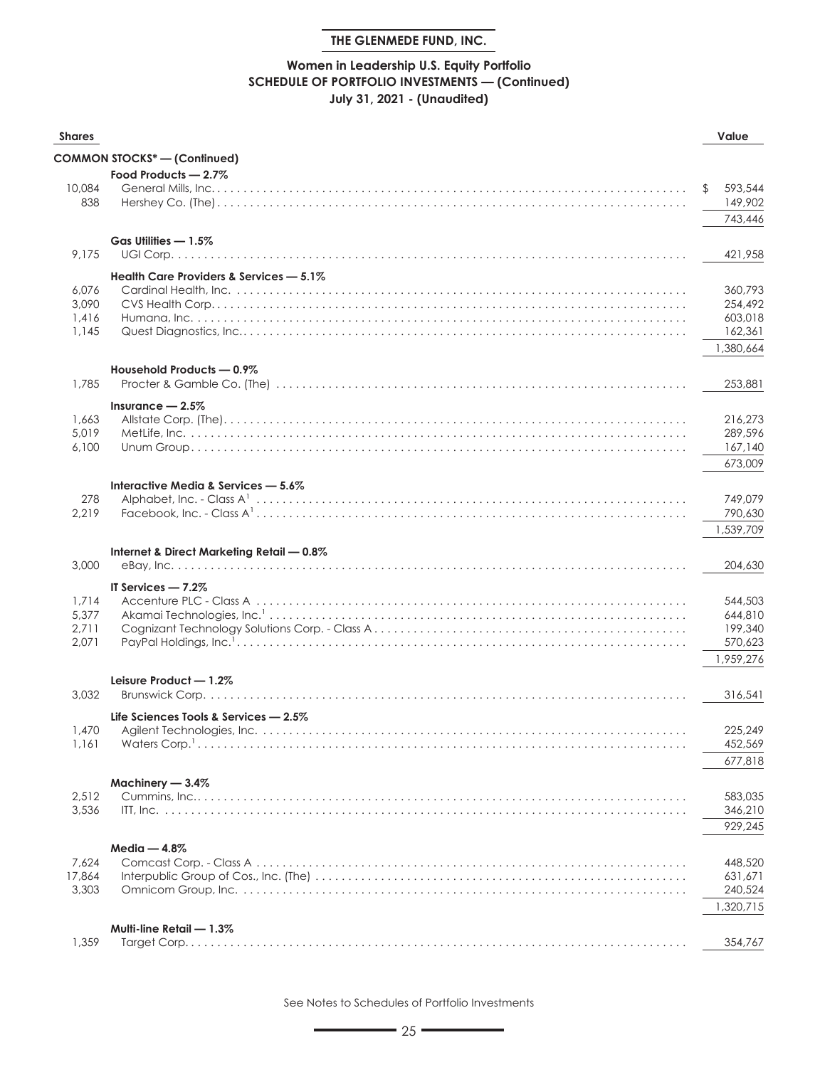## **Women in Leadership U.S. Equity Portfolio SCHEDULE OF PORTFOLIO INVESTMENTS — (Continued) July 31, 2021 - (Unaudited)**

| <b>Shares</b>   |                                           | Value              |
|-----------------|-------------------------------------------|--------------------|
|                 | COMMON STOCKS* - (Continued)              |                    |
|                 | Food Products - 2.7%                      |                    |
| 10,084          |                                           | \$<br>593,544      |
| 838             |                                           | 149,902            |
|                 |                                           | 743,446            |
|                 | Gas Utilities - 1.5%                      |                    |
| 9,175           |                                           | 421,958            |
|                 | Health Care Providers & Services - 5.1%   |                    |
| 6,076           |                                           | 360,793            |
| 3,090           |                                           | 254,492            |
| 1,416           |                                           | 603,018            |
| 1,145           |                                           | 162,361            |
|                 |                                           | 1,380,664          |
|                 | Household Products - 0.9%                 |                    |
| 1,785           |                                           | 253,881            |
|                 | Insurance $-2.5\%$                        |                    |
| 1,663           |                                           | 216,273            |
| 5,019           |                                           | 289,596            |
| 6,100           |                                           | 167,140            |
|                 |                                           | 673,009            |
|                 | Interactive Media & Services - 5.6%       |                    |
| 278             |                                           | 749,079            |
| 2,219           |                                           | 790,630            |
|                 |                                           | 1,539,709          |
|                 | Internet & Direct Marketing Retail - 0.8% |                    |
| 3,000           |                                           | 204,630            |
|                 | IT Services $-7.2\%$                      |                    |
| 1,714           |                                           | 544,503            |
| 5,377           |                                           | 644,810            |
| 2,711<br>2,071  |                                           | 199,340<br>570,623 |
|                 |                                           | 1,959,276          |
|                 |                                           |                    |
| 3,032           | Leisure Product - 1.2%                    | 316,541            |
|                 |                                           |                    |
|                 | Life Sciences Tools & Services - 2.5%     |                    |
| 1,470<br>1,161  |                                           | 225,249<br>452,569 |
|                 |                                           | 677,818            |
|                 |                                           |                    |
|                 | Machinery - 3.4%                          |                    |
| 2,512<br>3,536  |                                           | 583,035            |
|                 |                                           | 346,210<br>929,245 |
|                 |                                           |                    |
|                 | $Media - 4.8%$                            |                    |
| 7,624<br>17,864 |                                           | 448,520<br>631,671 |
| 3,303           |                                           | 240,524            |
|                 |                                           | 1,320,715          |
|                 |                                           |                    |
| 1,359           | Multi-line Retail - 1.3%                  | 354,767            |
|                 |                                           |                    |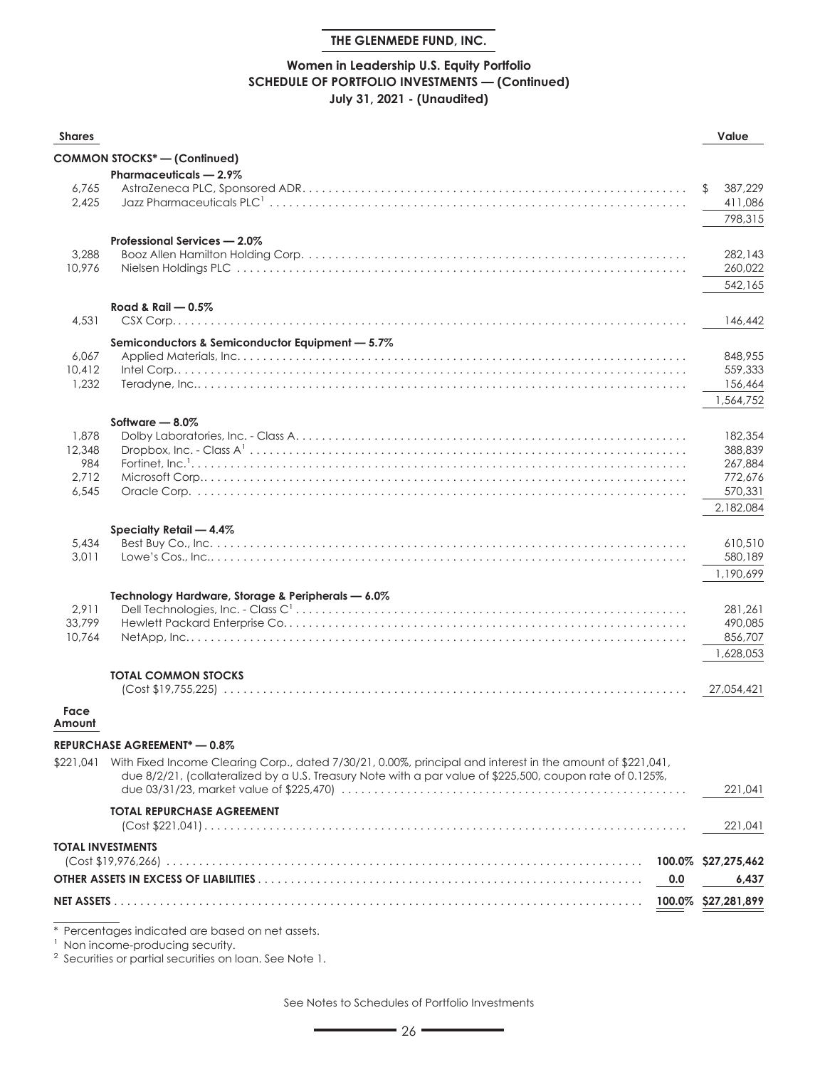## **Women in Leadership U.S. Equity Portfolio SCHEDULE OF PORTFOLIO INVESTMENTS — (Continued) July 31, 2021 - (Unaudited)**

| <b>COMMON STOCKS*-(Continued)</b><br>Pharmaceuticals - 2.9%<br>6,765<br>\$<br>2,425<br>Professional Services - 2.0%<br>3,288<br>10,976<br>542,165<br>Road & Rail $-0.5\%$<br>4,531<br>146,442<br>Semiconductors & Semiconductor Equipment - 5.7%<br>848,955<br>6,067<br>559,333<br>10,412<br>1,232 | Value               |
|----------------------------------------------------------------------------------------------------------------------------------------------------------------------------------------------------------------------------------------------------------------------------------------------------|---------------------|
|                                                                                                                                                                                                                                                                                                    |                     |
|                                                                                                                                                                                                                                                                                                    |                     |
|                                                                                                                                                                                                                                                                                                    | 387,229             |
|                                                                                                                                                                                                                                                                                                    | 411,086             |
|                                                                                                                                                                                                                                                                                                    | 798,315             |
|                                                                                                                                                                                                                                                                                                    |                     |
|                                                                                                                                                                                                                                                                                                    | 282,143             |
|                                                                                                                                                                                                                                                                                                    | 260,022             |
|                                                                                                                                                                                                                                                                                                    |                     |
|                                                                                                                                                                                                                                                                                                    |                     |
|                                                                                                                                                                                                                                                                                                    |                     |
|                                                                                                                                                                                                                                                                                                    |                     |
|                                                                                                                                                                                                                                                                                                    |                     |
|                                                                                                                                                                                                                                                                                                    | 156,464             |
|                                                                                                                                                                                                                                                                                                    | 1,564,752           |
| Software $-8.0\%$                                                                                                                                                                                                                                                                                  |                     |
| 1,878                                                                                                                                                                                                                                                                                              | 182,354             |
| 12,348                                                                                                                                                                                                                                                                                             | 388,839             |
| 984                                                                                                                                                                                                                                                                                                | 267,884             |
| 2,712                                                                                                                                                                                                                                                                                              | 772,676             |
| 6,545                                                                                                                                                                                                                                                                                              | 570,331             |
|                                                                                                                                                                                                                                                                                                    | 2,182,084           |
| Specialty Retail - 4.4%<br>5,434                                                                                                                                                                                                                                                                   | 610,510             |
| 3,011                                                                                                                                                                                                                                                                                              | 580,189             |
|                                                                                                                                                                                                                                                                                                    | 1,190,699           |
| Technology Hardware, Storage & Peripherals - 6.0%                                                                                                                                                                                                                                                  |                     |
| 2,911                                                                                                                                                                                                                                                                                              | 281,261             |
| 33,799                                                                                                                                                                                                                                                                                             | 490,085             |
| 10.764                                                                                                                                                                                                                                                                                             | 856,707             |
|                                                                                                                                                                                                                                                                                                    | 1,628,053           |
| <b>TOTAL COMMON STOCKS</b>                                                                                                                                                                                                                                                                         |                     |
|                                                                                                                                                                                                                                                                                                    | 27.054.421          |
| Face<br>Amount                                                                                                                                                                                                                                                                                     |                     |
| <b>REPURCHASE AGREEMENT* - 0.8%</b>                                                                                                                                                                                                                                                                |                     |
| \$221,041 With Fixed Income Clearing Corp., dated 7/30/21, 0.00%, principal and interest in the amount of \$221,041,                                                                                                                                                                               |                     |
| due 8/2/21, (collateralized by a U.S. Treasury Note with a par value of \$225,500, coupon rate of 0.125%,                                                                                                                                                                                          |                     |
|                                                                                                                                                                                                                                                                                                    | 221,041             |
| <b>TOTAL REPURCHASE AGREEMENT</b>                                                                                                                                                                                                                                                                  |                     |
|                                                                                                                                                                                                                                                                                                    | 221,041             |
| <b>TOTAL INVESTMENTS</b>                                                                                                                                                                                                                                                                           |                     |
|                                                                                                                                                                                                                                                                                                    | 100.0% \$27,275,462 |
| 0.0                                                                                                                                                                                                                                                                                                | 6,437               |
| NET ASSETS<br>100.0%                                                                                                                                                                                                                                                                               | \$27,281,899        |
| * Percentages indicated are based on net assets.                                                                                                                                                                                                                                                   |                     |

<sup>1</sup> Non income-producing security.

<sup>2</sup> Securities or partial securities on loan. See Note 1.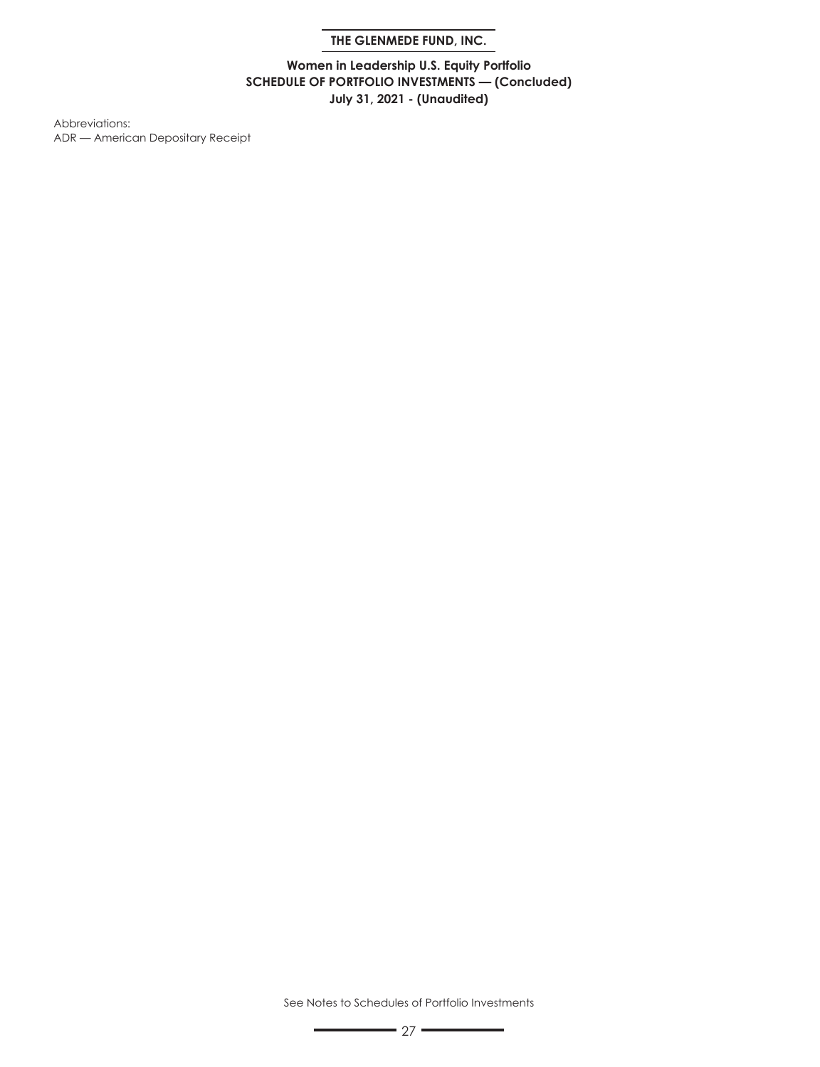**Women in Leadership U.S. Equity Portfolio SCHEDULE OF PORTFOLIO INVESTMENTS — (Concluded) July 31, 2021 - (Unaudited)**

Abbreviations: ADR — American Depositary Receipt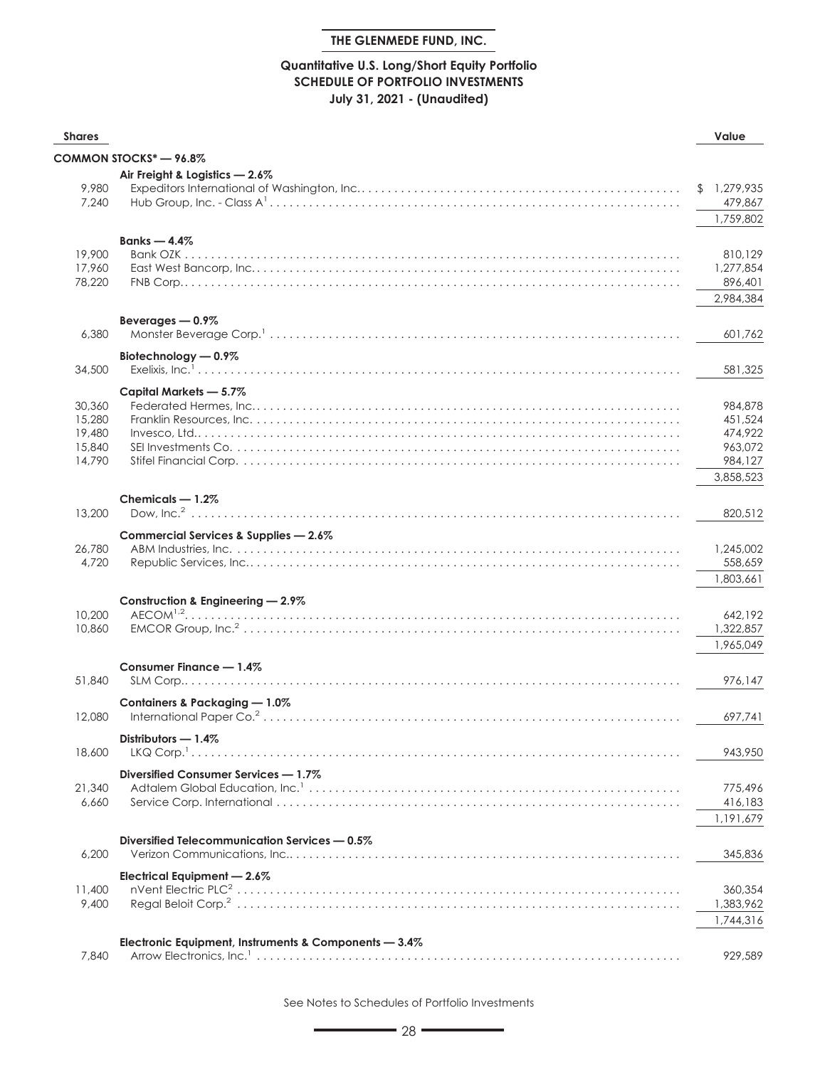## **Quantitative U.S. Long/Short Equity Portfolio SCHEDULE OF PORTFOLIO INVESTMENTS July 31, 2021 - (Unaudited)**

| <b>Shares</b>                                  |                                                       | Value                                                            |
|------------------------------------------------|-------------------------------------------------------|------------------------------------------------------------------|
|                                                | COMMON STOCKS* - 96.8%                                |                                                                  |
| 9,980<br>7,240                                 | Air Freight & Logistics - 2.6%                        | \$1,279,935<br>479,867<br>1,759,802                              |
| 19,900<br>17,960<br>78,220                     | Banks $-4.4\%$                                        | 810,129<br>1,277,854<br>896,401<br>2,984,384                     |
| 6,380                                          | Beverages - 0.9%                                      | 601,762                                                          |
| 34,500                                         | Biotechnology - 0.9%                                  | 581,325                                                          |
| 30,360<br>15,280<br>19,480<br>15,840<br>14,790 | Capital Markets - 5.7%                                | 984,878<br>451,524<br>474,922<br>963,072<br>984,127<br>3,858,523 |
| 13,200                                         | Chemicals - 1.2%                                      | 820,512                                                          |
| 26,780<br>4,720                                | Commercial Services & Supplies - 2.6%                 | 1,245,002<br>558,659<br>1,803,661                                |
| 10,200<br>10,860                               | Construction & Engineering - 2.9%                     | 642,192<br>1,322,857<br>1,965,049                                |
| 51,840                                         | Consumer Finance - 1.4%                               | 976,147                                                          |
| 12,080                                         | Containers & Packaging - 1.0%                         | 697,741                                                          |
| 18,600                                         | Distributors $-1.4\%$                                 | 943,950                                                          |
| 21,340<br>6,660                                | Diversified Consumer Services - 1.7%                  | 775,496<br>416,183<br>1,191,679                                  |
| 6,200                                          | Diversified Telecommunication Services - 0.5%         | 345,836                                                          |
| 11,400<br>9,400                                | Electrical Equipment - 2.6%                           | 360,354<br>1,383,962<br>1,744,316                                |
| 7,840                                          | Electronic Equipment, Instruments & Components - 3.4% | 929,589                                                          |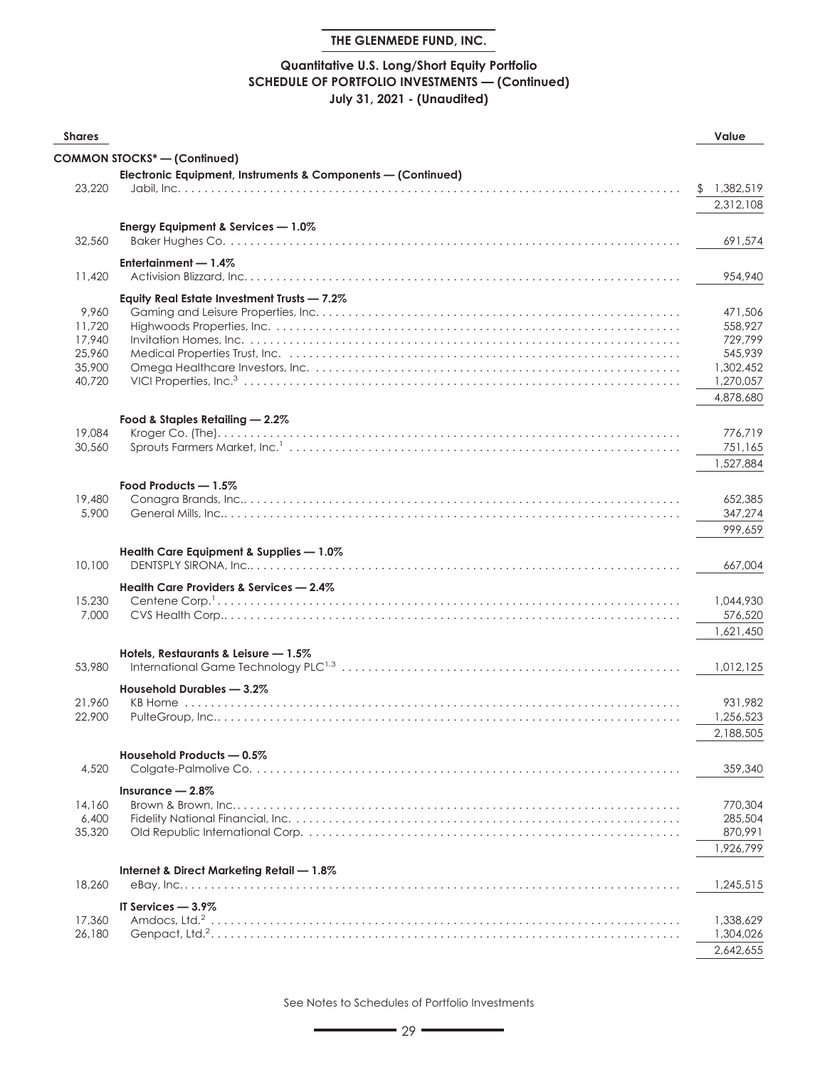## **Quantitative U.S. Long/Short Equity Portfolio SCHEDULE OF PORTFOLIO INVESTMENTS — (Continued) July 31, 2021 - (Unaudited)**

| <b>Shares</b>    |                                                                                                                         | Value                |
|------------------|-------------------------------------------------------------------------------------------------------------------------|----------------------|
|                  | <b>COMMON STOCKS*-(Confinued)</b>                                                                                       |                      |
|                  | Electronic Equipment, Instruments & Components - (Continued)                                                            |                      |
| 23,220           |                                                                                                                         | \$1,382,519          |
|                  |                                                                                                                         | 2,312,108            |
|                  |                                                                                                                         |                      |
| 32,560           | Energy Equipment & Services - 1.0%                                                                                      | 691,574              |
|                  |                                                                                                                         |                      |
|                  | Entertainment - 1.4%                                                                                                    |                      |
| 11,420           |                                                                                                                         | 954,940              |
|                  | Equity Real Estate Investment Trusts - 7.2%                                                                             |                      |
| 9,960            |                                                                                                                         | 471,506              |
| 11,720           |                                                                                                                         | 558,927              |
| 17,940           |                                                                                                                         | 729,799              |
| 25,960<br>35,900 | Medical Properties Trust, Inc. (a) and a contract of the contract of the contract of the Medical Properties Trust, Inc. | 545,939<br>1,302,452 |
| 40,720           |                                                                                                                         | 1,270,057            |
|                  |                                                                                                                         | 4,878,680            |
|                  |                                                                                                                         |                      |
|                  | Food & Staples Retailing - 2.2%                                                                                         |                      |
| 19,084           |                                                                                                                         | 776,719              |
| 30,560           |                                                                                                                         | 751,165              |
|                  |                                                                                                                         | 1,527,884            |
|                  | Food Products - 1.5%                                                                                                    |                      |
| 19,480           |                                                                                                                         | 652,385              |
| 5,900            |                                                                                                                         | 347,274              |
|                  |                                                                                                                         | 999,659              |
|                  | Health Care Equipment & Supplies - 1.0%                                                                                 |                      |
| 10,100           |                                                                                                                         | 667,004              |
|                  | Health Care Providers & Services - 2.4%                                                                                 |                      |
| 15,230           |                                                                                                                         | 1,044,930            |
| 7,000            |                                                                                                                         | 576,520              |
|                  |                                                                                                                         | 1,621,450            |
|                  |                                                                                                                         |                      |
| 53,980           | Hotels, Restaurants & Leisure - 1.5%                                                                                    | 1,012,125            |
|                  |                                                                                                                         |                      |
|                  | Household Durables - 3.2%                                                                                               |                      |
| 21,960<br>22,900 |                                                                                                                         | 931.982<br>1,256,523 |
|                  |                                                                                                                         |                      |
|                  |                                                                                                                         | 2,188,505            |
|                  | Household Products - 0.5%                                                                                               |                      |
| 4,520            |                                                                                                                         | 359,340              |
|                  | Insurance $-2.8\%$                                                                                                      |                      |
| 14,160           |                                                                                                                         | 770,304              |
| 6,400            |                                                                                                                         | 285,504              |
| 35,320           |                                                                                                                         | 870,991              |
|                  |                                                                                                                         | 1,926,799            |
|                  | Internet & Direct Marketing Retail - 1.8%                                                                               |                      |
| 18,260           |                                                                                                                         | 1,245,515            |
|                  | IT Services - 3.9%                                                                                                      |                      |
| 17,360           |                                                                                                                         | 1,338,629            |
| 26,180           |                                                                                                                         | 1,304,026            |
|                  |                                                                                                                         | 2,642,655            |
|                  |                                                                                                                         |                      |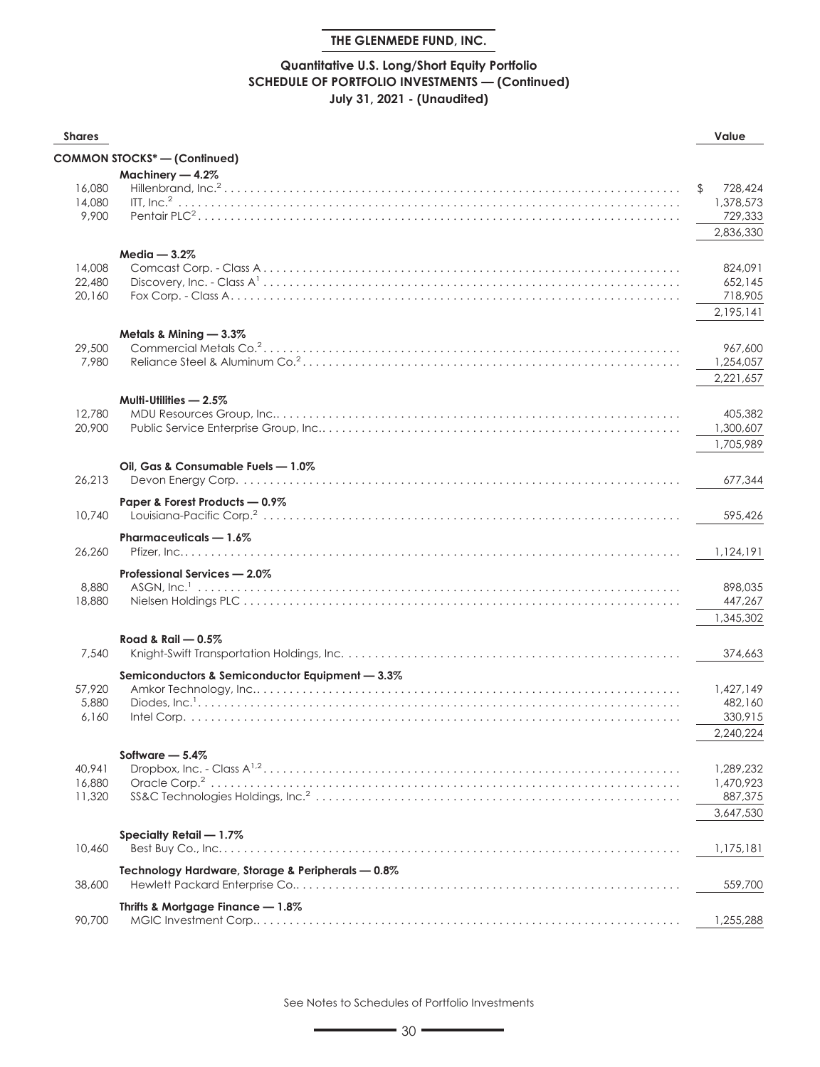## **Quantitative U.S. Long/Short Equity Portfolio SCHEDULE OF PORTFOLIO INVESTMENTS — (Continued) July 31, 2021 - (Unaudited)**

| <b>Shares</b>    |                                                   | Value                |
|------------------|---------------------------------------------------|----------------------|
|                  | <b>COMMON STOCKS*-(Continued)</b>                 |                      |
|                  | Machinery - 4.2%                                  |                      |
| 16,080           |                                                   | \$<br>728,424        |
| 14,080           |                                                   | 1,378,573            |
| 9,900            |                                                   | 729,333              |
|                  |                                                   | 2,836,330            |
|                  | $Media - 3.2%$                                    |                      |
| 14,008           |                                                   | 824,091              |
| 22,480           |                                                   | 652,145              |
| 20,160           |                                                   | 718,905              |
|                  |                                                   | 2,195,141            |
|                  | Metals & Mining - 3.3%                            |                      |
| 29,500           |                                                   | 967,600              |
| 7,980            |                                                   | 1,254,057            |
|                  |                                                   | 2,221,657            |
|                  | Multi-Utilities - 2.5%                            |                      |
| 12,780           |                                                   | 405,382              |
| 20,900           |                                                   | 1,300,607            |
|                  |                                                   | 1,705,989            |
|                  | Oil, Gas & Consumable Fuels - 1.0%                |                      |
| 26,213           |                                                   | 677,344              |
|                  | Paper & Forest Products - 0.9%                    |                      |
| 10,740           |                                                   | 595,426              |
|                  |                                                   |                      |
|                  | Pharmaceuticals - 1.6%                            |                      |
| 26,260           |                                                   | 1,124,191            |
|                  | Professional Services - 2.0%                      |                      |
| 8,880            |                                                   | 898,035              |
| 18,880           |                                                   | 447,267              |
|                  |                                                   | 1,345,302            |
|                  | Road & Rail $-0.5\%$                              |                      |
| 7,540            |                                                   | 374,663              |
|                  | Semiconductors & Semiconductor Equipment - 3.3%   |                      |
| 57,920           |                                                   | 1,427,149            |
| 5,880            |                                                   | 482,160              |
| 6.160            |                                                   | 330,915              |
|                  |                                                   | 2,240,224            |
|                  | Software $-5.4\%$                                 |                      |
| 40,941           |                                                   | 1,289,232            |
| 16,880<br>11,320 |                                                   | 1,470,923            |
|                  |                                                   | 887,375<br>3,647,530 |
|                  |                                                   |                      |
|                  | Specialty Retail - 1.7%                           |                      |
| 10,460           |                                                   | 1,175,181            |
|                  | Technology Hardware, Storage & Peripherals - 0.8% |                      |
| 38,600           |                                                   | 559,700              |
|                  | Thrifts & Mortgage Finance - 1.8%                 |                      |
| 90,700           |                                                   | 1,255,288            |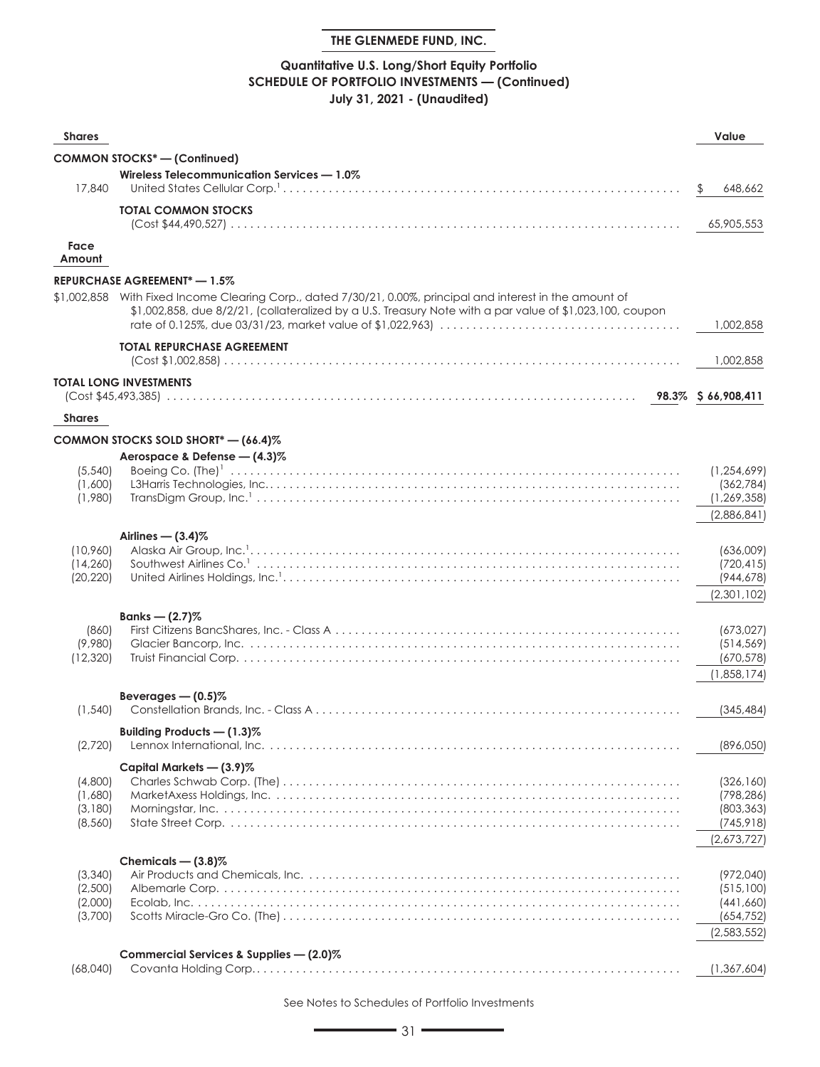## **Quantitative U.S. Long/Short Equity Portfolio SCHEDULE OF PORTFOLIO INVESTMENTS — (Continued) July 31, 2021 - (Unaudited)**

| <b>Shares</b>       |                                                                                                                                                                                                                                | Value                       |
|---------------------|--------------------------------------------------------------------------------------------------------------------------------------------------------------------------------------------------------------------------------|-----------------------------|
|                     | <b>COMMON STOCKS* - (Continued)</b>                                                                                                                                                                                            |                             |
|                     | Wireless Telecommunication Services - 1.0%                                                                                                                                                                                     |                             |
| 17,840              |                                                                                                                                                                                                                                | 648,662<br>$\mathcal{P}$    |
|                     | <b>TOTAL COMMON STOCKS</b>                                                                                                                                                                                                     |                             |
|                     |                                                                                                                                                                                                                                | 65,905,553                  |
| Face<br>Amount      |                                                                                                                                                                                                                                |                             |
|                     | <b>REPURCHASE AGREEMENT* — 1.5%</b>                                                                                                                                                                                            |                             |
|                     | \$1,002,858 With Fixed Income Clearing Corp., dated 7/30/21, 0.00%, principal and interest in the amount of<br>$$1,002,858$ , due $8/2/21$ , (collateralized by a U.S. Treasury Note with a par value of $$1,023,100$ , coupon | 1,002,858                   |
|                     | <b>TOTAL REPURCHASE AGREEMENT</b>                                                                                                                                                                                              | 1,002,858                   |
|                     | TOTAL LONG INVESTMENTS                                                                                                                                                                                                         |                             |
|                     |                                                                                                                                                                                                                                |                             |
| <b>Shares</b>       |                                                                                                                                                                                                                                |                             |
|                     | COMMON STOCKS SOLD SHORT* - (66.4)%                                                                                                                                                                                            |                             |
|                     | Aerospace & Defense - (4.3)%                                                                                                                                                                                                   |                             |
| (5,540)             |                                                                                                                                                                                                                                | (1, 254, 699)               |
| (1,600)<br>(1,980)  |                                                                                                                                                                                                                                | (362, 784)<br>(1, 269, 358) |
|                     |                                                                                                                                                                                                                                | (2,886,841)                 |
|                     | Airlines $-$ (3.4)%                                                                                                                                                                                                            |                             |
| (10,960)            |                                                                                                                                                                                                                                | (636,009)                   |
| (14, 260)           |                                                                                                                                                                                                                                | (720, 415)                  |
| (20, 220)           |                                                                                                                                                                                                                                | (944, 678)<br>(2,301,102)   |
|                     |                                                                                                                                                                                                                                |                             |
| (860)               | Banks — $(2.7)$ %                                                                                                                                                                                                              | (673,027)                   |
| (9,980)             |                                                                                                                                                                                                                                | (514, 569)                  |
| (12, 320)           |                                                                                                                                                                                                                                | (670, 578)                  |
|                     |                                                                                                                                                                                                                                | (1,858,174)                 |
|                     | Beverages $-$ (0.5)%                                                                                                                                                                                                           | (345, 484)                  |
| (1, 540)            |                                                                                                                                                                                                                                |                             |
| (2,720)             | Building Products - (1.3)%                                                                                                                                                                                                     | (896,050)                   |
|                     | Capital Markets - (3.9)%                                                                                                                                                                                                       |                             |
| (4,800)             |                                                                                                                                                                                                                                | (326, 160)                  |
| (1,680)             |                                                                                                                                                                                                                                | (798, 286)                  |
| (3,180)<br>(8, 560) |                                                                                                                                                                                                                                | (803, 363)<br>(745, 918)    |
|                     |                                                                                                                                                                                                                                | (2,673,727)                 |
|                     | Chemicals $-$ (3.8)%                                                                                                                                                                                                           |                             |
| (3,340)             |                                                                                                                                                                                                                                | (972,040)                   |
| (2,500)             |                                                                                                                                                                                                                                | (515,100)                   |
| (2,000)<br>(3,700)  |                                                                                                                                                                                                                                | (441,660)<br>(654, 752)     |
|                     |                                                                                                                                                                                                                                | (2,583,552)                 |
|                     | Commercial Services & Supplies - (2.0)%                                                                                                                                                                                        |                             |
| (68,040)            |                                                                                                                                                                                                                                | (1,367,604)                 |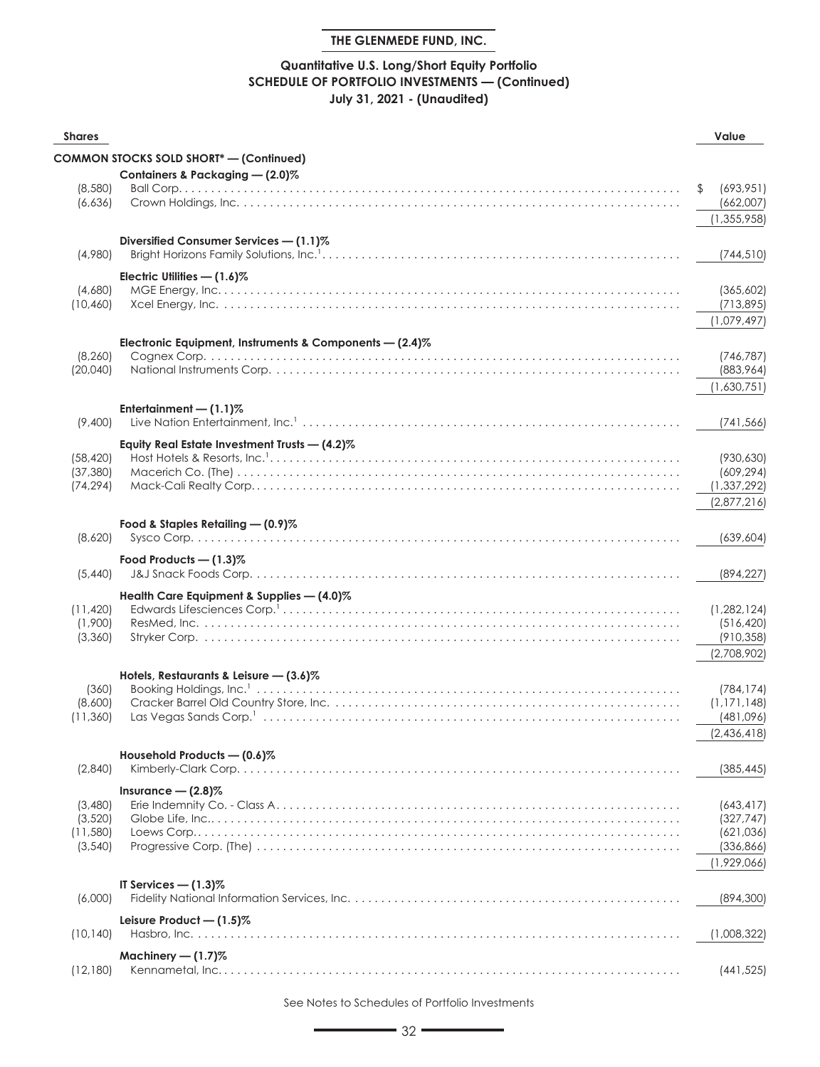## **Quantitative U.S. Long/Short Equity Portfolio SCHEDULE OF PORTFOLIO INVESTMENTS — (Continued) July 31, 2021 - (Unaudited)**

| <b>Shares</b>         |                                                           | Value                      |
|-----------------------|-----------------------------------------------------------|----------------------------|
|                       | <b>COMMON STOCKS SOLD SHORT*</b> - (Continued)            |                            |
|                       | Containers & Packaging - (2.0)%                           |                            |
| (8,580)               |                                                           | (693, 951)<br>\$           |
| (6,636)               |                                                           | (662,007)                  |
|                       |                                                           | (1, 355, 958)              |
|                       | Diversified Consumer Services - (1.1)%                    |                            |
| (4,980)               |                                                           | (744, 510)                 |
|                       | Electric Utilities - (1.6)%                               |                            |
| (4,680)               |                                                           | (365,602)                  |
| (10, 460)             |                                                           | (713, 895)                 |
|                       |                                                           | (1,079,497)                |
|                       | Electronic Equipment, Instruments & Components $-$ (2.4)% |                            |
| (8, 260)              |                                                           | (746, 787)                 |
| (20,040)              |                                                           | (883,964)<br>(1,630,751)   |
|                       |                                                           |                            |
|                       | Entertainment $-$ (1.1)%                                  |                            |
| (9,400)               |                                                           | (741, 566)                 |
|                       | Equity Real Estate Investment Trusts - (4.2)%             |                            |
| (58.420)<br>(37, 380) |                                                           | (930, 630)<br>(609, 294)   |
| (74, 294)             |                                                           | (1, 337, 292)              |
|                       |                                                           | (2,877,216)                |
|                       | Food & Staples Retailing - (0.9)%                         |                            |
| (8,620)               |                                                           | (639, 604)                 |
|                       | Food Products $-$ (1.3)%                                  |                            |
| (5,440)               |                                                           | (894, 227)                 |
|                       | Health Care Equipment & Supplies - (4.0)%                 |                            |
| (11, 420)             |                                                           | (1,282,124)                |
| (1,900)               |                                                           | (516, 420)                 |
| (3,360)               |                                                           | (910, 358)                 |
|                       |                                                           | (2,708,902)                |
|                       | Hotels, Restaurants & Leisure $-$ (3.6)%                  |                            |
| (360)                 |                                                           | (784, 174)                 |
| (8,600)<br>(11, 360)  |                                                           | (1, 171, 148)<br>(481,096) |
|                       |                                                           | (2,436,418)                |
|                       | Household Products - (0.6)%                               |                            |
| (2,840)               |                                                           | (385, 445)                 |
|                       | Insurance $-$ (2.8)%                                      |                            |
| (3,480)               |                                                           | (643,417)                  |
| (3,520)               |                                                           | (327, 747)                 |
| (11,580)              |                                                           | (621,036)                  |
| (3,540)               |                                                           | (336, 866)                 |
|                       |                                                           | (1,929,066)                |
|                       | IT Services $-$ (1.3)%                                    |                            |
| (6,000)               |                                                           | (894, 300)                 |
|                       | Leisure Product $-$ (1.5)%                                |                            |
| (10, 140)             |                                                           | (1,008,322)                |
|                       | Machinery $- (1.7)$ %                                     |                            |
| (12, 180)             |                                                           | (441,525)                  |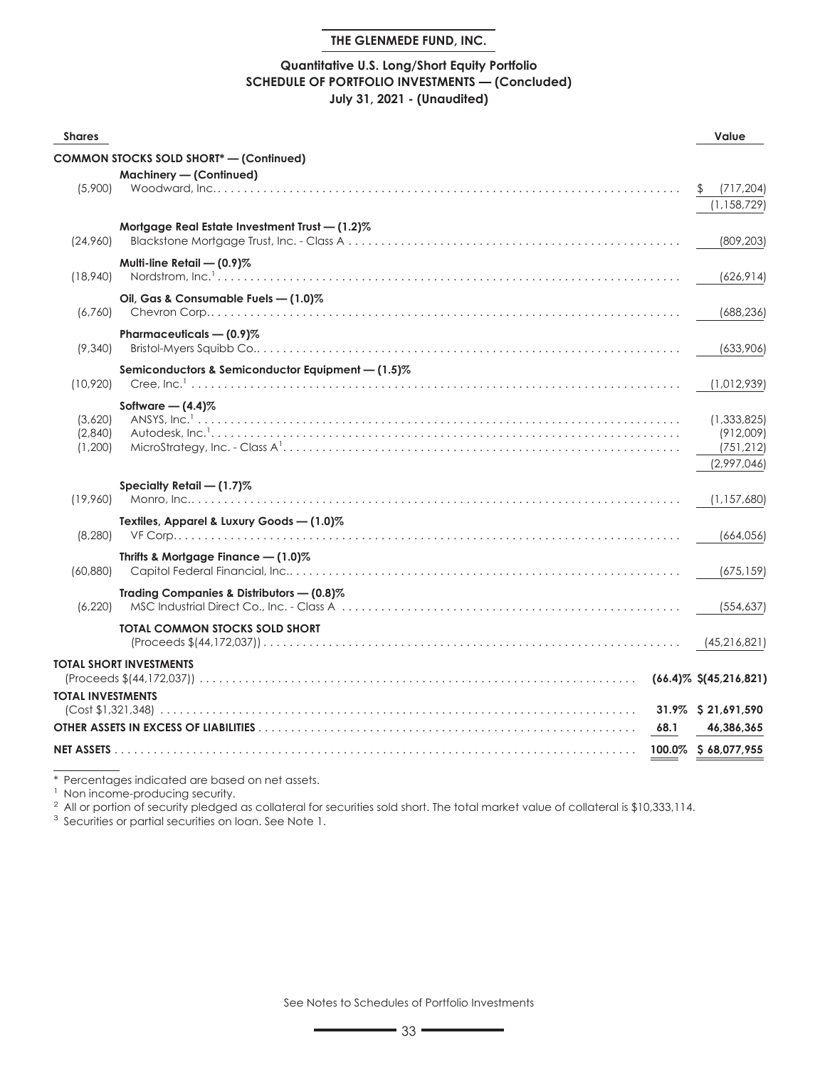#### **Quantitative U.S. Long/Short Equity Portfolio SCHEDULE OF PORTFOLIO INVESTMENTS — (Concluded) July 31, 2021 - (Unaudited)**

| <b>Shares</b>                 |                                                   | Value                                                 |
|-------------------------------|---------------------------------------------------|-------------------------------------------------------|
|                               | <b>COMMON STOCKS SOLD SHORT*- (Continued)</b>     |                                                       |
| (5,900)                       | Machinery - (Continued)                           | (717, 204)<br>(1, 158, 729)                           |
| (24,960)                      | Mortgage Real Estate Investment Trust - (1.2)%    | (809, 203)                                            |
| (18,940)                      | Multi-line Retail - (0.9)%                        | (626, 914)                                            |
| (6,760)                       | Oil, Gas & Consumable Fuels - (1.0)%              | (688, 236)                                            |
| (9,340)                       | Pharmaceuticals - (0.9)%                          | (633,906)                                             |
| (10,920)                      | Semiconductors & Semiconductor Equipment - (1.5)% | (1,012,939)                                           |
| (3,620)<br>(2,840)<br>(1,200) | Software $-$ (4.4)%                               | (1,333,825)<br>(912,009)<br>(751, 212)<br>(2.997.046) |
| (19,960)                      | Specialty Retail - (1.7)%                         | (1, 157, 680)                                         |
| (8, 280)                      | Textiles, Apparel & Luxury Goods - (1.0)%         | (664, 056)                                            |
| (60, 880)                     | Thrifts & Mortgage Finance $- (1.0)$ %            | (675, 159)                                            |
| (6,220)                       | Trading Companies & Distributors - (0.8)%         | (554, 637)                                            |
|                               | <b>TOTAL COMMON STOCKS SOLD SHORT</b>             | (45,216,821)                                          |
|                               | TOTAL SHORT INVESTMENTS                           | $(66.4)\%$ \$ $(45,216,821)$                          |
| <b>TOTAL INVESTMENTS</b>      |                                                   | 31.9% \$21,691,590                                    |
|                               | 68.1                                              | 46,386,365                                            |
|                               |                                                   | 100.0% \$68,077,955                                   |

\* Percentages indicated are based on net assets.

<sup>1</sup> Non income-producing security.

 $^2$  All or portion of security pledged as collateral for securities sold short. The total market value of collateral is \$10,333,114.

<sup>3</sup> Securities or partial securities on loan. See Note 1.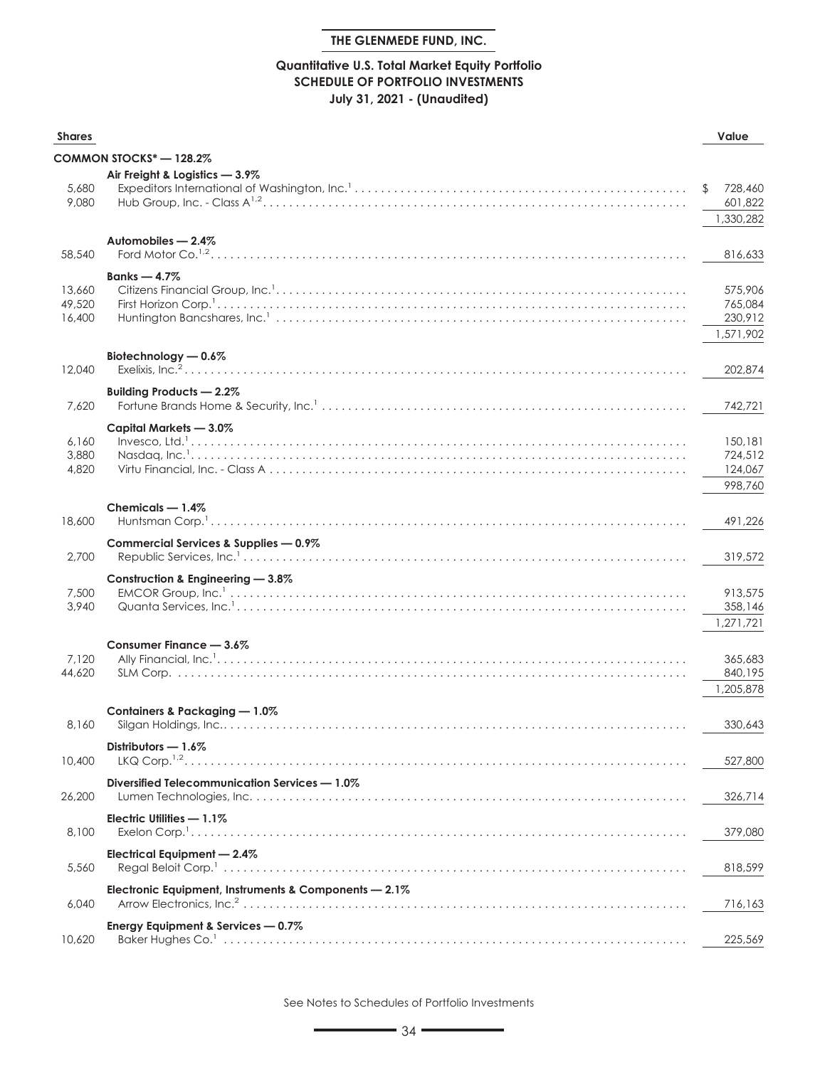#### **Quantitative U.S. Total Market Equity Portfolio SCHEDULE OF PORTFOLIO INVESTMENTS July 31, 2021 - (Unaudited)**

| <b>Shares</b>              |                                                       | Value                                      |
|----------------------------|-------------------------------------------------------|--------------------------------------------|
|                            | COMMON STOCKS* — 128.2%                               |                                            |
| 5,680<br>9,080             | Air Freight & Logistics - 3.9%                        | 728,460<br>601,822<br>1,330,282            |
| 58,540                     | Automobiles - 2.4%                                    | 816,633                                    |
| 13,660<br>49,520<br>16,400 | Banks $-4.7\%$                                        | 575,906<br>765,084<br>230,912<br>1,571,902 |
| 12,040                     | Biotechnology - 0.6%                                  | 202,874                                    |
| 7,620                      | Building Products - 2.2%                              | 742,721                                    |
| 6,160<br>3,880<br>4,820    | Capital Markets - 3.0%                                | 150,181<br>724,512<br>124,067<br>998.760   |
| 18,600                     | Chemicals $-1.4\%$                                    | 491,226                                    |
| 2,700                      | Commercial Services & Supplies - 0.9%                 | 319,572                                    |
| 7,500<br>3,940             | Construction & Engineering - 3.8%                     | 913,575<br>358,146<br>1,271,721            |
| 7,120<br>44,620            | Consumer Finance - 3.6%                               | 365,683<br>840,195<br>1,205,878            |
| 8,160                      | Containers & Packaging - 1.0%                         | 330,643                                    |
| 10,400                     | Distributors - 1.6%<br>$LKQ$ Corp. $^{1,2}$           | 527,800                                    |
| 26,200                     | Diversified Telecommunication Services - 1.0%         | 326,714                                    |
| 8,100                      | Electric Utilities - 1.1%                             | 379,080                                    |
| 5,560                      | Electrical Equipment - 2.4%                           | 818,599                                    |
| 6,040                      | Electronic Equipment, Instruments & Components - 2.1% | 716,163                                    |
| 10,620                     | Energy Equipment & Services - 0.7%                    | 225,569                                    |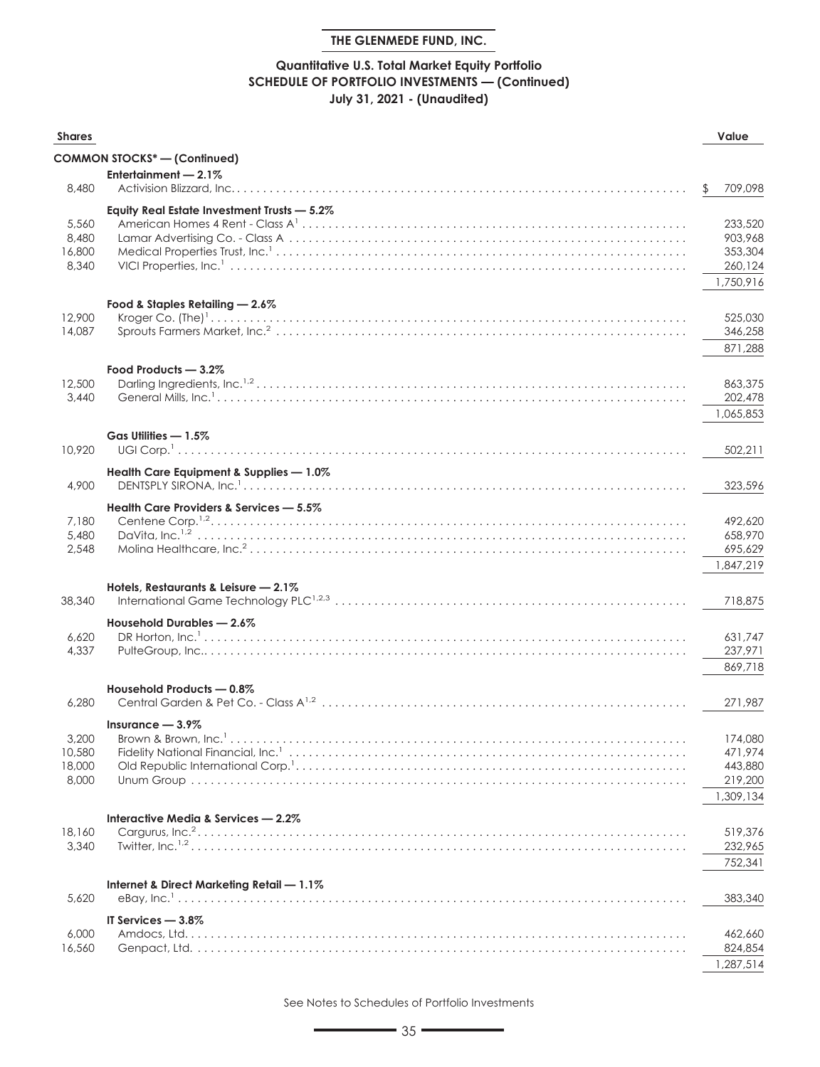## **Quantitative U.S. Total Market Equity Portfolio SCHEDULE OF PORTFOLIO INVESTMENTS — (Continued) July 31, 2021 - (Unaudited)**

| <b>Shares</b> |                                                                                                                                                                                                                                                                                                                                                    | Value         |
|---------------|----------------------------------------------------------------------------------------------------------------------------------------------------------------------------------------------------------------------------------------------------------------------------------------------------------------------------------------------------|---------------|
|               | <b>COMMON STOCKS*-(Continued)</b>                                                                                                                                                                                                                                                                                                                  |               |
|               | Entertainment - 2.1%                                                                                                                                                                                                                                                                                                                               |               |
| 8,480         |                                                                                                                                                                                                                                                                                                                                                    | 709,098<br>\$ |
|               | Equity Real Estate Investment Trusts - 5.2%                                                                                                                                                                                                                                                                                                        |               |
| 5,560         |                                                                                                                                                                                                                                                                                                                                                    | 233,520       |
| 8,480         |                                                                                                                                                                                                                                                                                                                                                    | 903,968       |
| 16,800        |                                                                                                                                                                                                                                                                                                                                                    | 353,304       |
| 8,340         |                                                                                                                                                                                                                                                                                                                                                    | 260,124       |
|               |                                                                                                                                                                                                                                                                                                                                                    | 1,750,916     |
|               | Food & Staples Retailing - 2.6%                                                                                                                                                                                                                                                                                                                    |               |
| 12,900        |                                                                                                                                                                                                                                                                                                                                                    | 525,030       |
| 14,087        |                                                                                                                                                                                                                                                                                                                                                    | 346,258       |
|               |                                                                                                                                                                                                                                                                                                                                                    | 871,288       |
|               | Food Products - 3.2%                                                                                                                                                                                                                                                                                                                               |               |
| 12,500        |                                                                                                                                                                                                                                                                                                                                                    | 863,375       |
| 3,440         |                                                                                                                                                                                                                                                                                                                                                    | 202,478       |
|               |                                                                                                                                                                                                                                                                                                                                                    | 1,065,853     |
|               | Gas Utilities - 1.5%                                                                                                                                                                                                                                                                                                                               |               |
| 10.920        |                                                                                                                                                                                                                                                                                                                                                    | 502,211       |
|               |                                                                                                                                                                                                                                                                                                                                                    |               |
| 4,900         | Health Care Equipment & Supplies - 1.0%                                                                                                                                                                                                                                                                                                            |               |
|               |                                                                                                                                                                                                                                                                                                                                                    | 323,596       |
|               | Health Care Providers & Services - 5.5%                                                                                                                                                                                                                                                                                                            |               |
| 7,180         |                                                                                                                                                                                                                                                                                                                                                    | 492,620       |
| 5,480         |                                                                                                                                                                                                                                                                                                                                                    | 658,970       |
| 2,548         |                                                                                                                                                                                                                                                                                                                                                    | 695,629       |
|               |                                                                                                                                                                                                                                                                                                                                                    | 1,847,219     |
|               | Hotels, Restaurants & Leisure - 2.1%                                                                                                                                                                                                                                                                                                               |               |
| 38,340        |                                                                                                                                                                                                                                                                                                                                                    | 718,875       |
|               | Household Durables - 2.6%                                                                                                                                                                                                                                                                                                                          |               |
| 6,620         | DR Horton, Inc. $1, \ldots, 1, \ldots, 1, \ldots, 1, \ldots, 1, \ldots, 1, \ldots, 1, \ldots, 1, \ldots, 1, \ldots, 1, \ldots, 1, \ldots, 1, \ldots, 1, \ldots, 1, \ldots, 1, \ldots, 1, \ldots, 1, \ldots, 1, \ldots, 1, \ldots, 1, \ldots, 1, \ldots, 1, \ldots, 1, \ldots, 1, \ldots, 1, \ldots, 1, \ldots, 1, \ldots, 1, \ldots, 1, \ldots, 1$ | 631,747       |
| 4,337         |                                                                                                                                                                                                                                                                                                                                                    | 237,971       |
|               |                                                                                                                                                                                                                                                                                                                                                    | 869,718       |
|               | Household Products - 0.8%                                                                                                                                                                                                                                                                                                                          |               |
| 6,280         |                                                                                                                                                                                                                                                                                                                                                    | 271,987       |
|               | Insurance $-3.9\%$                                                                                                                                                                                                                                                                                                                                 |               |
| 3,200         |                                                                                                                                                                                                                                                                                                                                                    | 174,080       |
| 10,580        |                                                                                                                                                                                                                                                                                                                                                    | 471,974       |
| 18,000        |                                                                                                                                                                                                                                                                                                                                                    | 443,880       |
| 8,000         |                                                                                                                                                                                                                                                                                                                                                    | 219,200       |
|               |                                                                                                                                                                                                                                                                                                                                                    | 1,309,134     |
|               | Interactive Media & Services - 2.2%                                                                                                                                                                                                                                                                                                                |               |
| 18,160        |                                                                                                                                                                                                                                                                                                                                                    | 519,376       |
| 3,340         |                                                                                                                                                                                                                                                                                                                                                    | 232,965       |
|               |                                                                                                                                                                                                                                                                                                                                                    | 752,341       |
|               | Internet & Direct Marketing Retail - 1.1%                                                                                                                                                                                                                                                                                                          |               |
| 5,620         |                                                                                                                                                                                                                                                                                                                                                    | 383,340       |
|               | IT Services - 3.8%                                                                                                                                                                                                                                                                                                                                 |               |
| 6,000         |                                                                                                                                                                                                                                                                                                                                                    | 462,660       |
| 16,560        |                                                                                                                                                                                                                                                                                                                                                    | 824,854       |
|               |                                                                                                                                                                                                                                                                                                                                                    | 1,287,514     |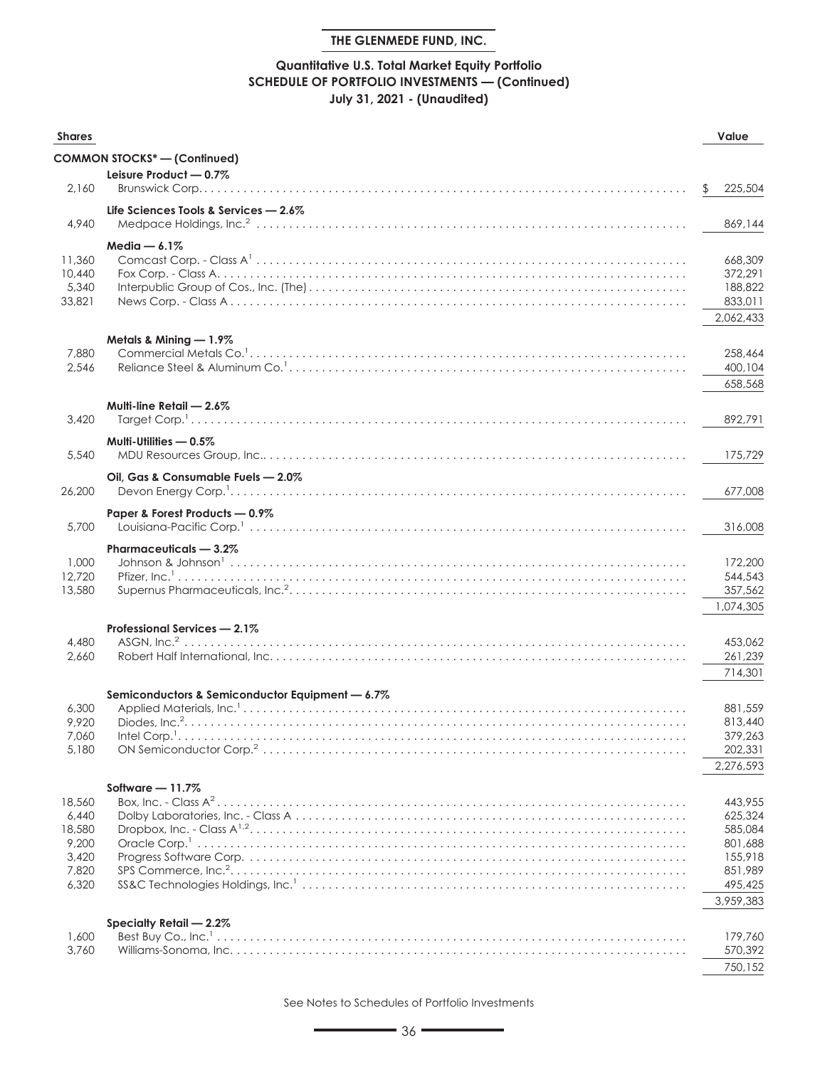## **Quantitative U.S. Total Market Equity Portfolio SCHEDULE OF PORTFOLIO INVESTMENTS — (Continued) July 31, 2021 - (Unaudited)**

| <b>Shares</b>   |                                                 | Value              |
|-----------------|-------------------------------------------------|--------------------|
|                 | <b>COMMON STOCKS* - (Continued)</b>             |                    |
|                 | Leisure Product - 0.7%                          |                    |
| 2,160           |                                                 | 225,504<br>\$      |
|                 | Life Sciences Tools & Services $-2.6\%$         |                    |
| 4,940           |                                                 | 869,144            |
|                 | Media $-6.1\%$                                  |                    |
| 11,360          |                                                 | 668,309            |
| 10,440          |                                                 | 372,291            |
| 5,340           |                                                 | 188,822            |
| 33,821          |                                                 | 833,011            |
|                 |                                                 | 2,062,433          |
|                 | Metals & Mining - 1.9%                          |                    |
| 7,880           |                                                 | 258,464            |
| 2,546           |                                                 | 400,104            |
|                 |                                                 | 658,568            |
|                 | Multi-line Retail - 2.6%                        |                    |
| 3,420           |                                                 | 892,791            |
|                 | Multi-Utilities - 0.5%                          |                    |
| 5,540           |                                                 | 175,729            |
|                 | Oil, Gas & Consumable Fuels - 2.0%              |                    |
| 26,200          |                                                 | 677,008            |
|                 |                                                 |                    |
| 5,700           | Paper & Forest Products - 0.9%                  | 316,008            |
|                 |                                                 |                    |
| 1,000           | Pharmaceuticals - 3.2%                          | 172,200            |
| 12,720          |                                                 | 544,543            |
| 13,580          |                                                 | 357,562            |
|                 |                                                 | 1,074,305          |
|                 | Professional Services - 2.1%                    |                    |
| 4,480           |                                                 | 453,062            |
| 2,660           |                                                 | 261,239            |
|                 |                                                 | 714,301            |
|                 | Semiconductors & Semiconductor Equipment - 6.7% |                    |
| 6,300           |                                                 | 881,559            |
| 9,920           |                                                 | 813,440            |
| 7,060           | Intel Corp. <sup>1</sup>                        | 379,263            |
| 5,180           |                                                 | 202,331            |
|                 |                                                 | 2,276,593          |
|                 | Software - 11.7%                                |                    |
| 18,560          |                                                 | 443,955            |
| 6,440<br>18,580 |                                                 | 625,324<br>585,084 |
| 9,200           |                                                 | 801,688            |
| 3,420           |                                                 | 155,918            |
| 7,820           |                                                 | 851,989            |
| 6,320           |                                                 | 495,425            |
|                 |                                                 | 3,959,383          |
|                 | Specialty Retail - 2.2%                         |                    |
| 1,600           |                                                 | 179,760            |
| 3,760           |                                                 | 570,392            |
|                 |                                                 | 750,152            |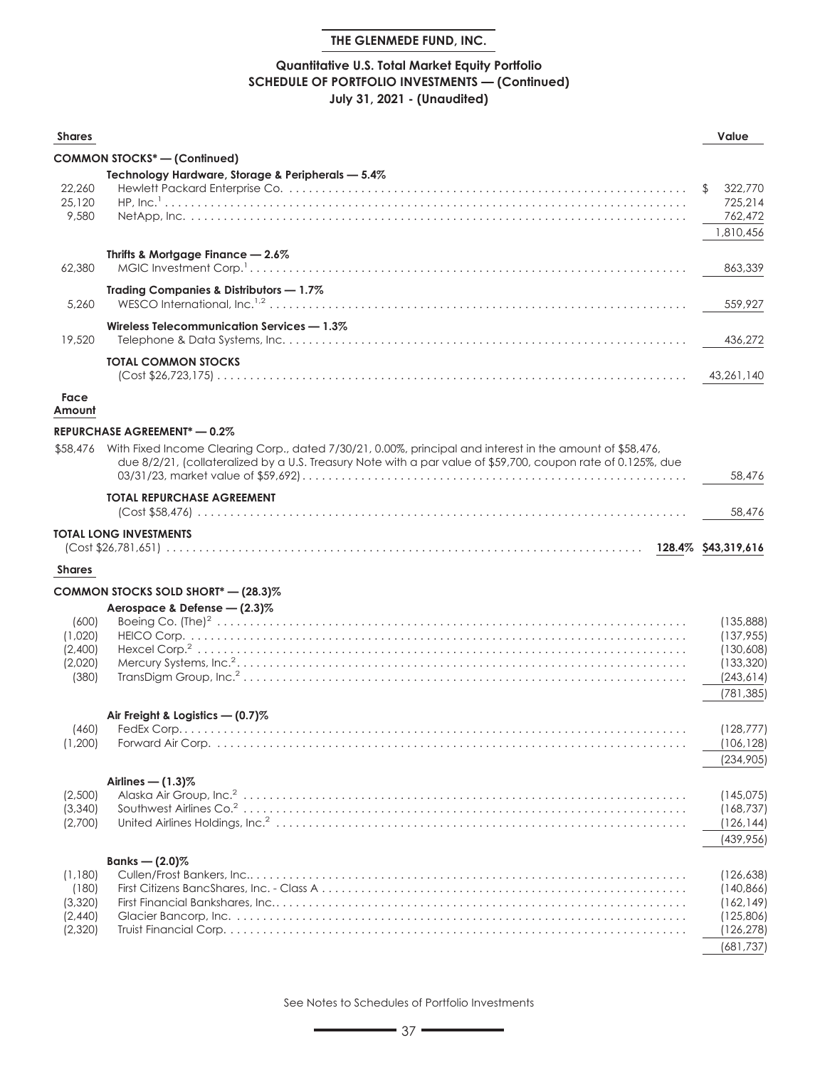# **Quantitative U.S. Total Market Equity Portfolio SCHEDULE OF PORTFOLIO INVESTMENTS — (Continued) July 31, 2021 - (Unaudited)**

| <b>Shares</b>    |                                                                                                                                                                                                                           | Value                    |
|------------------|---------------------------------------------------------------------------------------------------------------------------------------------------------------------------------------------------------------------------|--------------------------|
|                  | <b>COMMON STOCKS*- (Continued)</b>                                                                                                                                                                                        |                          |
|                  | Technology Hardware, Storage & Peripherals - 5.4%                                                                                                                                                                         |                          |
| 22.260<br>25,120 |                                                                                                                                                                                                                           | 322,770<br>\$<br>725,214 |
| 9,580            |                                                                                                                                                                                                                           | 762,472<br>1,810,456     |
| 62,380           | Thrifts & Mortgage Finance - 2.6%                                                                                                                                                                                         | 863,339                  |
| 5,260            | Trading Companies & Distributors - 1.7%                                                                                                                                                                                   | 559,927                  |
| 19,520           | Wireless Telecommunication Services - 1.3%                                                                                                                                                                                | 436,272                  |
|                  | <b>TOTAL COMMON STOCKS</b>                                                                                                                                                                                                | 43,261,140               |
| Face<br>Amount   |                                                                                                                                                                                                                           |                          |
|                  |                                                                                                                                                                                                                           |                          |
|                  | <b>REPURCHASE AGREEMENT* - 0.2%</b>                                                                                                                                                                                       |                          |
| \$58,476         | With Fixed Income Clearing Corp., dated 7/30/21, 0.00%, principal and interest in the amount of \$58,476,<br>due 8/2/21, (collateralized by a U.S. Treasury Note with a par value of \$59,700, coupon rate of 0.125%, due | 58,476                   |
|                  | <b>TOTAL REPURCHASE AGREEMENT</b>                                                                                                                                                                                         | 58,476                   |
|                  | <b>TOTAL LONG INVESTMENTS</b>                                                                                                                                                                                             |                          |
|                  |                                                                                                                                                                                                                           |                          |
| <b>Shares</b>    |                                                                                                                                                                                                                           |                          |
|                  | COMMON STOCKS SOLD SHORT* - (28.3)%                                                                                                                                                                                       |                          |
|                  | Aerospace & Defense - (2.3)%                                                                                                                                                                                              |                          |
| (600)            |                                                                                                                                                                                                                           | (135,888)                |
| (1,020)          |                                                                                                                                                                                                                           | (137, 955)               |
| (2,400)          |                                                                                                                                                                                                                           | (130,608)                |
| (2,020)          |                                                                                                                                                                                                                           | (133, 320)               |
| (380)            |                                                                                                                                                                                                                           | (243, 614)               |
|                  |                                                                                                                                                                                                                           | (781, 385)               |
|                  | Air Freight & Logistics - (0.7)%                                                                                                                                                                                          |                          |
| (460)            |                                                                                                                                                                                                                           | (128, 777)               |
| (1,200)          |                                                                                                                                                                                                                           | (106, 128)               |
|                  |                                                                                                                                                                                                                           | (234,905)                |
|                  | Airlines $-$ (1.3)%                                                                                                                                                                                                       |                          |
| (2,500)          |                                                                                                                                                                                                                           | (145, 075)               |
| (3,340)          |                                                                                                                                                                                                                           | (168, 737)               |
| (2,700)          |                                                                                                                                                                                                                           | (126, 144)               |
|                  |                                                                                                                                                                                                                           | (439, 956)               |
|                  | Banks — $(2.0)$ %                                                                                                                                                                                                         |                          |
| (1,180)<br>(180) |                                                                                                                                                                                                                           | (126, 638)<br>(140, 866) |
| (3,320)          |                                                                                                                                                                                                                           | (162, 149)               |
| (2,440)          |                                                                                                                                                                                                                           | (125,806)                |
| (2,320)          |                                                                                                                                                                                                                           | (126, 278)               |

See Notes to Schedules of Portfolio Investments

(681,737)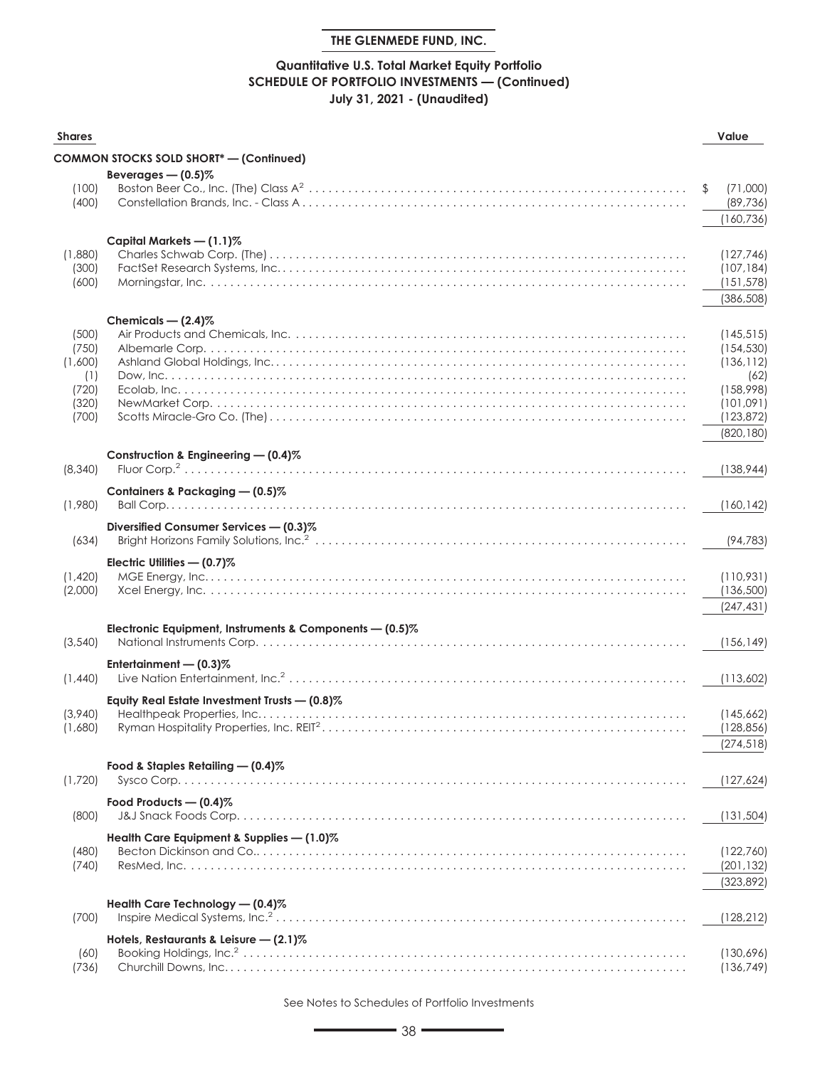# **Quantitative U.S. Total Market Equity Portfolio SCHEDULE OF PORTFOLIO INVESTMENTS — (Continued) July 31, 2021 - (Unaudited)**

| <b>Shares</b>  |                                                           | Value                       |
|----------------|-----------------------------------------------------------|-----------------------------|
|                | <b>COMMON STOCKS SOLD SHORT*</b> - (Continued)            |                             |
|                | Beverages $-$ (0.5)%                                      |                             |
| (100)<br>(400) |                                                           | \$<br>(71,000)<br>(89, 736) |
|                |                                                           | (160, 736)                  |
|                | Capital Markets - (1.1)%                                  |                             |
| (1,880)        |                                                           | (127, 746)                  |
| (300)          |                                                           | (107, 184)                  |
| (600)          |                                                           | (151, 578)                  |
|                |                                                           | (386, 508)                  |
|                | Chemicals $-$ (2.4)%                                      |                             |
| (500)          |                                                           | (145, 515)                  |
| (750)          |                                                           | (154, 530)                  |
| (1,600)        |                                                           | (136, 112)                  |
| (1)<br>(720)   |                                                           | (62)<br>(158,998)           |
| (320)          |                                                           | (101,091)                   |
| (700)          |                                                           | (123, 872)                  |
|                |                                                           | (820, 180)                  |
|                |                                                           |                             |
| (8,340)        | Construction & Engineering - (0.4)%                       | (138, 944)                  |
|                |                                                           |                             |
| (1,980)        | Containers & Packaging - (0.5)%                           | (160, 142)                  |
|                |                                                           |                             |
|                | Diversified Consumer Services - (0.3)%                    |                             |
| (634)          |                                                           | (94, 783)                   |
|                | Electric Utilities - (0.7)%                               |                             |
| (1,420)        |                                                           | (110,931)                   |
| (2,000)        |                                                           | (136,500)                   |
|                |                                                           | (247, 431)                  |
|                | Electronic Equipment, Instruments & Components $-$ (0.5)% |                             |
| (3,540)        |                                                           | (156, 149)                  |
|                | Entertainment $-$ (0.3)%                                  |                             |
| (1,440)        |                                                           | (113,602)                   |
|                | Equity Real Estate Investment Trusts - (0.8)%             |                             |
| (3,940)        |                                                           | (145,662)                   |
| (1,680)        |                                                           | (128, 856)                  |
|                |                                                           | (274, 518)                  |
|                | Food & Staples Retailing - (0.4)%                         |                             |
| (1,720)        |                                                           | (127, 624)                  |
|                | Food Products $-$ (0.4)%                                  |                             |
| (800)          |                                                           | (131, 504)                  |
|                | Health Care Equipment & Supplies - (1.0)%                 |                             |
| (480)          |                                                           | (122,760)                   |
| (740)          |                                                           | (201, 132)                  |
|                |                                                           | (323, 892)                  |
|                | Health Care Technology - (0.4)%                           |                             |
| (700)          |                                                           | (128, 212)                  |
|                | Hotels, Restaurants & Leisure $-$ (2.1)%                  |                             |
| (60)           |                                                           | (130,696)                   |
| (736)          |                                                           | (136, 749)                  |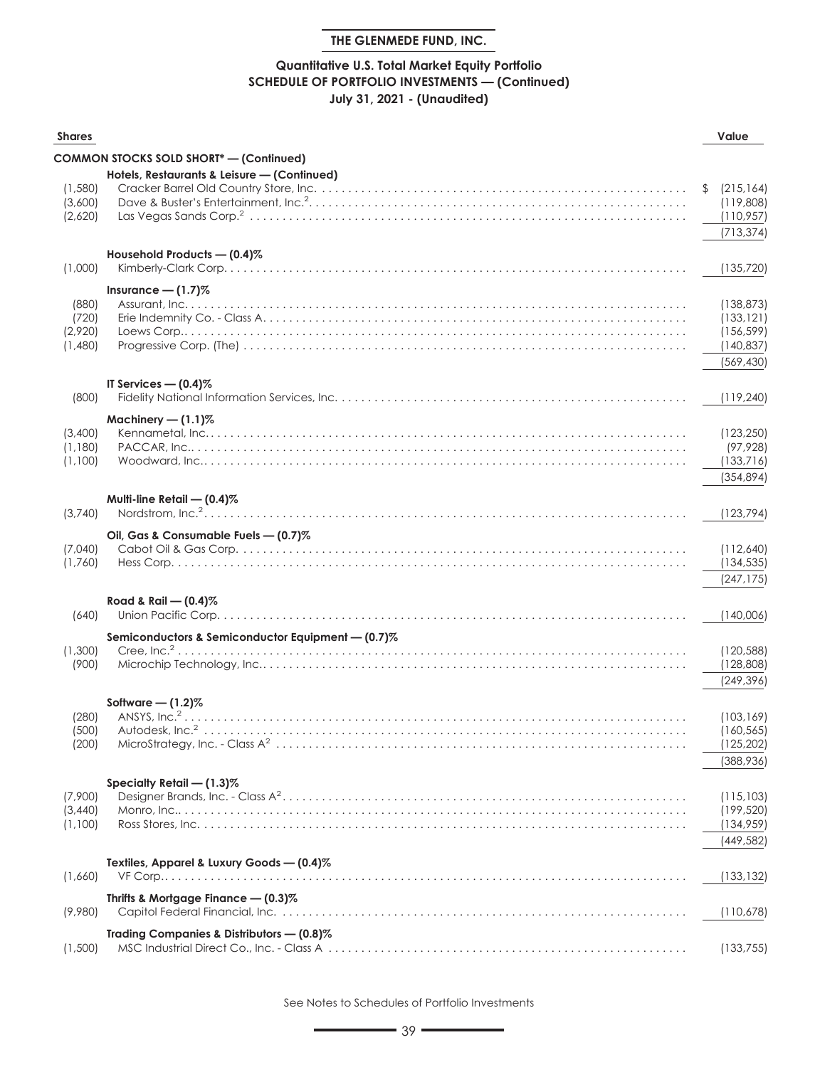# **Quantitative U.S. Total Market Equity Portfolio SCHEDULE OF PORTFOLIO INVESTMENTS — (Continued) July 31, 2021 - (Unaudited)**

| <b>Shares</b>                        |                                                   | Value                                                              |
|--------------------------------------|---------------------------------------------------|--------------------------------------------------------------------|
|                                      | <b>COMMON STOCKS SOLD SHORT*</b> - (Continued)    |                                                                    |
| (1,580)<br>(3,600)<br>(2,620)        | Hotels, Restaurants & Leisure - (Continued)       | (215, 164)<br>\$<br>(119,808)<br>(110, 957)<br>(713, 374)          |
|                                      | Household Products - (0.4)%                       |                                                                    |
| (1,000)                              |                                                   | (135, 720)                                                         |
| (880)<br>(720)<br>(2,920)<br>(1,480) | Insurance $- (1.7)$ %                             | (138, 873)<br>(133, 121)<br>(156, 599)<br>(140, 837)<br>(569, 430) |
| (800)                                | IT Services $-$ (0.4)%                            | (119, 240)                                                         |
| (3,400)<br>(1,180)<br>(1,100)        | Machinery $- (1.1)$ %                             | (123, 250)<br>(97, 928)<br>(133,716)<br>(354.894)                  |
| (3,740)                              | Multi-line Retail - (0.4)%<br>Nordstrom, $Inc.^2$ | (123, 794)                                                         |
| (7,040)<br>(1,760)                   | Oil, Gas & Consumable Fuels - (0.7)%              | (112,640)<br>(134, 535)<br>(247, 175)                              |
| (640)                                | Road & Rail - $(0.4)$ %                           | (140,006)                                                          |
| (1,300)<br>(900)                     | Semiconductors & Semiconductor Equipment - (0.7)% | (120, 588)<br>(128, 808)<br>(249, 396)                             |
| (280)<br>(500)<br>(200)              | Software $-$ (1.2)%                               | (103, 169)<br>(160, 565)<br>(125, 202)<br>(388,936)                |
| (7,900)<br>(3,440)<br>(1,100)        | Specialty Retail - (1.3)%                         | (115, 103)<br>(199, 520)<br>(134, 959)<br>(449,582)                |
| (1,660)                              | Textiles, Apparel & Luxury Goods - (0.4)%         | (133, 132)                                                         |
| (9,980)                              | Thrifts & Mortgage Finance - (0.3)%               | (110, 678)                                                         |
| (1,500)                              | Trading Companies & Distributors - (0.8)%         | (133, 755)                                                         |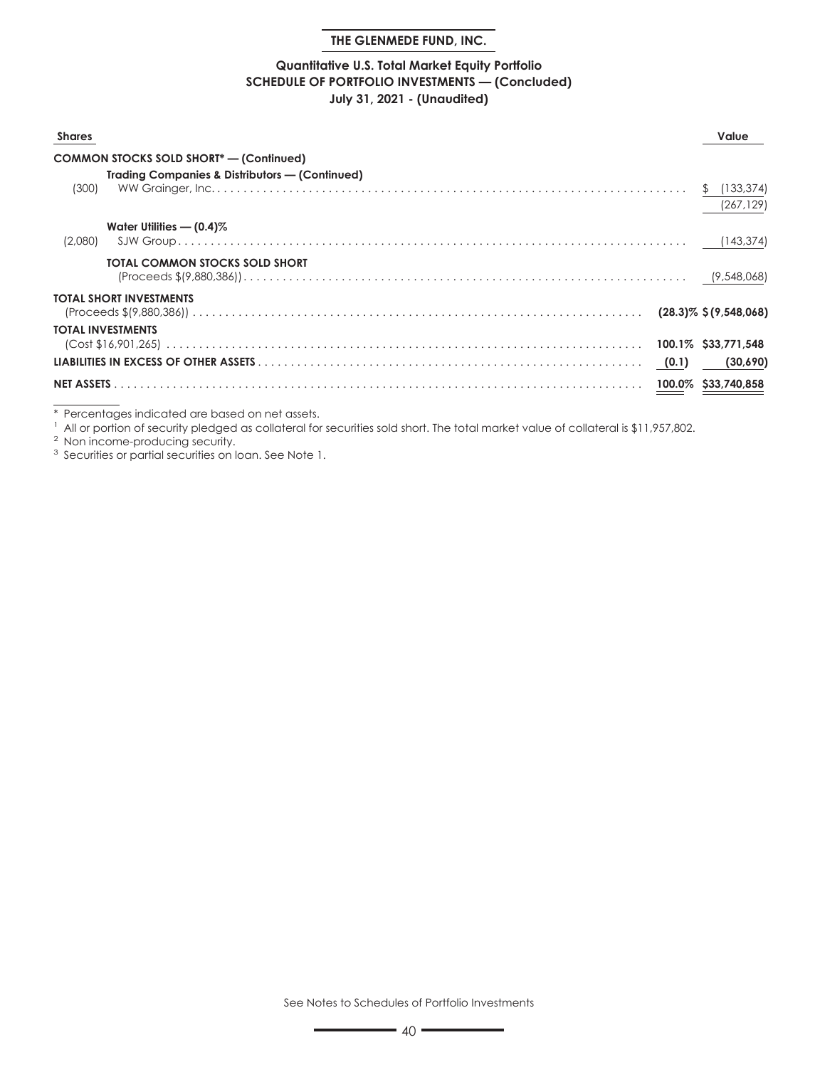### **Quantitative U.S. Total Market Equity Portfolio SCHEDULE OF PORTFOLIO INVESTMENTS — (Concluded) July 31, 2021 - (Unaudited)**

| <b>Shares</b> |                                                           | Value      |
|---------------|-----------------------------------------------------------|------------|
|               | <b>COMMON STOCKS SOLD SHORT*- (Continued)</b>             |            |
| (300)         | <b>Trading Companies &amp; Distributors — (Continued)</b> | (267, 129) |
| (2,080)       | Water Utilities $-$ (0.4)%                                |            |
|               | TOTAL COMMON STOCKS SOLD SHORT                            |            |
|               | <b>TOTAL SHORT INVESTMENTS</b>                            |            |
|               | <b>TOTAL INVESTMENTS</b>                                  |            |
|               |                                                           |            |

\* Percentages indicated are based on net assets.

<sup>1</sup> All or portion of security pledged as collateral for securities sold short. The total market value of collateral is \$11,957,802.

<sup>2</sup> Non income-producing security.

<sup>3</sup> Securities or partial securities on loan. See Note 1.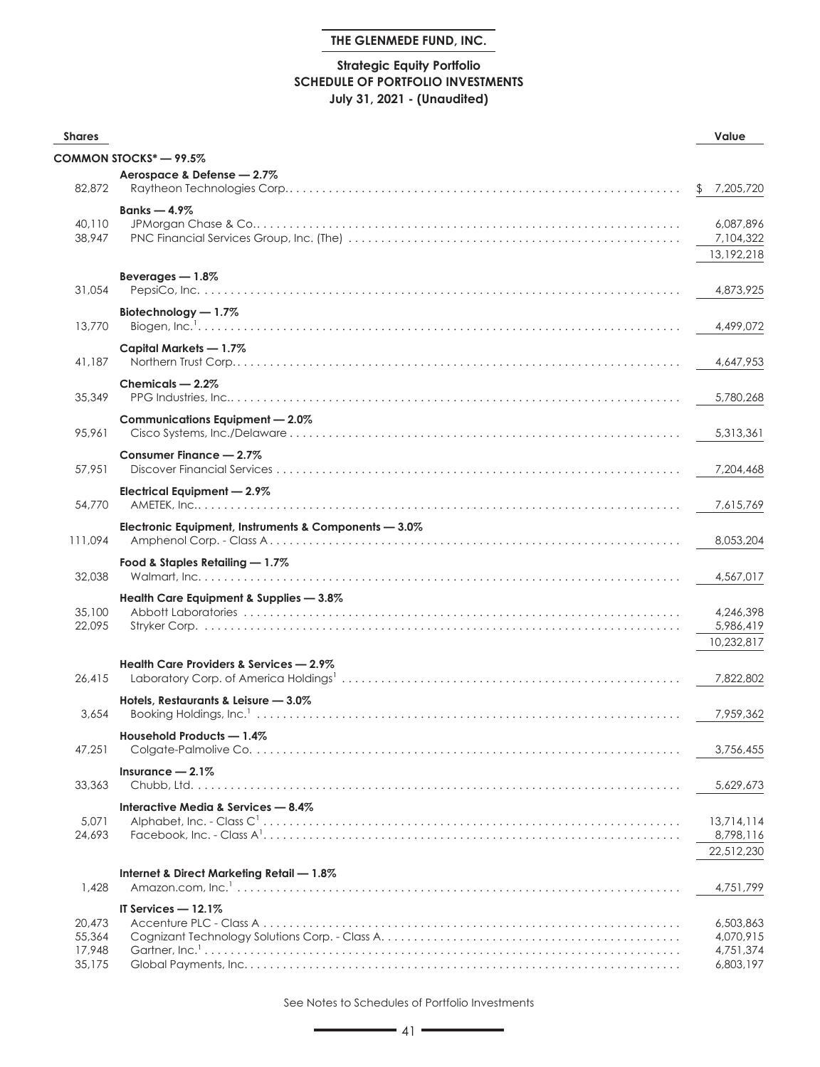# **Strategic Equity Portfolio SCHEDULE OF PORTFOLIO INVESTMENTS July 31, 2021 - (Unaudited)**

| <b>Shares</b>                        |                                                       | Value                                            |
|--------------------------------------|-------------------------------------------------------|--------------------------------------------------|
|                                      | COMMON STOCKS* - 99.5%                                |                                                  |
| 82,872                               | Aerospace & Defense - 2.7%                            | 7,205,720<br>S.                                  |
| 40,110<br>38,947                     | Banks $-4.9\%$                                        | 6,087,896<br>7,104,322<br>13,192,218             |
| 31,054                               | Beverages $-1.8\%$                                    | 4,873,925                                        |
| 13,770                               | Biotechnology - 1.7%                                  | 4,499,072                                        |
| 41,187                               | Capital Markets - 1.7%                                | 4,647,953                                        |
| 35,349                               | Chemicals - 2.2%                                      | 5,780,268                                        |
| 95,961                               | Communications Equipment - 2.0%                       | 5,313,361                                        |
| 57,951                               | Consumer Finance - 2.7%                               | 7,204,468                                        |
| 54,770                               | Electrical Equipment - 2.9%                           | 7.615.769                                        |
| 111,094                              | Electronic Equipment, Instruments & Components - 3.0% | 8,053,204                                        |
| 32,038                               | Food & Staples Retailing - 1.7%                       | 4,567,017                                        |
| 35,100<br>22,095                     | Health Care Equipment & Supplies - 3.8%               | 4,246,398<br>5,986,419<br>10,232,817             |
| 26,415                               | Health Care Providers & Services - 2.9%               | 7,822,802                                        |
| 3,654                                | Hotels, Restaurants & Leisure - 3.0%                  | 7,959,362                                        |
| 47,251                               | Household Products - 1.4%                             | 3,756,455                                        |
| 33,363                               | Insurance $-2.1\%$                                    | 5,629,673                                        |
| 5,071<br>24,693                      | Interactive Media & Services - 8.4%                   | 13,714,114<br>8,798,116<br>22,512,230            |
| 1,428                                | Internet & Direct Marketing Retail - 1.8%             | 4,751,799                                        |
| 20,473<br>55,364<br>17,948<br>35,175 | IT Services $-12.1\%$                                 | 6,503,863<br>4,070,915<br>4,751,374<br>6,803,197 |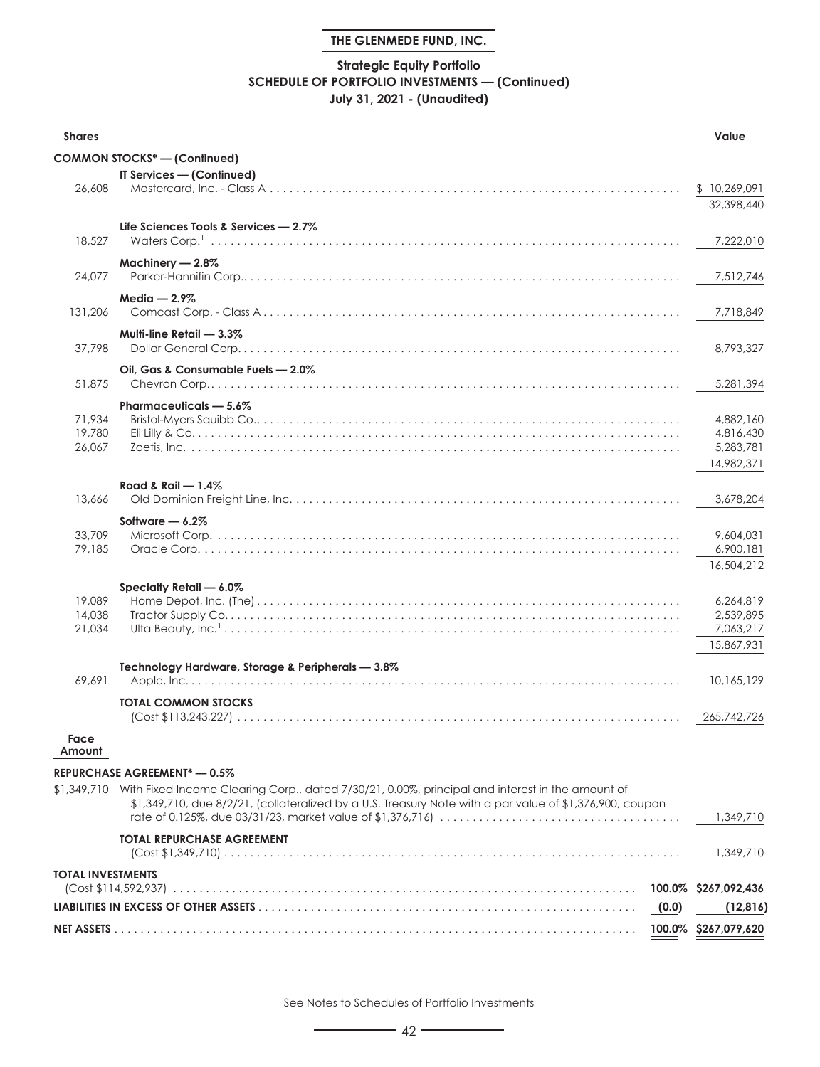# **Strategic Equity Portfolio SCHEDULE OF PORTFOLIO INVESTMENTS — (Continued) July 31, 2021 - (Unaudited)**

| <b>Shares</b>              |                                                                                                                                                                                                                         | Value                                             |
|----------------------------|-------------------------------------------------------------------------------------------------------------------------------------------------------------------------------------------------------------------------|---------------------------------------------------|
|                            | <b>COMMON STOCKS*-(Continued)</b>                                                                                                                                                                                       |                                                   |
|                            | IT Services - (Continued)                                                                                                                                                                                               |                                                   |
| 26,608                     |                                                                                                                                                                                                                         | \$10,269,091<br>32,398,440                        |
| 18,527                     | Life Sciences Tools & Services - 2.7%                                                                                                                                                                                   | 7,222,010                                         |
| 24,077                     | Machinery - 2.8%                                                                                                                                                                                                        | 7,512,746                                         |
| 131,206                    | Media $-2.9\%$                                                                                                                                                                                                          | 7,718,849                                         |
| 37,798                     | Multi-line Retail $-3.3\%$                                                                                                                                                                                              | 8,793,327                                         |
| 51,875                     | Oil, Gas & Consumable Fuels - 2.0%                                                                                                                                                                                      | 5,281,394                                         |
|                            | Pharmaceuticals - 5.6%                                                                                                                                                                                                  |                                                   |
| 71,934<br>19,780<br>26,067 |                                                                                                                                                                                                                         | 4,882,160<br>4,816,430<br>5,283,781               |
|                            | Road & Rail $-1.4\%$                                                                                                                                                                                                    | 14,982,371                                        |
| 13,666                     |                                                                                                                                                                                                                         | 3,678,204                                         |
| 33,709<br>79,185           | Software $-6.2\%$                                                                                                                                                                                                       | 9,604,031<br>6,900,181<br>16,504,212              |
| 19,089<br>14,038<br>21,034 | Specialty Retail - 6.0%                                                                                                                                                                                                 | 6,264,819<br>2,539,895<br>7,063,217<br>15,867,931 |
| 69,691                     | Technology Hardware, Storage & Peripherals - 3.8%                                                                                                                                                                       | 10,165,129                                        |
|                            | <b>TOTAL COMMON STOCKS</b>                                                                                                                                                                                              | 265,742,726                                       |
| Face<br>Amount             |                                                                                                                                                                                                                         |                                                   |
|                            | REPURCHASE AGREEMENT* - 0.5%                                                                                                                                                                                            |                                                   |
|                            | \$1,349,710 With Fixed Income Clearing Corp., dated 7/30/21, 0.00%, principal and interest in the amount of<br>\$1,349,710, due 8/2/21, (collateralized by a U.S. Treasury Note with a par value of \$1,376,900, coupon | 1,349,710                                         |
|                            | <b>TOTAL REPURCHASE AGREEMENT</b>                                                                                                                                                                                       | 1,349,710                                         |
| <b>TOTAL INVESTMENTS</b>   |                                                                                                                                                                                                                         | 100.0% \$267,092,436                              |
|                            | (0.0)                                                                                                                                                                                                                   | (12, 816)                                         |
|                            |                                                                                                                                                                                                                         | 100.0% \$267,079,620                              |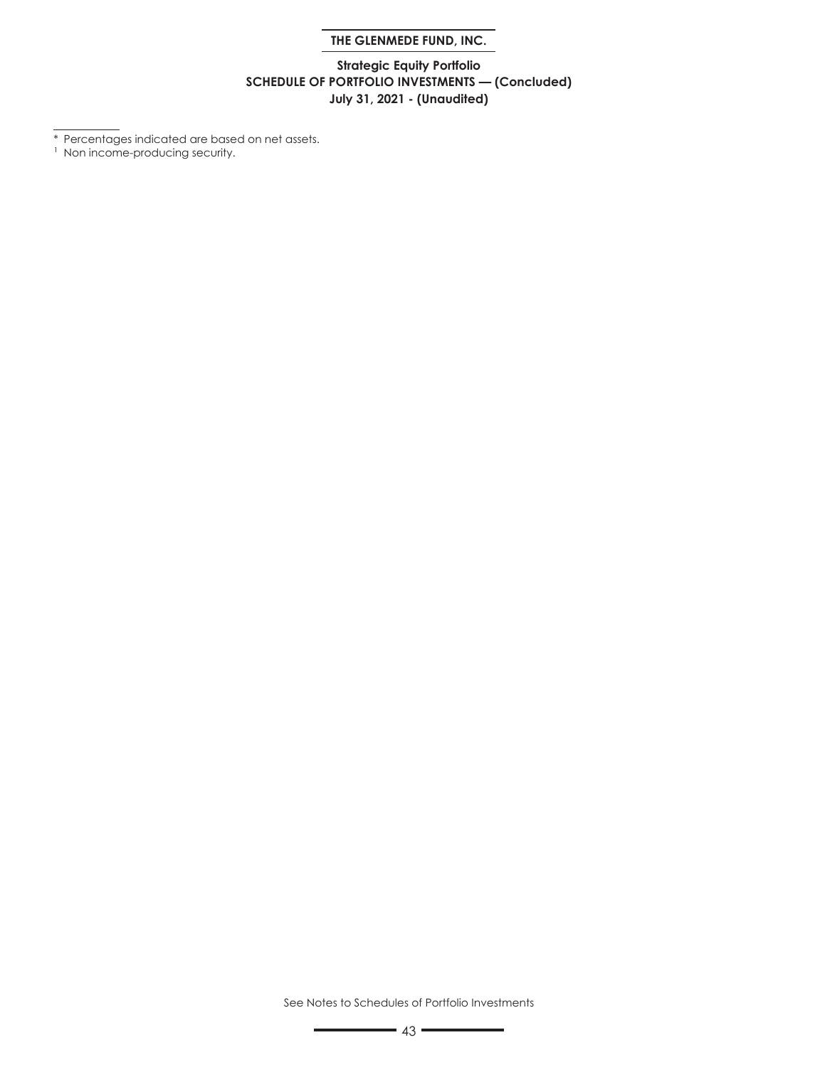# **Strategic Equity Portfolio SCHEDULE OF PORTFOLIO INVESTMENTS — (Concluded) July 31, 2021 - (Unaudited)**

\* Percentages indicated are based on net assets.

<sup>1</sup> Non income-producing security.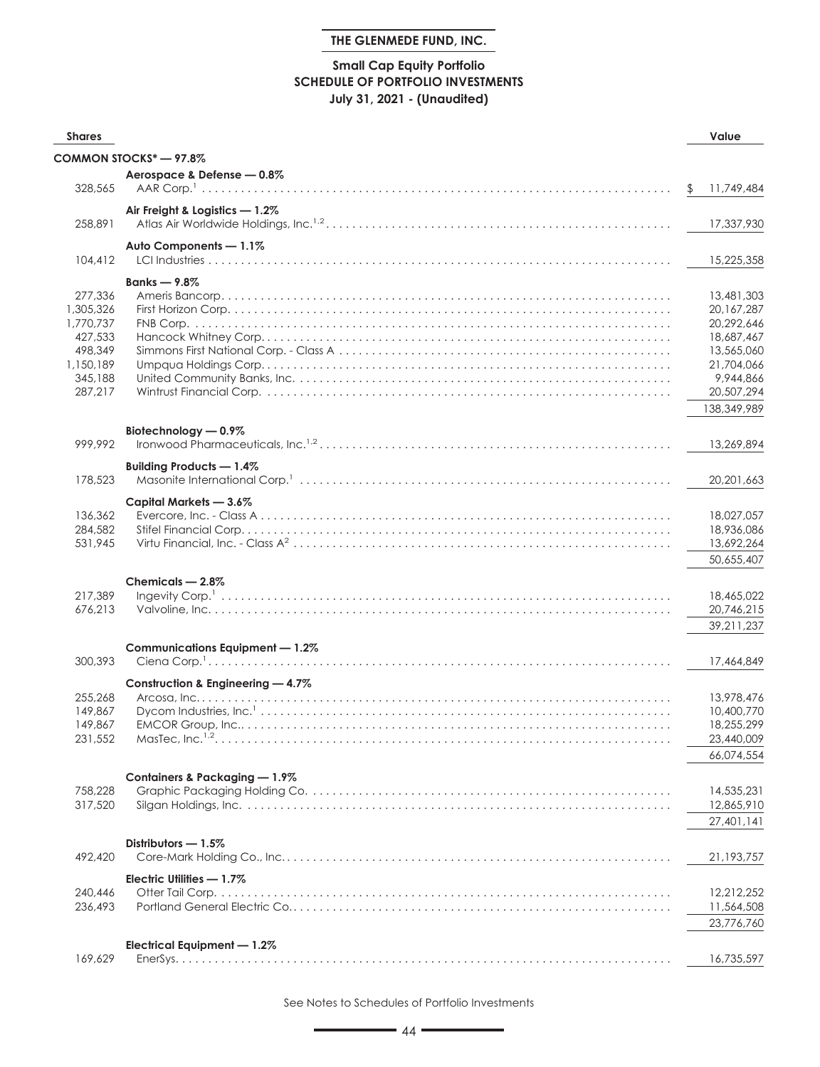# **Small Cap Equity Portfolio SCHEDULE OF PORTFOLIO INVESTMENTS July 31, 2021 - (Unaudited)**

| <b>Shares</b> |                                   | Value        |
|---------------|-----------------------------------|--------------|
|               | COMMON STOCKS* - 97.8%            |              |
|               | Aerospace & Defense - 0.8%        |              |
| 328,565       |                                   | 11,749,484   |
|               | Air Freight & Logistics - 1.2%    |              |
| 258,891       |                                   | 17,337,930   |
|               | Auto Components - 1.1%            |              |
| 104,412       |                                   | 15,225,358   |
|               | Banks $-9.8\%$                    |              |
| 277,336       |                                   | 13,481,303   |
| 1,305,326     |                                   | 20, 167, 287 |
| 1,770,737     |                                   | 20,292,646   |
| 427,533       |                                   | 18,687,467   |
| 498,349       |                                   | 13,565,060   |
| 1,150,189     |                                   | 21,704,066   |
| 345,188       |                                   | 9,944,866    |
| 287,217       |                                   | 20,507,294   |
|               |                                   | 138,349,989  |
|               | Biotechnology - 0.9%              |              |
| 999,992       |                                   | 13,269,894   |
|               | Building Products - 1.4%          |              |
| 178,523       |                                   | 20, 201, 663 |
|               |                                   |              |
|               | Capital Markets - 3.6%            |              |
| 136,362       |                                   | 18,027,057   |
| 284,582       |                                   | 18,936,086   |
| 531,945       |                                   | 13,692,264   |
|               |                                   | 50,655,407   |
|               | Chemicals - 2.8%                  |              |
| 217,389       |                                   | 18,465,022   |
| 676,213       |                                   | 20,746,215   |
|               |                                   | 39,211,237   |
|               | Communications Equipment - 1.2%   |              |
| 300,393       |                                   | 17,464,849   |
|               | Construction & Engineering - 4.7% |              |
| 255,268       |                                   | 13,978,476   |
| 149,867       |                                   | 10,400,770   |
| 149.867       |                                   | 18,255,299   |
| 231,552       | MasTec. Inc. $1.2$                | 23,440,009   |
|               |                                   | 66,074,554   |
|               |                                   |              |
|               | Containers & Packaging - 1.9%     |              |
| 758,228       |                                   | 14,535,231   |
| 317,520       |                                   | 12,865,910   |
|               |                                   | 27,401,141   |
|               | Distributors - 1.5%               |              |
| 492,420       |                                   | 21,193,757   |
|               | Electric Utilities - 1.7%         |              |
| 240,446       |                                   | 12,212,252   |
| 236,493       |                                   | 11,564,508   |
|               |                                   | 23,776,760   |
|               |                                   |              |
|               | Electrical Equipment - 1.2%       |              |
| 169,629       |                                   | 16,735,597   |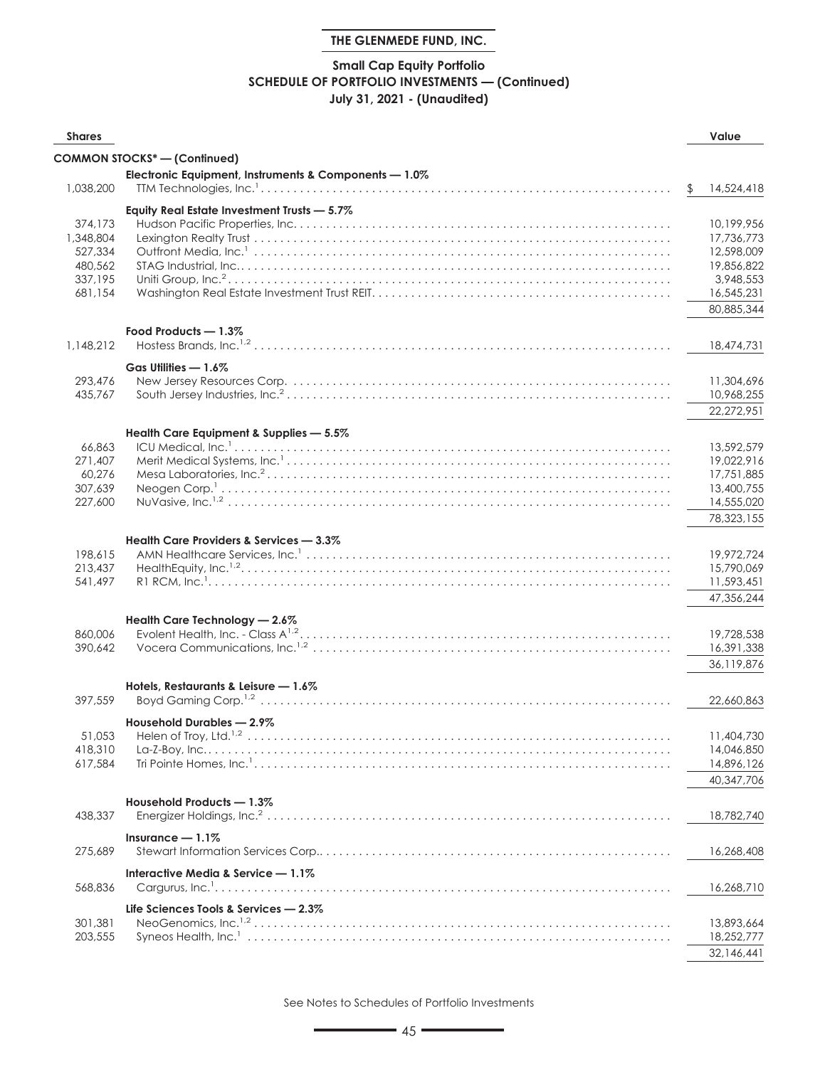# **Small Cap Equity Portfolio SCHEDULE OF PORTFOLIO INVESTMENTS — (Continued) July 31, 2021 - (Unaudited)**

| <b>Shares</b>        |                                                       | Value                    |
|----------------------|-------------------------------------------------------|--------------------------|
|                      | <b>COMMON STOCKS*-(Confinued)</b>                     |                          |
|                      | Electronic Equipment, Instruments & Components - 1.0% |                          |
| 1,038,200            |                                                       | \$<br>14,524,418         |
|                      |                                                       |                          |
|                      | Equity Real Estate Investment Trusts - 5.7%           |                          |
| 374,173              |                                                       | 10,199,956               |
| 1,348,804<br>527,334 |                                                       | 17,736,773<br>12,598,009 |
| 480,562              |                                                       | 19,856,822               |
| 337,195              |                                                       | 3,948,553                |
| 681,154              |                                                       | 16,545,231               |
|                      |                                                       | 80,885,344               |
|                      |                                                       |                          |
| 1,148,212            | Food Products - 1.3%                                  | 18,474,731               |
|                      |                                                       |                          |
|                      | Gas Utilities - 1.6%                                  |                          |
| 293,476              |                                                       | 11,304,696               |
| 435,767              |                                                       | 10,968,255               |
|                      |                                                       | 22,272,951               |
|                      | Health Care Equipment & Supplies - 5.5%               |                          |
| 66.863               |                                                       | 13,592,579               |
| 271,407              |                                                       | 19,022,916               |
| 60,276               |                                                       | 17,751,885               |
| 307,639              |                                                       | 13,400,755               |
| 227,600              |                                                       | 14,555,020               |
|                      |                                                       | 78,323,155               |
|                      | Health Care Providers & Services - 3.3%               |                          |
| 198,615              |                                                       | 19,972,724               |
| 213,437              |                                                       | 15,790,069               |
| 541,497              |                                                       | 11,593,451               |
|                      |                                                       | 47,356,244               |
|                      | Health Care Technology - 2.6%                         |                          |
| 860,006              |                                                       | 19,728,538               |
| 390,642              |                                                       | 16,391,338               |
|                      |                                                       | 36,119,876               |
|                      | Hotels, Restaurants & Leisure - 1.6%                  |                          |
| 397,559              |                                                       | 22,660,863               |
|                      |                                                       |                          |
|                      | Household Durables - 2.9%                             |                          |
| 418,310              | 51,053 Helen of Troy, Ltd. <sup>1,2</sup>             | 11,404,730<br>14,046,850 |
| 617,584              |                                                       | 14,896,126               |
|                      |                                                       | 40,347,706               |
|                      |                                                       |                          |
|                      | Household Products - 1.3%                             |                          |
| 438,337              |                                                       | 18,782,740               |
|                      | Insurance $-1.1\%$                                    |                          |
| 275,689              |                                                       | 16,268,408               |
|                      | Interactive Media & Service - 1.1%                    |                          |
| 568,836              |                                                       | 16,268,710               |
|                      | Life Sciences Tools & Services - 2.3%                 |                          |
| 301,381              |                                                       | 13,893,664               |
| 203,555              |                                                       | 18,252,777               |
|                      |                                                       | 32,146,441               |
|                      |                                                       |                          |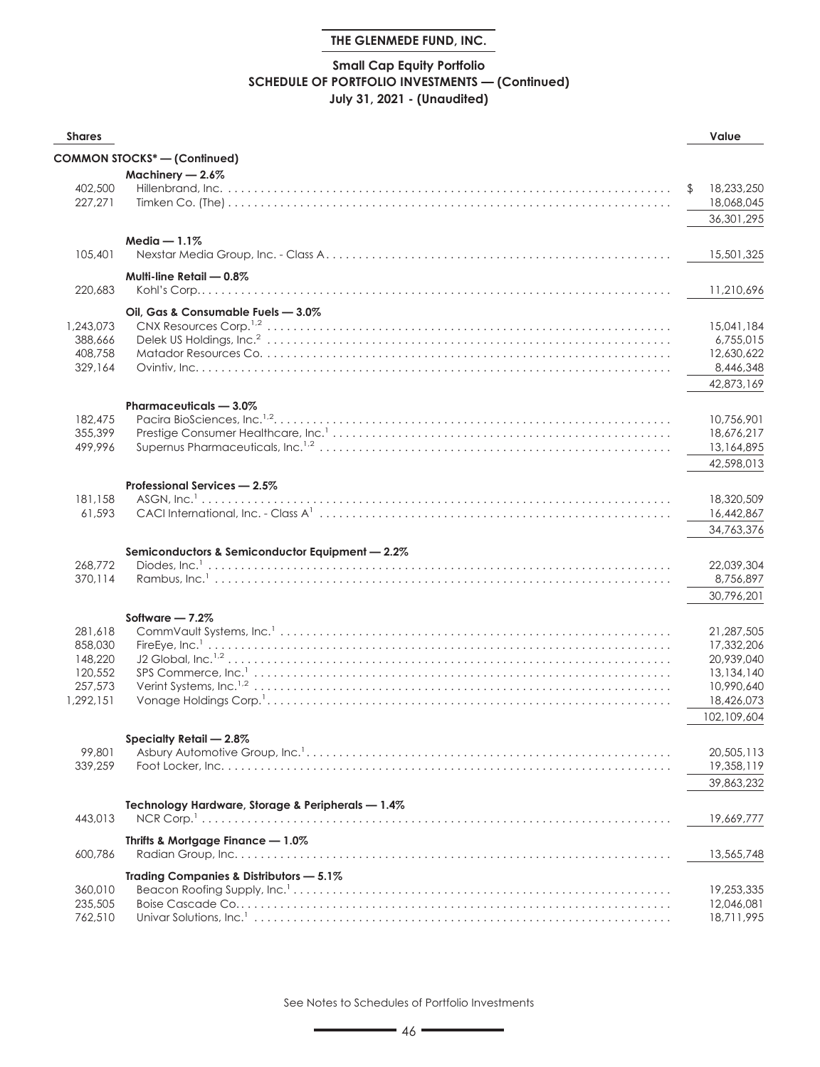# **Small Cap Equity Portfolio SCHEDULE OF PORTFOLIO INVESTMENTS — (Continued) July 31, 2021 - (Unaudited)**

| <b>Shares</b>        |                                                   | Value                    |
|----------------------|---------------------------------------------------|--------------------------|
|                      | <b>COMMON STOCKS*-(Continued)</b>                 |                          |
|                      | Machinery $-2.6\%$                                |                          |
| 402,500              |                                                   | 18,233,250               |
| 227,271              |                                                   | 18,068,045               |
|                      |                                                   | 36,301,295               |
|                      | Media $-1.1\%$                                    |                          |
| 105,401              |                                                   | 15,501,325               |
|                      | Multi-line Retail $-0.8\%$                        |                          |
| 220,683              |                                                   | 11,210,696               |
|                      | Oil, Gas & Consumable Fuels - 3.0%                |                          |
| 1,243,073            |                                                   | 15,041,184               |
| 388,666              |                                                   | 6,755,015                |
| 408,758              |                                                   | 12,630,622               |
| 329,164              |                                                   | 8,446,348                |
|                      |                                                   | 42,873,169               |
|                      | Pharmaceuticals - 3.0%                            |                          |
| 182,475              |                                                   | 10,756,901               |
| 355,399              |                                                   | 18,676,217               |
| 499,996              |                                                   | 13,164,895               |
|                      |                                                   | 42,598,013               |
|                      | Professional Services - 2.5%                      |                          |
| 181,158              |                                                   | 18,320,509               |
| 61,593               |                                                   | 16,442,867               |
|                      |                                                   | 34,763,376               |
|                      | Semiconductors & Semiconductor Equipment - 2.2%   |                          |
| 268,772              |                                                   | 22,039,304               |
| 370,114              |                                                   | 8,756,897                |
|                      |                                                   | 30,796,201               |
|                      | Software $-7.2\%$                                 |                          |
| 281,618              |                                                   | 21,287,505               |
| 858,030              |                                                   | 17,332,206               |
| 148,220              |                                                   | 20,939,040               |
| 120,552              |                                                   | 13,134,140               |
| 257,573<br>1,292,151 |                                                   | 10,990,640<br>18,426,073 |
|                      |                                                   | 102.109.604              |
|                      |                                                   |                          |
|                      | Specialty Retail - 2.8%                           |                          |
| 99,801               |                                                   | 20,505,113               |
| 339,259              |                                                   | 19,358,119               |
|                      |                                                   | 39,863,232               |
|                      | Technology Hardware, Storage & Peripherals - 1.4% |                          |
| 443,013              |                                                   | 19,669,777               |
|                      | Thrifts & Mortgage Finance - 1.0%                 |                          |
| 600,786              |                                                   | 13,565,748               |
|                      | Trading Companies & Distributors - 5.1%           |                          |
| 360,010              |                                                   | 19,253,335               |
| 235,505              |                                                   | 12,046,081               |
| 762,510              |                                                   | 18,711,995               |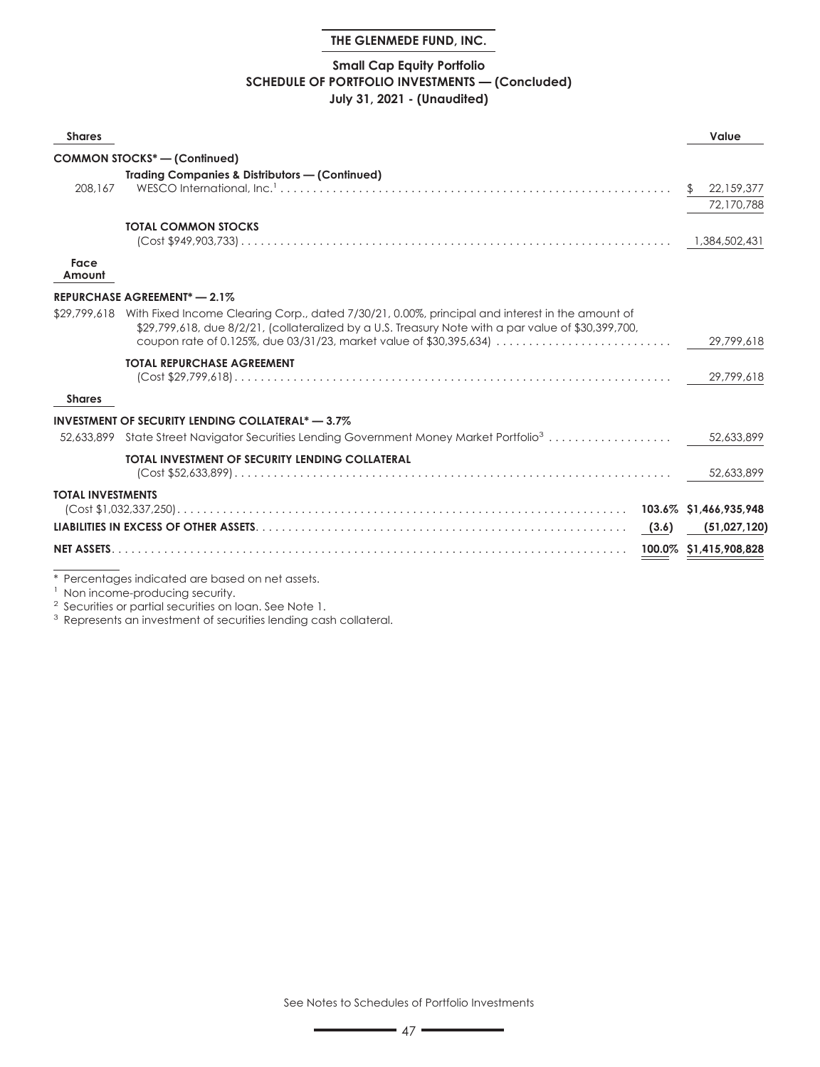### **Small Cap Equity Portfolio SCHEDULE OF PORTFOLIO INVESTMENTS — (Concluded) July 31, 2021 - (Unaudited)**

| <b>Shares</b>            |                                                                                                                                                                                                                                                                                          | Value                          |
|--------------------------|------------------------------------------------------------------------------------------------------------------------------------------------------------------------------------------------------------------------------------------------------------------------------------------|--------------------------------|
|                          | <b>COMMON STOCKS<sup>*</sup></b> - (Confinued)                                                                                                                                                                                                                                           |                                |
| 208.167                  | <b>Trading Companies &amp; Distributors - (Continued)</b>                                                                                                                                                                                                                                | 22,159,377<br>S.<br>72,170,788 |
|                          | <b>TOTAL COMMON STOCKS</b>                                                                                                                                                                                                                                                               | 1,384,502,431                  |
| Face<br>Amount           |                                                                                                                                                                                                                                                                                          |                                |
|                          | REPURCHASE AGREEMENT <sup>*</sup> - 2.1%                                                                                                                                                                                                                                                 |                                |
|                          | \$29,799,618 With Fixed Income Clearing Corp., dated 7/30/21, 0.00%, principal and interest in the amount of<br>\$29,799,618, due 8/2/21, (collateralized by a U.S. Treasury Note with a par value of \$30,399,700,<br>coupon rate of 0.125%, due 03/31/23, market value of \$30,395,634 | 29,799,618                     |
|                          | <b>TOTAL REPURCHASE AGREEMENT</b>                                                                                                                                                                                                                                                        | 29,799,618                     |
| <b>Shares</b>            |                                                                                                                                                                                                                                                                                          |                                |
|                          | <b>INVESTMENT OF SECURITY LENDING COLLATERAL* - 3.7%</b>                                                                                                                                                                                                                                 |                                |
|                          | 52,633,899 State Street Navigator Securities Lending Government Money Market Portfolio <sup>3</sup>                                                                                                                                                                                      | 52,633,899                     |
|                          | TOTAL INVESTMENT OF SECURITY LENDING COLLATERAL                                                                                                                                                                                                                                          | 52,633,899                     |
| <b>TOTAL INVESTMENTS</b> |                                                                                                                                                                                                                                                                                          |                                |
|                          |                                                                                                                                                                                                                                                                                          | (51,027,120)                   |
| <b>NET ASSETS.</b>       |                                                                                                                                                                                                                                                                                          | 100.0% \$1,415,908,828         |

\* Percentages indicated are based on net assets.

<sup>1</sup> Non income-producing security.

<sup>2</sup> Securities or partial securities on loan. See Note 1.

<sup>3</sup> Represents an investment of securities lending cash collateral.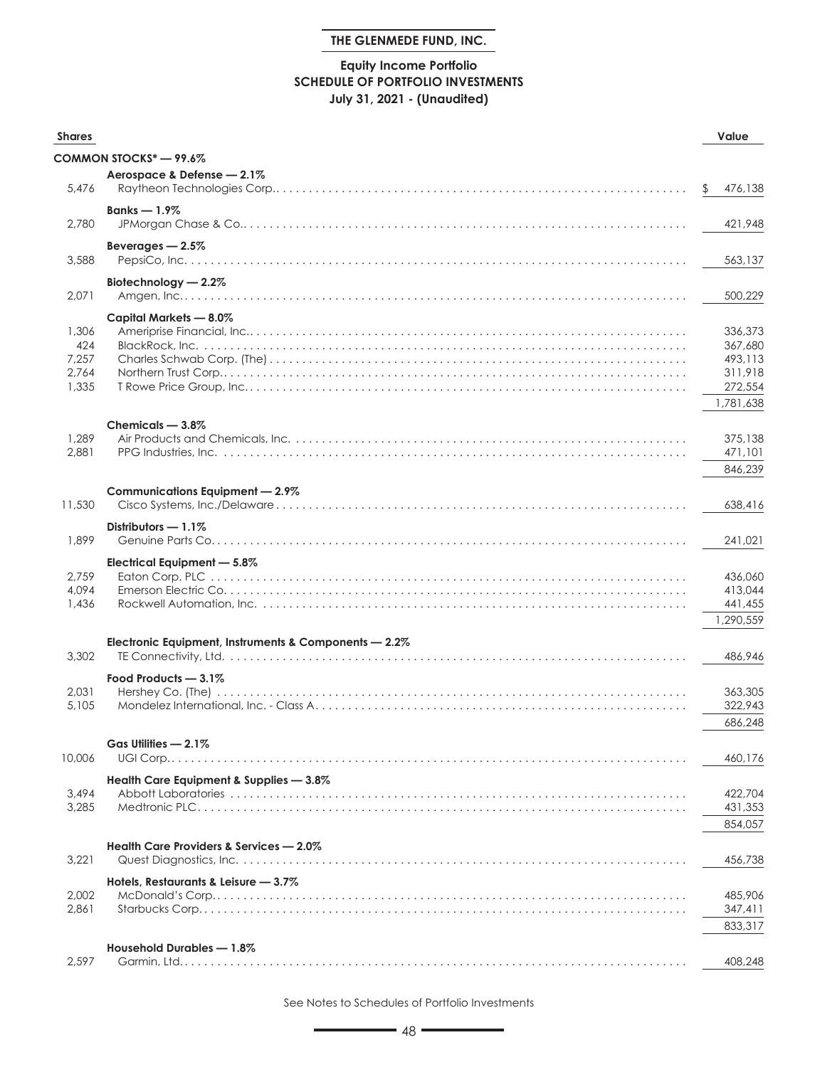# **Equity Income Portfolio SCHEDULE OF PORTFOLIO INVESTMENTS July 31, 2021 - (Unaudited)**

| <b>Shares</b>                           |                                                       | Value                                               |
|-----------------------------------------|-------------------------------------------------------|-----------------------------------------------------|
|                                         | COMMON STOCKS* - 99.6%                                |                                                     |
|                                         | Aerospace & Defense - 2.1%                            |                                                     |
| 5.476                                   |                                                       | \$<br>476,138                                       |
| 2,780                                   | Banks $-1.9\%$                                        | 421,948                                             |
| 3,588                                   | Beverages $-2.5%$                                     | 563,137                                             |
| 2,071                                   | Biotechnology - 2.2%                                  | 500,229                                             |
| 1,306<br>424<br>7,257<br>2,764<br>1,335 | Capital Markets — 8.0%                                | 336,373<br>367,680<br>493,113<br>311,918<br>272,554 |
|                                         |                                                       | 1,781,638                                           |
| 1,289<br>2,881                          | Chemicals - 3.8%                                      | 375,138<br>471,101<br>846,239                       |
|                                         | Communications Equipment - 2.9%                       |                                                     |
| 11,530                                  |                                                       | 638,416                                             |
| 1,899                                   | Distributors $-1.1\%$                                 | 241,021                                             |
| 2,759<br>4,094<br>1,436                 | Electrical Equipment - 5.8%                           | 436,060<br>413,044<br>441,455<br>1,290,559          |
|                                         | Electronic Equipment, Instruments & Components - 2.2% |                                                     |
| 3,302                                   |                                                       | 486,946                                             |
| 2,031<br>5,105                          | Food Products - 3.1%                                  | 363,305<br>322,943<br>686,248                       |
|                                         | Gas Utilities - 2.1%                                  |                                                     |
| 10,006                                  |                                                       | 460,176                                             |
| 3,494<br>3,285                          | Health Care Equipment & Supplies - 3.8%               | 422,704<br>431,353<br>854,057                       |
|                                         | Health Care Providers & Services - 2.0%               |                                                     |
| 3,221                                   |                                                       | 456,738                                             |
| 2,002<br>2,861                          | Hotels, Restaurants & Leisure - 3.7%                  | 485,906<br>347,411                                  |
|                                         |                                                       | 833,317                                             |
| 2,597                                   | Household Durables - 1.8%                             | 408,248                                             |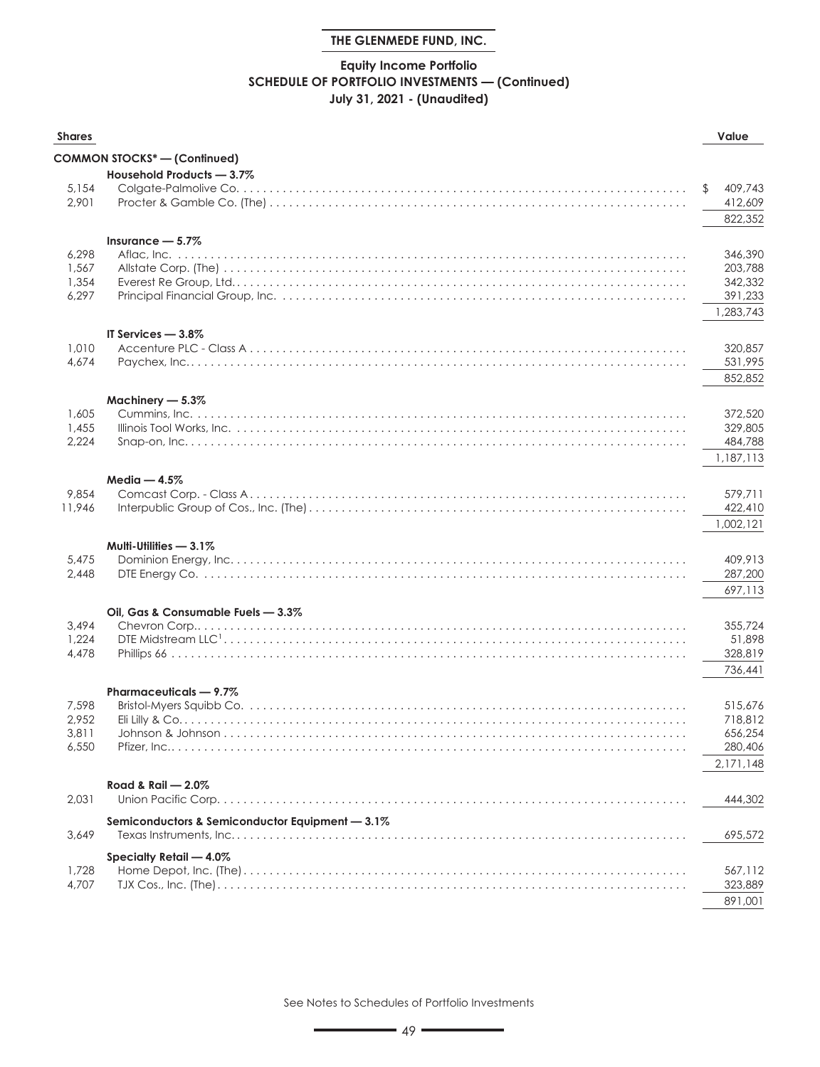# **Equity Income Portfolio SCHEDULE OF PORTFOLIO INVESTMENTS — (Continued) July 31, 2021 - (Unaudited)**

| <b>Shares</b>  |                                                 | Value                |
|----------------|-------------------------------------------------|----------------------|
|                | COMMON STOCKS* - (Continued)                    |                      |
|                | Household Products - 3.7%                       |                      |
| 5,154          |                                                 | 409,743<br>\$        |
| 2,901          |                                                 | 412,609              |
|                |                                                 | 822,352              |
|                | Insurance $-5.7\%$                              |                      |
| 6,298          |                                                 | 346,390              |
| 1,567          |                                                 | 203,788              |
| 1,354          |                                                 | 342,332              |
| 6,297          |                                                 | 391,233<br>1,283,743 |
|                |                                                 |                      |
| 1,010          | IT Services - 3.8%                              | 320,857              |
| 4,674          |                                                 | 531,995              |
|                |                                                 | 852,852              |
|                |                                                 |                      |
| 1,605          | Machinery - 5.3%<br>Cummins, Inc. .             | 372,520              |
| 1,455          |                                                 | 329,805              |
| 2,224          |                                                 | 484,788              |
|                |                                                 | 1,187,113            |
|                | Media $-4.5%$                                   |                      |
| 9,854          |                                                 | 579,711              |
| 11,946         |                                                 | 422,410              |
|                |                                                 | 1,002,121            |
|                | Multi-Utilities $-3.1\%$                        |                      |
| 5,475          |                                                 | 409,913              |
| 2,448          |                                                 | 287,200              |
|                |                                                 | 697,113              |
|                | Oil, Gas & Consumable Fuels - 3.3%              |                      |
| 3,494          |                                                 | 355,724              |
| 1,224<br>4,478 |                                                 | 51,898<br>328,819    |
|                |                                                 | 736,441              |
|                |                                                 |                      |
|                | Pharmaceuticals - 9.7%                          |                      |
| 7,598<br>2,952 |                                                 | 515,676<br>718,812   |
| 3,811          |                                                 | 656,254              |
| 6,550          |                                                 | 280,406              |
|                |                                                 | 2,171,148            |
|                | Road & Rail $-2.0\%$                            |                      |
| 2,031          | Union Pacific Corp                              | 444,302              |
|                | Semiconductors & Semiconductor Equipment - 3.1% |                      |
| 3,649          |                                                 | 695,572              |
|                | Specialty Retail - 4.0%                         |                      |
| 1,728          |                                                 | 567,112              |
| 4,707          |                                                 | 323,889              |
|                |                                                 | 891,001              |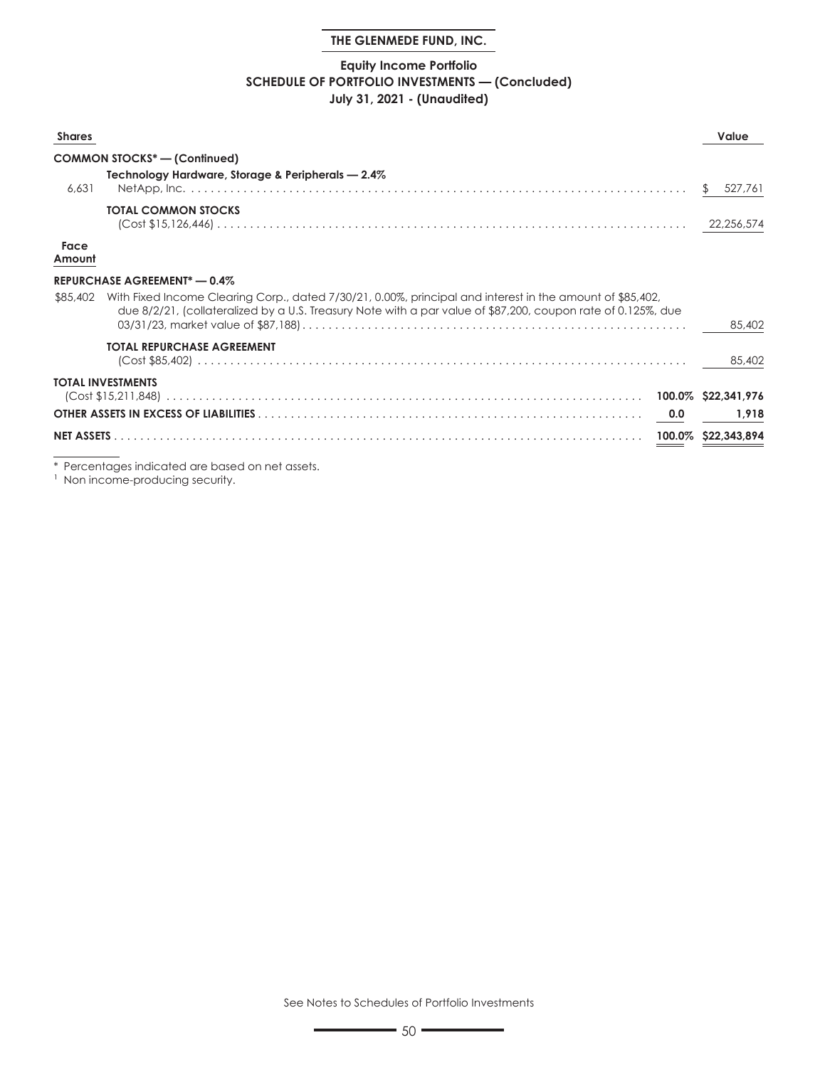# **Equity Income Portfolio SCHEDULE OF PORTFOLIO INVESTMENTS — (Concluded) July 31, 2021 - (Unaudited)**

| <b>Shares</b>  |                                                                                                                                                                                                                                    |     | Value         |
|----------------|------------------------------------------------------------------------------------------------------------------------------------------------------------------------------------------------------------------------------------|-----|---------------|
|                | <b>COMMON STOCKS* - (Continued)</b>                                                                                                                                                                                                |     |               |
| 6.631          | Technology Hardware, Storage & Peripherals - 2.4%                                                                                                                                                                                  |     | 527.761<br>S. |
|                | <b>TOTAL COMMON STOCKS</b><br>$\left(\text{Cost $15,126,446\right) \dots 0.111}$                                                                                                                                                   |     | 22,256,574    |
| Face<br>Amount |                                                                                                                                                                                                                                    |     |               |
|                | <b>REPURCHASE AGREEMENT* - 0.4%</b>                                                                                                                                                                                                |     |               |
|                | \$85,402 With Fixed Income Clearing Corp., dated 7/30/21, 0.00%, principal and interest in the amount of \$85,402,<br>due 8/2/21, (collateralized by a U.S. Treasury Note with a par value of \$87,200, coupon rate of 0.125%, due |     | 85,402        |
|                | <b>TOTAL REPURCHASE AGREEMENT</b>                                                                                                                                                                                                  |     | 85,402        |
|                | TOTAL INVESTMENTS                                                                                                                                                                                                                  |     |               |
|                |                                                                                                                                                                                                                                    | 0.0 | 1.918         |
|                |                                                                                                                                                                                                                                    |     |               |
|                |                                                                                                                                                                                                                                    |     |               |

\* Percentages indicated are based on net assets.

<sup>1</sup> Non income-producing security.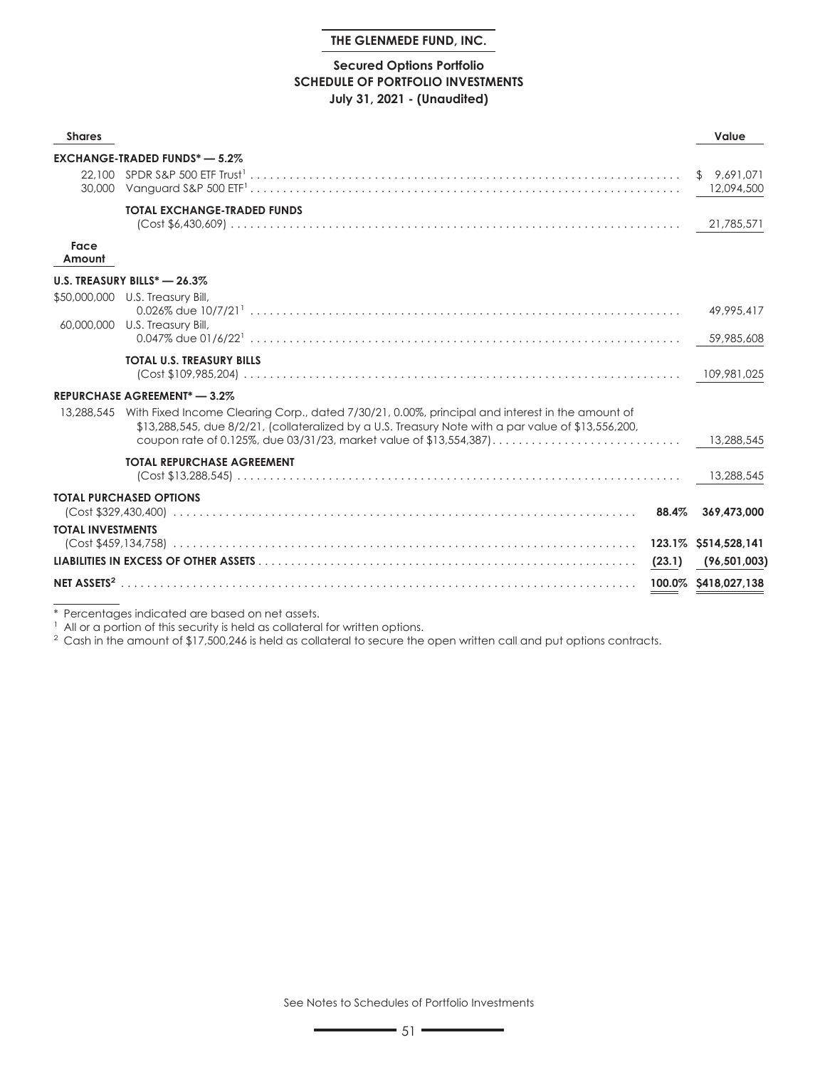### **Secured Options Portfolio SCHEDULE OF PORTFOLIO INVESTMENTS July 31, 2021 - (Unaudited)**

| <b>Shares</b>            |                                                                                                                                                                                                                                                                                     |        | Value                     |
|--------------------------|-------------------------------------------------------------------------------------------------------------------------------------------------------------------------------------------------------------------------------------------------------------------------------------|--------|---------------------------|
|                          | <b>EXCHANGE-TRADED FUNDS* - 5.2%</b>                                                                                                                                                                                                                                                |        |                           |
|                          |                                                                                                                                                                                                                                                                                     |        | \$9.691.071<br>12,094,500 |
|                          | <b>TOTAL EXCHANGE-TRADED FUNDS</b>                                                                                                                                                                                                                                                  |        | 21,785,571                |
| Face<br>Amount           |                                                                                                                                                                                                                                                                                     |        |                           |
|                          | U.S. TREASURY BILLS* - 26.3%                                                                                                                                                                                                                                                        |        |                           |
|                          | \$50,000,000 U.S. Treasury Bill,<br>$0.026\%$ due $10/7/21$ $\ldots$ $\ldots$ $\ldots$ $\ldots$ $\ldots$ $\ldots$ $\ldots$ $\ldots$ $\ldots$ $\ldots$ $\ldots$ $\ldots$ $\ldots$ $\ldots$ $\ldots$                                                                                  |        | 49,995,417                |
|                          | 60,000,000 U.S. Treasury Bill,                                                                                                                                                                                                                                                      |        | 59,985,608                |
|                          | <b>TOTAL U.S. TREASURY BILLS</b>                                                                                                                                                                                                                                                    |        |                           |
|                          | <b>REPURCHASE AGREEMENT*-3.2%</b>                                                                                                                                                                                                                                                   |        |                           |
| 13,288,545               | With Fixed Income Clearing Corp., dated 7/30/21, 0.00%, principal and interest in the amount of<br>$$13,288,545$ , due $8/2/21$ , (collateralized by a U.S. Treasury Note with a par value of $$13,556,200$ ,<br>coupon rate of 0.125%, due 03/31/23, market value of \$13,554,387) |        | 13,288,545                |
|                          | <b>TOTAL REPURCHASE AGREEMENT</b>                                                                                                                                                                                                                                                   |        | 13,288,545                |
|                          | <b>TOTAL PURCHASED OPTIONS</b>                                                                                                                                                                                                                                                      |        | 369,473,000               |
| <b>TOTAL INVESTMENTS</b> |                                                                                                                                                                                                                                                                                     |        |                           |
|                          |                                                                                                                                                                                                                                                                                     |        |                           |
|                          |                                                                                                                                                                                                                                                                                     | (23.1) | (96, 501, 003)            |
|                          |                                                                                                                                                                                                                                                                                     |        | 100.0% \$418,027,138      |

\* Percentages indicated are based on net assets.

<sup>1</sup> All or a portion of this security is held as collateral for written options.

<sup>2</sup> Cash in the amount of \$17,500,246 is held as collateral to secure the open written call and put options contracts.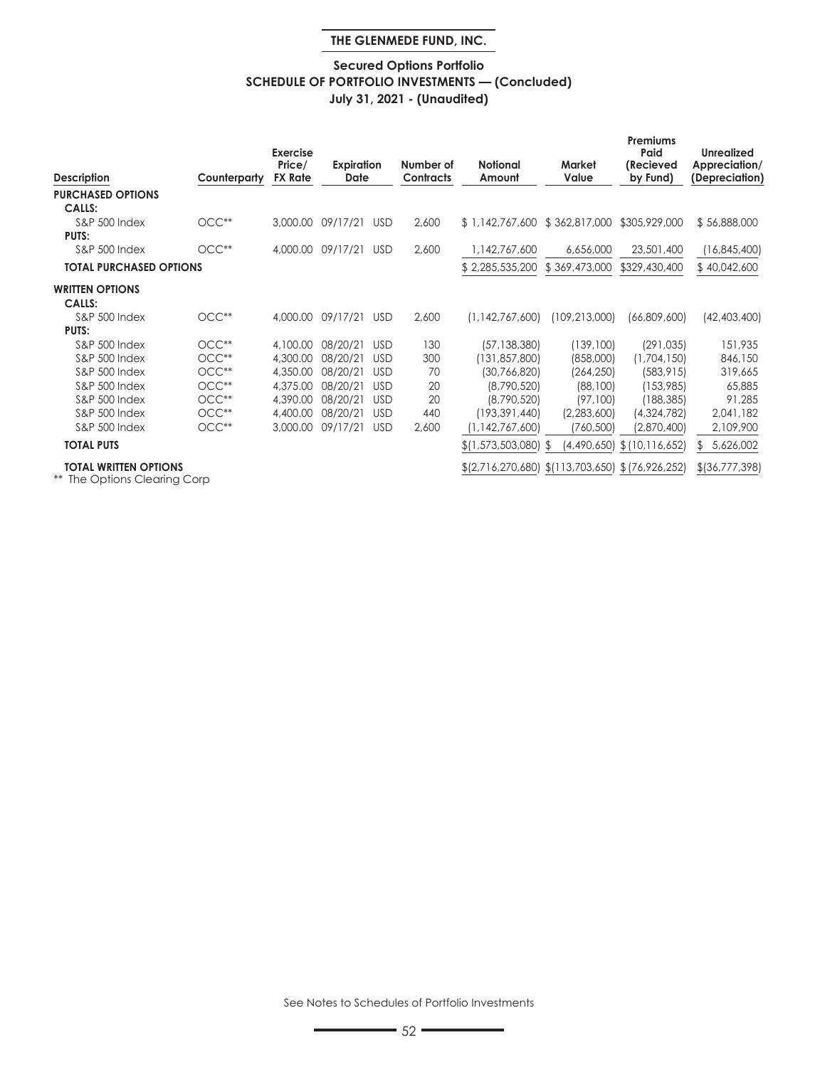# **Secured Options Portfolio SCHEDULE OF PORTFOLIO INVESTMENTS — (Concluded) July 31, 2021 - (Unaudited)**

| <b>Description</b>                                           | Counterparty | <b>Exercise</b><br>Price/<br><b>FX Rate</b> | Expiration<br>Date |            | Number of<br><b>Contracts</b> | <b>Notional</b><br>Amount                        | Market<br>Value | Premiums<br>Paid<br>(Recieved<br>by Fund) | <b>Unrealized</b><br>Appreciation/<br>(Depreciation) |
|--------------------------------------------------------------|--------------|---------------------------------------------|--------------------|------------|-------------------------------|--------------------------------------------------|-----------------|-------------------------------------------|------------------------------------------------------|
| <b>PURCHASED OPTIONS</b>                                     |              |                                             |                    |            |                               |                                                  |                 |                                           |                                                      |
| <b>CALLS:</b>                                                |              |                                             |                    |            |                               |                                                  |                 |                                           |                                                      |
| <b>S&amp;P 500 Index</b>                                     | $OCC**$      | 3,000.00                                    | 09/17/21           | <b>USD</b> | 2,600                         | \$1,142,767,600 \$362,817,000                    |                 | \$305,929,000                             | \$56,888,000                                         |
| <b>PUTS:</b>                                                 |              |                                             |                    |            |                               |                                                  |                 |                                           |                                                      |
| <b>S&amp;P 500 Index</b>                                     | $OCC**$      | 4,000.00                                    | 09/17/21           | <b>USD</b> | 2,600                         | 1,142,767,600                                    | 6,656,000       | 23,501,400                                | (16, 845, 400)                                       |
| <b>TOTAL PURCHASED OPTIONS</b>                               |              |                                             |                    |            |                               | \$2,285,535,200                                  | \$369,473,000   | \$329,430,400                             | \$40,042,600                                         |
| <b>WRITTEN OPTIONS</b>                                       |              |                                             |                    |            |                               |                                                  |                 |                                           |                                                      |
| <b>CALLS:</b>                                                |              |                                             |                    |            |                               |                                                  |                 |                                           |                                                      |
| <b>S&amp;P 500 Index</b>                                     | $OCC**$      | 4,000,00                                    | 09/17/21           | <b>USD</b> | 2,600                         | (1, 142, 767, 600)                               | (109,213,000)   | (66,809,600)                              | (42, 403, 400)                                       |
| <b>PUTS:</b>                                                 |              |                                             |                    |            |                               |                                                  |                 |                                           |                                                      |
| <b>S&amp;P 500 Index</b>                                     | $OCC**$      | 4,100.00                                    | 08/20/21           | <b>USD</b> | 130                           | (57, 138, 380)                                   | (139, 100)      | (291, 035)                                | 151,935                                              |
| <b>S&amp;P 500 Index</b>                                     | $OCC**$      | 4,300.00                                    | 08/20/21           | <b>USD</b> | 300                           | (131, 857, 800)                                  | (858,000)       | (1,704,150)                               | 846,150                                              |
| <b>S&amp;P 500 Index</b>                                     | $OCC**$      | 4,350.00                                    | 08/20/21           | <b>USD</b> | 70                            | (30,766,820)                                     | (264, 250)      | (583, 915)                                | 319,665                                              |
| <b>S&amp;P 500 Index</b>                                     | $OCC**$      | 4,375.00                                    | 08/20/21           | <b>USD</b> | 20                            | (8,790,520)                                      | (88, 100)       | (153,985)                                 | 65,885                                               |
| <b>S&amp;P 500 Index</b>                                     | $OCC**$      | 4,390.00                                    | 08/20/21           | <b>USD</b> | 20                            | (8,790,520)                                      | (97,100)        | (188, 385)                                | 91,285                                               |
| <b>S&amp;P 500 Index</b>                                     | $OCC**$      | 4,400.00                                    | 08/20/21           | <b>USD</b> | 440                           | (193, 391, 440)                                  | (2,283,600)     | (4,324,782)                               | 2,041,182                                            |
| <b>S&amp;P 500 Index</b>                                     | $OCC**$      | 3,000.00                                    | 09/17/21           | <b>USD</b> | 2,600                         | (1, 142, 767, 600)                               | (760, 500)      | (2,870,400)                               | 2,109,900                                            |
| <b>TOTAL PUTS</b>                                            |              |                                             |                    |            |                               | \$(1,573,503,080) \$                             | (4,490,650)     | \$(10,116,652)                            | 5,626,002<br>£.                                      |
| <b>TOTAL WRITTEN OPTIONS</b><br>** The Options Clearing Corp |              |                                             |                    |            |                               | $(2,716,270,680)$ $(113,703,650)$ $(76,926,252)$ |                 |                                           | $$$ (36,777,398)                                     |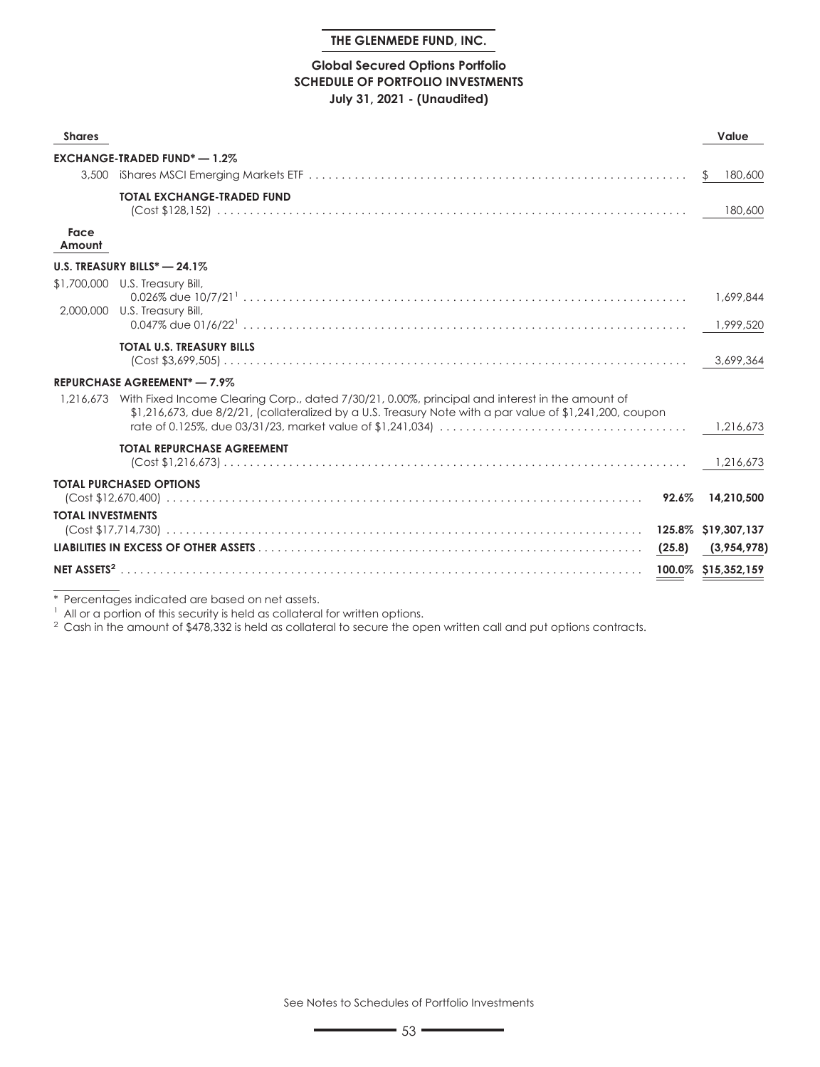# **Global Secured Options Portfolio SCHEDULE OF PORTFOLIO INVESTMENTS July 31, 2021 - (Unaudited)**

| <b>Shares</b>            |                                                                                                                                                                                                                       | Value               |
|--------------------------|-----------------------------------------------------------------------------------------------------------------------------------------------------------------------------------------------------------------------|---------------------|
|                          | <b>EXCHANGE-TRADED FUND<sup>*</sup> - 1.2%</b>                                                                                                                                                                        |                     |
| 3,500                    |                                                                                                                                                                                                                       | 180,600<br>S.       |
|                          | <b>TOTAL EXCHANGE-TRADED FUND</b>                                                                                                                                                                                     | 180,600             |
| Face<br>Amount           |                                                                                                                                                                                                                       |                     |
|                          | U.S. TREASURY BILLS $* - 24.1\%$                                                                                                                                                                                      |                     |
|                          | \$1,700,000 U.S. Treasury Bill,<br>2,000,000 U.S. Treasury Bill,                                                                                                                                                      | 1,699,844           |
|                          |                                                                                                                                                                                                                       | 1,999,520           |
|                          | <b>TOTAL U.S. TREASURY BILLS</b>                                                                                                                                                                                      |                     |
|                          | <b>REPURCHASE AGREEMENT*-7.9%</b>                                                                                                                                                                                     |                     |
|                          | 1,216,673 With Fixed Income Clearing Corp., dated 7/30/21, 0.00%, principal and interest in the amount of<br>\$1,216,673, due 8/2/21, (collateralized by a U.S. Treasury Note with a par value of \$1,241,200, coupon |                     |
|                          | <b>TOTAL REPURCHASE AGREEMENT</b>                                                                                                                                                                                     |                     |
|                          | <b>TOTAL PURCHASED OPTIONS</b><br>$92.6\%$                                                                                                                                                                            | 14,210,500          |
| <b>TOTAL INVESTMENTS</b> |                                                                                                                                                                                                                       |                     |
|                          |                                                                                                                                                                                                                       | (3,954,978)         |
|                          |                                                                                                                                                                                                                       | 100.0% \$15,352,159 |

\* Percentages indicated are based on net assets.

<sup>1</sup> All or a portion of this security is held as collateral for written options.

<sup>2</sup> Cash in the amount of \$478,332 is held as collateral to secure the open written call and put options contracts.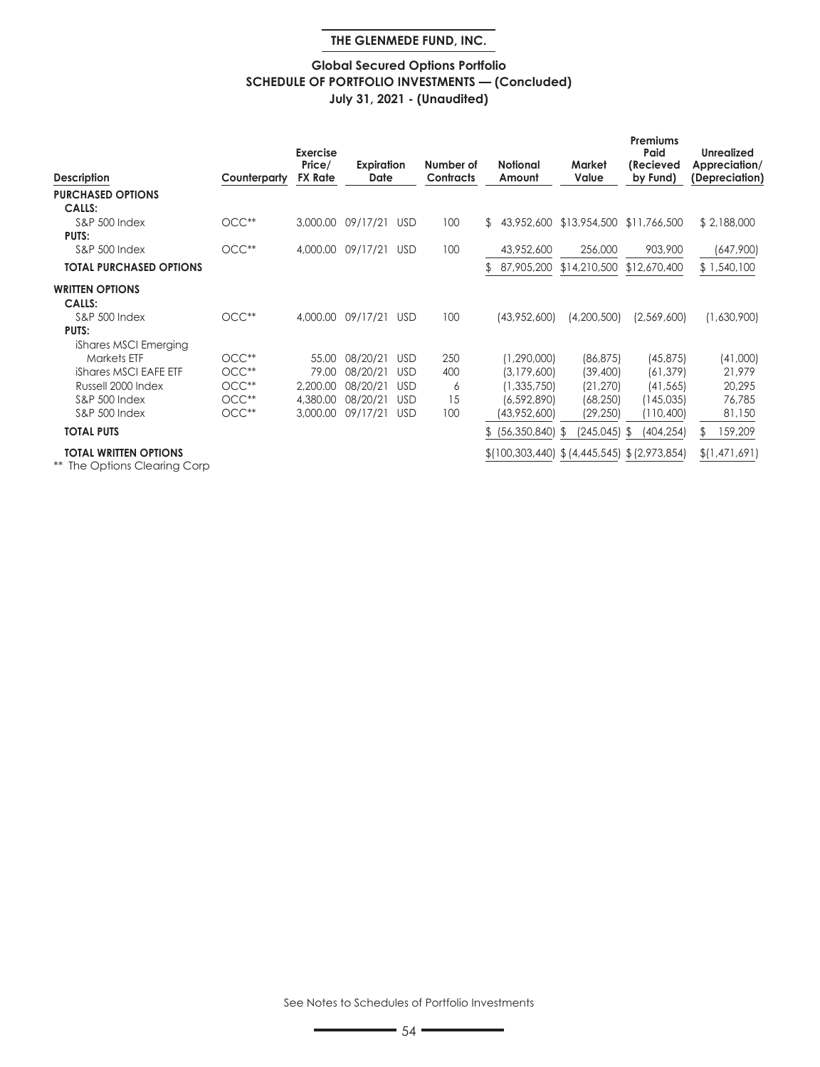# **Global Secured Options Portfolio SCHEDULE OF PORTFOLIO INVESTMENTS — (Concluded) July 31, 2021 - (Unaudited)**

| <b>Description</b>                                               | Counterparty | <b>Exercise</b><br>Price/<br><b>FX Rate</b> | Expiration<br>Date |            | Number of<br><b>Contracts</b> |                | <b>Notional</b><br>Amount | Market<br>Value                                         | Premiums<br>Paid<br>(Recieved<br>by Fund) | <b>Unrealized</b><br>Appreciation/<br>(Depreciation) |
|------------------------------------------------------------------|--------------|---------------------------------------------|--------------------|------------|-------------------------------|----------------|---------------------------|---------------------------------------------------------|-------------------------------------------|------------------------------------------------------|
| <b>PURCHASED OPTIONS</b>                                         |              |                                             |                    |            |                               |                |                           |                                                         |                                           |                                                      |
| <b>CALLS:</b>                                                    |              |                                             |                    |            |                               |                |                           |                                                         |                                           |                                                      |
| <b>S&amp;P 500 Index</b>                                         | $OCC**$      | 3,000.00                                    | 09/17/21           | <b>USD</b> | 100                           | $\mathbb{S}^-$ | 43,952,600                | \$13,954,500                                            | \$11,766,500                              | \$2,188,000                                          |
| <b>PUTS:</b>                                                     |              |                                             |                    |            |                               |                |                           |                                                         |                                           |                                                      |
| <b>S&amp;P 500 Index</b>                                         | $OCC**$      | 4,000.00                                    | 09/17/21           | <b>USD</b> | 100                           |                | 43,952,600                | 256,000                                                 | 903,900                                   | (647,900)                                            |
| <b>TOTAL PURCHASED OPTIONS</b>                                   |              |                                             |                    |            |                               |                | 87,905,200                | \$14,210,500                                            | \$12,670,400                              | \$1,540,100                                          |
| <b>WRITTEN OPTIONS</b>                                           |              |                                             |                    |            |                               |                |                           |                                                         |                                           |                                                      |
| <b>CALLS:</b>                                                    |              |                                             |                    |            |                               |                |                           |                                                         |                                           |                                                      |
| <b>S&amp;P 500 Index</b>                                         | $OCC**$      | 4,000.00                                    | 09/17/21           | <b>USD</b> | 100                           |                | (43,952,600)              | (4,200,500)                                             | (2,569,600)                               | (1,630,900)                                          |
| <b>PUTS:</b>                                                     |              |                                             |                    |            |                               |                |                           |                                                         |                                           |                                                      |
| iShares MSCI Emerging                                            |              |                                             |                    |            |                               |                |                           |                                                         |                                           |                                                      |
| Markets ETF                                                      | $OCC**$      | 55.00                                       | 08/20/21           | <b>USD</b> | 250                           |                | (1, 290, 000)             | (86, 875)                                               | (45, 875)                                 | (41,000)                                             |
| iShares MSCI EAFE ETF                                            | $OCC**$      | 79.00                                       | 08/20/21           | <b>USD</b> | 400                           |                | (3,179,600)               | (39, 400)                                               | (61, 379)                                 | 21,979                                               |
| Russell 2000 Index                                               | $OCC**$      | 2,200.00                                    | 08/20/21           | <b>USD</b> | 6                             |                | (1, 335, 750)             | (21, 270)                                               | (41, 565)                                 | 20,295                                               |
| <b>S&amp;P 500 Index</b>                                         | $OCC**$      | 4,380,00                                    | 08/20/21           | <b>USD</b> | 15                            |                | (6, 592, 890)             | (68, 250)                                               | (145, 035)                                | 76,785                                               |
| <b>S&amp;P 500 Index</b>                                         | $OCC**$      | 3,000.00                                    | 09/17/21           | <b>USD</b> | 100                           |                | (43,952,600)              | (29, 250)                                               | (110,400)                                 | 81,150                                               |
| <b>TOTAL PUTS</b>                                                |              |                                             |                    |            |                               |                | $$^{(56,350,840)}$ \$     | (245, 045)                                              | (404,254)<br>- \$                         | 159,209<br>\$                                        |
| <b>TOTAL WRITTEN OPTIONS</b><br>$**$ The Orthouse Classical Case |              |                                             |                    |            |                               |                |                           | $\{(100, 303, 440) \$ $(4, 445, 545) \$ $(2, 973, 854)$ |                                           | \$(1,471,691)                                        |

The Options Clearing Corp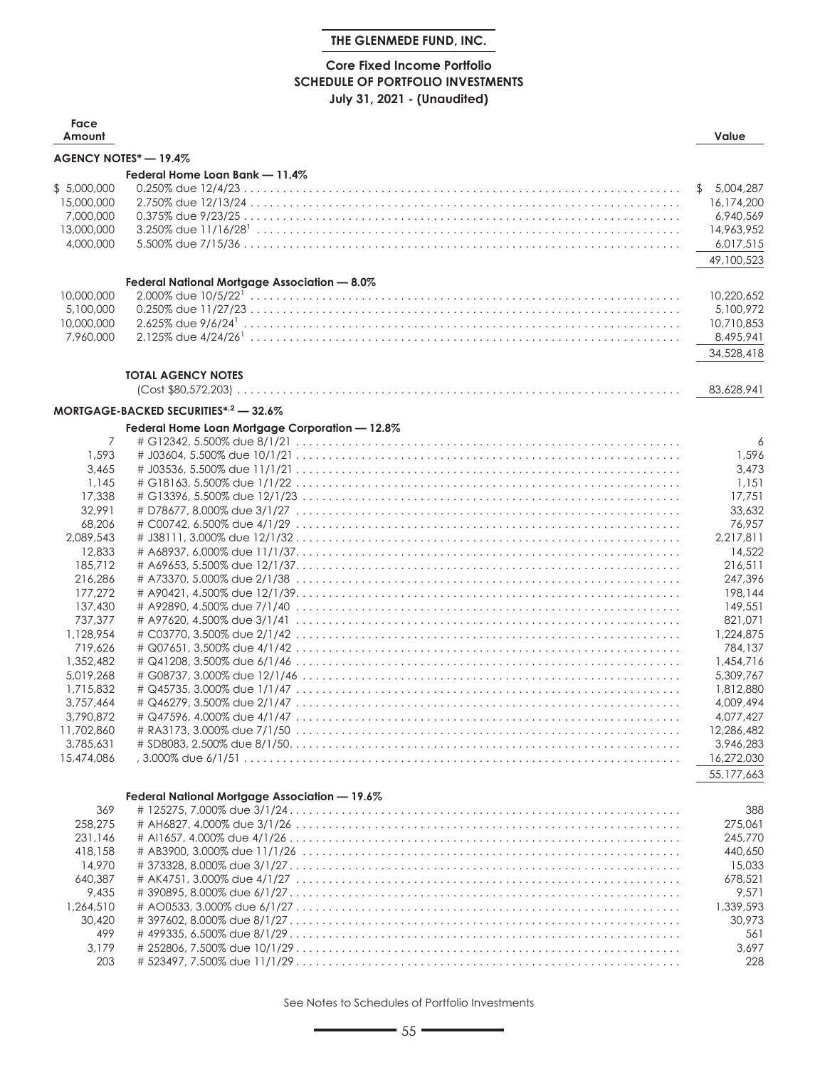# **Core Fixed Income Portfolio SCHEDULE OF PORTFOLIO INVESTMENTS July 31, 2021 - (Unaudited)**

| Face<br>Amount                                                    |                                                  | Value                                                                               |
|-------------------------------------------------------------------|--------------------------------------------------|-------------------------------------------------------------------------------------|
|                                                                   | AGENCY NOTES* - 19.4%                            |                                                                                     |
|                                                                   | Federal Home Loan Bank - 11.4%                   |                                                                                     |
| \$5,000,000<br>15,000,000<br>7,000,000<br>13,000,000<br>4,000,000 |                                                  | 5,004,287<br>\$<br>16,174,200<br>6,940,569<br>14,963,952<br>6,017,515<br>49,100,523 |
|                                                                   | Federal National Mortgage Association - 8.0%     |                                                                                     |
| 10,000,000<br>5,100,000<br>10,000,000<br>7,960,000                |                                                  | 10,220,652<br>5,100,972<br>10,710,853<br>8,495,941<br>34,528,418                    |
|                                                                   | <b>TOTAL AGENCY NOTES</b>                        |                                                                                     |
|                                                                   |                                                  | 83,628,941                                                                          |
|                                                                   | MORTGAGE-BACKED SECURITIES* <sup>2</sup> - 32.6% |                                                                                     |
|                                                                   | Federal Home Loan Mortgage Corporation - 12.8%   |                                                                                     |
| $\overline{7}$                                                    |                                                  | 6                                                                                   |
| 1,593                                                             |                                                  | 1,596                                                                               |
| 3,465                                                             |                                                  | 3,473                                                                               |
| 1,145                                                             |                                                  | 1,151                                                                               |
| 17,338<br>32,991                                                  |                                                  | 17,751<br>33,632                                                                    |
| 68,206                                                            |                                                  | 76,957                                                                              |
| 2,089,543                                                         |                                                  | 2,217,811                                                                           |
| 12,833                                                            |                                                  | 14,522                                                                              |
| 185,712                                                           |                                                  | 216,511                                                                             |
| 216,286                                                           |                                                  | 247,396                                                                             |
| 177,272                                                           |                                                  | 198,144                                                                             |
| 137,430                                                           |                                                  | 149,551                                                                             |
| 737,377                                                           |                                                  | 821,071                                                                             |
| 1,128,954                                                         |                                                  | 1,224,875                                                                           |
| 719,626                                                           |                                                  | 784,137                                                                             |
| 1,352,482<br>5,019,268                                            |                                                  | 1,454,716<br>5,309,767                                                              |
| 1,715,832                                                         |                                                  | 1,812,880                                                                           |
| 3,757,464                                                         |                                                  | 4,009,494                                                                           |
| 3,790,872                                                         |                                                  | 4,077,427                                                                           |
| 11,702,860                                                        | # RA3173, 3.000% due 7/1/50                      | 12,286,482                                                                          |
| 3,785,631                                                         |                                                  | 3.946.283                                                                           |
| 15,474,086                                                        |                                                  | 16,272,030                                                                          |
|                                                                   |                                                  | 55,177,663                                                                          |
|                                                                   | Federal National Mortgage Association - 19.6%    |                                                                                     |
| 369                                                               |                                                  | 388                                                                                 |
| 258,275                                                           |                                                  | 275,061                                                                             |
| 231.146                                                           |                                                  | 245,770                                                                             |
| 418,158                                                           |                                                  | 440,650                                                                             |
| 14,970                                                            |                                                  | 15,033                                                                              |
| 640,387                                                           |                                                  | 678,521                                                                             |
| 9,435                                                             |                                                  | 9,571                                                                               |
| 1,264,510                                                         |                                                  | 1,339,593                                                                           |
| 30,420<br>499                                                     |                                                  | 30,973<br>561                                                                       |
| 3,179                                                             |                                                  | 3,697                                                                               |
| 203                                                               |                                                  | 228                                                                                 |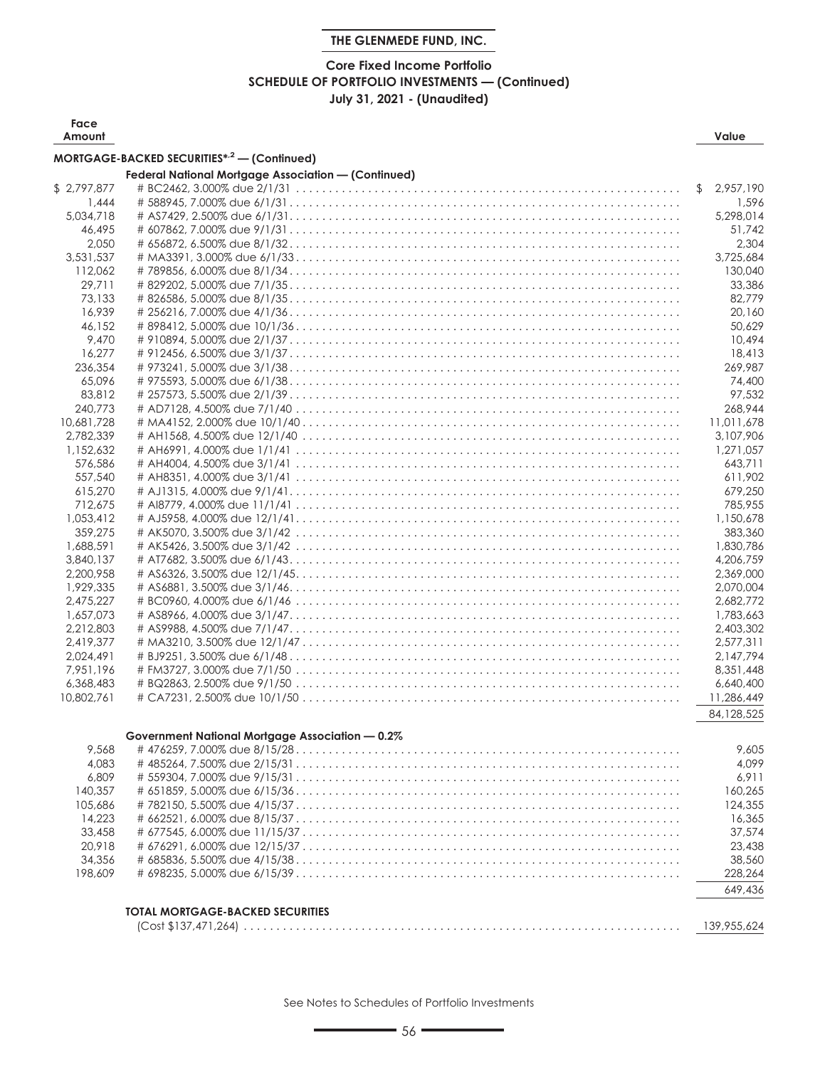# **Core Fixed Income Portfolio SCHEDULE OF PORTFOLIO INVESTMENTS — (Continued) July 31, 2021 - (Unaudited)**

| Face<br>Amount |                                                            |     | Value       |
|----------------|------------------------------------------------------------|-----|-------------|
|                | MORTGAGE-BACKED SECURITIES* <sup>,2</sup> - (Continued)    |     |             |
|                | <b>Federal National Mortgage Association - (Continued)</b> |     |             |
| \$2,797,877    |                                                            | \$. | 2,957,190   |
| 1,444          |                                                            |     | 1,596       |
| 5,034,718      |                                                            |     | 5.298.014   |
| 46,495         |                                                            |     | 51,742      |
| 2,050          |                                                            |     | 2,304       |
| 3,531,537      |                                                            |     | 3,725,684   |
| 112,062        |                                                            |     | 130,040     |
| 29,711         |                                                            |     | 33,386      |
| 73,133         |                                                            |     | 82,779      |
| 16,939         |                                                            |     | 20,160      |
|                |                                                            |     |             |
| 46,152         |                                                            |     | 50,629      |
| 9,470          |                                                            |     | 10,494      |
| 16,277         |                                                            |     | 18,413      |
| 236,354        |                                                            |     | 269,987     |
| 65,096         |                                                            |     | 74,400      |
| 83,812         |                                                            |     | 97,532      |
| 240,773        |                                                            |     | 268,944     |
| 10,681,728     |                                                            |     | 11,011,678  |
| 2,782,339      |                                                            |     | 3,107,906   |
| 1,152,632      |                                                            |     | 1,271,057   |
| 576,586        |                                                            |     | 643,711     |
| 557,540        |                                                            |     | 611.902     |
| 615,270        |                                                            |     | 679,250     |
| 712,675        |                                                            |     | 785,955     |
| 1,053,412      |                                                            |     | 1,150,678   |
| 359,275        |                                                            |     | 383,360     |
| 1,688,591      |                                                            |     | 1,830,786   |
| 3,840,137      |                                                            |     | 4,206,759   |
| 2,200,958      |                                                            |     | 2,369,000   |
| 1,929,335      |                                                            |     | 2,070,004   |
| 2,475,227      |                                                            |     | 2,682,772   |
| 1,657,073      |                                                            |     | 1,783,663   |
| 2,212,803      |                                                            |     | 2,403,302   |
| 2,419,377      |                                                            |     | 2,577,311   |
| 2,024,491      |                                                            |     | 2,147,794   |
| 7,951,196      |                                                            |     | 8,351,448   |
| 6,368,483      |                                                            |     | 6,640,400   |
| 10,802,761     |                                                            |     | 11,286,449  |
|                |                                                            |     |             |
|                |                                                            |     | 84,128,525  |
|                | Government National Mortgage Association - 0.2%            |     |             |
| 9,568          |                                                            |     | 9,605       |
| 4,083          |                                                            |     | 4,099       |
| 6,809          |                                                            |     | 6,911       |
| 140,357        |                                                            |     | 160.265     |
| 105,686        |                                                            |     | 124,355     |
| 14,223         |                                                            |     | 16,365      |
| 33,458         |                                                            |     | 37,574      |
| 20,918         |                                                            |     |             |
|                |                                                            |     | 23,438      |
| 34,356         |                                                            |     | 38,560      |
| 198,609        |                                                            |     | 228,264     |
|                |                                                            |     | 649,436     |
|                | <b>TOTAL MORTGAGE-BACKED SECURITIES</b>                    |     |             |
|                |                                                            |     | 139,955,624 |
|                |                                                            |     |             |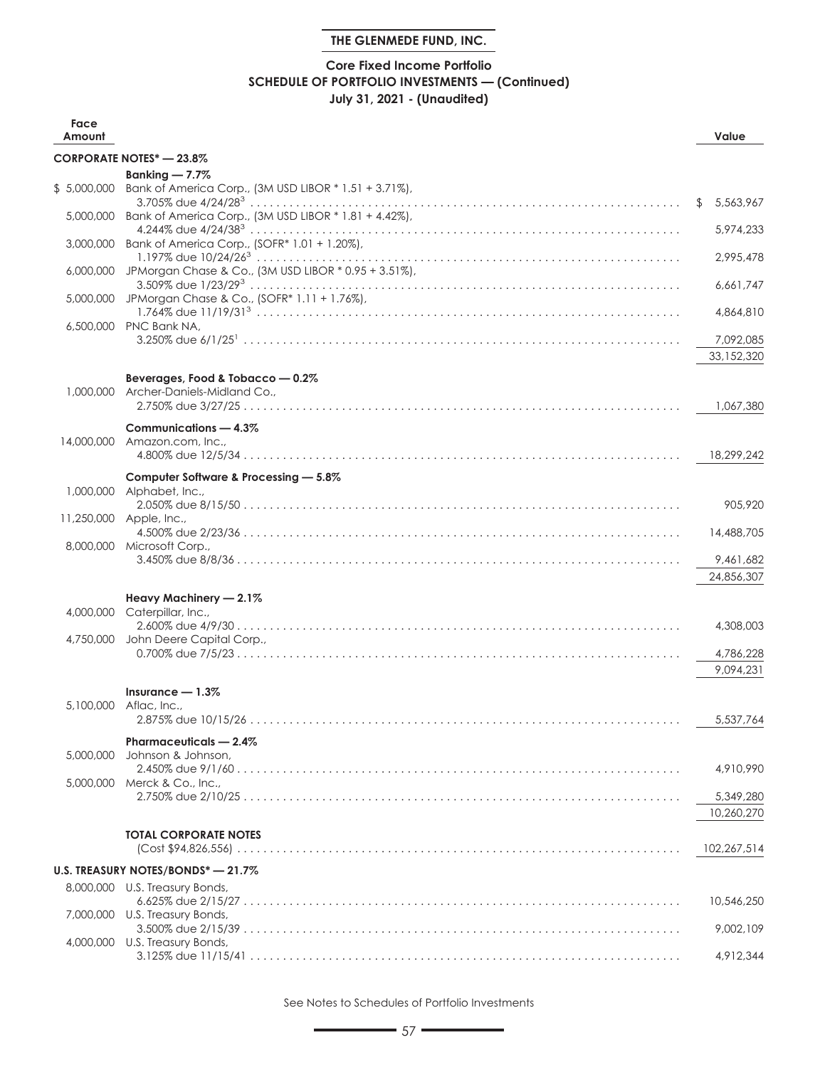# **Core Fixed Income Portfolio SCHEDULE OF PORTFOLIO INVESTMENTS — (Continued) July 31, 2021 - (Unaudited)**

| Face<br>Amount |                                                                 | Value                   |
|----------------|-----------------------------------------------------------------|-------------------------|
|                | <b>CORPORATE NOTES* - 23.8%</b>                                 |                         |
|                | Banking $-7.7\%$                                                |                         |
| \$5,000,000    | Bank of America Corp., (3M USD LIBOR * 1.51 + 3.71%),           | 5,563,967<br>\$         |
| 5,000,000      | Bank of America Corp., (3M USD LIBOR * 1.81 + 4.42%),           | 5,974,233               |
| 3.000,000      | Bank of America Corp., (SOFR* 1.01 + 1.20%),                    | 2,995,478               |
| 6,000,000      | JPMorgan Chase & Co., (3M USD LIBOR * 0.95 + 3.51%),            | 6,661,747               |
|                | 5,000,000 JPMorgan Chase & Co., (SOFR* 1.11 + 1.76%),           | 4,864,810               |
|                | 6,500,000 PNC Bank NA,                                          | 7,092,085               |
|                |                                                                 | 33,152,320              |
| 1,000,000      | Beverages, Food & Tobacco - 0.2%<br>Archer-Daniels-Midland Co., |                         |
|                | Communications - 4.3%                                           | 1,067,380               |
|                | 14,000,000 Amazon.com, Inc.,                                    | 18,299,242              |
|                | Computer Software & Processing - 5.8%                           |                         |
|                | 1,000,000 Alphabet, Inc.,                                       |                         |
|                | 11,250,000 Apple, Inc.,                                         | 905,920                 |
|                | 8,000,000 Microsoft Corp.,                                      | 14,488,705              |
|                |                                                                 | 9,461,682<br>24,856,307 |
|                | Heavy Machinery - 2.1%                                          |                         |
|                | 4,000,000 Caterpillar, Inc.,                                    |                         |
| 4,750,000      | John Deere Capital Corp.,                                       | 4,308,003               |
|                |                                                                 | 4,786,228               |
|                |                                                                 | 9,094,231               |
| 5,100,000      | Insurance $-1.3\%$<br>Aflac, Inc.,                              |                         |
|                |                                                                 | 5,537,764               |
|                | Pharmaceuticals - 2.4%                                          |                         |
| 5,000,000      | Johnson & Johnson,                                              | 4,910,990               |
|                | 5,000,000 Merck & Co., Inc.,                                    |                         |
|                |                                                                 | 5,349,280<br>10,260,270 |
|                | <b>TOTAL CORPORATE NOTES</b>                                    | 102,267,514             |
|                | U.S. TREASURY NOTES/BONDS* - 21.7%                              |                         |
|                | 8,000,000 U.S. Treasury Bonds,                                  |                         |
| 7,000,000      | U.S. Treasury Bonds,                                            | 10,546,250              |
| 4,000,000      | U.S. Treasury Bonds,                                            | 9,002,109               |
|                |                                                                 | 4,912,344               |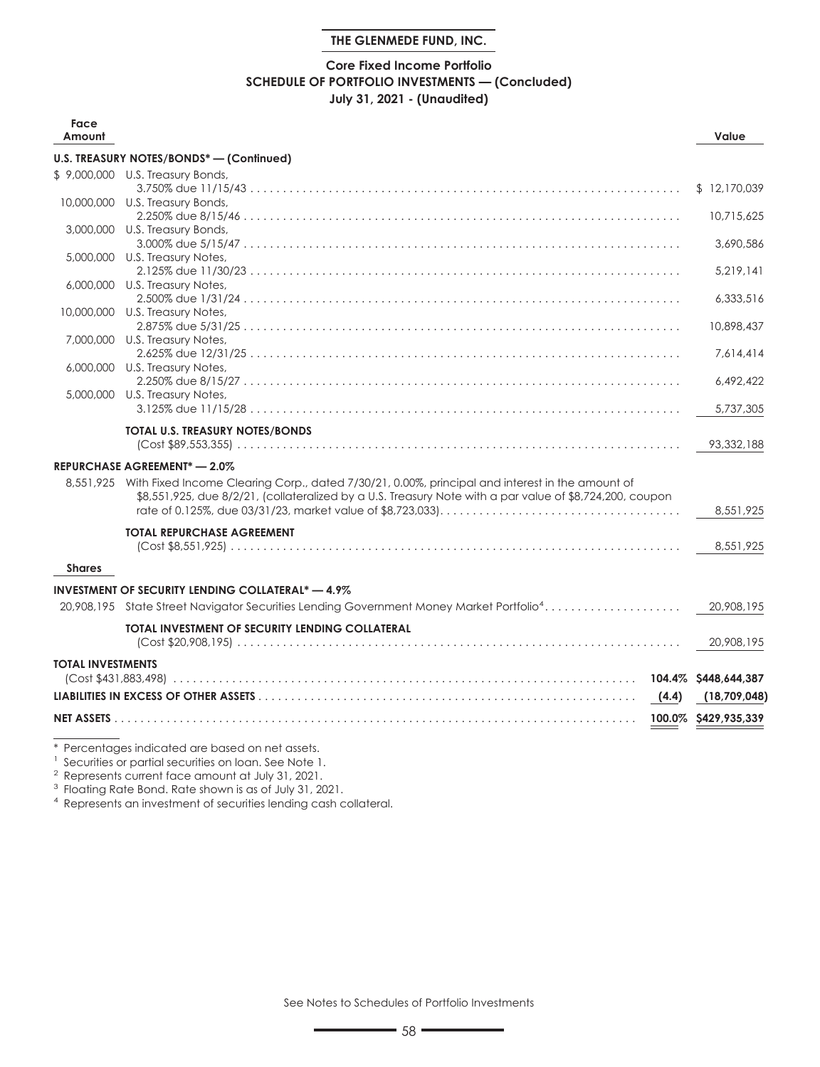# **Core Fixed Income Portfolio SCHEDULE OF PORTFOLIO INVESTMENTS — (Concluded) July 31, 2021 - (Unaudited)**

| Face<br>Amount           |                                                                                                           |       | Value        |
|--------------------------|-----------------------------------------------------------------------------------------------------------|-------|--------------|
|                          | U.S. TREASURY NOTES/BONDS* - (Continued)                                                                  |       |              |
|                          | \$9,000,000 U.S. Treasury Bonds,                                                                          |       |              |
|                          |                                                                                                           |       | \$12,170,039 |
|                          | 10,000,000 U.S. Treasury Bonds,                                                                           |       | 10,715,625   |
|                          | 3,000,000 U.S. Treasury Bonds,                                                                            |       |              |
|                          |                                                                                                           |       | 3,690,586    |
|                          | 5,000,000 U.S. Treasury Notes,                                                                            |       |              |
|                          | 6,000,000 U.S. Treasury Notes,                                                                            |       | 5,219,141    |
|                          |                                                                                                           |       | 6,333,516    |
|                          | 10,000,000 U.S. Treasury Notes,                                                                           |       |              |
|                          |                                                                                                           |       | 10,898,437   |
|                          | 7,000,000 U.S. Treasury Notes,                                                                            |       |              |
|                          | 6,000,000 U.S. Treasury Notes,                                                                            |       | 7.614.414    |
|                          |                                                                                                           |       | 6,492,422    |
|                          | 5,000,000 U.S. Treasury Notes,                                                                            |       |              |
|                          |                                                                                                           |       | 5,737,305    |
|                          | TOTAL U.S. TREASURY NOTES/BONDS                                                                           |       | 93,332,188   |
|                          | <b>REPURCHASE AGREEMENT*-2.0%</b>                                                                         |       |              |
|                          | 8,551,925 With Fixed Income Clearing Corp., dated 7/30/21, 0.00%, principal and interest in the amount of |       |              |
|                          | \$8,551,925, due 8/2/21, (collateralized by a U.S. Treasury Note with a par value of \$8,724,200, coupon  |       |              |
|                          |                                                                                                           |       | 8,551,925    |
|                          | <b>TOTAL REPURCHASE AGREEMENT</b>                                                                         |       |              |
|                          |                                                                                                           |       | 8,551,925    |
| <b>Shares</b>            |                                                                                                           |       |              |
|                          | <b>INVESTMENT OF SECURITY LENDING COLLATERAL* - 4.9%</b>                                                  |       |              |
|                          | 20,908,195 State Street Navigator Securities Lending Government Money Market Portfolio <sup>4</sup>       |       | 20,908,195   |
|                          |                                                                                                           |       |              |
|                          | <b>TOTAL INVESTMENT OF SECURITY LENDING COLLATERAL</b>                                                    |       | 20,908,195   |
| <b>TOTAL INVESTMENTS</b> |                                                                                                           |       |              |
|                          |                                                                                                           |       |              |
|                          |                                                                                                           | (4.4) | (18,709,048) |
|                          |                                                                                                           |       |              |

\* Percentages indicated are based on net assets.

<sup>1</sup> Securities or partial securities on loan. See Note 1.

<sup>2</sup> Represents current face amount at July 31, 2021.

<sup>3</sup> Floating Rate Bond. Rate shown is as of July 31, 2021.

<sup>4</sup> Represents an investment of securities lending cash collateral.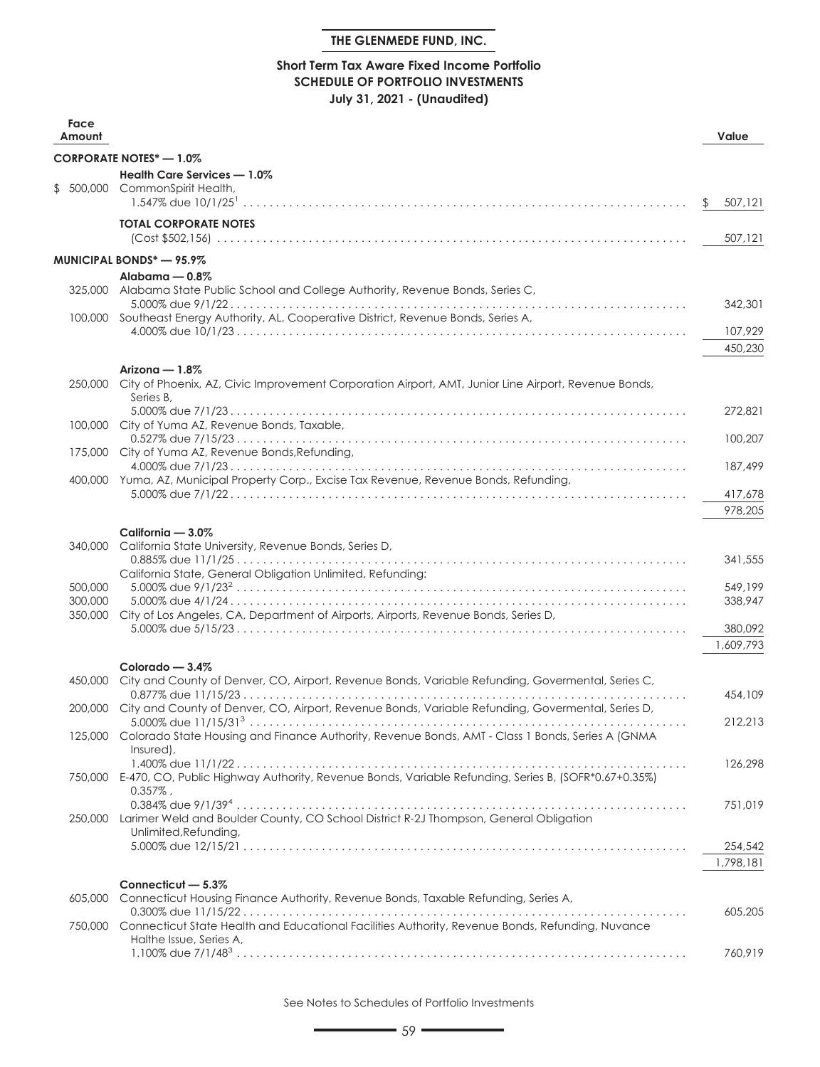# **Short Term Tax Aware Fixed Income Portfolio SCHEDULE OF PORTFOLIO INVESTMENTS July 31, 2021 - (Unaudited)**

| Face<br>Amount |                                                                                                                                                                                                | Value     |
|----------------|------------------------------------------------------------------------------------------------------------------------------------------------------------------------------------------------|-----------|
|                | <b>CORPORATE NOTES*-1.0%</b>                                                                                                                                                                   |           |
|                | Health Care Services - 1.0%                                                                                                                                                                    |           |
|                | \$ 500,000 CommonSpirit Health,<br>1.547% due $10/1/25$ $\ldots$ $\ldots$ $\ldots$ $\ldots$ $\ldots$ $\ldots$ $\ldots$ $\ldots$ $\ldots$ $\ldots$ $\ldots$ $\ldots$ $\ldots$ $\ldots$ $\ldots$ | 507,121   |
|                | <b>TOTAL CORPORATE NOTES</b>                                                                                                                                                                   | 507,121   |
|                | <b>MUNICIPAL BONDS*-95.9%</b>                                                                                                                                                                  |           |
|                | Alabama - 0.8%                                                                                                                                                                                 |           |
|                | 325,000 Alabama State Public School and College Authority, Revenue Bonds, Series C,                                                                                                            |           |
|                | 100,000 Southeast Energy Authority, AL, Cooperative District, Revenue Bonds, Series A,                                                                                                         | 342,301   |
|                |                                                                                                                                                                                                | 107,929   |
|                |                                                                                                                                                                                                | 450,230   |
|                | Arizona $-1.8\%$<br>250,000 City of Phoenix, AZ, Civic Improvement Corporation Airport, AMT, Junior Line Airport, Revenue Bonds,                                                               |           |
|                | Series B.                                                                                                                                                                                      |           |
|                | 100,000 City of Yuma AZ, Revenue Bonds, Taxable,                                                                                                                                               | 272.821   |
|                | 175,000 City of Yuma AZ, Revenue Bonds, Refunding,                                                                                                                                             | 100,207   |
|                | 400,000 Yuma, AZ, Municipal Property Corp., Excise Tax Revenue, Revenue Bonds, Refunding,                                                                                                      | 187,499   |
|                |                                                                                                                                                                                                | 417,678   |
|                |                                                                                                                                                                                                | 978,205   |
|                | California - 3.0%                                                                                                                                                                              |           |
|                | 340,000 California State University, Revenue Bonds, Series D,                                                                                                                                  |           |
|                | California State, General Obligation Unlimited, Refunding:                                                                                                                                     | 341,555   |
| 500,000        |                                                                                                                                                                                                | 549,199   |
| 300,000        | 350,000 City of Los Angeles, CA, Department of Airports, Airports, Revenue Bonds, Series D,                                                                                                    | 338,947   |
|                |                                                                                                                                                                                                | 380,092   |
|                |                                                                                                                                                                                                | 1,609,793 |
|                | Colorado — $3.4\%$                                                                                                                                                                             |           |
|                | 450,000 City and County of Denver, CO, Airport, Revenue Bonds, Variable Refunding, Govermental, Series C,                                                                                      | 454,109   |
|                | 200,000 City and County of Denver, CO, Airport, Revenue Bonds, Variable Refunding, Govermental, Series D,                                                                                      |           |
|                |                                                                                                                                                                                                | 212,213   |
|                | 125,000 Colorado State Housing and Finance Authority, Revenue Bonds, AMT - Class 1 Bonds, Series A (GNMA                                                                                       |           |
|                | Insured),                                                                                                                                                                                      | 126,298   |
|                | 750,000 E-470, CO, Public Highway Authority, Revenue Bonds, Variable Refunding, Series B, (SOFR*0.67+0.35%)                                                                                    |           |
|                | $0.357\%$ ,                                                                                                                                                                                    |           |
|                |                                                                                                                                                                                                | 751,019   |
| 250,000        | Larimer Weld and Boulder County, CO School District R-2J Thompson, General Obligation                                                                                                          |           |
|                | Unlimited, Refunding,                                                                                                                                                                          | 254,542   |
|                |                                                                                                                                                                                                | 1,798,181 |
|                |                                                                                                                                                                                                |           |
| 605,000        | Connecticut - 5.3%<br>Connecticut Housing Finance Authority, Revenue Bonds, Taxable Refunding, Series A,                                                                                       |           |
|                |                                                                                                                                                                                                | 605,205   |
| 750,000        | Connecticut State Health and Educational Facilities Authority, Revenue Bonds, Refunding, Nuvance                                                                                               |           |
|                | Halthe Issue, Series A,                                                                                                                                                                        |           |
|                |                                                                                                                                                                                                | 760,919   |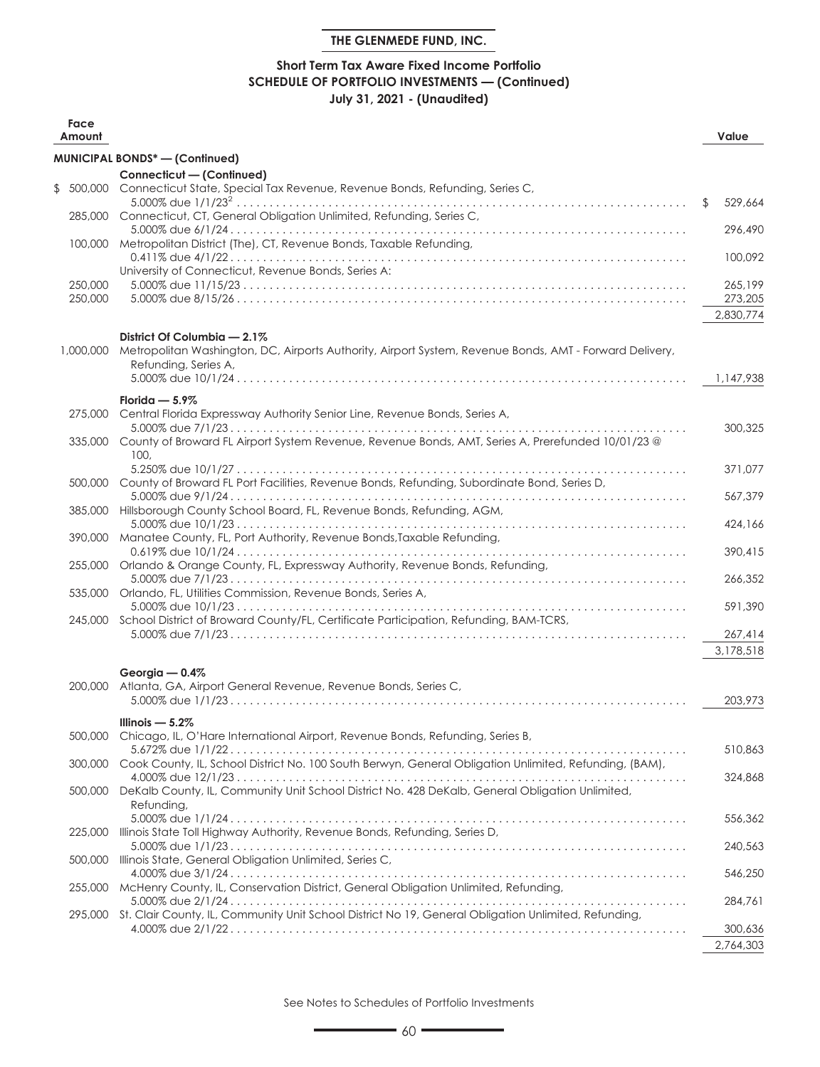# **Short Term Tax Aware Fixed Income Portfolio SCHEDULE OF PORTFOLIO INVESTMENTS — (Continued) July 31, 2021 - (Unaudited)**

| Face<br>Amount     |                                                                                                                                                                | Value              |
|--------------------|----------------------------------------------------------------------------------------------------------------------------------------------------------------|--------------------|
|                    | MUNICIPAL BONDS* - (Continued)                                                                                                                                 |                    |
|                    | Connecticut - (Continued)                                                                                                                                      |                    |
| \$                 | 500,000 Connecticut State, Special Tax Revenue, Revenue Bonds, Refunding, Series C,                                                                            |                    |
|                    | 285,000 Connecticut, CT, General Obligation Unlimited, Refunding, Series C,                                                                                    | 529,664<br>\$      |
|                    | 100,000 Metropolitan District (The), CT, Revenue Bonds, Taxable Refunding,                                                                                     | 296,490            |
|                    | University of Connecticut, Revenue Bonds, Series A:                                                                                                            | 100,092            |
| 250,000<br>250,000 |                                                                                                                                                                | 265,199<br>273,205 |
|                    |                                                                                                                                                                | 2,830,774          |
| 1,000,000          | District Of Columbia - 2.1%<br>Metropolitan Washington, DC, Airports Authority, Airport System, Revenue Bonds, AMT - Forward Delivery,<br>Refunding, Series A, |                    |
|                    |                                                                                                                                                                | 1,147,938          |
|                    | Florida $-5.9\%$<br>275,000 Central Florida Expressway Authority Senior Line, Revenue Bonds, Series A,                                                         |                    |
|                    | 335,000 County of Broward FL Airport System Revenue, Revenue Bonds, AMT, Series A, Prerefunded 10/01/23 @                                                      | 300,325            |
|                    | 100.<br>500,000 County of Broward FL Port Facilities, Revenue Bonds, Refunding, Subordinate Bond, Series D,                                                    | 371,077            |
|                    | 385,000 Hillsborough County School Board, FL, Revenue Bonds, Refunding, AGM,                                                                                   | 567,379            |
|                    |                                                                                                                                                                | 424,166            |
| 390,000            | Manatee County, FL, Port Authority, Revenue Bonds, Taxable Refunding,                                                                                          | 390,415            |
|                    | 255,000 Orlando & Orange County, FL, Expressway Authority, Revenue Bonds, Refunding,                                                                           | 266,352            |
|                    | 535,000 Orlando, FL, Utilities Commission, Revenue Bonds, Series A,                                                                                            | 591,390            |
|                    | 245,000 School District of Broward County/FL, Certificate Participation, Refunding, BAM-TCRS,                                                                  | 267,414            |
|                    |                                                                                                                                                                | 3,178,518          |
|                    | Georgia $-0.4\%$                                                                                                                                               |                    |
| 200,000            | Atlanta, GA, Airport General Revenue, Revenue Bonds, Series C.                                                                                                 | 203,973            |
|                    | Illinois $-5.2\%$                                                                                                                                              |                    |
|                    | 500,000 Chicago, IL, O'Hare International Airport, Revenue Bonds, Refunding, Series B,                                                                         |                    |
|                    | 300,000 Cook County, IL, School District No. 100 South Berwyn, General Obligation Unlimited, Refunding, (BAM),                                                 | 510,863            |
|                    | 500,000 DeKalb County, IL, Community Unit School District No. 428 DeKalb, General Obligation Unlimited,                                                        | 324,868            |
|                    | Refunding,                                                                                                                                                     | 556,362            |
| 225,000            | Illinois State Toll Highway Authority, Revenue Bonds, Refunding, Series D,                                                                                     | 240,563            |
| 500,000            | Illinois State, General Obligation Unlimited, Series C,                                                                                                        | 546,250            |
|                    | 255,000 McHenry County, IL, Conservation District, General Obligation Unlimited, Refunding,                                                                    |                    |
|                    | 295,000 St. Clair County, IL, Community Unit School District No 19, General Obligation Unlimited, Refunding,                                                   | 284,761            |
|                    |                                                                                                                                                                | 300,636            |
|                    |                                                                                                                                                                | 2,764,303          |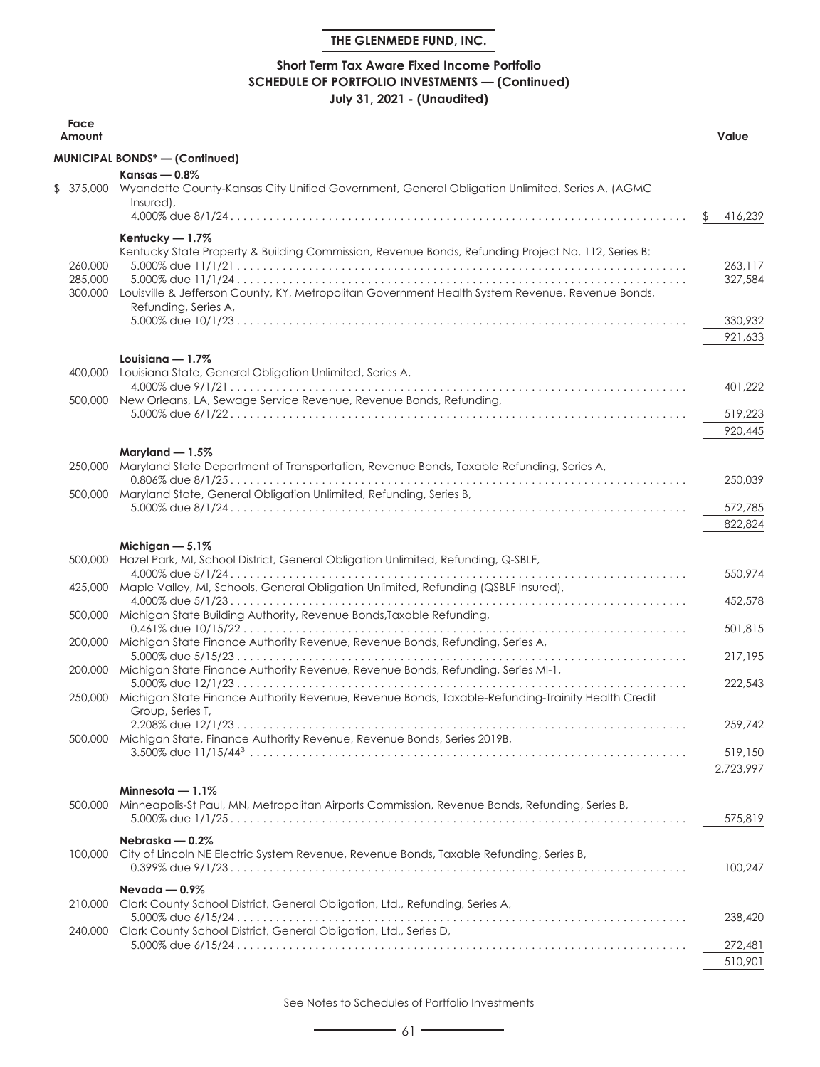# **Short Term Tax Aware Fixed Income Portfolio SCHEDULE OF PORTFOLIO INVESTMENTS — (Continued) July 31, 2021 - (Unaudited)**

| Face<br>Amount                |                                                                                                                                                                                                                                                   | Value              |
|-------------------------------|---------------------------------------------------------------------------------------------------------------------------------------------------------------------------------------------------------------------------------------------------|--------------------|
|                               | <b>MUNICIPAL BONDS*-(Confinued)</b>                                                                                                                                                                                                               |                    |
|                               | Kansas — $0.8\%$<br>\$ 375,000 Wyandotte County-Kansas City Unified Government, General Obligation Unlimited, Series A, (AGMC<br>Insured),                                                                                                        | \$<br>416,239      |
| 260,000<br>285,000<br>300,000 | Kentucky - 1.7%<br>Kentucky State Property & Building Commission, Revenue Bonds, Refunding Project No. 112, Series B:<br>Louisville & Jefferson County, KY, Metropolitan Government Health System Revenue, Revenue Bonds,<br>Refunding, Series A, | 263.117<br>327,584 |
|                               | Louisiana $-1.7\%$                                                                                                                                                                                                                                | 330,932<br>921,633 |
|                               | 400,000 Louisiana State, General Obligation Unlimited, Series A,                                                                                                                                                                                  |                    |
|                               | 500,000 New Orleans, LA, Sewage Service Revenue, Revenue Bonds, Refunding,                                                                                                                                                                        | 401,222            |
|                               |                                                                                                                                                                                                                                                   | 519,223            |
|                               |                                                                                                                                                                                                                                                   | 920,445            |
|                               | Maryland $-1.5\%$                                                                                                                                                                                                                                 |                    |
|                               | 250,000 Maryland State Department of Transportation, Revenue Bonds, Taxable Refunding, Series A,                                                                                                                                                  | 250,039            |
| 500,000                       | Maryland State, General Obligation Unlimited, Refunding, Series B,                                                                                                                                                                                |                    |
|                               |                                                                                                                                                                                                                                                   | 572,785            |
|                               |                                                                                                                                                                                                                                                   | 822,824            |
| 500,000                       | Michigan $-5.1\%$                                                                                                                                                                                                                                 |                    |
|                               | Hazel Park, MI, School District, General Obligation Unlimited, Refunding, Q-SBLF,                                                                                                                                                                 | 550,974            |
| 425,000                       | Maple Valley, MI, Schools, General Obligation Unlimited, Refunding (QSBLF Insured),                                                                                                                                                               | 452,578            |
|                               | 500,000 Michigan State Building Authority, Revenue Bonds, Taxable Refunding,                                                                                                                                                                      |                    |
| 200,000                       | Michigan State Finance Authority Revenue, Revenue Bonds, Refunding, Series A,                                                                                                                                                                     | 501,815            |
| 200,000                       | Michigan State Finance Authority Revenue, Revenue Bonds, Refunding, Series MI-1,                                                                                                                                                                  | 217,195            |
|                               |                                                                                                                                                                                                                                                   | 222,543            |
|                               | 250,000 Michigan State Finance Authority Revenue, Revenue Bonds, Taxable-Refunding-Trainity Health Credit<br>Group, Series T,                                                                                                                     |                    |
|                               | 500,000 Michigan State, Finance Authority Revenue, Revenue Bonds, Series 2019B,                                                                                                                                                                   | 259.742            |
|                               |                                                                                                                                                                                                                                                   | 519,150            |
|                               |                                                                                                                                                                                                                                                   | 2,723,997          |
| 500,000                       | Minnesota $-1.1\%$<br>Minneapolis-St Paul, MN, Metropolitan Airports Commission, Revenue Bonds, Refunding, Series B,                                                                                                                              | 575,819            |
|                               | Nebraska — 0.2%                                                                                                                                                                                                                                   |                    |
|                               | 100,000 City of Lincoln NE Electric System Revenue, Revenue Bonds, Taxable Refunding, Series B,                                                                                                                                                   | 100.247            |
|                               | Nevada — $0.9\%$                                                                                                                                                                                                                                  |                    |
|                               | 210,000 Clark County School District, General Obligation, Ltd., Refunding, Series A,                                                                                                                                                              |                    |
| 240,000                       | Clark County School District, General Obligation, Ltd., Series D,                                                                                                                                                                                 | 238,420            |
|                               |                                                                                                                                                                                                                                                   | 272,481            |
|                               |                                                                                                                                                                                                                                                   | 510,901            |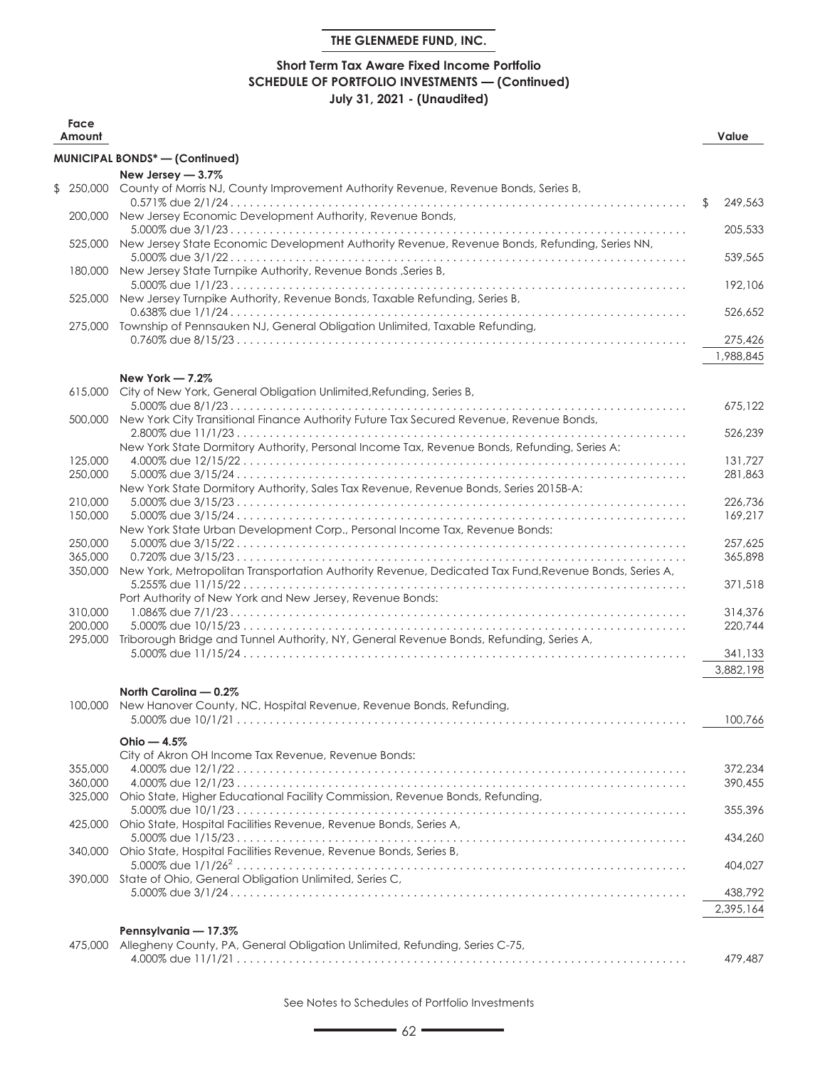# **Short Term Tax Aware Fixed Income Portfolio SCHEDULE OF PORTFOLIO INVESTMENTS — (Continued) July 31, 2021 - (Unaudited)**

| Face<br>Amount     |                                                                                                       | Value         |
|--------------------|-------------------------------------------------------------------------------------------------------|---------------|
|                    | <b>MUNICIPAL BONDS*-(Continued)</b>                                                                   |               |
|                    | New Jersey - 3.7%                                                                                     |               |
| \$250,000          | County of Morris NJ, County Improvement Authority Revenue, Revenue Bonds, Series B,                   |               |
|                    |                                                                                                       | 249,563<br>\$ |
|                    | 200,000 New Jersey Economic Development Authority, Revenue Bonds,                                     |               |
| 525,000            | New Jersey State Economic Development Authority Revenue, Revenue Bonds, Refunding, Series NN,         | 205,533       |
|                    |                                                                                                       | 539,565       |
| 180,000            | New Jersey State Turnpike Authority, Revenue Bonds, Series B,                                         |               |
|                    |                                                                                                       | 192,106       |
|                    | 525,000 New Jersey Turnpike Authority, Revenue Bonds, Taxable Refunding, Series B,                    |               |
|                    | 275,000 Township of Pennsauken NJ, General Obligation Unlimited, Taxable Refunding,                   | 526,652       |
|                    |                                                                                                       | 275,426       |
|                    |                                                                                                       | 1,988,845     |
|                    |                                                                                                       |               |
| 615,000            | New York - 7.2%                                                                                       |               |
|                    | City of New York, General Obligation Unlimited, Refunding, Series B,                                  | 675,122       |
| 500,000            | New York City Transitional Finance Authority Future Tax Secured Revenue, Revenue Bonds,               |               |
|                    |                                                                                                       | 526,239       |
|                    | New York State Dormitory Authority, Personal Income Tax, Revenue Bonds, Refunding, Series A:          |               |
| 125,000            |                                                                                                       | 131,727       |
| 250,000            | New York State Dormitory Authority, Sales Tax Revenue, Revenue Bonds, Series 2015B-A:                 | 281.863       |
| 210,000            |                                                                                                       | 226,736       |
| 150,000            |                                                                                                       | 169,217       |
|                    | New York State Urban Development Corp., Personal Income Tax, Revenue Bonds:                           |               |
| 250,000            |                                                                                                       | 257,625       |
| 365,000<br>350,000 | New York, Metropolitan Transportation Authority Revenue, Dedicated Tax Fund, Revenue Bonds, Series A, | 365,898       |
|                    |                                                                                                       | 371,518       |
|                    | Port Authority of New York and New Jersey, Revenue Bonds:                                             |               |
| 310,000            |                                                                                                       | 314,376       |
| 200,000            |                                                                                                       | 220,744       |
| 295,000            | Triborough Bridge and Tunnel Authority, NY, General Revenue Bonds, Refunding, Series A,               | 341,133       |
|                    |                                                                                                       | 3,882,198     |
|                    |                                                                                                       |               |
|                    | North Carolina - 0.2%                                                                                 |               |
| 100,000            | New Hanover County, NC, Hospital Revenue, Revenue Bonds, Refunding,                                   | 100,766       |
|                    |                                                                                                       |               |
|                    | Ohio $-4.5%$                                                                                          |               |
| 355,000            | City of Akron OH Income Tax Revenue, Revenue Bonds:                                                   | 372.234       |
| 360,000            |                                                                                                       | 390,455       |
| 325,000            | Ohio State, Higher Educational Facility Commission, Revenue Bonds, Refunding,                         |               |
|                    |                                                                                                       | 355,396       |
| 425,000            | Ohio State, Hospital Facilities Revenue, Revenue Bonds, Series A,                                     |               |
| 340,000            | Ohio State, Hospital Facilities Revenue, Revenue Bonds, Series B,                                     | 434,260       |
|                    |                                                                                                       | 404,027       |
|                    | 390,000 State of Ohio, General Obligation Unlimited, Series C,                                        |               |
|                    |                                                                                                       | 438,792       |
|                    |                                                                                                       | 2,395,164     |
|                    | Pennsylvania - 17.3%                                                                                  |               |
| 475,000            | Allegheny County, PA, General Obligation Unlimited, Refunding, Series C-75,                           |               |
|                    |                                                                                                       | 479,487       |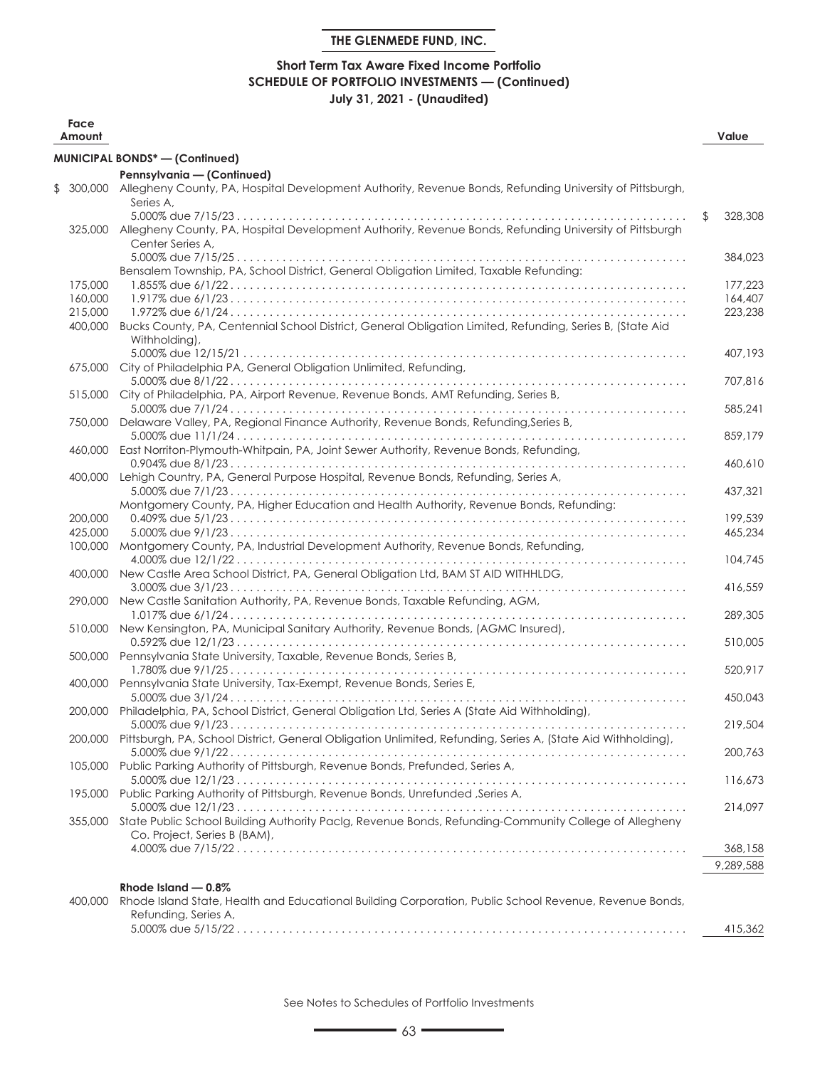# **Short Term Tax Aware Fixed Income Portfolio SCHEDULE OF PORTFOLIO INVESTMENTS — (Continued) July 31, 2021 - (Unaudited)**

| Face<br>Amount |                                                                                                                                               | Value         |
|----------------|-----------------------------------------------------------------------------------------------------------------------------------------------|---------------|
|                | <b>MUNICIPAL BONDS* - (Continued)</b>                                                                                                         |               |
|                | Pennsylvania - (Continued)                                                                                                                    |               |
| \$<br>300,000  | Allegheny County, PA, Hospital Development Authority, Revenue Bonds, Refunding University of Pittsburgh,<br>Series A,                         |               |
|                | 325,000 Allegheny County, PA, Hospital Development Authority, Revenue Bonds, Refunding University of Pittsburgh<br>Center Series A,           | \$<br>328,308 |
|                | Bensalem Township, PA, School District, General Obligation Limited, Taxable Refunding:                                                        | 384,023       |
| 175,000        |                                                                                                                                               | 177,223       |
| 160,000        |                                                                                                                                               | 164,407       |
| 215,000        |                                                                                                                                               | 223.238       |
| 400,000        | Bucks County, PA, Centennial School District, General Obligation Limited, Refunding, Series B, (State Aid<br>Withholding),                    |               |
|                | 675,000 City of Philadelphia PA, General Obligation Unlimited, Refunding,                                                                     | 407,193       |
| 515,000        | City of Philadelphia, PA, Airport Revenue, Revenue Bonds, AMT Refunding, Series B,                                                            | 707,816       |
| 750,000        | Delaware Valley, PA, Regional Finance Authority, Revenue Bonds, Refunding, Series B,                                                          | 585,241       |
|                | 460,000 East Norriton-Plymouth-Whitpain, PA, Joint Sewer Authority, Revenue Bonds, Refunding,                                                 | 859,179       |
| 400,000        | Lehigh Country, PA, General Purpose Hospital, Revenue Bonds, Refunding, Series A,                                                             | 460,610       |
|                | Montgomery County, PA, Higher Education and Health Authority, Revenue Bonds, Refunding:                                                       | 437,321       |
| 200,000        |                                                                                                                                               | 199,539       |
| 425,000        |                                                                                                                                               | 465,234       |
| 100,000        | Montgomery County, PA, Industrial Development Authority, Revenue Bonds, Refunding,                                                            | 104,745       |
| 400,000        | New Castle Area School District, PA, General Obligation Ltd, BAM ST AID WITHHLDG,                                                             | 416,559       |
| 290,000        | New Castle Sanitation Authority, PA, Revenue Bonds, Taxable Refunding, AGM,                                                                   | 289,305       |
| 510,000        | New Kensington, PA, Municipal Sanitary Authority, Revenue Bonds, (AGMC Insured),                                                              | 510,005       |
|                | 500,000 Pennsylvania State University, Taxable, Revenue Bonds, Series B,                                                                      | 520,917       |
|                | 400,000 Pennsylvania State University, Tax-Exempt, Revenue Bonds, Series E,                                                                   | 450,043       |
|                | 200,000 Philadelphia, PA, School District, General Obligation Ltd, Series A (State Aid Withholding),                                          | 219,504       |
|                | 200,000 Pittsburgh, PA, School District, General Obligation Unlimited, Refunding, Series A, (State Aid Withholding),                          |               |
|                | 105,000 Public Parking Authority of Pittsburgh, Revenue Bonds, Prefunded, Series A,                                                           | 200,763       |
|                | 195,000 Public Parking Authority of Pittsburgh, Revenue Bonds, Unrefunded , Series A,                                                         | 116,673       |
|                | 355,000 State Public School Building Authority Paclg, Revenue Bonds, Refunding-Community College of Allegheny<br>Co. Project, Series B (BAM), | 214,097       |
|                |                                                                                                                                               | 368,158       |
|                |                                                                                                                                               | 9,289,588     |
|                | Rhode Island $-0.8\%$                                                                                                                         |               |
| 400,000        | Rhode Island State, Health and Educational Building Corporation, Public School Revenue, Revenue Bonds,<br>Refunding, Series A,                |               |
|                |                                                                                                                                               | 415,362       |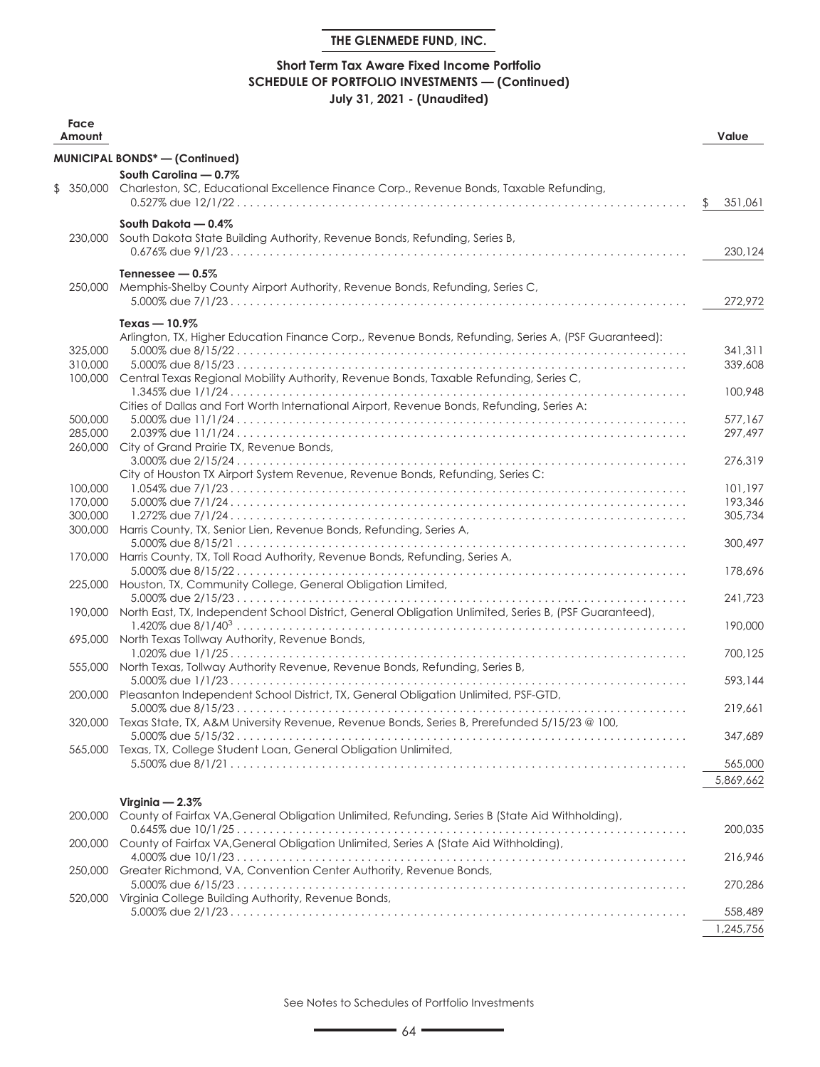# **Short Term Tax Aware Fixed Income Portfolio SCHEDULE OF PORTFOLIO INVESTMENTS — (Continued) July 31, 2021 - (Unaudited)**

| Face<br>Amount     |                                                                                                                | Value         |
|--------------------|----------------------------------------------------------------------------------------------------------------|---------------|
|                    | MUNICIPAL BONDS* - (Continued)                                                                                 |               |
|                    | South Carolina - 0.7%                                                                                          |               |
| \$                 | 350,000 Charleston, SC, Educational Excellence Finance Corp., Revenue Bonds, Taxable Refunding,                |               |
|                    |                                                                                                                | \$<br>351.061 |
| 230,000            | South Dakota - 0.4%<br>South Dakota State Building Authority, Revenue Bonds, Refunding, Series B,              |               |
|                    |                                                                                                                | 230,124       |
| 250,000            | Tennessee $-0.5\%$<br>Memphis-Shelby County Airport Authority, Revenue Bonds, Refunding, Series C,             | 272,972       |
|                    |                                                                                                                |               |
|                    | Texas $-10.9\%$                                                                                                |               |
|                    | Arlington, TX, Higher Education Finance Corp., Revenue Bonds, Refunding, Series A, (PSF Guaranteed):           |               |
| 325,000            |                                                                                                                | 341,311       |
| 310,000<br>100,000 | Central Texas Regional Mobility Authority, Revenue Bonds, Taxable Refunding, Series C,                         | 339,608       |
|                    | Cities of Dallas and Fort Worth International Airport, Revenue Bonds, Refundina, Series A:                     | 100,948       |
| 500,000            |                                                                                                                | 577.167       |
| 285,000            |                                                                                                                | 297.497       |
| 260,000            | City of Grand Prairie TX, Revenue Bonds,                                                                       |               |
|                    |                                                                                                                | 276,319       |
|                    | City of Houston TX Airport System Revenue, Revenue Bonds, Refunding, Series C:                                 |               |
| 100,000            |                                                                                                                | 101,197       |
| 170,000            |                                                                                                                | 193,346       |
| 300,000            |                                                                                                                | 305,734       |
|                    | 300,000 Harris County, TX, Senior Lien, Revenue Bonds, Refunding, Series A,                                    |               |
|                    |                                                                                                                | 300,497       |
|                    | 170,000 Harris County, TX, Toll Road Authority, Revenue Bonds, Refunding, Series A,                            |               |
|                    |                                                                                                                | 178,696       |
| 225,000            | Houston, TX, Community College, General Obligation Limited,                                                    |               |
|                    | 190,000 North East, TX, Independent School District, General Obligation Unlimited, Series B, (PSF Guaranteed), | 241,723       |
|                    | 695,000 North Texas Tollway Authority, Revenue Bonds,                                                          | 190,000       |
|                    |                                                                                                                | 700,125       |
|                    | 555,000 North Texas, Tollway Authority Revenue, Revenue Bonds, Refunding, Series B,                            |               |
|                    |                                                                                                                | 593,144       |
|                    | 200,000 Pleasanton Independent School District, TX, General Obligation Unlimited, PSF-GTD,                     |               |
|                    | 320,000 Texas State, TX, A&M University Revenue, Revenue Bonds, Series B, Prerefunded 5/15/23 @ 100,           | 219,661       |
|                    |                                                                                                                | 347,689       |
| 565,000            | Texas, TX, College Student Loan, General Obligation Unlimited,                                                 |               |
|                    |                                                                                                                | 565,000       |
|                    |                                                                                                                | 5,869,662     |
|                    |                                                                                                                |               |
|                    | Virginia $-2.3\%$                                                                                              |               |
| 200,000            | County of Fairfax VA, General Obligation Unlimited, Refunding, Series B (State Aid Withholding),               |               |
|                    |                                                                                                                | 200,035       |
| 200,000            | County of Fairfax VA, General Obligation Unlimited, Series A (State Aid Withholding),                          |               |
|                    |                                                                                                                | 216,946       |
|                    | 250,000 Greater Richmond, VA, Convention Center Authority, Revenue Bonds,                                      | 270,286       |
|                    | 520,000 Virginia College Building Authority, Revenue Bonds,                                                    |               |
|                    |                                                                                                                | 558,489       |
|                    |                                                                                                                | 1,245,756     |
|                    |                                                                                                                |               |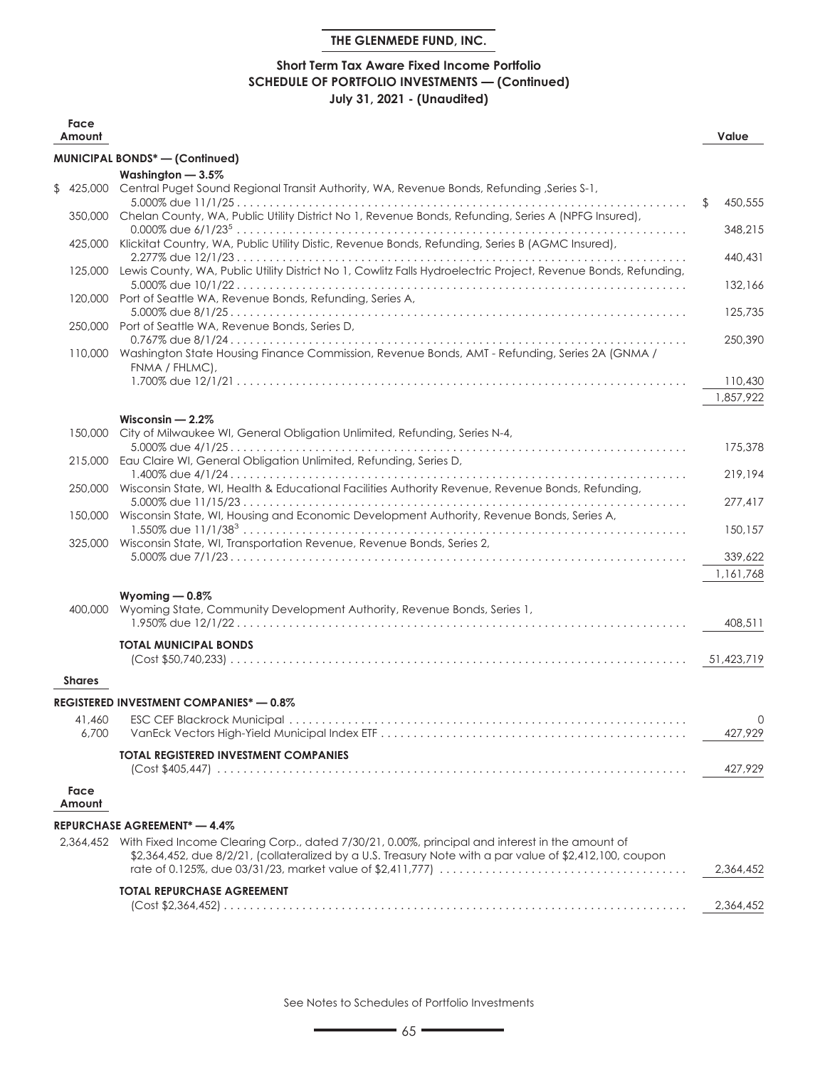# **Short Term Tax Aware Fixed Income Portfolio SCHEDULE OF PORTFOLIO INVESTMENTS — (Continued) July 31, 2021 - (Unaudited)**

| Face<br>Amount |                                                                                                                          | Value              |
|----------------|--------------------------------------------------------------------------------------------------------------------------|--------------------|
|                | <b>MUNICIPAL BONDS*-(Confinued)</b>                                                                                      |                    |
|                | Washington - 3.5%                                                                                                        |                    |
|                | \$425,000 Central Puget Sound Regional Transit Authority, WA, Revenue Bonds, Refunding, Series S-1,                      |                    |
|                | 350,000 Chelan County, WA, Public Utility District No 1, Revenue Bonds, Refunding, Series A (NPFG Insured),              | \$<br>450,555      |
|                |                                                                                                                          | 348,215            |
|                | 425,000 Klickitat Country, WA, Public Utility Distic, Revenue Bonds, Refunding, Series B (AGMC Insured),                 |                    |
| 125,000        | Lewis County, WA, Public Utility District No 1, Cowlitz Falls Hydroelectric Project, Revenue Bonds, Refunding,           | 440,431<br>132,166 |
|                | 120,000 Port of Seattle WA, Revenue Bonds, Refunding, Series A,                                                          |                    |
|                |                                                                                                                          | 125,735            |
|                | 250,000 Port of Seattle WA, Revenue Bonds, Series D,                                                                     |                    |
|                | 110,000 Washington State Housing Finance Commission, Revenue Bonds, AMT - Refunding, Series 2A (GNMA /<br>FNMA / FHLMC), | 250,390            |
|                |                                                                                                                          | 110,430            |
|                |                                                                                                                          | 1,857,922          |
|                | Wisconsin $-2.2\%$                                                                                                       |                    |
|                | 150,000 City of Milwaukee WI, General Obligation Unlimited, Refunding, Series N-4,                                       |                    |
|                |                                                                                                                          | 175,378            |
| 215,000        | Eau Claire WI, General Obligation Unlimited, Refunding, Series D,                                                        | 219,194            |
|                | 250,000 Wisconsin State, WI, Health & Educational Facilities Authority Revenue, Revenue Bonds, Refunding,                |                    |
|                |                                                                                                                          | 277,417            |
|                | 150,000 Wisconsin State, WI, Housing and Economic Development Authority, Revenue Bonds, Series A,                        |                    |
|                | 325,000 Wisconsin State, WI, Transportation Revenue, Revenue Bonds, Series 2,                                            | 150,157            |
|                |                                                                                                                          | 339,622            |
|                |                                                                                                                          | 1,161,768          |
|                | Wyoming $-0.8\%$                                                                                                         |                    |
|                | 400,000 Wyoming State, Community Development Authority, Revenue Bonds, Series 1,                                         |                    |
|                |                                                                                                                          | 408,511            |
|                | <b>TOTAL MUNICIPAL BONDS</b>                                                                                             |                    |
|                |                                                                                                                          | 51,423,719         |
| <b>Shares</b>  |                                                                                                                          |                    |
|                | <b>REGISTERED INVESTMENT COMPANIES* - 0.8%</b>                                                                           |                    |
| 41.460         |                                                                                                                          | O                  |
| 6,700          |                                                                                                                          | 427,929            |
|                | <b>TOTAL REGISTERED INVESTMENT COMPANIES</b>                                                                             |                    |
|                |                                                                                                                          | 427,929            |
| Face<br>Amount |                                                                                                                          |                    |
|                | REPURCHASE AGREEMENT* — 4.4%                                                                                             |                    |
|                | 2,364,452 With Fixed Income Clearing Corp., dated 7/30/21, 0.00%, principal and interest in the amount of                |                    |
|                | \$2,364,452, due 8/2/21, (collateralized by a U.S. Treasury Note with a par value of \$2,412,100, coupon                 |                    |
|                |                                                                                                                          | 2,364,452          |
|                | <b>TOTAL REPURCHASE AGREEMENT</b>                                                                                        |                    |
|                |                                                                                                                          | 2,364,452          |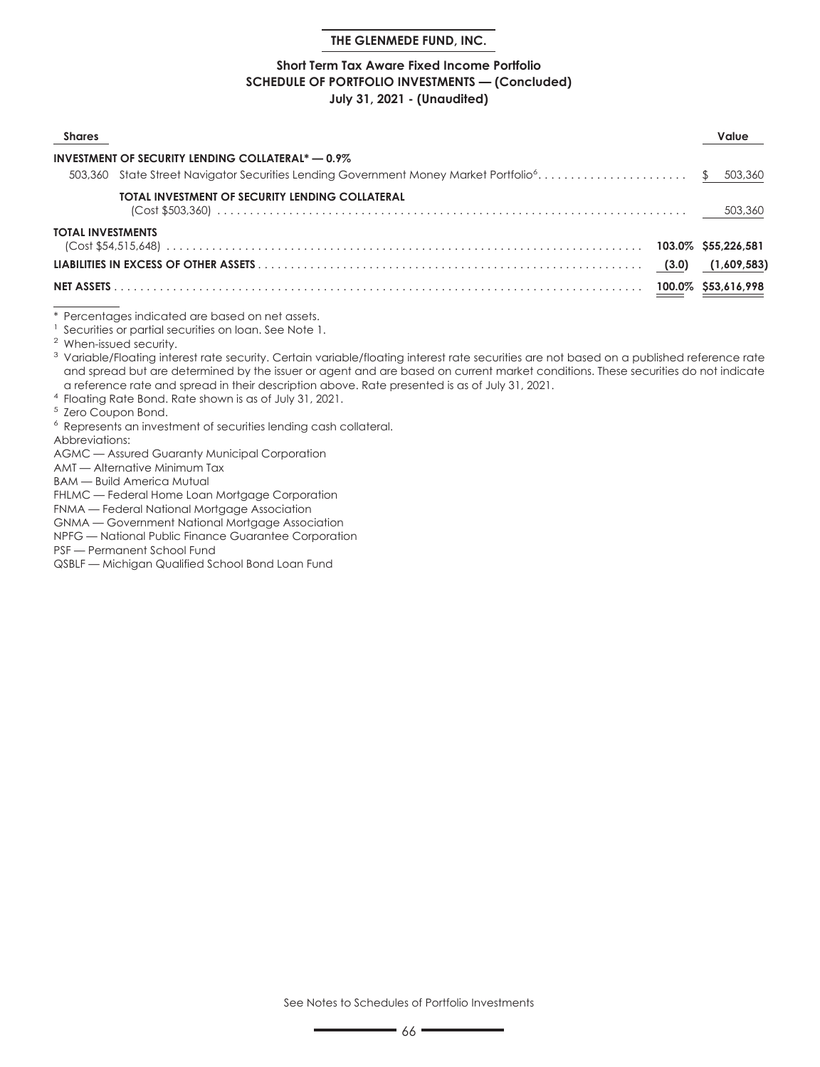### **Short Term Tax Aware Fixed Income Portfolio SCHEDULE OF PORTFOLIO INVESTMENTS — (Concluded) July 31, 2021 - (Unaudited)**

| Shares            |                                                                                                             | Value |
|-------------------|-------------------------------------------------------------------------------------------------------------|-------|
|                   | <b>INVESTMENT OF SECURITY LENDING COLLATERAL* - 0.9%</b>                                                    |       |
|                   | 503,360 State Street Navigator Securities Lending Government Money Market Portfolio <sup>6</sup> \$ 503,360 |       |
|                   | TOTAL INVESTMENT OF SECURITY LENDING COLLATERAL                                                             |       |
| TOTAL INVESTMENTS |                                                                                                             |       |
|                   |                                                                                                             |       |
|                   |                                                                                                             |       |

\* Percentages indicated are based on net assets.

<sup>1</sup> Securities or partial securities on loan. See Note 1.

<sup>2</sup> When-issued security.

<sup>3</sup> Variable/Floating interest rate security. Certain variable/floating interest rate securities are not based on a published reference rate and spread but are determined by the issuer or agent and are based on current market conditions. These securities do not indicate a reference rate and spread in their description above. Rate presented is as of July 31, 2021.

<sup>4</sup> Floating Rate Bond. Rate shown is as of July 31, 2021.

<sup>5</sup> Zero Coupon Bond.

<sup>6</sup> Represents an investment of securities lending cash collateral.

Abbreviations:

AGMC — Assured Guaranty Municipal Corporation

AMT — Alternative Minimum Tax

BAM — Build America Mutual

FHLMC — Federal Home Loan Mortgage Corporation

FNMA — Federal National Mortgage Association

GNMA — Government National Mortgage Association

NPFG — National Public Finance Guarantee Corporation

PSF — Permanent School Fund

QSBLF — Michigan Qualified School Bond Loan Fund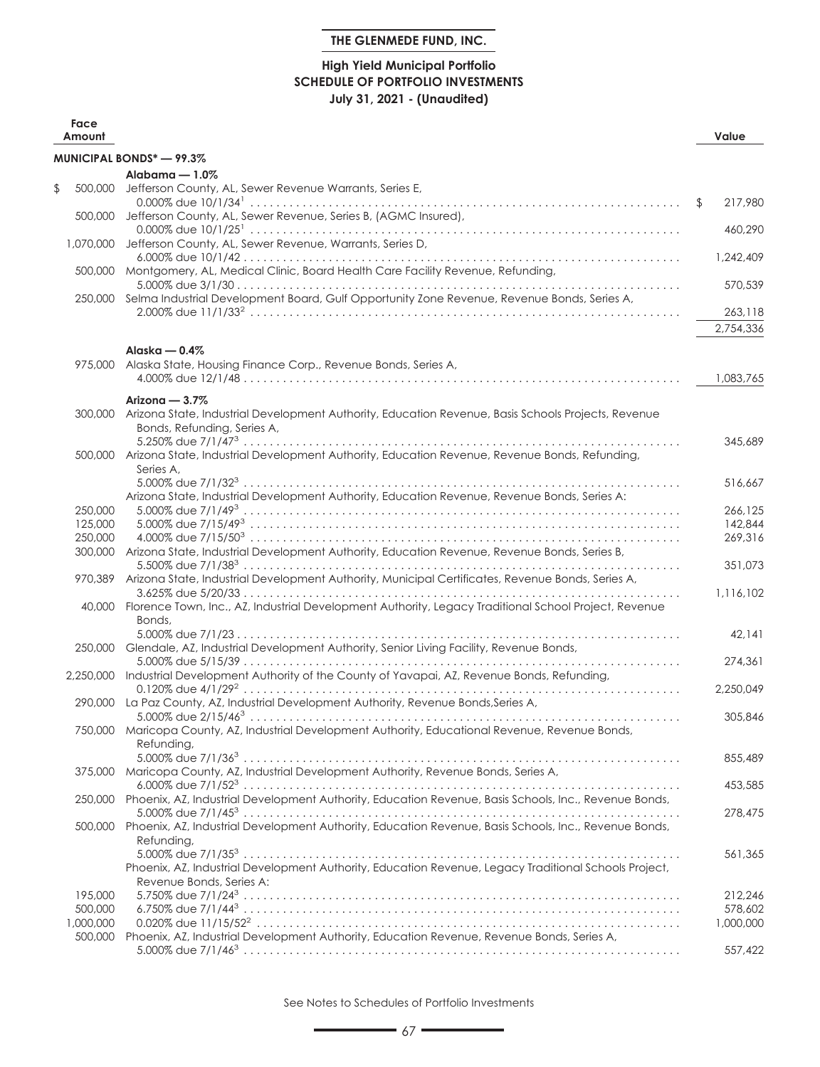# **High Yield Municipal Portfolio SCHEDULE OF PORTFOLIO INVESTMENTS July 31, 2021 - (Unaudited)**

| Face<br>Amount |                                                                                                                                            | Value         |
|----------------|--------------------------------------------------------------------------------------------------------------------------------------------|---------------|
|                | <b>MUNICIPAL BONDS* - 99.3%</b>                                                                                                            |               |
|                | Alabama $-1.0\%$                                                                                                                           |               |
| \$<br>500,000  | Jefferson County, AL, Sewer Revenue Warrants, Series E,                                                                                    | \$<br>217,980 |
| 500.000        | Jefferson County, AL, Sewer Revenue, Series B, (AGMC Insured),                                                                             |               |
| 1.070,000      | Jefferson County, AL, Sewer Revenue, Warrants, Series D,                                                                                   | 460,290       |
|                | 500,000 Montgomery, AL, Medical Clinic, Board Health Care Facility Revenue, Refunding,                                                     | 1,242,409     |
| 250,000        | Selma Industrial Development Board, Gulf Opportunity Zone Revenue, Revenue Bonds, Series A,                                                | 570,539       |
|                |                                                                                                                                            | 263,118       |
|                |                                                                                                                                            | 2,754,336     |
|                | Alaska — 0.4%                                                                                                                              |               |
| 975,000        | Alaska State, Housing Finance Corp., Revenue Bonds, Series A,                                                                              |               |
|                |                                                                                                                                            | 1,083,765     |
|                | Arizona $-3.7\%$                                                                                                                           |               |
|                | 300,000 Arizona State, Industrial Development Authority, Education Revenue, Basis Schools Projects, Revenue<br>Bonds, Refunding, Series A, |               |
|                | 500,000 Arizona State, Industrial Development Authority, Education Revenue, Revenue Bonds, Refunding,                                      | 345,689       |
|                | Series A,                                                                                                                                  | 516,667       |
| 250,000        | Arizona State, Industrial Development Authority, Education Revenue, Revenue Bonds, Series A:                                               | 266,125       |
| 125,000        |                                                                                                                                            | 142,844       |
| 250,000        |                                                                                                                                            | 269,316       |
| 300,000        | Arizona State, Industrial Development Authority, Education Revenue, Revenue Bonds, Series B,                                               | 351,073       |
| 970,389        | Arizona State, Industrial Development Authority, Municipal Certificates, Revenue Bonds, Series A,                                          | 1,116,102     |
|                | 40,000 Florence Town, Inc., AZ, Industrial Development Authority, Legacy Traditional School Project, Revenue<br>Bonds,                     |               |
|                | 250,000 Glendale, AZ, Industrial Development Authority, Senior Living Facility, Revenue Bonds,                                             | 42,141        |
|                | 2,250,000 Industrial Development Authority of the County of Yavapai, AZ, Revenue Bonds, Refunding,                                         | 274,361       |
|                | 290,000 La Paz County, AZ, Industrial Development Authority, Revenue Bonds, Series A,                                                      | 2,250,049     |
|                | 750,000 Maricopa County, AZ, Industrial Development Authority, Educational Revenue, Revenue Bonds,<br>Refunding,                           | 305,846       |
| 375,000        | Maricopa County, AZ, Industrial Development Authority, Revenue Bonds, Series A,                                                            | 855,489       |
| 250,000        | Phoenix, AZ, Industrial Development Authority, Education Revenue, Basis Schools, Inc., Revenue Bonds,                                      | 453,585       |
|                |                                                                                                                                            | 278,475       |
| 500,000        | Phoenix, AZ, Industrial Development Authority, Education Revenue, Basis Schools, Inc., Revenue Bonds,<br>Refunding,                        |               |
|                | Phoenix, AZ, Industrial Development Authority, Education Revenue, Legacy Traditional Schools Project,<br>Revenue Bonds, Series A:          | 561,365       |
| 195,000        |                                                                                                                                            | 212,246       |
| 500,000        |                                                                                                                                            | 578,602       |
| 1,000,000      |                                                                                                                                            | 1,000,000     |
| 500,000        | Phoenix, AZ, Industrial Development Authority, Education Revenue, Revenue Bonds, Series A,                                                 |               |
|                |                                                                                                                                            | 557,422       |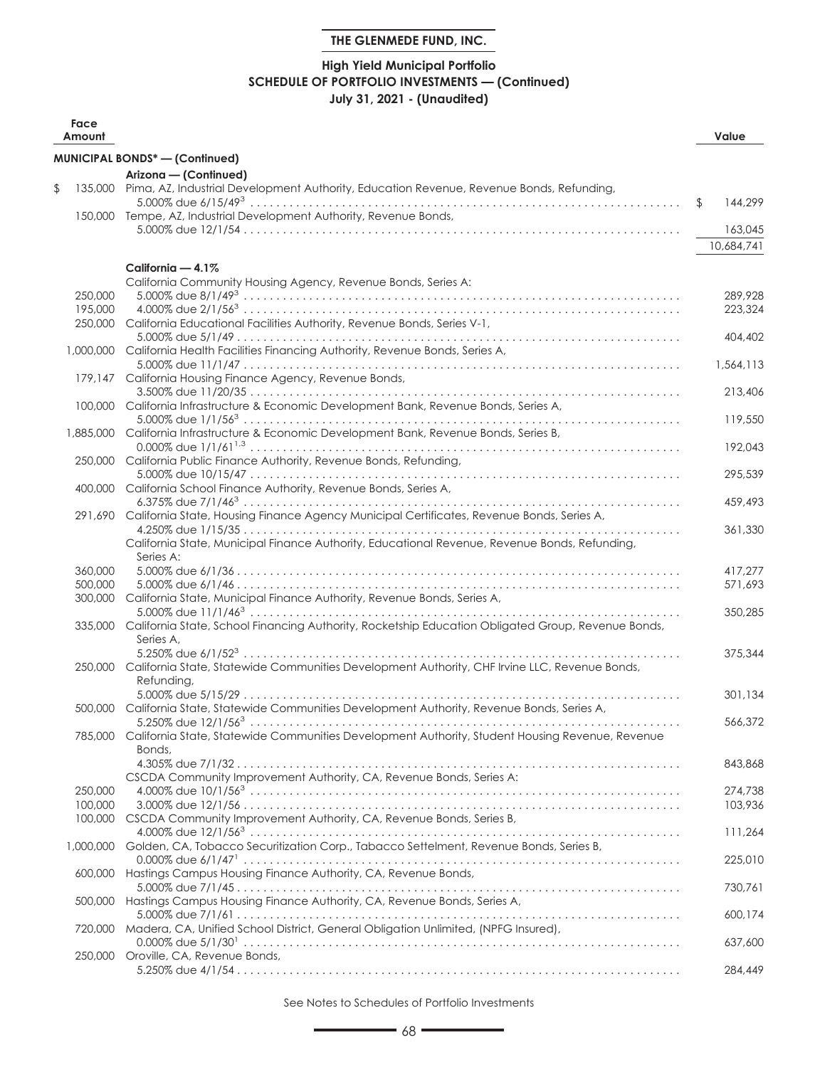# **High Yield Municipal Portfolio SCHEDULE OF PORTFOLIO INVESTMENTS — (Continued) July 31, 2021 - (Unaudited)**

| Face<br>Amount     |                                                                                                                         | Value         |
|--------------------|-------------------------------------------------------------------------------------------------------------------------|---------------|
|                    | <b>MUNICIPAL BONDS*-(Confinued)</b>                                                                                     |               |
|                    | Arizona - (Continued)                                                                                                   |               |
| \$                 | 135,000 Pima, AZ, Industrial Development Authority, Education Revenue, Revenue Bonds, Refunding,                        |               |
|                    | 150,000 Tempe, AZ, Industrial Development Authority, Revenue Bonds,                                                     | \$<br>144,299 |
|                    |                                                                                                                         | 163,045       |
|                    |                                                                                                                         | 10,684,741    |
|                    | California $-4.1\%$                                                                                                     |               |
|                    | California Community Housing Agency, Revenue Bonds, Series A:                                                           |               |
| 250,000            |                                                                                                                         | 289,928       |
| 195,000            |                                                                                                                         | 223,324       |
|                    | 250,000 California Educational Facilities Authority, Revenue Bonds, Series V-1,                                         |               |
|                    |                                                                                                                         | 404,402       |
|                    | 1,000,000 California Health Facilities Financing Authority, Revenue Bonds, Series A,                                    | 1,564,113     |
|                    | 179,147 California Housing Finance Agency, Revenue Bonds,                                                               |               |
|                    |                                                                                                                         | 213,406       |
|                    | 100,000 California Infrastructure & Economic Development Bank, Revenue Bonds, Series A,                                 |               |
|                    |                                                                                                                         | 119,550       |
|                    | 1,885,000 California Infrastructure & Economic Development Bank, Revenue Bonds, Series B,                               |               |
|                    | 250,000 California Public Finance Authority, Revenue Bonds, Refunding,                                                  | 192.043       |
|                    |                                                                                                                         | 295,539       |
|                    | 400,000 California School Finance Authority, Revenue Bonds, Series A,                                                   |               |
|                    |                                                                                                                         | 459,493       |
|                    | 291,690 California State, Housing Finance Agency Municipal Certificates, Revenue Bonds, Series A,                       |               |
|                    |                                                                                                                         | 361,330       |
|                    | California State, Municipal Finance Authority, Educational Revenue, Revenue Bonds, Refunding,<br>Series A:              |               |
| 360,000            |                                                                                                                         | 417,277       |
| 500,000            |                                                                                                                         | 571,693       |
| 300,000            | California State, Municipal Finance Authority, Revenue Bonds, Series A,                                                 |               |
|                    |                                                                                                                         | 350,285       |
|                    | 335,000 California State, School Financing Authority, Rocketship Education Obligated Group, Revenue Bonds,<br>Series A, |               |
|                    |                                                                                                                         | 375,344       |
|                    | 250,000 California State, Statewide Communities Development Authority, CHF Irvine LLC, Revenue Bonds,                   |               |
|                    | Refunding,                                                                                                              |               |
|                    |                                                                                                                         | 301.134       |
|                    | 500,000 California State, Statewide Communities Development Authority, Revenue Bonds, Series A,                         |               |
|                    | 785,000 California State, Statewide Communities Development Authority, Student Housing Revenue, Revenue                 | 566,372       |
|                    | Bonds,                                                                                                                  |               |
|                    |                                                                                                                         | 843,868       |
|                    | CSCDA Community Improvement Authority, CA, Revenue Bonds, Series A:                                                     |               |
| 250,000            |                                                                                                                         | 274,738       |
| 100,000<br>100,000 | CSCDA Community Improvement Authority, CA, Revenue Bonds, Series B,                                                     | 103,936       |
|                    |                                                                                                                         | 111,264       |
| 1,000,000          | Golden, CA, Tobacco Securitization Corp., Tabacco Settelment, Revenue Bonds, Series B,                                  |               |
|                    |                                                                                                                         | 225,010       |
| 600,000            | Hastings Campus Housing Finance Authority, CA, Revenue Bonds,                                                           |               |
|                    |                                                                                                                         | 730.761       |
| 500,000            | Hastings Campus Housing Finance Authority, CA, Revenue Bonds, Series A,                                                 | 600,174       |
| 720,000            | Madera, CA, Unified School District, General Obligation Unlimited, (NPFG Insured),                                      |               |
|                    |                                                                                                                         | 637,600       |
|                    | 250,000 Oroville, CA, Revenue Bonds,                                                                                    |               |
|                    |                                                                                                                         | 284,449       |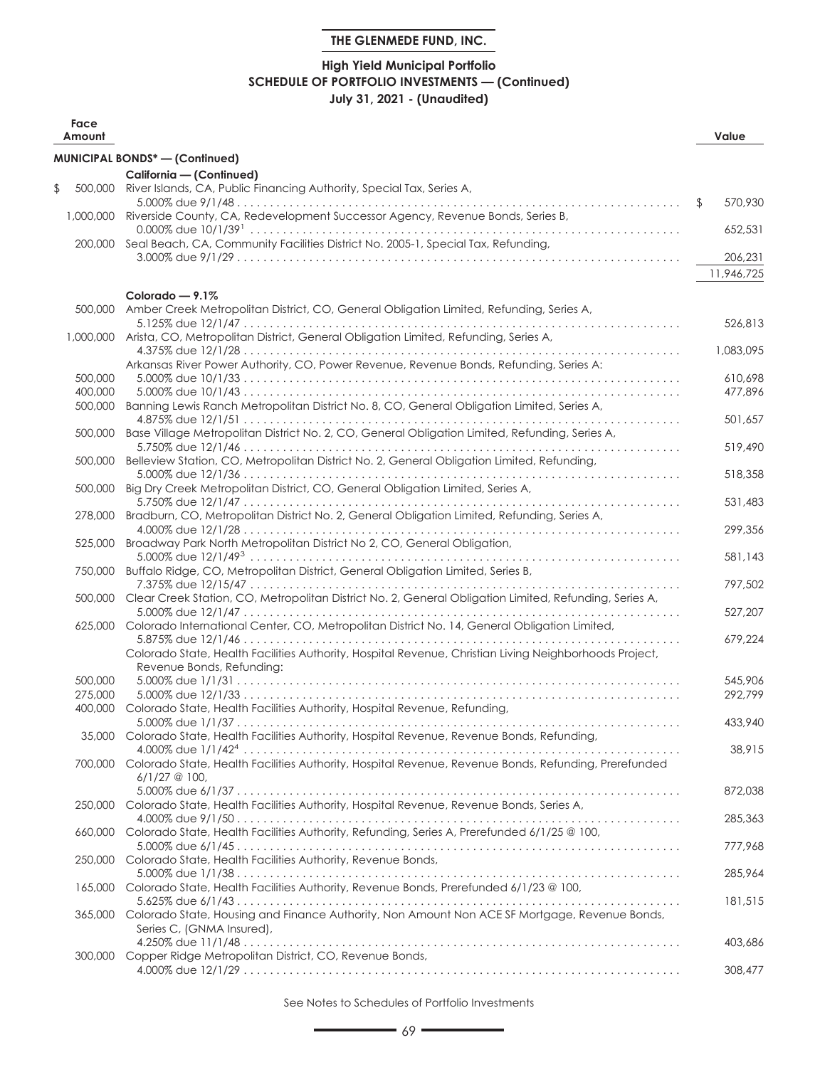# **High Yield Municipal Portfolio SCHEDULE OF PORTFOLIO INVESTMENTS — (Continued) July 31, 2021 - (Unaudited)**

| Face<br>Amount     |                                                                                                                                     | Value         |
|--------------------|-------------------------------------------------------------------------------------------------------------------------------------|---------------|
|                    | <b>MUNICIPAL BONDS*-(Confinued)</b>                                                                                                 |               |
|                    | California - (Continued)                                                                                                            |               |
| \$<br>500,000      | River Islands, CA, Public Financing Authority, Special Tax, Series A,                                                               |               |
| 1.000,000          | Riverside County, CA, Redevelopment Successor Agency, Revenue Bonds, Series B,                                                      | \$<br>570,930 |
|                    | 200,000 Seal Beach, CA, Community Facilities District No. 2005-1, Special Tax, Refunding,                                           | 652,531       |
|                    |                                                                                                                                     | 206,231       |
|                    |                                                                                                                                     | 11,946,725    |
| 500,000            | Colorado $-9.1\%$<br>Amber Creek Metropolitan District, CO, General Obligation Limited, Refunding, Series A,                        |               |
|                    | 1,000,000 Arista, CO, Metropolitan District, General Obligation Limited, Refunding, Series A,                                       | 526,813       |
|                    | Arkansas River Power Authority, CO, Power Revenue, Revenue Bonds, Refunding, Series A:                                              | 1,083,095     |
| 500,000            |                                                                                                                                     | 610,698       |
| 400,000<br>500,000 | Banning Lewis Ranch Metropolitan District No. 8, CO, General Obligation Limited, Series A,                                          | 477,896       |
|                    |                                                                                                                                     | 501,657       |
| 500,000            | Base Village Metropolitan District No. 2, CO, General Obligation Limited, Refunding, Series A,                                      | 519,490       |
| 500,000            | Belleview Station, CO, Metropolitan District No. 2, General Obligation Limited, Refunding,                                          |               |
| 500,000            | Big Dry Creek Metropolitan District, CO, General Obligation Limited, Series A,                                                      | 518,358       |
| 278,000            | Bradburn, CO, Metropolitan District No. 2, General Obligation Limited, Refunding, Series A,                                         | 531,483       |
|                    |                                                                                                                                     | 299,356       |
| 525,000            | Broadway Park North Metropolitan District No 2, CO, General Obligation,                                                             | 581,143       |
| 750,000            | Buffalo Ridge, CO, Metropolitan District, General Obligation Limited, Series B,                                                     |               |
| 500,000            | Clear Creek Station, CO, Metropolitan District No. 2, General Obligation Limited, Refunding, Series A,                              | 797,502       |
| 625,000            | Colorado International Center, CO, Metropolitan District No. 14, General Obligation Limited,                                        | 527,207       |
|                    | Colorado State, Health Facilities Authority, Hospital Revenue, Christian Living Neighborhoods Project,<br>Revenue Bonds, Refunding: | 679,224       |
| 500,000            |                                                                                                                                     | 545,906       |
| 275,000<br>400,000 | Colorado State, Health Facilities Authority, Hospital Revenue, Refunding,                                                           | 292,799       |
|                    |                                                                                                                                     | 433.940       |
|                    | 35,000 Colorado State, Health Facilities Authority, Hospital Revenue, Revenue Bonds, Refunding,                                     | 38.915        |
|                    | 700,000 Colorado State, Health Facilities Authority, Hospital Revenue, Revenue Bonds, Refunding, Prerefunded<br>$6/1/27$ @ 100,     |               |
|                    |                                                                                                                                     | 872.038       |
| 250,000            | Colorado State, Health Facilities Authority, Hospital Revenue, Revenue Bonds, Series A,                                             | 285,363       |
| 660,000            | Colorado State, Health Facilities Authority, Refunding, Series A, Prerefunded 6/1/25 @ 100,                                         | 777.968       |
| 250,000            | Colorado State, Health Facilities Authority, Revenue Bonds,                                                                         |               |
| 165,000            | Colorado State, Health Facilities Authority, Revenue Bonds, Prerefunded 6/1/23 @ 100,                                               | 285,964       |
| 365,000            | Colorado State, Housing and Finance Authority, Non Amount Non ACE SF Mortgage, Revenue Bonds,                                       | 181,515       |
|                    | Series C, (GNMA Insured),                                                                                                           |               |
| 300,000            | Copper Ridge Metropolitan District, CO, Revenue Bonds,                                                                              | 403,686       |
|                    |                                                                                                                                     | 308,477       |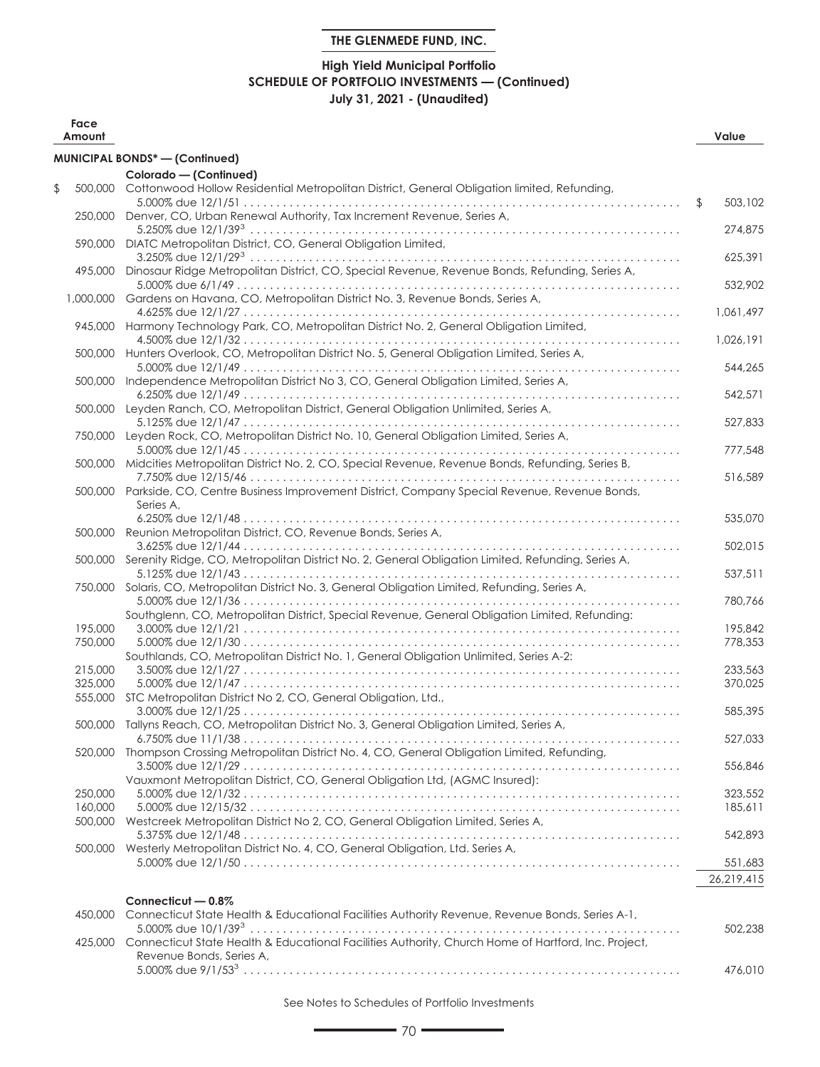# **High Yield Municipal Portfolio SCHEDULE OF PORTFOLIO INVESTMENTS — (Continued) July 31, 2021 - (Unaudited)**

| Face<br>Amount     |                                                                                                                  | Value                 |
|--------------------|------------------------------------------------------------------------------------------------------------------|-----------------------|
|                    | MUNICIPAL BONDS* - (Continued)                                                                                   |                       |
|                    | Colorado - (Continued)                                                                                           |                       |
| \$<br>500,000      | Cottonwood Hollow Residential Metropolitan District, General Obligation limited, Refunding,                      | \$<br>503,102         |
|                    | 250,000 Denver, CO, Urban Renewal Authority, Tax Increment Revenue, Series A,                                    | 274,875               |
|                    | 590,000 DIATC Metropolitan District, CO, General Obligation Limited,                                             | 625,391               |
| 495,000            | Dinosaur Ridge Metropolitan District, CO, Special Revenue, Revenue Bonds, Refunding, Series A,                   | 532,902               |
|                    | 1,000,000 Gardens on Havana, CO, Metropolitan District No. 3, Revenue Bonds, Series A,                           | 1,061,497             |
|                    | 945,000 Harmony Technology Park, CO, Metropolitan District No. 2, General Obligation Limited,                    | 1,026,191             |
|                    | 500,000 Hunters Overlook, CO, Metropolitan District No. 5, General Obligation Limited, Series A,                 |                       |
|                    | 500,000 Independence Metropolitan District No 3, CO, General Obligation Limited, Series A,                       | 544,265               |
|                    | 500,000 Leyden Ranch, CO, Metropolitan District, General Obligation Unlimited, Series A,                         | 542,571               |
| 750,000            | Leyden Rock, CO, Metropolitan District No. 10, General Obligation Limited, Series A,                             | 527,833               |
| 500.000            | Midcities Metropolitan District No. 2, CO, Special Revenue, Revenue Bonds, Refunding, Series B,                  | 777,548               |
|                    | 500,000 Parkside, CO, Centre Business Improvement District, Company Special Revenue, Revenue Bonds,<br>Series A. | 516,589               |
|                    | 500,000 Reunion Metropolitan District, CO, Revenue Bonds, Series A,                                              | 535,070               |
|                    | 500,000 Serenity Ridge, CO, Metropolitan District No. 2, General Obligation Limited, Refunding, Series A,        | 502,015               |
| 750,000            | Solaris, CO, Metropolitan District No. 3, General Obligation Limited, Refunding, Series A,                       | 537,511               |
|                    | Southglenn, CO, Metropolitan District, Special Revenue, General Obligation Limited, Refunding:                   | 780,766               |
| 195,000            |                                                                                                                  | 195,842               |
| 750,000            | Southlands, CO, Metropolitan District No. 1, General Obligation Unlimited, Series A-2:                           | 778,353               |
| 215,000            |                                                                                                                  | 233,563               |
| 325,000            |                                                                                                                  | 370,025               |
|                    | 555,000 STC Metropolitan District No 2, CO, General Obligation, Ltd.,                                            |                       |
|                    | 500,000 Tallyns Reach, CO, Metropolitan District No. 3, General Obligation Limited, Series A,                    | 585,395               |
|                    | 520,000 Thompson Crossing Metropolitan District No. 4, CO, General Obligation Limited, Refunding,                | 527,033               |
|                    | Vauxmont Metropolitan District, CO, General Obligation Ltd, (AGMC Insured):                                      | 556,846               |
| 250,000            |                                                                                                                  | 323,552               |
| 160,000<br>500,000 | Westcreek Metropolitan District No 2, CO, General Obligation Limited, Series A,                                  | 185,611               |
| 500,000            | Westerly Metropolitan District No. 4, CO, General Obligation, Ltd. Series A,                                     | 542,893               |
|                    |                                                                                                                  | 551,683<br>26,219,415 |
|                    | Connecticut - 0.8%                                                                                               |                       |
| 450,000            | Connecticut State Health & Educational Facilities Authority Revenue, Revenue Bonds, Series A-1,                  |                       |
| 425,000            | Connecticut State Health & Educational Facilities Authority, Church Home of Hartford, Inc. Project,              | 502,238               |
|                    | Revenue Bonds, Series A,                                                                                         | 476,010               |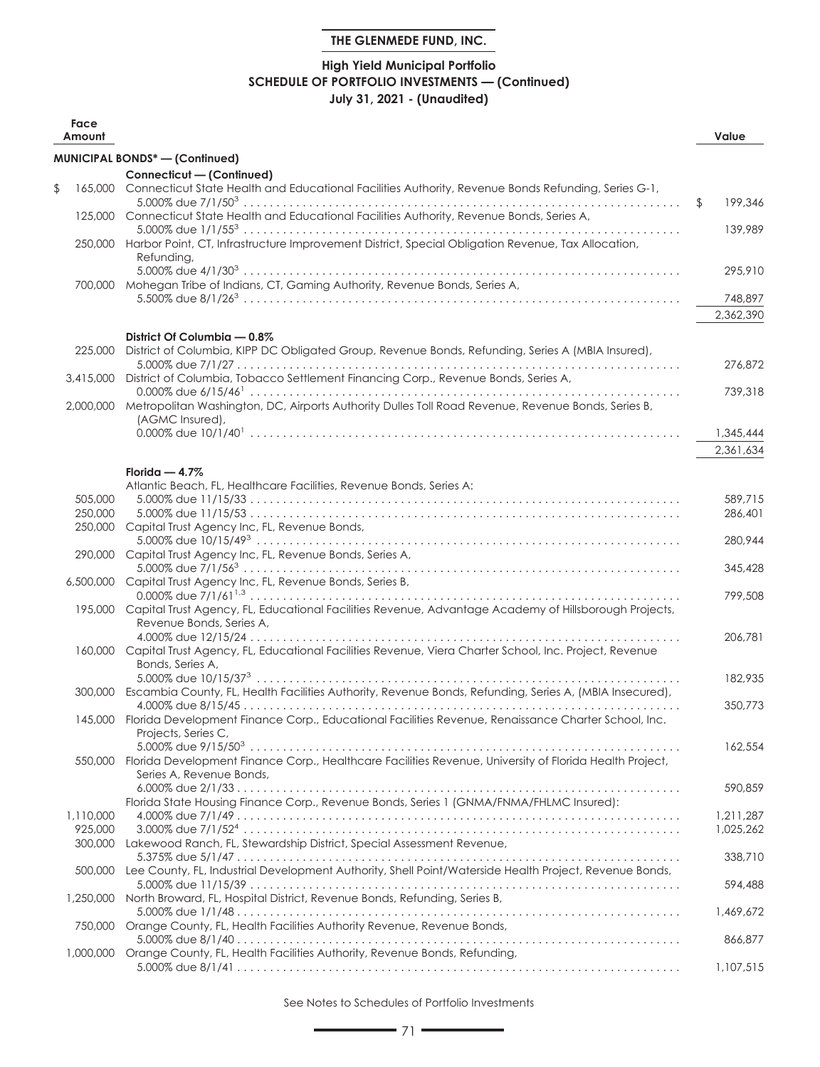# **High Yield Municipal Portfolio SCHEDULE OF PORTFOLIO INVESTMENTS — (Continued) July 31, 2021 - (Unaudited)**

| Face<br>Amount     |                                                                                                                                                                                                                                |               | Value     |
|--------------------|--------------------------------------------------------------------------------------------------------------------------------------------------------------------------------------------------------------------------------|---------------|-----------|
|                    | MUNICIPAL BONDS* - (Continued)                                                                                                                                                                                                 |               |           |
|                    | Connecticut - (Continued)                                                                                                                                                                                                      |               |           |
| \$                 | 165,000 Connecticut State Health and Educational Facilities Authority, Revenue Bonds Refunding, Series G-1,                                                                                                                    |               |           |
|                    |                                                                                                                                                                                                                                | $\sqrt[6]{2}$ | 199,346   |
|                    | 125,000 Connecticut State Health and Educational Facilities Authority, Revenue Bonds, Series A,                                                                                                                                |               | 139,989   |
|                    | 250,000 Harbor Point, CT, Infrastructure Improvement District, Special Obligation Revenue, Tax Allocation,                                                                                                                     |               |           |
|                    | Refunding,                                                                                                                                                                                                                     |               |           |
|                    |                                                                                                                                                                                                                                |               | 295,910   |
|                    | 700,000 Mohegan Tribe of Indians, CT, Gaming Authority, Revenue Bonds, Series A,                                                                                                                                               |               |           |
|                    |                                                                                                                                                                                                                                |               | 748,897   |
|                    |                                                                                                                                                                                                                                |               | 2,362,390 |
|                    | District Of Columbia - 0.8%                                                                                                                                                                                                    |               |           |
| 225,000            | District of Columbia, KIPP DC Obligated Group, Revenue Bonds, Refunding, Series A (MBIA Insured),                                                                                                                              |               |           |
|                    | 3,415,000 District of Columbia, Tobacco Settlement Financing Corp., Revenue Bonds, Series A,                                                                                                                                   |               | 276,872   |
|                    |                                                                                                                                                                                                                                |               | 739,318   |
|                    | 2,000,000 Metropolitan Washington, DC, Airports Authority Dulles Toll Road Revenue, Revenue Bonds, Series B,                                                                                                                   |               |           |
|                    | (AGMC Insured),                                                                                                                                                                                                                |               |           |
|                    |                                                                                                                                                                                                                                |               | 1,345,444 |
|                    |                                                                                                                                                                                                                                |               | 2,361,634 |
|                    | Florida $-4.7\%$                                                                                                                                                                                                               |               |           |
|                    | Atlantic Beach, FL, Healthcare Facilities, Revenue Bonds, Series A:                                                                                                                                                            |               |           |
| 505,000            |                                                                                                                                                                                                                                |               | 589,715   |
| 250,000            |                                                                                                                                                                                                                                |               | 286,401   |
|                    | 250,000 Capital Trust Agency Inc, FL, Revenue Bonds,                                                                                                                                                                           |               | 280,944   |
|                    | 290,000 Capital Trust Agency Inc, FL, Revenue Bonds, Series A,                                                                                                                                                                 |               |           |
|                    |                                                                                                                                                                                                                                |               | 345,428   |
|                    | 6,500,000 Capital Trust Agency Inc, FL, Revenue Bonds, Series B,                                                                                                                                                               |               |           |
|                    | 195,000 Capital Trust Agency, FL, Educational Facilities Revenue, Advantage Academy of Hillsborough Projects,                                                                                                                  |               | 799,508   |
|                    | Revenue Bonds, Series A,                                                                                                                                                                                                       |               |           |
|                    |                                                                                                                                                                                                                                |               | 206,781   |
|                    | 160,000 Capital Trust Agency, FL, Educational Facilities Revenue, Viera Charter School, Inc. Project, Revenue                                                                                                                  |               |           |
|                    | Bonds, Series A,                                                                                                                                                                                                               |               |           |
|                    | 300,000 Escambia County, FL, Health Facilities Authority, Revenue Bonds, Refunding, Series A, (MBIA Insecured),                                                                                                                |               | 182,935   |
|                    |                                                                                                                                                                                                                                |               | 350,773   |
|                    | 145,000 Florida Development Finance Corp., Educational Facilities Revenue, Renaissance Charter School, Inc.                                                                                                                    |               |           |
|                    | Projects, Series C, The Contract of the Contract of the Contract of the Contract of the Contract of the Contract of the Contract of the Contract of the Contract of the Contract of the Contract of the Contract of the Contra |               |           |
|                    | Florida Development Finance Corp., Healthcare Facilities Revenue, University of Florida Health Project,                                                                                                                        |               | 162,554   |
| 550,000            | Series A, Revenue Bonds,                                                                                                                                                                                                       |               |           |
|                    |                                                                                                                                                                                                                                |               | 590,859   |
|                    | Florida State Housing Finance Corp., Revenue Bonds, Series 1 (GNMA/FNMA/FHLMC Insured):                                                                                                                                        |               |           |
| 1,110,000          |                                                                                                                                                                                                                                |               | 1,211,287 |
| 925,000<br>300,000 | Lakewood Ranch, FL, Stewardship District, Special Assessment Revenue,                                                                                                                                                          |               | 1,025,262 |
|                    |                                                                                                                                                                                                                                |               | 338,710   |
| 500,000            | Lee County, FL, Industrial Development Authority, Shell Point/Waterside Health Project, Revenue Bonds,                                                                                                                         |               |           |
|                    |                                                                                                                                                                                                                                |               | 594,488   |
| 1,250,000          | North Broward, FL, Hospital District, Revenue Bonds, Refunding, Series B,                                                                                                                                                      |               |           |
| 750,000            | Orange County, FL, Health Facilities Authority Revenue, Revenue Bonds,                                                                                                                                                         |               | 1,469,672 |
|                    |                                                                                                                                                                                                                                |               | 866,877   |
| 1,000,000          | Orange County, FL, Health Facilities Authority, Revenue Bonds, Refunding,                                                                                                                                                      |               |           |
|                    |                                                                                                                                                                                                                                |               | 1,107,515 |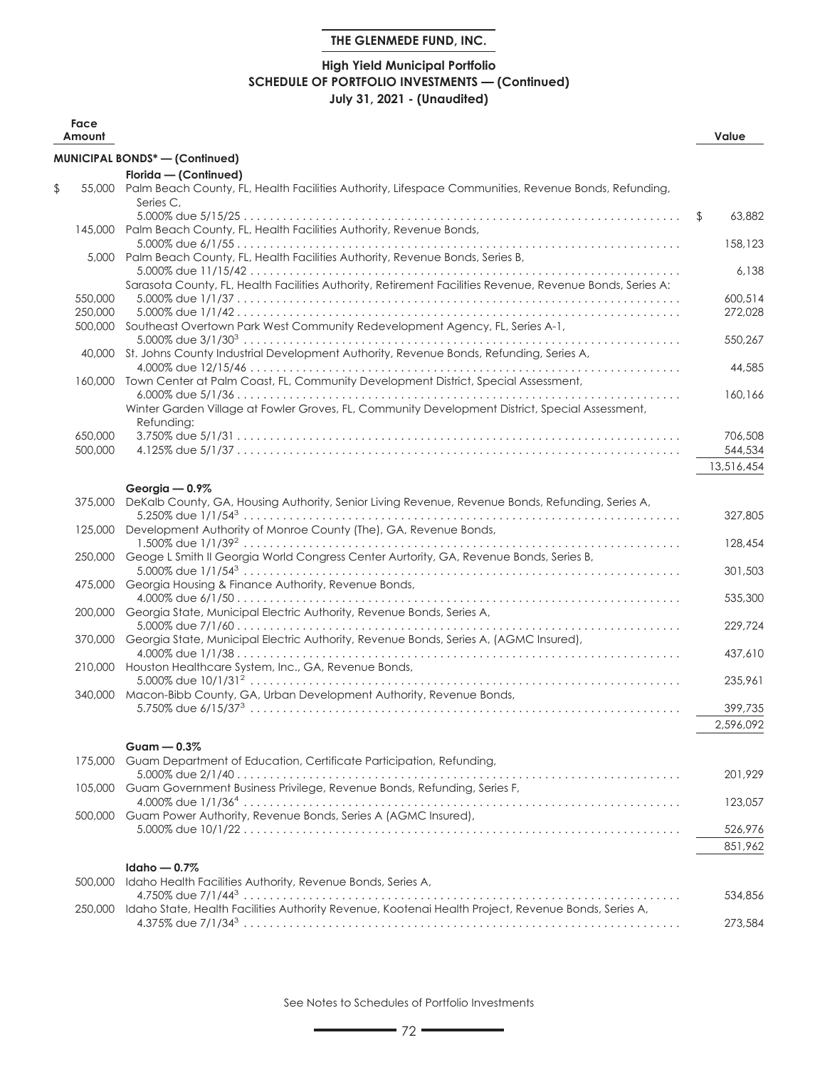# **High Yield Municipal Portfolio SCHEDULE OF PORTFOLIO INVESTMENTS — (Continued) July 31, 2021 - (Unaudited)**

| Face<br>Amount     |                                                                                                                          | Value              |
|--------------------|--------------------------------------------------------------------------------------------------------------------------|--------------------|
|                    | MUNICIPAL BONDS* - (Continued)                                                                                           |                    |
|                    | Florida - (Continued)                                                                                                    |                    |
| \$                 | 55,000 Palm Beach County, FL, Health Facilities Authority, Lifespace Communities, Revenue Bonds, Refunding,<br>Series C. |                    |
|                    | 145,000 Palm Beach County, FL, Health Facilities Authority, Revenue Bonds,                                               | \$<br>63,882       |
|                    | 5,000 Palm Beach County, FL, Health Facilities Authority, Revenue Bonds, Series B,                                       | 158,123            |
|                    | Sarasota County, FL, Health Facilities Authority, Retirement Facilities Revenue, Revenue Bonds, Series A:                | 6,138              |
| 550,000            |                                                                                                                          | 600,514            |
| 250,000<br>500,000 | Southeast Overtown Park West Community Redevelopment Agency, FL, Series A-1,                                             | 272,028<br>550,267 |
|                    | 40,000 St. Johns County Industrial Development Authority, Revenue Bonds, Refunding, Series A,                            | 44,585             |
|                    | 160,000 Town Center at Palm Coast, FL, Community Development District, Special Assessment,                               | 160,166            |
|                    | Winter Garden Village at Fowler Groves, FL, Community Development District, Special Assessment,<br>Refunding:            |                    |
| 650,000            |                                                                                                                          | 706,508            |
| 500,000            |                                                                                                                          | 544,534            |
|                    |                                                                                                                          | 13,516,454         |
|                    | Georgia - 0.9%                                                                                                           |                    |
| 375,000            | DeKalb County, GA, Housing Authority, Senior Living Revenue, Revenue Bonds, Refunding, Series A,                         | 327,805            |
|                    | 125,000 Development Authority of Monroe County (The), GA, Revenue Bonds,                                                 | 128,454            |
| 250,000            | Geoge L Smith II Georgia World Congress Center Aurtority, GA, Revenue Bonds, Series B,                                   | 301,503            |
| 475,000            | Georgia Housing & Finance Authority, Revenue Bonds,                                                                      | 535,300            |
|                    | 200,000 Georgia State, Municipal Electric Authority, Revenue Bonds, Series A,                                            | 229,724            |
| 370,000            | Georgia State, Municipal Electric Authority, Revenue Bonds, Series A, (AGMC Insured),                                    | 437,610            |
| 210,000            | Houston Healthcare System, Inc., GA, Revenue Bonds,                                                                      | 235,961            |
|                    | 340,000 Macon-Bibb County, GA, Urban Development Authority, Revenue Bonds,                                               | 399,735            |
|                    |                                                                                                                          | 2,596,092          |
|                    |                                                                                                                          |                    |
|                    | Guam $-0.3%$                                                                                                             |                    |
| 175,000            | Guam Department of Education, Certificate Participation, Refunding,                                                      |                    |
| 105,000            | Guam Government Business Privilege, Revenue Bonds, Refunding, Series F,                                                  | 201,929            |
| 500,000            | Guam Power Authority, Revenue Bonds, Series A (AGMC Insured),                                                            | 123,057            |
|                    |                                                                                                                          | 526,976            |
|                    | Idaho $-0.7%$                                                                                                            | 851,962            |
| 500,000            | Idaho Health Facilities Authority, Revenue Bonds, Series A,                                                              |                    |
| 250,000            | Idaho State, Health Facilities Authority Revenue, Kootenai Health Project, Revenue Bonds, Series A,                      | 534,856            |
|                    |                                                                                                                          | 273,584            |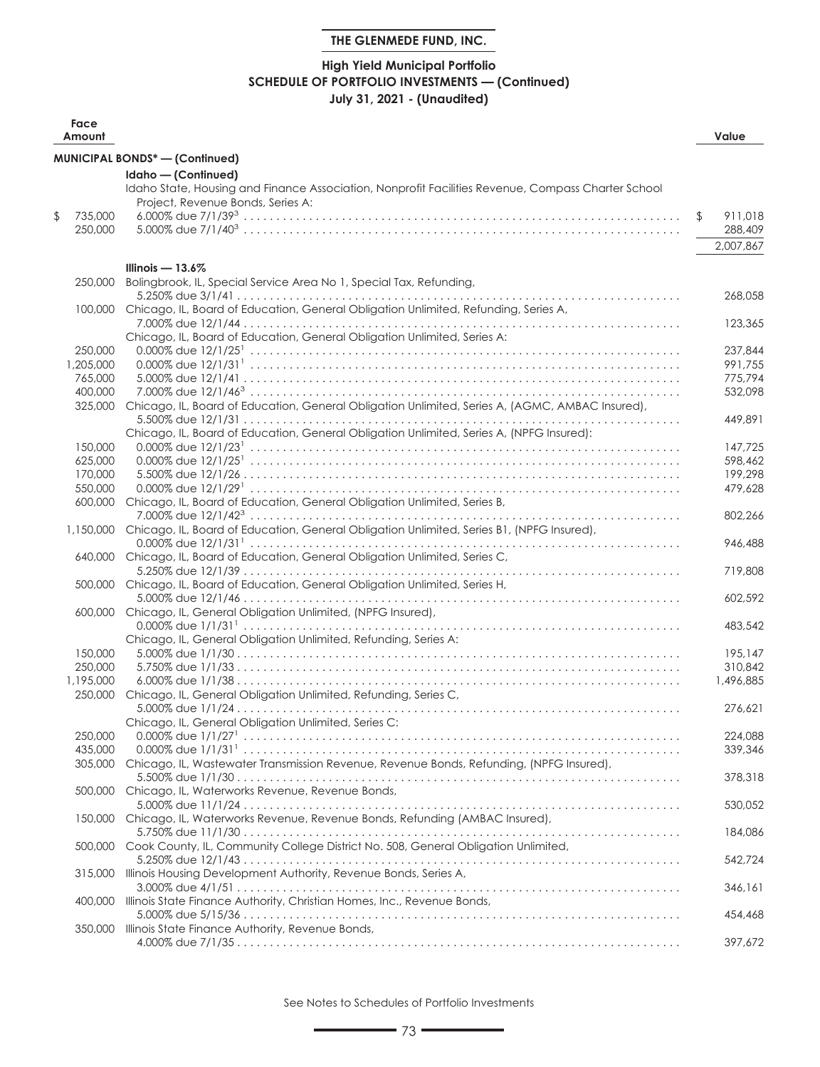## **High Yield Municipal Portfolio SCHEDULE OF PORTFOLIO INVESTMENTS — (Continued) July 31, 2021 - (Unaudited)**

| Face<br>Amount           |                                                                                                    | Value         |
|--------------------------|----------------------------------------------------------------------------------------------------|---------------|
|                          | <b>MUNICIPAL BONDS*-(Confinued)</b>                                                                |               |
|                          | Idaho - (Continued)                                                                                |               |
|                          | Idaho State, Housing and Finance Association, Nonprofit Facilities Revenue, Compass Charter School |               |
|                          | Project, Revenue Bonds, Series A:                                                                  |               |
| \$<br>735,000<br>250,000 |                                                                                                    | \$<br>911,018 |
|                          |                                                                                                    | 288,409       |
|                          |                                                                                                    | 2,007,867     |
|                          | Illinois $-13.6\%$                                                                                 |               |
| 250,000                  | Bolingbrook, IL, Special Service Area No 1, Special Tax, Refunding,                                |               |
|                          |                                                                                                    | 268.058       |
| 100,000                  | Chicago, IL, Board of Education, General Obligation Unlimited, Refunding, Series A,                | 123,365       |
|                          | Chicago, IL, Board of Education, General Obligation Unlimited, Series A:                           |               |
| 250,000                  |                                                                                                    | 237,844       |
| 1,205,000                |                                                                                                    | 991.755       |
| 765,000                  |                                                                                                    | 775,794       |
| 400,000                  |                                                                                                    | 532,098       |
| 325,000                  | Chicago, IL, Board of Education, General Obligation Unlimited, Series A, (AGMC, AMBAC Insured),    |               |
|                          |                                                                                                    | 449,891       |
|                          | Chicago, IL, Board of Education, General Obligation Unlimited, Series A, (NPFG Insured):           |               |
| 150,000                  |                                                                                                    | 147,725       |
| 625,000                  |                                                                                                    | 598,462       |
| 170,000                  |                                                                                                    | 199,298       |
| 550,000<br>600,000       | Chicago, IL, Board of Education, General Obligation Unlimited, Series B,                           | 479,628       |
|                          |                                                                                                    | 802,266       |
| 1,150,000                | Chicago, IL, Board of Education, General Obligation Unlimited, Series B1, (NPFG Insured),          |               |
|                          |                                                                                                    | 946,488       |
| 640,000                  | Chicago, IL, Board of Education, General Obligation Unlimited, Series C,                           |               |
|                          |                                                                                                    | 719,808       |
| 500,000                  | Chicago, IL, Board of Education, General Obligation Unlimited, Series H,                           |               |
|                          |                                                                                                    | 602,592       |
| 600,000                  | Chicago, IL, General Obligation Unlimited, (NPFG Insured),                                         |               |
|                          | Chicago, IL, General Obligation Unlimited, Refunding, Series A:                                    | 483,542       |
| 150,000                  |                                                                                                    | 195,147       |
| 250,000                  |                                                                                                    | 310,842       |
| 1,195,000                |                                                                                                    | 1,496,885     |
| 250,000                  | Chicago, IL, General Obligation Unlimited, Refunding, Series C,                                    |               |
|                          |                                                                                                    | 276.621       |
|                          | Chicago, IL, General Obligation Unlimited, Series C:                                               |               |
| 250,000                  | $0.000\%$ due $1/1/27$ <sup>1</sup>                                                                | 224,088       |
| 435,000                  |                                                                                                    | 339,346       |
|                          | 305,000 Chicago, IL, Wastewater Transmission Revenue, Revenue Bonds, Refunding, (NPFG Insured),    |               |
|                          |                                                                                                    | 378,318       |
| 500,000                  | Chicago, IL, Waterworks Revenue, Revenue Bonds,                                                    | 530,052       |
| 150,000                  | Chicago, IL, Waterworks Revenue, Revenue Bonds, Refunding (AMBAC Insured),                         |               |
|                          |                                                                                                    | 184,086       |
| 500,000                  | Cook County, IL, Community College District No. 508, General Obligation Unlimited,                 |               |
|                          |                                                                                                    | 542,724       |
| 315,000                  | Illinois Housing Development Authority, Revenue Bonds, Series A,                                   |               |
|                          |                                                                                                    | 346,161       |
| 400,000                  | Illinois State Finance Authority, Christian Homes, Inc., Revenue Bonds,                            |               |
|                          |                                                                                                    | 454,468       |
| 350,000                  | Illinois State Finance Authority, Revenue Bonds,                                                   |               |
|                          |                                                                                                    | 397,672       |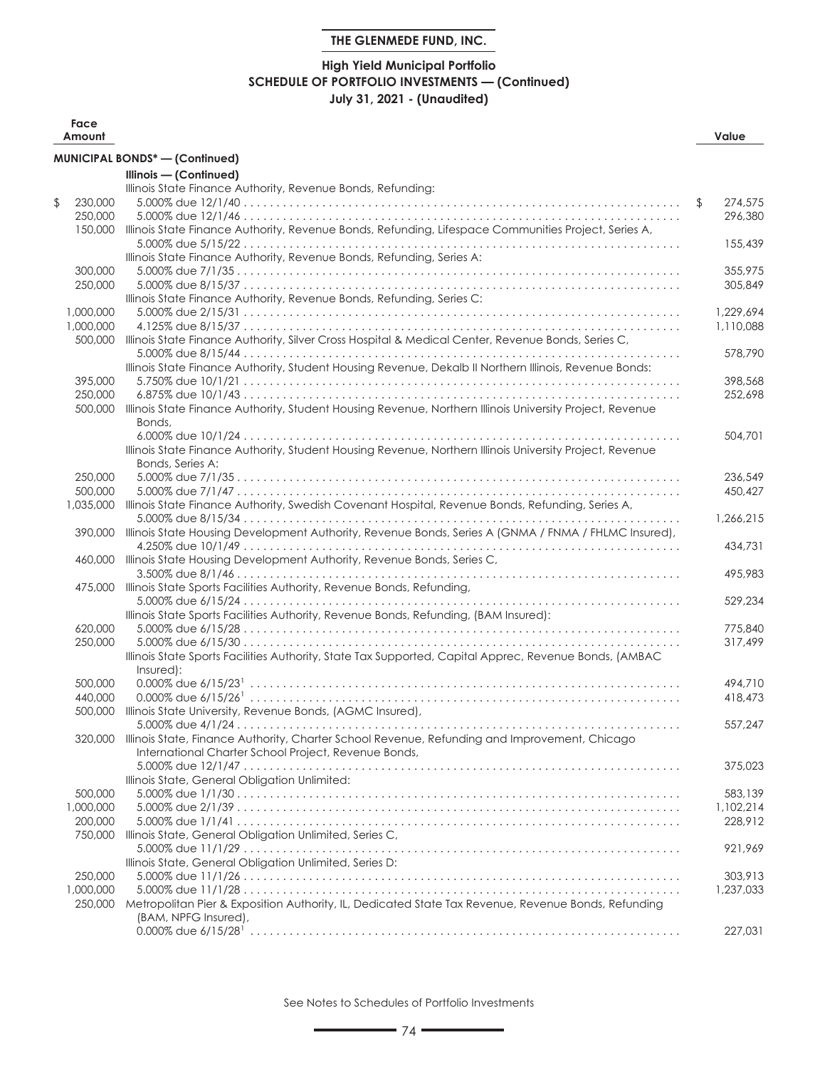## **High Yield Municipal Portfolio SCHEDULE OF PORTFOLIO INVESTMENTS — (Continued) July 31, 2021 - (Unaudited)**

| Face<br>Amount |                                                                                                          | Value         |
|----------------|----------------------------------------------------------------------------------------------------------|---------------|
|                | <b>MUNICIPAL BONDS*-(Confinued)</b>                                                                      |               |
|                | Illinois - (Continued)                                                                                   |               |
|                | Illinois State Finance Authority, Revenue Bonds, Refunding:                                              |               |
| \$<br>230,000  |                                                                                                          | \$<br>274,575 |
| 250,000        |                                                                                                          | 296,380       |
| 150,000        | Illinois State Finance Authority, Revenue Bonds, Refunding, Lifespace Communities Project, Series A,     |               |
|                |                                                                                                          | 155,439       |
|                | Illinois State Finance Authority, Revenue Bonds, Refunding, Series A:                                    |               |
| 300,000        |                                                                                                          | 355,975       |
| 250,000        |                                                                                                          | 305,849       |
|                | Illinois State Finance Authority, Revenue Bonds, Refunding, Series C:                                    |               |
| 1,000,000      |                                                                                                          | 1.229.694     |
| 1,000,000      |                                                                                                          | 1,110,088     |
| 500,000        | Illinois State Finance Authority, Silver Cross Hospital & Medical Center, Revenue Bonds, Series C,       |               |
|                |                                                                                                          | 578,790       |
|                | Illinois State Finance Authority, Student Housing Revenue, Dekalb II Northern Illinois, Revenue Bonds:   |               |
| 395,000        |                                                                                                          | 398,568       |
| 250,000        |                                                                                                          | 252,698       |
| 500,000        | Illinois State Finance Authority, Student Housing Revenue, Northern Illinois University Project, Revenue |               |
|                | Bonds,                                                                                                   |               |
|                |                                                                                                          | 504,701       |
|                | Illinois State Finance Authority, Student Housing Revenue, Northern Illinois University Project, Revenue |               |
|                | Bonds, Series A:                                                                                         |               |
| 250,000        |                                                                                                          | 236,549       |
| 500,000        |                                                                                                          | 450,427       |
| 1,035,000      | Illinois State Finance Authority, Swedish Covenant Hospital, Revenue Bonds, Refunding, Series A,         |               |
|                |                                                                                                          | 1,266,215     |
| 390,000        | Illinois State Housing Development Authority, Revenue Bonds, Series A (GNMA / FNMA / FHLMC Insured),     |               |
|                |                                                                                                          | 434,731       |
| 460,000        | Illinois State Housing Development Authority, Revenue Bonds, Series C,                                   |               |
|                |                                                                                                          | 495,983       |
| 475,000        | Illinois State Sports Facilities Authority, Revenue Bonds, Refunding,                                    |               |
|                |                                                                                                          | 529,234       |
|                | Illinois State Sports Facilities Authority, Revenue Bonds, Refunding, (BAM Insured):                     |               |
| 620,000        |                                                                                                          | 775,840       |
| 250,000        |                                                                                                          | 317,499       |
|                | Illinois State Sports Facilities Authority, State Tax Supported, Capital Apprec, Revenue Bonds, (AMBAC   |               |
|                | Insured):                                                                                                |               |
| 500,000        |                                                                                                          | 494,710       |
| 440,000        |                                                                                                          | 418,473       |
| 500,000        | Illinois State University, Revenue Bonds, (AGMC Insured),                                                |               |
|                |                                                                                                          | 557,247       |
|                | 320,000 Illinois State, Finance Authority, Charter School Revenue, Refunding and Improvement, Chicago    |               |
|                | International Charter School Project, Revenue Bonds,                                                     |               |
|                |                                                                                                          | 375,023       |
|                | Illinois State, General Obligation Unlimited:                                                            |               |
| 500,000        |                                                                                                          | 583,139       |
| 1,000,000      |                                                                                                          | 1,102,214     |
| 200,000        |                                                                                                          | 228,912       |
| 750,000        | Illinois State, General Obligation Unlimited, Series C,                                                  |               |
|                |                                                                                                          | 921,969       |
|                | Illinois State, General Obligation Unlimited, Series D:                                                  |               |
| 250,000        |                                                                                                          | 303,913       |
| 1,000,000      |                                                                                                          | 1,237,033     |
| 250,000        | Metropolitan Pier & Exposition Authority, IL, Dedicated State Tax Revenue, Revenue Bonds, Refunding      |               |
|                | (BAM, NPFG Insured),                                                                                     |               |
|                |                                                                                                          | 227,031       |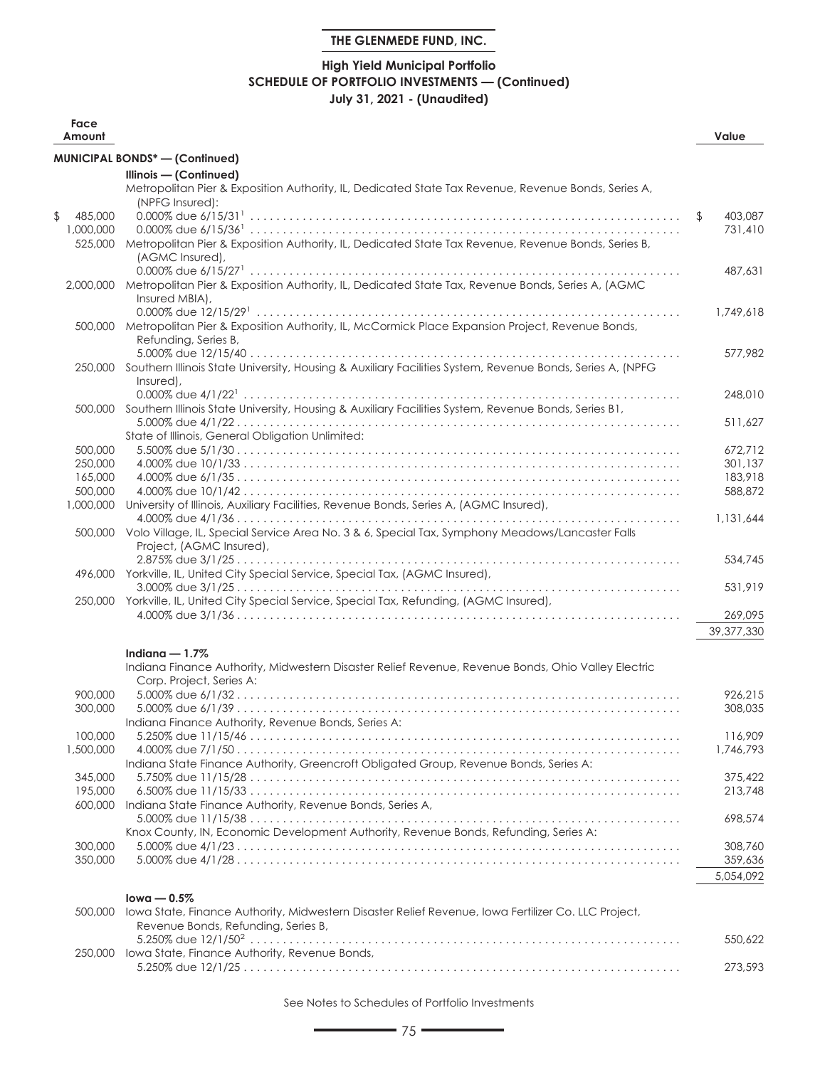## **High Yield Municipal Portfolio SCHEDULE OF PORTFOLIO INVESTMENTS — (Continued) July 31, 2021 - (Unaudited)**

| Face<br>Amount     |                                                                                                                   | Value              |
|--------------------|-------------------------------------------------------------------------------------------------------------------|--------------------|
|                    | MUNICIPAL BONDS* - (Continued)                                                                                    |                    |
|                    | Illinois - (Continued)                                                                                            |                    |
|                    | Metropolitan Pier & Exposition Authority, IL, Dedicated State Tax Revenue, Revenue Bonds, Series A,               |                    |
|                    | (NPFG Insured):                                                                                                   |                    |
| \$<br>485,000      |                                                                                                                   | \$<br>403,087      |
| 1,000,000          | Metropolitan Pier & Exposition Authority, IL, Dedicated State Tax Revenue, Revenue Bonds, Series B,               | 731,410            |
| 525,000            | (AGMC Insured),                                                                                                   |                    |
|                    |                                                                                                                   | 487,631            |
| 2,000,000          | Metropolitan Pier & Exposition Authority, IL, Dedicated State Tax, Revenue Bonds, Series A, (AGMC                 |                    |
|                    | Insured MBIA),                                                                                                    |                    |
|                    |                                                                                                                   | 1,749,618          |
|                    | 500,000 Metropolitan Pier & Exposition Authority, IL, McCormick Place Expansion Project, Revenue Bonds,           |                    |
|                    | Refunding, Series B,                                                                                              |                    |
|                    |                                                                                                                   | 577,982            |
|                    | 250,000 Southern Illinois State University, Housing & Auxiliary Facilities System, Revenue Bonds, Series A, (NPFG |                    |
|                    | Insured),                                                                                                         |                    |
|                    |                                                                                                                   | 248,010            |
|                    | 500,000 Southern Illinois State University, Housing & Auxiliary Facilities System, Revenue Bonds, Series B1,      |                    |
|                    |                                                                                                                   | 511,627            |
|                    | State of Illinois, General Obligation Unlimited:                                                                  |                    |
| 500,000<br>250,000 |                                                                                                                   | 672,712<br>301,137 |
| 165,000            |                                                                                                                   | 183,918            |
| 500,000            |                                                                                                                   | 588,872            |
| 1,000,000          | University of Illinois, Auxiliary Facilities, Revenue Bonds, Series A, (AGMC Insured),                            |                    |
|                    |                                                                                                                   | 1,131,644          |
|                    | 500,000 Volo Village, IL, Special Service Area No. 3 & 6, Special Tax, Symphony Meadows/Lancaster Falls           |                    |
|                    | Project, (AGMC Insured),                                                                                          |                    |
|                    |                                                                                                                   | 534,745            |
| 496,000            | Yorkville, IL, United City Special Service, Special Tax, (AGMC Insured),                                          |                    |
|                    |                                                                                                                   | 531,919            |
|                    | 250,000 Yorkville, IL, United City Special Service, Special Tax, Refunding, (AGMC Insured),                       |                    |
|                    |                                                                                                                   | 269,095            |
|                    |                                                                                                                   | 39,377,330         |
|                    | Indiana $-1.7\%$                                                                                                  |                    |
|                    | Indiana Finance Authority, Midwestern Disaster Relief Revenue, Revenue Bonds, Ohio Valley Electric                |                    |
|                    | Corp. Project, Series A:                                                                                          |                    |
| 900,000            |                                                                                                                   | 926,215            |
| 300,000            |                                                                                                                   | 308,035            |
|                    | Indiana Finance Authority, Revenue Bonds, Series A:                                                               |                    |
| 100,000            |                                                                                                                   | 116,909            |
| 1,500,000          | Indiana State Finance Authority, Greencroft Obligated Group, Revenue Bonds, Series A:                             | 1,746,793          |
| 345,000            |                                                                                                                   | 375,422            |
| 195,000            |                                                                                                                   | 213,748            |
| 600,000            | Indiana State Finance Authority, Revenue Bonds, Series A,                                                         |                    |
|                    |                                                                                                                   | 698,574            |
|                    | Knox County, IN, Economic Development Authority, Revenue Bonds, Refunding, Series A:                              |                    |
| 300,000            |                                                                                                                   | 308,760            |
| 350,000            |                                                                                                                   | 359,636            |
|                    |                                                                                                                   | 5,054,092          |
|                    | $lowa - 0.5%$                                                                                                     |                    |
| 500,000            | lowa State, Finance Authority, Midwestern Disaster Relief Revenue, Iowa Fertilizer Co. LLC Project,               |                    |
|                    | Revenue Bonds, Refunding, Series B,                                                                               |                    |
|                    |                                                                                                                   | 550,622            |
| 250,000            | lowa State, Finance Authority, Revenue Bonds,                                                                     |                    |
|                    |                                                                                                                   | 273,593            |
|                    |                                                                                                                   |                    |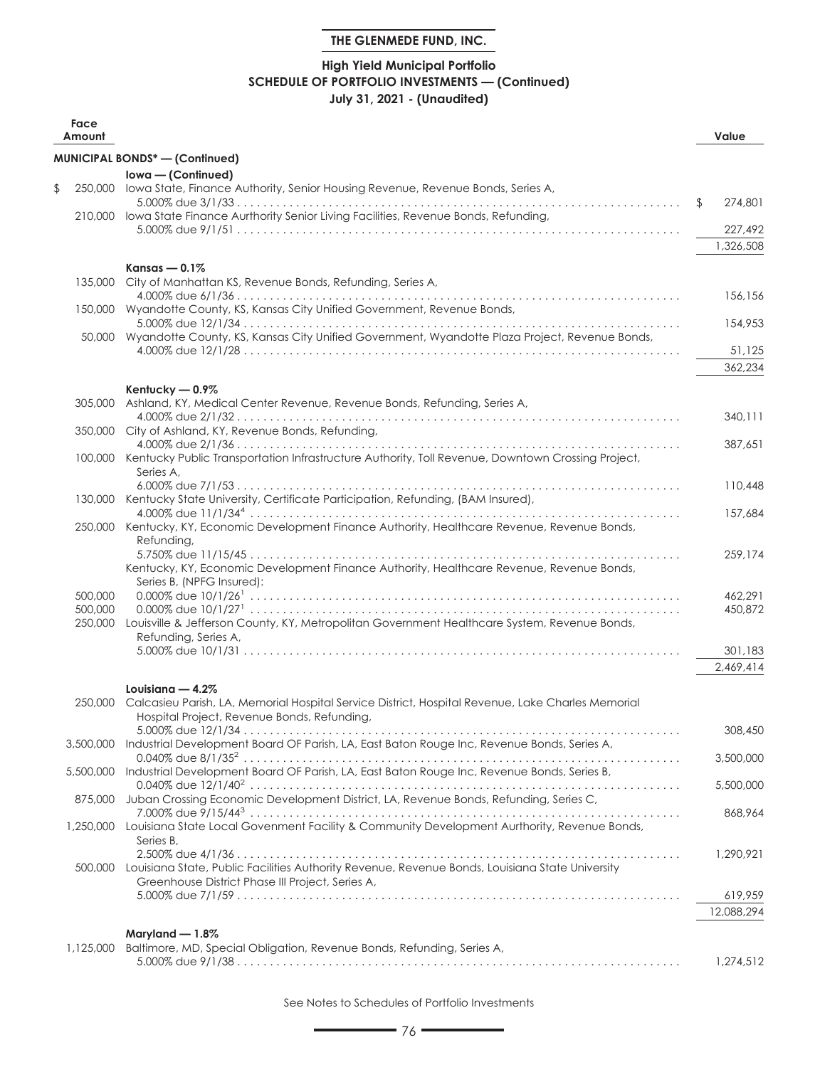## **High Yield Municipal Portfolio SCHEDULE OF PORTFOLIO INVESTMENTS — (Continued) July 31, 2021 - (Unaudited)**

| Face<br>Amount     |                                                                                                           | Value         |
|--------------------|-----------------------------------------------------------------------------------------------------------|---------------|
|                    | <b>MUNICIPAL BONDS*-(Confinued)</b>                                                                       |               |
|                    | Iowa - (Continued)                                                                                        |               |
| \$                 | 250,000 lowa State, Finance Authority, Senior Housing Revenue, Revenue Bonds, Series A,                   |               |
|                    | 210,000 lowa State Finance Aurthority Senior Living Facilities, Revenue Bonds, Refunding,                 | \$<br>274,801 |
|                    |                                                                                                           | 227,492       |
|                    |                                                                                                           | 1,326,508     |
|                    | Kansas $-0.1\%$                                                                                           |               |
| 135,000            | City of Manhattan KS, Revenue Bonds, Refunding, Series A,                                                 |               |
|                    |                                                                                                           | 156,156       |
|                    | 150,000 Wyandotte County, KS, Kansas City Unified Government, Revenue Bonds,                              | 154,953       |
|                    | 50,000 Wyandotte County, KS, Kansas City Unified Government, Wyandotte Plaza Project, Revenue Bonds,      |               |
|                    |                                                                                                           | 51,125        |
|                    |                                                                                                           | 362,234       |
|                    | Kentucky - 0.9%                                                                                           |               |
| 305,000            | Ashland, KY, Medical Center Revenue, Revenue Bonds, Refunding, Series A,                                  |               |
| 350,000            | City of Ashland, KY, Revenue Bonds, Refunding,                                                            | 340,111       |
|                    |                                                                                                           | 387,651       |
|                    | 100,000 Kentucky Public Transportation Infrastructure Authority, Toll Revenue, Downtown Crossing Project, |               |
|                    | Series A,                                                                                                 |               |
|                    | 130,000 Kentucky State University, Certificate Participation, Refunding, (BAM Insured),                   | 110,448       |
|                    |                                                                                                           | 157.684       |
|                    | 250,000 Kentucky, KY, Economic Development Finance Authority, Healthcare Revenue, Revenue Bonds,          |               |
|                    | Refunding,                                                                                                | 259,174       |
|                    | Kentucky, KY, Economic Development Finance Authority, Healthcare Revenue, Revenue Bonds,                  |               |
|                    | Series B, (NPFG Insured):                                                                                 |               |
| 500,000            |                                                                                                           | 462.291       |
| 500,000<br>250,000 | Louisville & Jefferson County, KY, Metropolitan Government Healthcare System, Revenue Bonds,              | 450,872       |
|                    | Refunding, Series A,                                                                                      |               |
|                    |                                                                                                           | 301,183       |
|                    |                                                                                                           | 2,469,414     |
|                    | Louisiana — $4.2\%$                                                                                       |               |
| 250,000            | Calcasieu Parish, LA, Memorial Hospital Service District, Hospital Revenue, Lake Charles Memorial         |               |
|                    | Hospital Project, Revenue Bonds, Refunding,                                                               | 308,450       |
|                    | 3,500,000 Industrial Development Board OF Parish, LA, East Baton Rouge Inc, Revenue Bonds, Series A,      |               |
|                    |                                                                                                           | 3,500,000     |
| 5,500,000          | Industrial Development Board OF Parish, LA, East Baton Rouge Inc, Revenue Bonds, Series B,                | 5,500,000     |
| 875,000            | Juban Crossing Economic Development District, LA, Revenue Bonds, Refunding, Series C,                     |               |
|                    |                                                                                                           | 868,964       |
| 1,250,000          | Louisiana State Local Govenment Facility & Community Development Aurthority, Revenue Bonds,               |               |
|                    | Series B,                                                                                                 | 1.290.921     |
|                    | 500,000 Louisiana State, Public Facilities Authority Revenue, Revenue Bonds, Louisiana State University   |               |
|                    | Greenhouse District Phase III Project, Series A,                                                          |               |
|                    |                                                                                                           | 619,959       |
|                    |                                                                                                           | 12,088,294    |
|                    | Maryland $-1.8\%$                                                                                         |               |
| 1,125,000          | Baltimore, MD, Special Obligation, Revenue Bonds, Refunding, Series A,                                    | 1,274,512     |
|                    |                                                                                                           |               |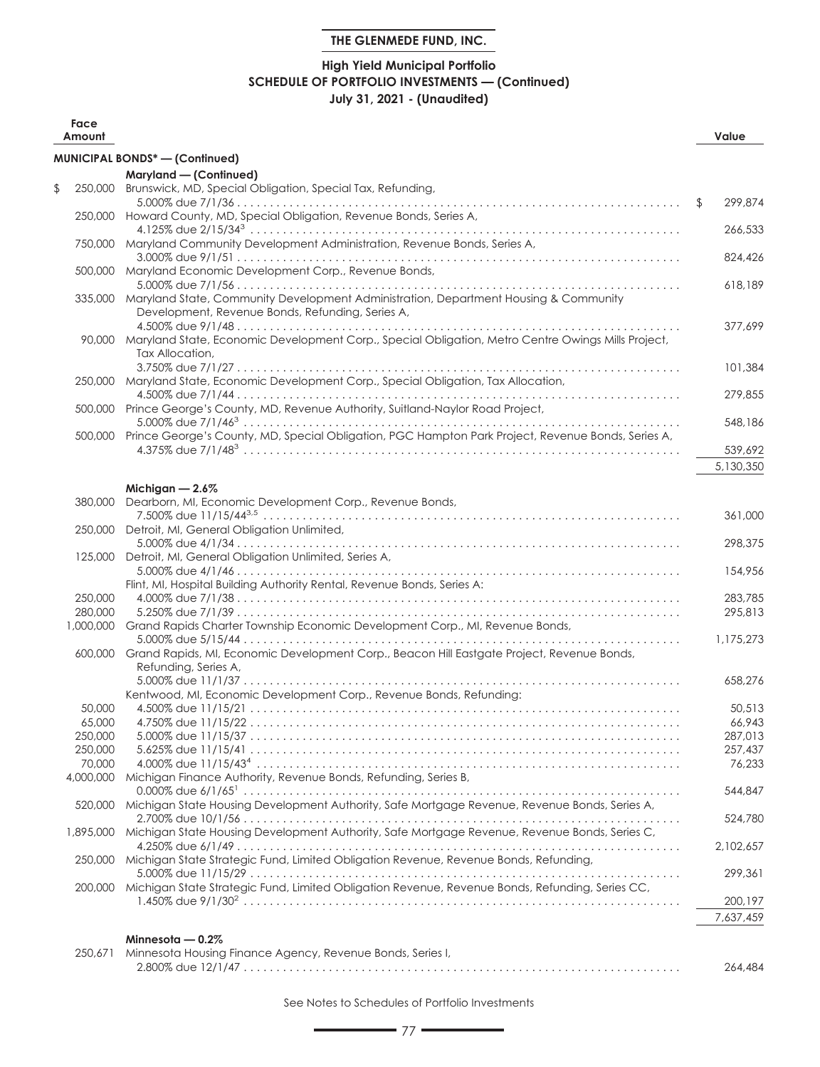## **High Yield Municipal Portfolio SCHEDULE OF PORTFOLIO INVESTMENTS — (Continued) July 31, 2021 - (Unaudited)**

| Face<br>Amount       |                                                                                                                                                  | Value            |
|----------------------|--------------------------------------------------------------------------------------------------------------------------------------------------|------------------|
|                      | <b>MUNICIPAL BONDS*-(Confinued)</b>                                                                                                              |                  |
|                      | Maryland - (Continued)                                                                                                                           |                  |
| \$<br>250,000        | Brunswick, MD, Special Obligation, Special Tax, Refunding,                                                                                       |                  |
|                      | 250,000 Howard County, MD, Special Obligation, Revenue Bonds, Series A,                                                                          | \$<br>299,874    |
|                      | 750,000 Maryland Community Development Administration, Revenue Bonds, Series A,                                                                  | 266,533          |
|                      | 500,000 Maryland Economic Development Corp., Revenue Bonds,                                                                                      | 824,426          |
|                      | 335,000 Maryland State, Community Development Administration, Department Housing & Community<br>Development, Revenue Bonds, Refunding, Series A, | 618,189          |
|                      | 90,000 Maryland State, Economic Development Corp., Special Obligation, Metro Centre Owings Mills Project,<br>Tax Allocation,                     | 377,699          |
|                      | 250,000 Maryland State, Economic Development Corp., Special Obligation, Tax Allocation,                                                          | 101,384          |
|                      | 500,000 Prince George's County, MD, Revenue Authority, Suitland-Naylor Road Project,                                                             | 279,855          |
|                      | 500,000 Prince George's County, MD, Special Obligation, PGC Hampton Park Project, Revenue Bonds, Series A,                                       | 548,186          |
|                      |                                                                                                                                                  | 539,692          |
|                      |                                                                                                                                                  | 5,130,350        |
|                      | Michigan $-2.6\%$                                                                                                                                |                  |
| 380,000              | Dearborn, MI, Economic Development Corp., Revenue Bonds,                                                                                         |                  |
|                      |                                                                                                                                                  | 361,000          |
| 250,000              | Detroit, MI, General Obligation Unlimited,                                                                                                       |                  |
| 125,000              | Detroit, MI, General Obligation Unlimited, Series A,                                                                                             | 298,375          |
|                      |                                                                                                                                                  | 154,956          |
|                      | Flint, MI, Hospital Building Authority Rental, Revenue Bonds, Series A:                                                                          |                  |
| 250,000              |                                                                                                                                                  | 283,785          |
| 280,000<br>1,000,000 | Grand Rapids Charter Township Economic Development Corp., MI, Revenue Bonds,                                                                     | 295,813          |
|                      |                                                                                                                                                  | 1,175,273        |
|                      | 600,000 Grand Rapids, MI, Economic Development Corp., Beacon Hill Eastgate Project, Revenue Bonds,<br>Refunding, Series A,                       |                  |
|                      |                                                                                                                                                  | 658,276          |
|                      | Kentwood, MI, Economic Development Corp., Revenue Bonds, Refunding:                                                                              |                  |
| 50,000<br>65,000     |                                                                                                                                                  | 50,513<br>66,943 |
| 250,000              |                                                                                                                                                  | 287,013          |
| 250,000              |                                                                                                                                                  | 257.437          |
| 70,000               |                                                                                                                                                  | 76.233           |
| 4,000,000            | Michigan Finance Authority, Revenue Bonds, Refunding, Series B,                                                                                  | 544,847          |
| 520,000              | Michigan State Housing Development Authority, Safe Mortgage Revenue, Revenue Bonds, Series A,                                                    | 524,780          |
| 1,895,000            | Michigan State Housing Development Authority, Safe Mortgage Revenue, Revenue Bonds, Series C,                                                    | 2,102,657        |
| 250,000              | Michigan State Strategic Fund, Limited Obligation Revenue, Revenue Bonds, Refunding,                                                             | 299,361          |
| 200,000              | Michigan State Strategic Fund, Limited Obligation Revenue, Revenue Bonds, Refunding, Series CC,                                                  |                  |
|                      |                                                                                                                                                  | 200,197          |
|                      |                                                                                                                                                  | 7,637,459        |
|                      | Minnesota $-0.2\%$                                                                                                                               |                  |
| 250,671              | Minnesota Housing Finance Agency, Revenue Bonds, Series I,                                                                                       |                  |

2.800% due 12/1/47 . . . . . . . . . . . . . . . . . . . . . . . . . . . . . . . . . . . . . . . . . . . . . . . . . . . . . . . . . . . . . . . . . . . 264,484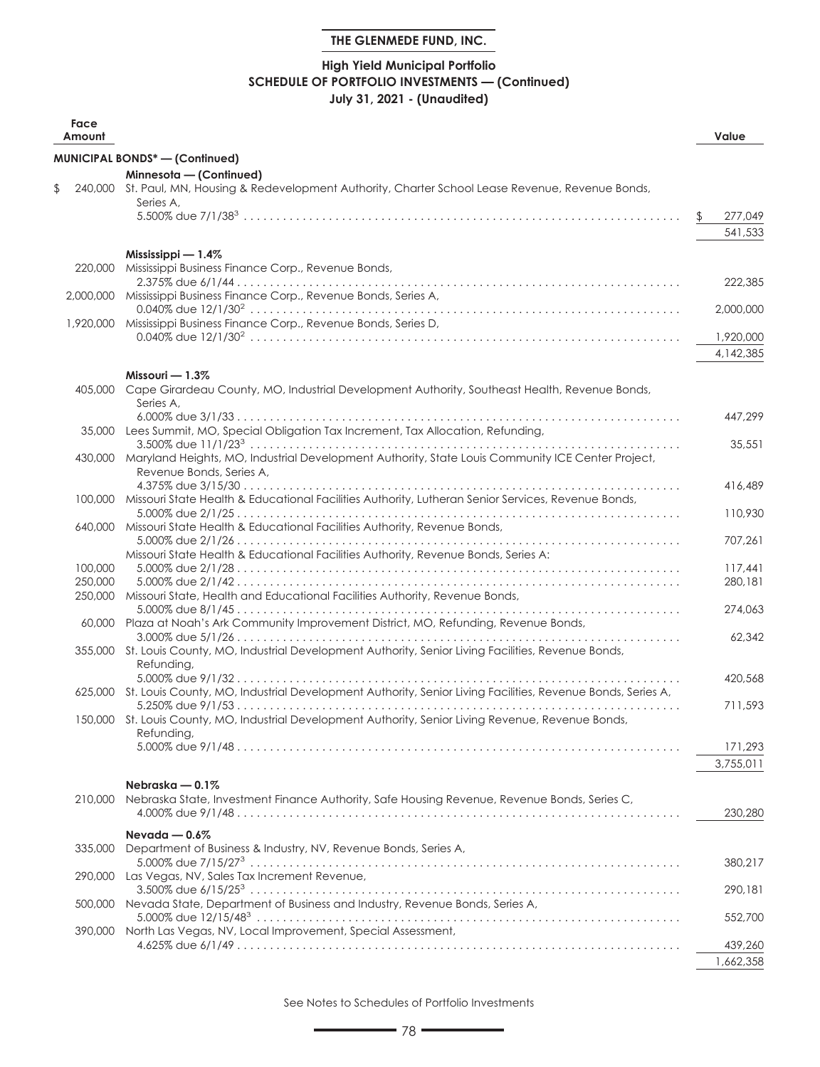## **High Yield Municipal Portfolio SCHEDULE OF PORTFOLIO INVESTMENTS — (Continued) July 31, 2021 - (Unaudited)**

| Face<br>Amount |                                                                                                                               |     | Value     |
|----------------|-------------------------------------------------------------------------------------------------------------------------------|-----|-----------|
|                | MUNICIPAL BONDS* - (Continued)                                                                                                |     |           |
|                | Minnesota - (Continued)                                                                                                       |     |           |
| \$             | 240,000 St. Paul, MN, Housing & Redevelopment Authority, Charter School Lease Revenue, Revenue Bonds,                         |     |           |
|                | Series A,                                                                                                                     |     |           |
|                |                                                                                                                               | \$. | 277,049   |
|                |                                                                                                                               |     | 541,533   |
|                | Mississippi $-1.4\%$                                                                                                          |     |           |
| 220,000        | Mississippi Business Finance Corp., Revenue Bonds,                                                                            |     |           |
|                | 2,000,000 Mississippi Business Finance Corp., Revenue Bonds, Series A,                                                        |     | 222,385   |
|                |                                                                                                                               |     | 2,000,000 |
|                | 1,920,000 Mississippi Business Finance Corp., Revenue Bonds, Series D,                                                        |     |           |
|                |                                                                                                                               |     | 1,920,000 |
|                |                                                                                                                               |     | 4,142,385 |
|                | Missouri $-1.3\%$                                                                                                             |     |           |
|                | 405,000 Cape Girardeau County, MO, Industrial Development Authority, Southeast Health, Revenue Bonds,                         |     |           |
|                | Series A,                                                                                                                     |     |           |
|                |                                                                                                                               |     | 447,299   |
|                | 35,000 Lees Summit, MO, Special Obligation Tax Increment, Tax Allocation, Refunding,                                          |     |           |
|                |                                                                                                                               |     | 35,551    |
| 430,000        | Maryland Heights, MO, Industrial Development Authority, State Louis Community ICE Center Project,<br>Revenue Bonds, Series A, |     |           |
|                |                                                                                                                               |     | 416,489   |
|                | 100,000 Missouri State Health & Educational Facilities Authority, Lutheran Senior Services, Revenue Bonds,                    |     |           |
|                |                                                                                                                               |     | 110,930   |
| 640,000        | Missouri State Health & Educational Facilities Authority, Revenue Bonds,                                                      |     |           |
|                |                                                                                                                               |     | 707,261   |
| 100,000        | Missouri State Health & Educational Facilities Authority, Revenue Bonds, Series A:                                            |     | 117.441   |
| 250,000        |                                                                                                                               |     | 280,181   |
| 250,000        | Missouri State, Health and Educational Facilities Authority, Revenue Bonds,                                                   |     |           |
|                |                                                                                                                               |     | 274,063   |
|                | 60,000 Plaza at Noah's Ark Community Improvement District, MO, Refunding, Revenue Bonds,                                      |     |           |
|                |                                                                                                                               |     | 62,342    |
|                | 355,000 St. Louis County, MO, Industrial Development Authority, Senior Living Facilities, Revenue Bonds,<br>Refunding,        |     |           |
|                |                                                                                                                               |     | 420,568   |
|                | 625,000 St. Louis County, MO, Industrial Development Authority, Senior Living Facilities, Revenue Bonds, Series A,            |     |           |
|                |                                                                                                                               |     | 711,593   |
|                | 150,000 St. Louis County, MO, Industrial Development Authority, Senior Living Revenue, Revenue Bonds,                         |     |           |
|                | Refunding,                                                                                                                    |     | 171,293   |
|                |                                                                                                                               |     | 3,755,011 |
|                |                                                                                                                               |     |           |
|                | Nebraska $-0.1\%$<br>Nebraska State, Investment Finance Authority, Safe Housing Revenue, Revenue Bonds, Series C,             |     |           |
| 210,000        |                                                                                                                               |     | 230,280   |
|                |                                                                                                                               |     |           |
| 335,000        | Nevada $-0.6\%$<br>Department of Business & Industry, NV, Revenue Bonds, Series A,                                            |     |           |
|                |                                                                                                                               |     | 380,217   |
| 290,000        | Las Vegas, NV, Sales Tax Increment Revenue,                                                                                   |     |           |
|                |                                                                                                                               |     | 290,181   |
|                | 500,000 Nevada State, Department of Business and Industry, Revenue Bonds, Series A,                                           |     |           |
|                |                                                                                                                               |     | 552,700   |
|                | 390,000 North Las Vegas, NV, Local Improvement, Special Assessment,                                                           |     | 439,260   |
|                |                                                                                                                               |     | 1,662,358 |
|                |                                                                                                                               |     |           |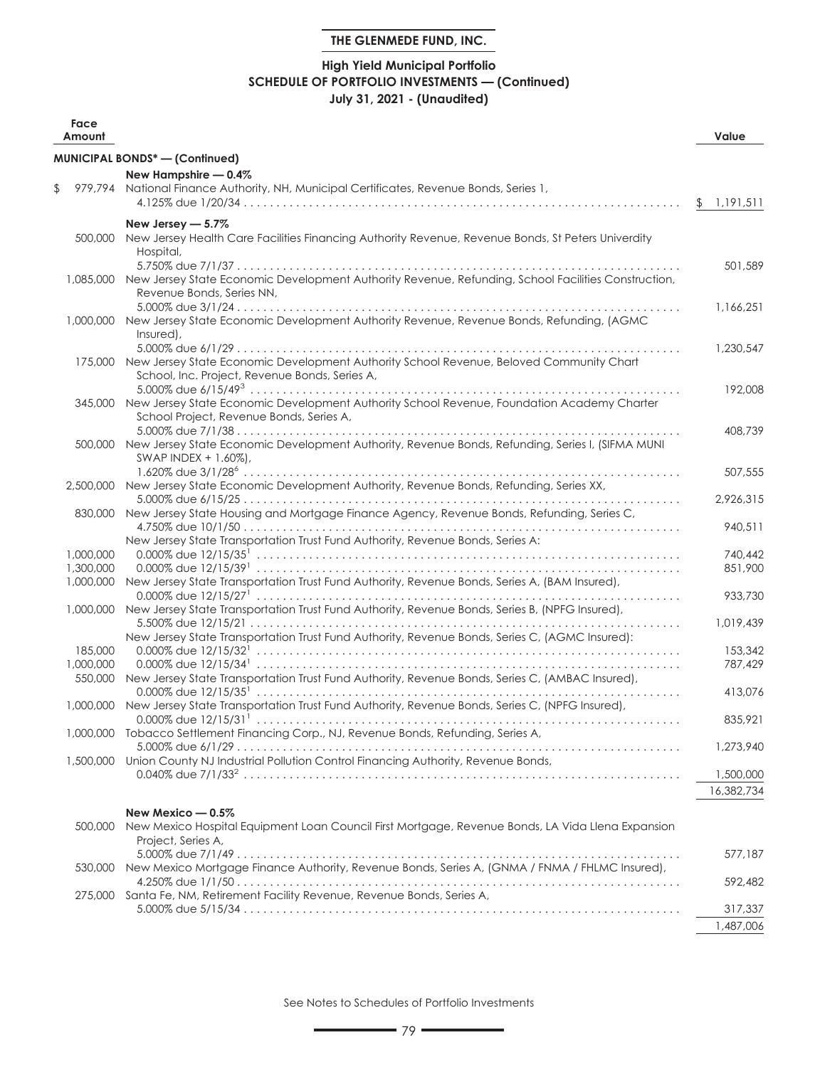## **High Yield Municipal Portfolio SCHEDULE OF PORTFOLIO INVESTMENTS — (Continued) July 31, 2021 - (Unaudited)**

| Face<br>Amount |                                                                                                                                                   | Value                |
|----------------|---------------------------------------------------------------------------------------------------------------------------------------------------|----------------------|
|                | <b>MUNICIPAL BONDS*-(Continued)</b>                                                                                                               |                      |
|                | New Hampshire - 0.4%                                                                                                                              |                      |
| \$             | 979,794 National Finance Authority, NH, Municipal Certificates, Revenue Bonds, Series 1,                                                          |                      |
|                |                                                                                                                                                   | \$<br>1,191,511      |
| 500,000        | New Jersey - 5.7%<br>New Jersey Health Care Facilities Financing Authority Revenue, Revenue Bonds, St Peters Univerdity                           |                      |
|                | Hospital,                                                                                                                                         | 501,589              |
|                | 1,085,000 New Jersey State Economic Development Authority Revenue, Refunding, School Facilities Construction,<br>Revenue Bonds, Series NN,        |                      |
|                | 1,000,000 New Jersey State Economic Development Authority Revenue, Revenue Bonds, Refunding, (AGMC<br>Insured),                                   | 1,166,251            |
|                |                                                                                                                                                   | 1,230,547            |
|                | 175,000 New Jersey State Economic Development Authority School Revenue, Beloved Community Chart<br>School, Inc. Project, Revenue Bonds, Series A, |                      |
|                | 345,000 New Jersey State Economic Development Authority School Revenue, Foundation Academy Charter<br>School Project, Revenue Bonds, Series A,    | 192,008              |
|                |                                                                                                                                                   | 408,739              |
| 500,000        | New Jersey State Economic Development Authority, Revenue Bonds, Refunding, Series I, (SIFMA MUNI<br>SWAP INDEX + 1.60%),                          |                      |
|                |                                                                                                                                                   | 507,555              |
| 2,500,000      | New Jersey State Economic Development Authority, Revenue Bonds, Refunding, Series XX,                                                             |                      |
| 830,000        | New Jersey State Housing and Mortgage Finance Agency, Revenue Bonds, Refunding, Series C,                                                         | 2,926,315<br>940,511 |
|                | New Jersey State Transportation Trust Fund Authority, Revenue Bonds, Series A:                                                                    |                      |
| 1,000,000      |                                                                                                                                                   | 740.442              |
| 1,300,000      |                                                                                                                                                   | 851,900              |
| 1,000,000      | New Jersey State Transportation Trust Fund Authority, Revenue Bonds, Series A, (BAM Insured),                                                     |                      |
|                |                                                                                                                                                   | 933,730              |
| 1,000,000      | New Jersey State Transportation Trust Fund Authority, Revenue Bonds, Series B, (NPFG Insured),                                                    | 1,019,439            |
|                | New Jersey State Transportation Trust Fund Authority, Revenue Bonds, Series C, (AGMC Insured):                                                    |                      |
| 185,000        |                                                                                                                                                   | 153,342              |
| 1,000,000      |                                                                                                                                                   | 787,429              |
| 550,000        | New Jersey State Transportation Trust Fund Authority, Revenue Bonds, Series C, (AMBAC Insured),                                                   |                      |
|                |                                                                                                                                                   | 413,076              |
|                | 1,000,000 New Jersey State Transportation Trust Fund Authority, Revenue Bonds, Series C, (NPFG Insured),                                          |                      |
|                | 1,000,000 Tobacco Settlement Financing Corp., NJ, Revenue Bonds, Refunding, Series A,                                                             | 835,921              |
|                |                                                                                                                                                   | 1,273,940            |
| 1,500,000      | Union County NJ Industrial Pollution Control Financing Authority, Revenue Bonds,                                                                  |                      |
|                |                                                                                                                                                   | 1,500,000            |
|                |                                                                                                                                                   | 16,382,734           |
|                | New Mexico - 0.5%                                                                                                                                 |                      |
| 500,000        | New Mexico Hospital Equipment Loan Council First Mortgage, Revenue Bonds, LA Vida Llena Expansion<br>Project, Series A,                           |                      |
|                | New Mexico Mortgage Finance Authority, Revenue Bonds, Series A, (GNMA / FNMA / FHLMC Insured),                                                    | 577,187              |
| 530,000        |                                                                                                                                                   | 592,482              |
| 275,000        | Santa Fe, NM, Retirement Facility Revenue, Revenue Bonds, Series A,                                                                               |                      |
|                |                                                                                                                                                   | 317,337              |

See Notes to Schedules of Portfolio Investments

1,487,006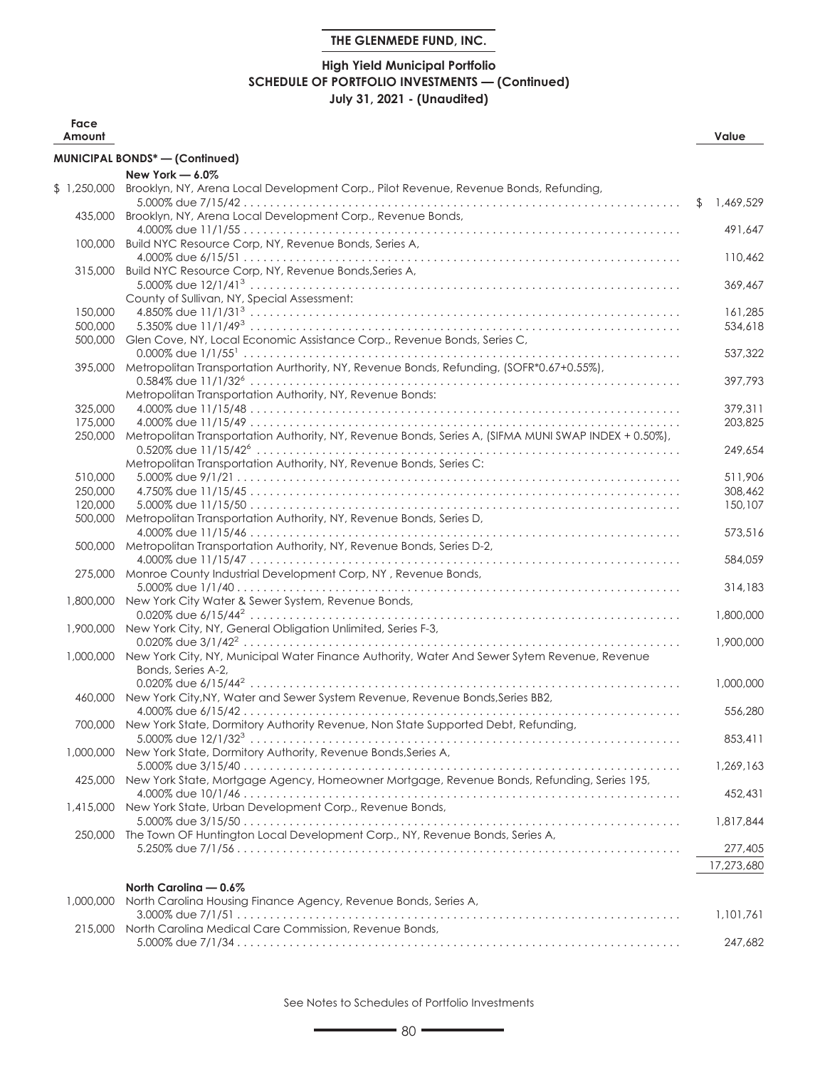## **High Yield Municipal Portfolio SCHEDULE OF PORTFOLIO INVESTMENTS — (Continued) July 31, 2021 - (Unaudited)**

| Face<br>Amount |                                                                                                        |                | Value      |
|----------------|--------------------------------------------------------------------------------------------------------|----------------|------------|
|                | <b>MUNICIPAL BONDS*-(Continued)</b>                                                                    |                |            |
|                | New York - 6.0%                                                                                        |                |            |
| \$1,250,000    | Brooklyn, NY, Arena Local Development Corp., Pilot Revenue, Revenue Bonds, Refunding,                  |                |            |
|                |                                                                                                        | $\mathfrak{L}$ | 1,469,529  |
| 435,000        | Brooklyn, NY, Arena Local Development Corp., Revenue Bonds,                                            |                |            |
|                |                                                                                                        |                | 491,647    |
| 100,000        | Build NYC Resource Corp, NY, Revenue Bonds, Series A,                                                  |                |            |
|                |                                                                                                        |                | 110,462    |
| 315,000        | Build NYC Resource Corp, NY, Revenue Bonds, Series A,                                                  |                |            |
|                |                                                                                                        |                | 369,467    |
|                | County of Sullivan, NY, Special Assessment:                                                            |                |            |
| 150,000        |                                                                                                        |                | 161,285    |
| 500,000        |                                                                                                        |                | 534,618    |
| 500,000        | Glen Cove, NY, Local Economic Assistance Corp., Revenue Bonds, Series C,                               |                |            |
|                |                                                                                                        |                | 537,322    |
|                | 395,000 Metropolitan Transportation Aurthority, NY, Revenue Bonds, Refunding, (SOFR*0.67+0.55%),       |                |            |
|                | Metropolitan Transportation Authority, NY, Revenue Bonds:                                              |                | 397,793    |
| 325,000        |                                                                                                        |                | 379,311    |
| 175,000        |                                                                                                        |                | 203,825    |
| 250,000        | Metropolitan Transportation Authority, NY, Revenue Bonds, Series A, (SIFMA MUNI SWAP INDEX + 0.50%),   |                |            |
|                |                                                                                                        |                | 249,654    |
|                | Metropolitan Transportation Authority, NY, Revenue Bonds, Series C:                                    |                |            |
| 510,000        |                                                                                                        |                | 511,906    |
| 250,000        |                                                                                                        |                | 308,462    |
| 120,000        |                                                                                                        |                | 150,107    |
| 500,000        | Metropolitan Transportation Authority, NY, Revenue Bonds, Series D,                                    |                |            |
|                |                                                                                                        |                | 573,516    |
|                | 500,000 Metropolitan Transportation Authority, NY, Revenue Bonds, Series D-2,                          |                |            |
|                |                                                                                                        |                | 584,059    |
|                | 275,000 Monroe County Industrial Development Corp, NY, Revenue Bonds,                                  |                |            |
|                |                                                                                                        |                | 314,183    |
|                | 1,800,000 New York City Water & Sewer System, Revenue Bonds,                                           |                |            |
|                |                                                                                                        |                | 1,800,000  |
|                | 1,900,000 New York City, NY, General Obligation Unlimited, Series F-3,                                 |                |            |
|                |                                                                                                        |                | 1,900,000  |
|                | 1,000,000 New York City, NY, Municipal Water Finance Authority, Water And Sewer Sytem Revenue, Revenue |                |            |
|                | Bonds, Series A-2,                                                                                     |                |            |
|                |                                                                                                        |                | 1,000,000  |
|                | 460,000 New York City, NY, Water and Sewer System Revenue, Revenue Bonds, Series BB2,                  |                |            |
|                | 700,000 New York State, Dormitory Authority Revenue, Non State Supported Debt, Refunding,              |                | 556,280    |
|                |                                                                                                        |                | 853,411    |
|                | 1,000,000 New York State, Dormitory Authority, Revenue Bonds, Series A,                                |                |            |
|                |                                                                                                        |                | 1,269,163  |
|                | 425,000 New York State, Mortgage Agency, Homeowner Mortgage, Revenue Bonds, Refunding, Series 195,     |                |            |
|                |                                                                                                        |                | 452,431    |
| 1,415,000      | New York State, Urban Development Corp., Revenue Bonds,                                                |                |            |
|                |                                                                                                        |                | 1,817,844  |
|                | 250,000 The Town OF Huntington Local Development Corp., NY, Revenue Bonds, Series A,                   |                |            |
|                |                                                                                                        |                | 277,405    |
|                |                                                                                                        |                | 17,273,680 |
|                |                                                                                                        |                |            |
|                | North Carolina - 0.6%                                                                                  |                |            |
| 1.000.000      | North Carolina Housing Finance Agency, Revenue Bonds, Series A,                                        |                |            |
|                | 215,000 North Carolina Medical Care Commission, Revenue Bonds,                                         |                | 1,101,761  |
|                |                                                                                                        |                | 247.682    |
|                |                                                                                                        |                |            |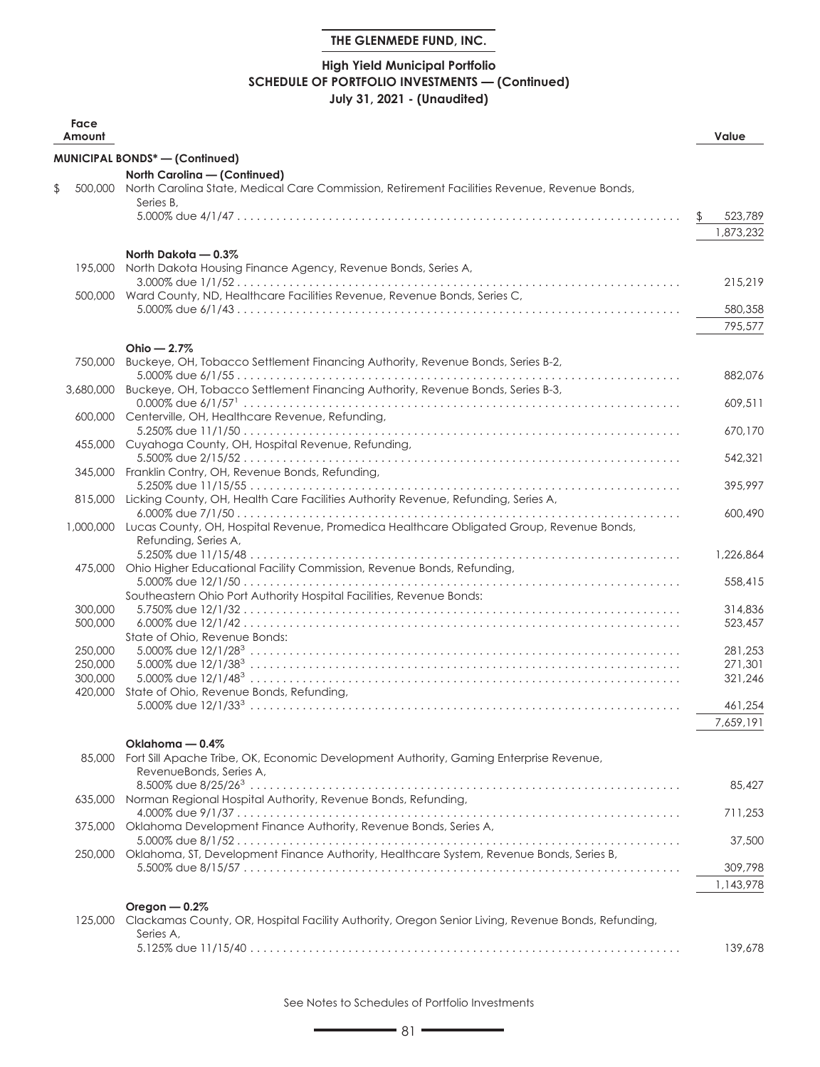## **High Yield Municipal Portfolio SCHEDULE OF PORTFOLIO INVESTMENTS — (Continued) July 31, 2021 - (Unaudited)**

| Face<br>Amount     |                                                                                                      |     | Value              |
|--------------------|------------------------------------------------------------------------------------------------------|-----|--------------------|
|                    | <b>MUNICIPAL BONDS* - (Continued)</b>                                                                |     |                    |
|                    | North Carolina - (Continued)                                                                         |     |                    |
| \$                 | 500,000 North Carolina State, Medical Care Commission, Retirement Facilities Revenue, Revenue Bonds, |     |                    |
|                    | Series B.                                                                                            | \$. | 523,789            |
|                    |                                                                                                      |     | 1,873,232          |
|                    |                                                                                                      |     |                    |
|                    | North Dakota - 0.3%                                                                                  |     |                    |
|                    | 195,000 North Dakota Housing Finance Agency, Revenue Bonds, Series A,                                |     | 215,219            |
|                    | 500,000 Ward County, ND, Healthcare Facilities Revenue, Revenue Bonds, Series C,                     |     |                    |
|                    |                                                                                                      |     | 580,358            |
|                    |                                                                                                      |     | 795,577            |
|                    | Ohio $-2.7%$                                                                                         |     |                    |
| 750,000            | Buckeye, OH, Tobacco Settlement Financing Authority, Revenue Bonds, Series B-2,                      |     |                    |
|                    |                                                                                                      |     | 882,076            |
|                    | 3,680,000 Buckeye, OH, Tobacco Settlement Financing Authority, Revenue Bonds, Series B-3,            |     |                    |
|                    |                                                                                                      |     | 609,511            |
|                    | 600,000 Centerville, OH, Healthcare Revenue, Refunding,                                              |     | 670,170            |
|                    | 455,000 Cuyahoga County, OH, Hospital Revenue, Refunding,                                            |     |                    |
|                    |                                                                                                      |     | 542,321            |
|                    | 345,000 Franklin Contry, OH, Revenue Bonds, Refunding,                                               |     |                    |
|                    |                                                                                                      |     | 395,997            |
|                    | 815,000 Licking County, OH, Health Care Facilities Authority Revenue, Refunding, Series A,           |     | 600,490            |
|                    | 1,000,000 Lucas County, OH, Hospital Revenue, Promedica Healthcare Obligated Group, Revenue Bonds,   |     |                    |
|                    | Refunding, Series A,                                                                                 |     |                    |
|                    |                                                                                                      |     | 1,226,864          |
|                    | 475,000 Ohio Higher Educational Facility Commission, Revenue Bonds, Refunding,                       |     |                    |
|                    | Southeastern Ohio Port Authority Hospital Facilities, Revenue Bonds:                                 |     | 558,415            |
| 300,000            |                                                                                                      |     | 314,836            |
| 500,000            |                                                                                                      |     | 523,457            |
|                    | State of Ohio, Revenue Bonds:                                                                        |     |                    |
| 250,000            |                                                                                                      |     | 281,253            |
| 250,000<br>300.000 |                                                                                                      |     | 271,301<br>321,246 |
| 420,000            | State of Ohio, Revenue Bonds, Refunding,                                                             |     |                    |
|                    |                                                                                                      |     | 461,254            |
|                    |                                                                                                      |     | 7,659,191          |
|                    | Oklahoma — 0.4%                                                                                      |     |                    |
| 85,000             | Fort Sill Apache Tribe, OK, Economic Development Authority, Gaming Enterprise Revenue,               |     |                    |
|                    | RevenueBonds, Series A,                                                                              |     |                    |
|                    |                                                                                                      |     | 85,427             |
|                    | 635,000 Norman Regional Hospital Authority, Revenue Bonds, Refunding,                                |     |                    |
| 375,000            | Oklahoma Development Finance Authority, Revenue Bonds, Series A,                                     |     | 711,253            |
|                    |                                                                                                      |     | 37,500             |
| 250,000            | Oklahoma, ST, Development Finance Authority, Healthcare System, Revenue Bonds, Series B,             |     |                    |
|                    |                                                                                                      |     | 309,798            |
|                    |                                                                                                      |     | 1,143,978          |
|                    | Oregon $-0.2%$                                                                                       |     |                    |
| 125,000            | Clackamas County, OR, Hospital Facility Authority, Oregon Senior Living, Revenue Bonds, Refunding,   |     |                    |
|                    | Series A,                                                                                            |     |                    |
|                    |                                                                                                      |     | 139,678            |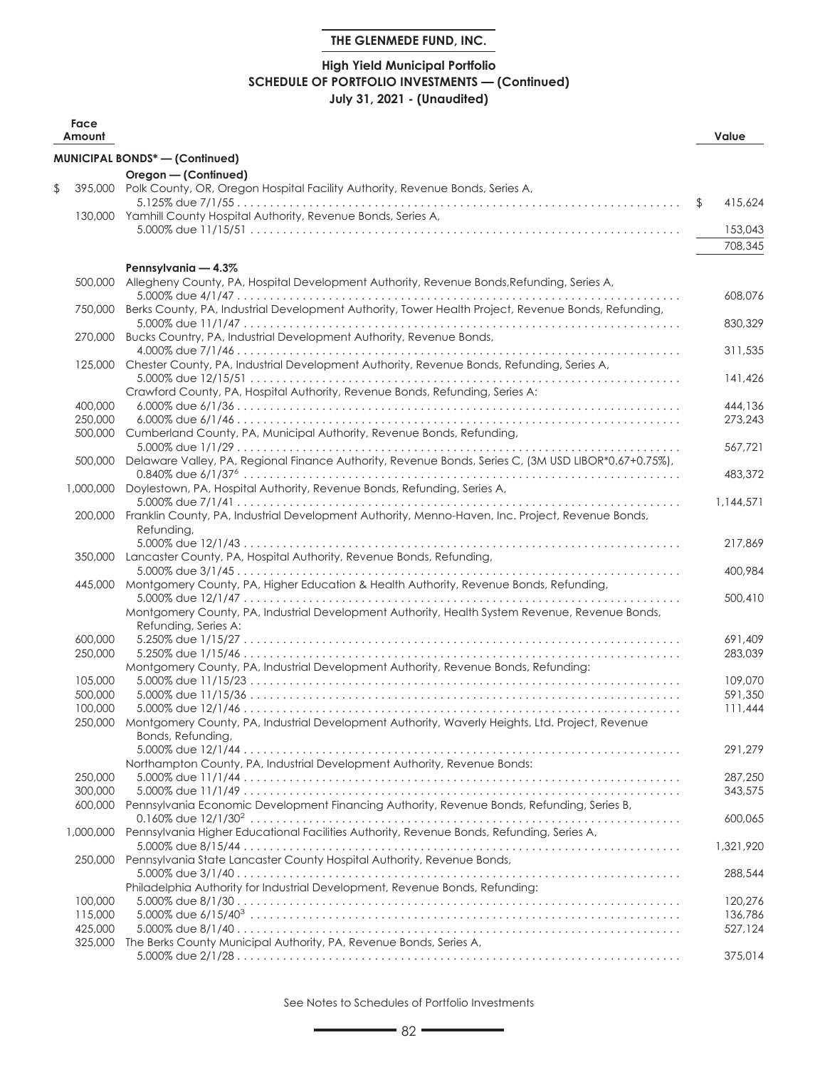## **High Yield Municipal Portfolio SCHEDULE OF PORTFOLIO INVESTMENTS — (Continued) July 31, 2021 - (Unaudited)**

| Face<br>Amount     |                                                                                                                        | Value         |
|--------------------|------------------------------------------------------------------------------------------------------------------------|---------------|
|                    | <b>MUNICIPAL BONDS*-(Confinued)</b>                                                                                    |               |
|                    | Oregon - (Continued)                                                                                                   |               |
| \$                 | 395,000 Polk County, OR, Oregon Hospital Facility Authority, Revenue Bonds, Series A,                                  |               |
|                    | 130,000 Yamhill County Hospital Authority, Revenue Bonds, Series A,                                                    | \$<br>415,624 |
|                    |                                                                                                                        | 153,043       |
|                    |                                                                                                                        | 708,345       |
|                    |                                                                                                                        |               |
| 500,000            | Pennsylvania - 4.3%<br>Allegheny County, PA, Hospital Development Authority, Revenue Bonds, Refunding, Series A,       |               |
| 750,000            | Berks County, PA, Industrial Development Authority, Tower Health Project, Revenue Bonds, Refunding,                    | 608,076       |
| 270,000            | Bucks Country, PA, Industrial Development Authority, Revenue Bonds,                                                    | 830,329       |
| 125,000            | Chester County, PA, Industrial Development Authority, Revenue Bonds, Refunding, Series A,                              | 311,535       |
|                    | Crawford County, PA, Hospital Authority, Revenue Bonds, Refunding, Series A:                                           | 141,426       |
| 400,000            |                                                                                                                        | 444,136       |
| 250,000            |                                                                                                                        | 273,243       |
| 500,000            | Cumberland County, PA, Municipal Authority, Revenue Bonds, Refunding,                                                  |               |
|                    | Delaware Valley, PA, Regional Finance Authority, Revenue Bonds, Series C, (3M USD LIBOR*0.67+0.75%),                   | 567,721       |
| 500,000            |                                                                                                                        | 483,372       |
| 1,000,000          | Doylestown, PA, Hospital Authority, Revenue Bonds, Refunding, Series A,                                                | 1,144,571     |
|                    | 200,000 Franklin County, PA, Industrial Development Authority, Menno-Haven, Inc. Project, Revenue Bonds,<br>Refunding, |               |
|                    | 350,000 Lancaster County, PA, Hospital Authority, Revenue Bonds, Refunding,                                            | 217,869       |
|                    |                                                                                                                        | 400,984       |
| 445,000            | Montgomery County, PA, Higher Education & Health Authority, Revenue Bonds, Refunding,                                  | 500,410       |
|                    | Montgomery County, PA, Industrial Development Authority, Health System Revenue, Revenue Bonds,<br>Refunding, Series A: |               |
| 600,000            |                                                                                                                        | 691,409       |
| 250,000            | Montgomery County, PA, Industrial Development Authority, Revenue Bonds, Refunding:                                     | 283,039       |
| 105,000            |                                                                                                                        | 109,070       |
| 500,000            |                                                                                                                        | 591,350       |
| 100,000            |                                                                                                                        | 111,444       |
| 250,000            | Montgomery County, PA, Industrial Development Authority, Waverly Heights, Ltd. Project, Revenue<br>Bonds, Refunding,   |               |
|                    | Northampton County, PA, Industrial Development Authority, Revenue Bonds:                                               | 291,279       |
| 250,000            |                                                                                                                        | 287,250       |
| 300,000            |                                                                                                                        | 343,575       |
| 600,000            | Pennsylvania Economic Development Financing Authority, Revenue Bonds, Refunding, Series B,                             | 600,065       |
| 1,000,000          | Pennsylvania Higher Educational Facilities Authority, Revenue Bonds, Refunding, Series A,                              | 1,321,920     |
| 250,000            | Pennsylvania State Lancaster County Hospital Authority, Revenue Bonds,                                                 | 288,544       |
|                    | Philadelphia Authority for Industrial Development, Revenue Bonds, Refunding:                                           |               |
| 100,000            |                                                                                                                        | 120,276       |
| 115,000            |                                                                                                                        | 136,786       |
| 425,000<br>325,000 | The Berks County Municipal Authority, PA, Revenue Bonds, Series A,                                                     | 527,124       |
|                    |                                                                                                                        | 375,014       |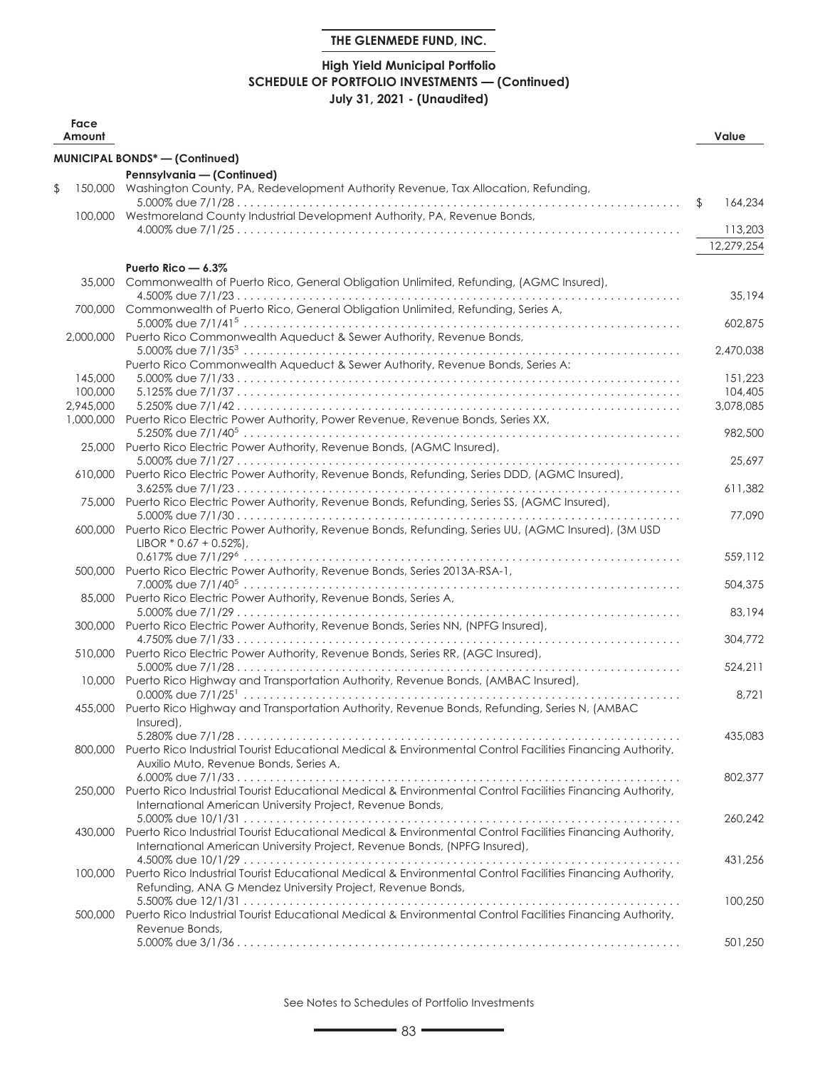## **High Yield Municipal Portfolio SCHEDULE OF PORTFOLIO INVESTMENTS — (Continued) July 31, 2021 - (Unaudited)**

| Face<br>Amount       |                                                                                                                                                                                                 | Value                |
|----------------------|-------------------------------------------------------------------------------------------------------------------------------------------------------------------------------------------------|----------------------|
|                      | MUNICIPAL BONDS* - (Continued)                                                                                                                                                                  |                      |
|                      | Pennsylvania - (Continued)                                                                                                                                                                      |                      |
| \$                   | 150,000 Washington County, PA, Redevelopment Authority Revenue, Tax Allocation, Refunding,                                                                                                      |                      |
|                      | 100,000 Westmoreland County Industrial Development Authority, PA, Revenue Bonds,                                                                                                                | \$<br>164,234        |
|                      |                                                                                                                                                                                                 | 113,203              |
|                      |                                                                                                                                                                                                 | 12,279,254           |
|                      | Puerto Rico - 6.3%                                                                                                                                                                              |                      |
| 35,000               | Commonwealth of Puerto Rico, General Obligation Unlimited, Refunding, (AGMC Insured),                                                                                                           |                      |
| 700,000              | Commonwealth of Puerto Rico, General Obligation Unlimited, Refunding, Series A,                                                                                                                 | 35,194               |
|                      |                                                                                                                                                                                                 | 602,875              |
|                      | 2,000,000 Puerto Rico Commonwealth Aqueduct & Sewer Authority, Revenue Bonds,                                                                                                                   | 2,470,038            |
|                      | Puerto Rico Commonwealth Aqueduct & Sewer Authority, Revenue Bonds, Series A:                                                                                                                   |                      |
| 145,000              |                                                                                                                                                                                                 | 151,223              |
| 100,000<br>2,945,000 |                                                                                                                                                                                                 | 104,405<br>3,078,085 |
|                      | 1,000,000 Puerto Rico Electric Power Authority, Power Revenue, Revenue Bonds, Series XX,                                                                                                        |                      |
|                      | 25,000 Puerto Rico Electric Power Authority, Revenue Bonds, (AGMC Insured),                                                                                                                     | 982,500              |
|                      | 610,000 Puerto Rico Electric Power Authority, Revenue Bonds, Refunding, Series DDD, (AGMC Insured),                                                                                             | 25,697               |
|                      |                                                                                                                                                                                                 | 611,382              |
|                      | 75,000 Puerto Rico Electric Power Authority, Revenue Bonds, Refunding, Series SS, (AGMC Insured),                                                                                               |                      |
|                      | 600,000 Puerto Rico Electric Power Authority, Revenue Bonds, Refunding, Series UU, (AGMC Insured), (3M USD<br>LIBOR $*$ 0.67 + 0.52%),                                                          | 77,090               |
|                      | 500,000 Puerto Rico Electric Power Authority, Revenue Bonds, Series 2013A-RSA-1,                                                                                                                | 559,112              |
|                      |                                                                                                                                                                                                 | 504,375              |
|                      | 85,000 Puerto Rico Electric Power Authority, Revenue Bonds, Series A,                                                                                                                           | 83,194               |
|                      | 300,000 Puerto Rico Electric Power Authority, Revenue Bonds, Series NN, (NPFG Insured),                                                                                                         | 304,772              |
|                      | 510,000 Puerto Rico Electric Power Authority, Revenue Bonds, Series RR, (AGC Insured),                                                                                                          |                      |
|                      | 10,000 Puerto Rico Highway and Transportation Authority, Revenue Bonds, (AMBAC Insured),                                                                                                        | 524,211              |
|                      |                                                                                                                                                                                                 | 8,721                |
|                      | 455,000 Puerto Rico Highway and Transportation Authority, Revenue Bonds, Refunding, Series N, (AMBAC<br>Insured),                                                                               |                      |
|                      | 5.280% due 7/1/28                                                                                                                                                                               | 435,083              |
|                      | 800,000 Puerto Rico Industrial Tourist Educational Medical & Environmental Control Facilities Financing Authority,<br>Auxilio Muto, Revenue Bonds, Series A,                                    |                      |
|                      |                                                                                                                                                                                                 | 802,377              |
|                      | 250,000 Puerto Rico Industrial Tourist Educational Medical & Environmental Control Facilities Financing Authority,<br>International American University Project, Revenue Bonds,                 |                      |
|                      |                                                                                                                                                                                                 | 260.242              |
|                      | 430,000 Puerto Rico Industrial Tourist Educational Medical & Environmental Control Facilities Financing Authority,<br>International American University Project, Revenue Bonds, (NPFG Insured), |                      |
|                      |                                                                                                                                                                                                 | 431,256              |
|                      | 100,000 Puerto Rico Industrial Tourist Educational Medical & Environmental Control Facilities Financing Authority,<br>Refunding, ANA G Mendez University Project, Revenue Bonds,                |                      |
|                      |                                                                                                                                                                                                 | 100,250              |
| 500,000              | Puerto Rico Industrial Tourist Educational Medical & Environmental Control Facilities Financing Authority,<br>Revenue Bonds,                                                                    |                      |
|                      |                                                                                                                                                                                                 | 501,250              |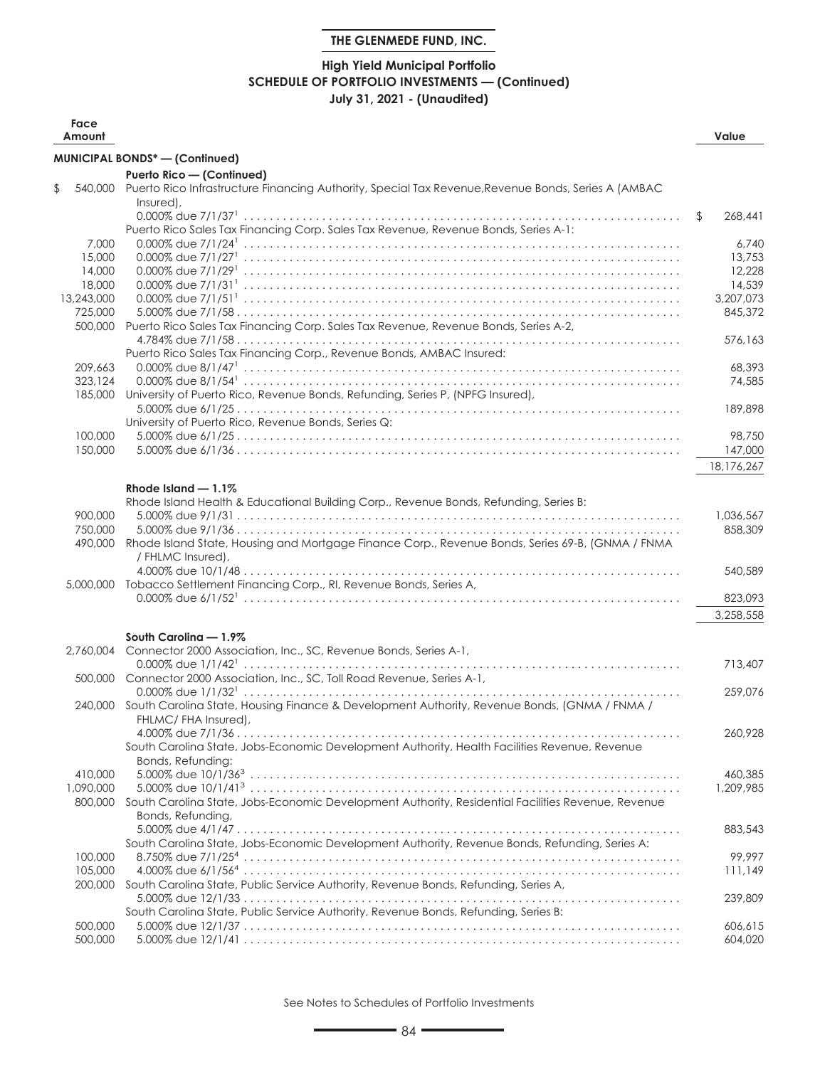## **High Yield Municipal Portfolio SCHEDULE OF PORTFOLIO INVESTMENTS — (Continued) July 31, 2021 - (Unaudited)**

| Face<br>Amount       |                                                                                                                          | Value         |
|----------------------|--------------------------------------------------------------------------------------------------------------------------|---------------|
|                      | <b>MUNICIPAL BONDS*-(Continued)</b>                                                                                      |               |
|                      | Puerto Rico - (Continued)                                                                                                |               |
| \$                   | 540,000 Puerto Rico Infrastructure Financing Authority, Special Tax Revenue, Revenue Bonds, Series A (AMBAC<br>Insured), |               |
|                      |                                                                                                                          | \$<br>268,441 |
|                      | Puerto Rico Sales Tax Financing Corp. Sales Tax Revenue, Revenue Bonds, Series A-1:                                      |               |
| 7,000                |                                                                                                                          | 6,740         |
| 15,000               |                                                                                                                          | 13,753        |
| 14,000               |                                                                                                                          | 12,228        |
| 18,000               |                                                                                                                          | 14,539        |
| 13,243,000           |                                                                                                                          | 3,207,073     |
| 725,000              |                                                                                                                          | 845,372       |
| 500,000              | Puerto Rico Sales Tax Financing Corp. Sales Tax Revenue, Revenue Bonds, Series A-2,                                      |               |
|                      | Puerto Rico Sales Tax Financing Corp., Revenue Bonds, AMBAC Insured:                                                     | 576,163       |
| 209,663              |                                                                                                                          | 68,393        |
| 323.124              |                                                                                                                          | 74,585        |
| 185.000              | University of Puerto Rico, Revenue Bonds, Refunding, Series P, (NPFG Insured),                                           |               |
|                      |                                                                                                                          | 189,898       |
|                      | University of Puerto Rico, Revenue Bonds, Series Q:                                                                      |               |
| 100,000              |                                                                                                                          | 98,750        |
| 150,000              |                                                                                                                          | 147,000       |
|                      |                                                                                                                          | 18,176,267    |
|                      | Rhode Island $-1.1\%$                                                                                                    |               |
|                      | Rhode Island Health & Educational Building Corp., Revenue Bonds, Refunding, Series B:                                    |               |
| 900,000              |                                                                                                                          | 1,036,567     |
| 750,000              |                                                                                                                          | 858,309       |
| 490,000              | Rhode Island State, Housing and Mortgage Finance Corp., Revenue Bonds, Series 69-B, (GNMA / FNMA                         |               |
|                      | / FHLMC Insured),                                                                                                        |               |
|                      |                                                                                                                          | 540,589       |
|                      | 5,000,000 Tobacco Settlement Financing Corp., RI, Revenue Bonds, Series A,                                               |               |
|                      |                                                                                                                          | 823,093       |
|                      |                                                                                                                          | 3,258,558     |
|                      | South Carolina - 1.9%                                                                                                    |               |
| 2.760.004            | Connector 2000 Association, Inc., SC, Revenue Bonds, Series A-1,                                                         |               |
|                      |                                                                                                                          | 713,407       |
| 500,000              | Connector 2000 Association, Inc., SC, Toll Road Revenue, Series A-1,                                                     |               |
|                      |                                                                                                                          | 259,076       |
|                      | 240,000 South Carolina State, Housing Finance & Development Authority, Revenue Bonds, (GNMA / FNMA /                     |               |
|                      | FHLMC/FHA Insured),                                                                                                      |               |
|                      |                                                                                                                          | 260,928       |
|                      | South Carolina State, Jobs-Economic Development Authority, Health Facilities Revenue, Revenue                            |               |
|                      | Bonds, Refunding:                                                                                                        | 460,385       |
| 410,000<br>1,090,000 |                                                                                                                          | 1,209,985     |
| 800,000              | South Carolina State, Jobs-Economic Development Authority, Residential Facilities Revenue, Revenue                       |               |
|                      | Bonds, Refunding,                                                                                                        |               |
|                      |                                                                                                                          | 883,543       |
|                      | South Carolina State, Jobs-Economic Development Authority, Revenue Bonds, Refunding, Series A:                           |               |
| 100,000              |                                                                                                                          | 99.997        |
| 105,000              |                                                                                                                          | 111,149       |
| 200,000              | South Carolina State, Public Service Authority, Revenue Bonds, Refunding, Series A,                                      |               |
|                      |                                                                                                                          | 239,809       |
|                      | South Carolina State, Public Service Authority, Revenue Bonds, Refunding, Series B:                                      |               |
| 500,000              |                                                                                                                          | 606,615       |
| 500,000              |                                                                                                                          | 604,020       |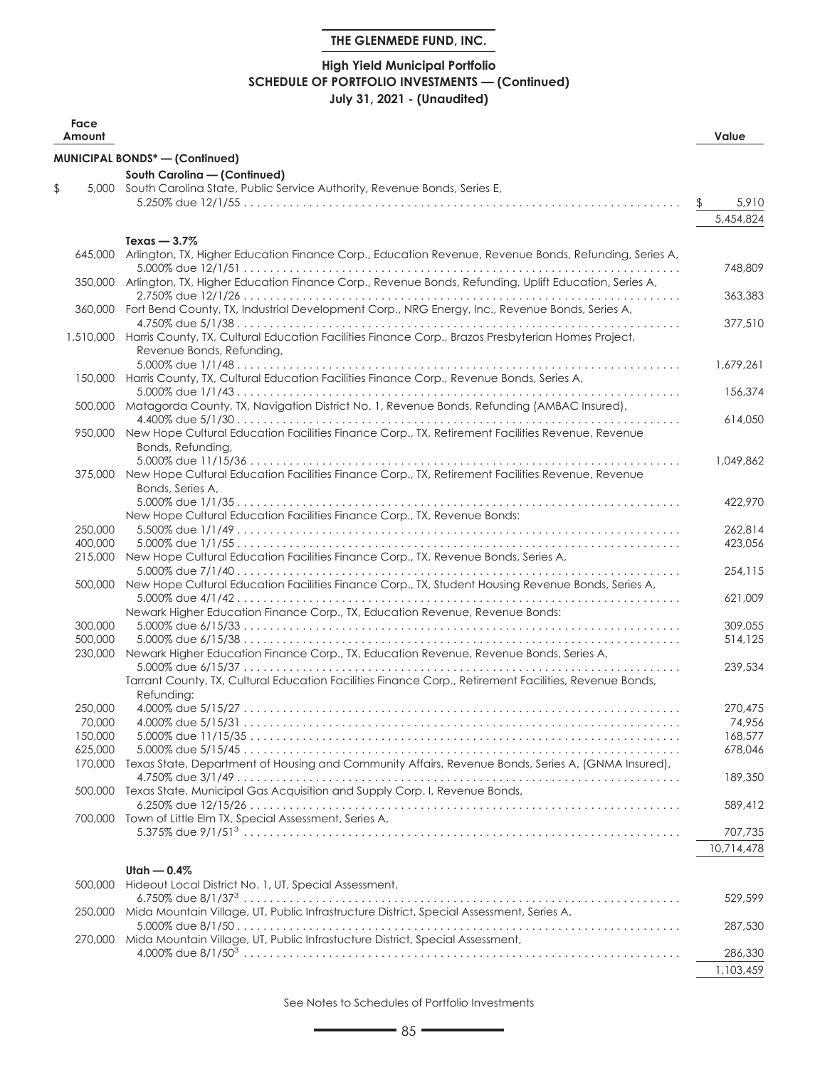## **High Yield Municipal Portfolio SCHEDULE OF PORTFOLIO INVESTMENTS — (Continued) July 31, 2021 - (Unaudited)**

| Face<br>Amount     |                                                                                                                                           | Value             |
|--------------------|-------------------------------------------------------------------------------------------------------------------------------------------|-------------------|
|                    | <b>MUNICIPAL BONDS*-(Confinued)</b>                                                                                                       |                   |
|                    | South Carolina - (Continued)                                                                                                              |                   |
| \$                 | 5,000 South Carolina State, Public Service Authority, Revenue Bonds, Series E,                                                            |                   |
|                    |                                                                                                                                           | 5,910             |
|                    |                                                                                                                                           | 5,454,824         |
|                    | Texas $-3.7\%$                                                                                                                            |                   |
|                    | 645,000 Arlington, TX, Higher Education Finance Corp., Education Revenue, Revenue Bonds, Refunding, Series A,                             |                   |
|                    | 350,000 Arlington, TX, Higher Education Finance Corp., Revenue Bonds, Refunding, Uplift Education, Series A,                              | 748,809           |
|                    | 360,000 Fort Bend County, TX, Industrial Development Corp., NRG Energy, Inc., Revenue Bonds, Series A,                                    | 363,383           |
|                    |                                                                                                                                           | 377,510           |
|                    | 1,510,000 Harris County, TX, Cultural Education Facilities Finance Corp., Brazos Presbyterian Homes Project,<br>Revenue Bonds, Refunding, |                   |
|                    |                                                                                                                                           | 1,679,261         |
|                    | 150,000 Harris County, TX, Cultural Education Facilities Finance Corp., Revenue Bonds, Series A,                                          | 156,374           |
| 500,000            | Matagorda County, TX, Navigation District No. 1, Revenue Bonds, Refunding (AMBAC Insured),                                                |                   |
|                    |                                                                                                                                           | 614.050           |
|                    | 950,000 New Hope Cultural Education Facilities Finance Corp., TX, Retirement Facilities Revenue, Revenue                                  |                   |
|                    | Bonds, Refunding,                                                                                                                         | 1,049,862         |
|                    | 375,000 New Hope Cultural Education Facilities Finance Corp., TX, Retirement Facilities Revenue, Revenue                                  |                   |
|                    | Bonds, Series A,                                                                                                                          | 422,970           |
|                    | New Hope Cultural Education Facilities Finance Corp., TX, Revenue Bonds:                                                                  |                   |
| 250,000            |                                                                                                                                           | 262,814           |
| 400,000            |                                                                                                                                           | 423,056           |
| 215,000            | New Hope Cultural Education Facilities Finance Corp., TX, Revenue Bonds, Series A,                                                        |                   |
| 500,000            | New Hope Cultural Education Facilities Finance Corp., TX, Student Housing Revenue Bonds, Series A,                                        | 254,115           |
|                    |                                                                                                                                           | 621,009           |
|                    | Newark Higher Education Finance Corp., TX, Education Revenue, Revenue Bonds:                                                              |                   |
| 300,000            |                                                                                                                                           | 309,055           |
| 500,000<br>230,000 | Newark Higher Education Finance Corp., TX, Education Revenue, Revenue Bonds, Series A,                                                    | 514,125           |
|                    |                                                                                                                                           | 239,534           |
|                    | Tarrant County, TX, Cultural Education Facilities Finance Corp., Retirement Facilities, Revenue Bonds,                                    |                   |
|                    | Refunding:                                                                                                                                |                   |
| 250,000<br>70,000  |                                                                                                                                           | 270,475<br>74,956 |
| 150,000            |                                                                                                                                           | 168,577           |
| 625,000            |                                                                                                                                           | 678,046           |
|                    | 170,000 Texas State, Department of Housing and Community Affairs, Revenue Bonds, Series A, (GNMA Insured),                                |                   |
|                    |                                                                                                                                           | 189,350           |
|                    | 500,000 Texas State, Municipal Gas Acquisition and Supply Corp. I, Revenue Bonds,                                                         |                   |
|                    | 700,000 Town of Little Elm TX, Special Assessment, Series A,                                                                              | 589,412           |
|                    |                                                                                                                                           | 707,735           |
|                    |                                                                                                                                           | 10,714,478        |
|                    | Utah $-0.4%$                                                                                                                              |                   |
| 500,000            | Hideout Local District No. 1, UT, Special Assessment,                                                                                     |                   |
|                    |                                                                                                                                           | 529,599           |
| 250,000            | Mida Mountain Village, UT, Public Infrastructure District, Special Assessment, Series A,                                                  |                   |
| 270,000            | Mida Mountain Village, UT, Public Infrastucture District, Special Assessment,                                                             | 287,530           |
|                    |                                                                                                                                           | 286,330           |
|                    |                                                                                                                                           | 1,103,459         |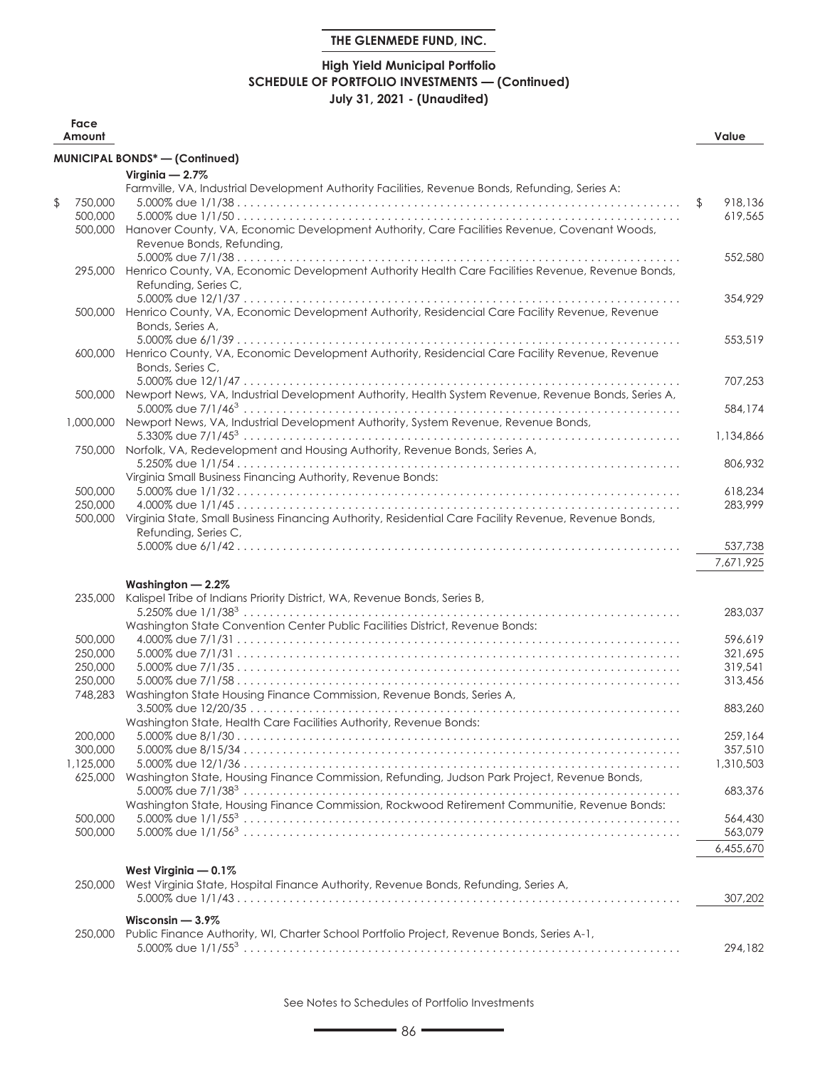## **High Yield Municipal Portfolio SCHEDULE OF PORTFOLIO INVESTMENTS — (Continued) July 31, 2021 - (Unaudited)**

| Face<br>Amount |                                                                                                                  | Value         |
|----------------|------------------------------------------------------------------------------------------------------------------|---------------|
|                | MUNICIPAL BONDS* - (Continued)                                                                                   |               |
|                | Virginia $-2.7\%$                                                                                                |               |
|                | Farmville, VA, Industrial Development Authority Facilities, Revenue Bonds, Refunding, Series A:                  |               |
| \$<br>750,000  |                                                                                                                  | \$<br>918,136 |
| 500,000        |                                                                                                                  | 619,565       |
|                | 500,000 Hanover County, VA, Economic Development Authority, Care Facilities Revenue, Covenant Woods,             |               |
|                | Revenue Bonds, Refunding,                                                                                        |               |
|                |                                                                                                                  | 552,580       |
|                | 295,000 Henrico County, VA, Economic Development Authority Health Care Facilities Revenue, Revenue Bonds,        |               |
|                | Refunding, Series C,                                                                                             |               |
|                |                                                                                                                  | 354,929       |
|                | 500,000 Henrico County, VA, Economic Development Authority, Residencial Care Facility Revenue, Revenue           |               |
|                | Bonds, Series A,                                                                                                 |               |
|                |                                                                                                                  | 553,519       |
|                | 600,000 Henrico County, VA, Economic Development Authority, Residencial Care Facility Revenue, Revenue           |               |
|                | Bonds, Series C,                                                                                                 | 707,253       |
|                | 500,000 Newport News, VA, Industrial Development Authority, Health System Revenue, Revenue Bonds, Series A,      |               |
|                |                                                                                                                  | 584,174       |
|                | 1,000,000 Newport News, VA, Industrial Development Authority, System Revenue, Revenue Bonds,                     |               |
|                |                                                                                                                  | 1,134,866     |
|                | 750,000 Norfolk, VA, Redevelopment and Housing Authority, Revenue Bonds, Series A,                               |               |
|                |                                                                                                                  | 806,932       |
|                | Virginia Small Business Financing Authority, Revenue Bonds:                                                      |               |
| 500,000        |                                                                                                                  | 618,234       |
| 250,000        |                                                                                                                  | 283,999       |
| 500,000        | Virginia State, Small Business Financing Authority, Residential Care Facility Revenue, Revenue Bonds,            |               |
|                | Refunding, Series C,                                                                                             |               |
|                |                                                                                                                  | 537,738       |
|                |                                                                                                                  | 7,671,925     |
|                |                                                                                                                  |               |
| 235,000        | Washington $-2.2\%$<br>Kalispel Tribe of Indians Priority District, WA, Revenue Bonds, Series B,                 |               |
|                |                                                                                                                  | 283,037       |
|                | Washington State Convention Center Public Facilities District, Revenue Bonds:                                    |               |
| 500,000        |                                                                                                                  | 596,619       |
| 250,000        |                                                                                                                  | 321.695       |
| 250,000        |                                                                                                                  | 319,541       |
| 250,000        |                                                                                                                  | 313,456       |
| 748,283        | Washington State Housing Finance Commission, Revenue Bonds, Series A,                                            |               |
|                |                                                                                                                  | 883,260       |
|                | Washington State, Health Care Facilities Authority, Revenue Bonds:                                               |               |
| 200,000        |                                                                                                                  | 259,164       |
| 300,000        |                                                                                                                  | 357,510       |
| 1,125,000      |                                                                                                                  | 1,310,503     |
| 625,000        | Washington State, Housing Finance Commission, Refunding, Judson Park Project, Revenue Bonds,                     |               |
|                |                                                                                                                  | 683,376       |
|                | Washington State, Housing Finance Commission, Rockwood Retirement Communitie, Revenue Bonds:                     |               |
| 500,000        |                                                                                                                  | 564,430       |
| 500,000        |                                                                                                                  | 563,079       |
|                |                                                                                                                  | 6,455,670     |
|                | West Virginia - 0.1%                                                                                             |               |
| 250,000        | West Virginia State, Hospital Finance Authority, Revenue Bonds, Refunding, Series A,                             |               |
|                |                                                                                                                  | 307,202       |
|                |                                                                                                                  |               |
|                | Wisconsin $-3.9\%$<br>Public Finance Authority, WI, Charter School Portfolio Project, Revenue Bonds, Series A-1, |               |
| 250,000        |                                                                                                                  | 294,182       |
|                |                                                                                                                  |               |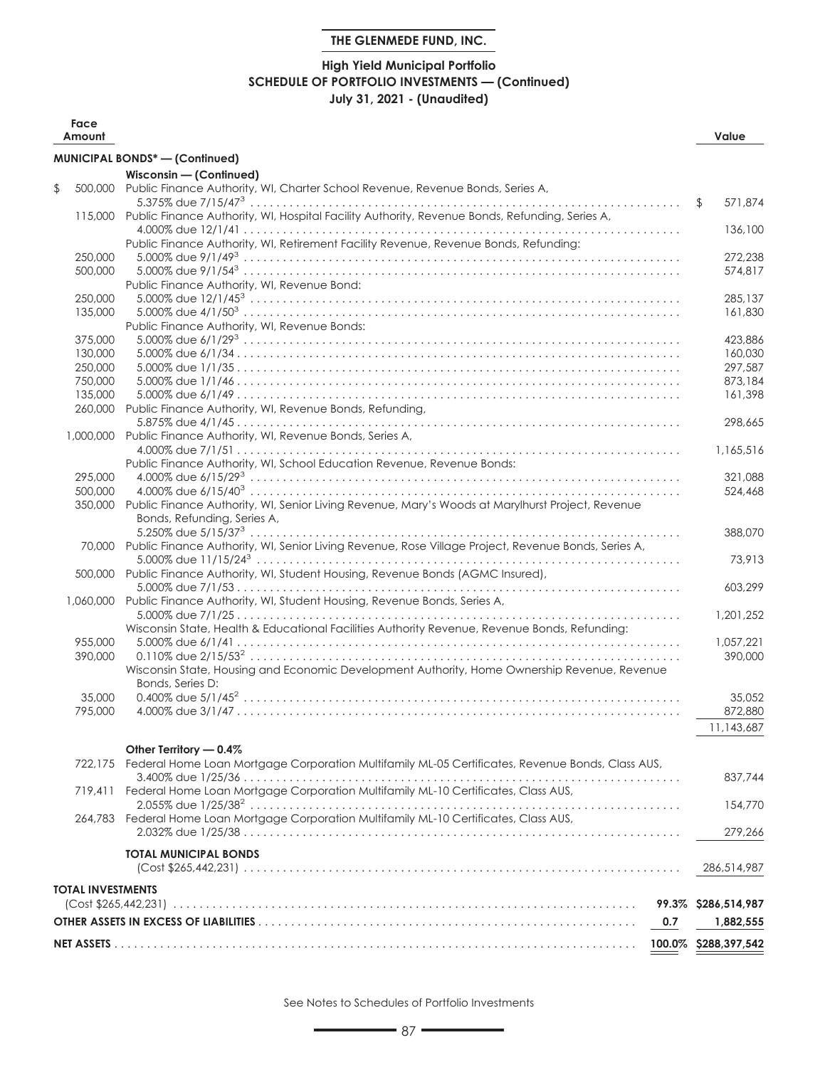## **High Yield Municipal Portfolio SCHEDULE OF PORTFOLIO INVESTMENTS — (Continued) July 31, 2021 - (Unaudited)**

| Face<br>Amount           |                                                                                                            | Value               |
|--------------------------|------------------------------------------------------------------------------------------------------------|---------------------|
|                          | <b>MUNICIPAL BONDS*-(Confinued)</b>                                                                        |                     |
|                          | Wisconsin - (Continued)                                                                                    |                     |
| \$<br>500.000            | Public Finance Authority, WI, Charter School Revenue, Revenue Bonds, Series A,                             |                     |
|                          |                                                                                                            | 571.874<br>\$       |
| 115,000                  | Public Finance Authority, WI, Hospital Facility Authority, Revenue Bonds, Refunding, Series A,             |                     |
|                          |                                                                                                            | 136,100             |
|                          | Public Finance Authority, WI, Retirement Facility Revenue, Revenue Bonds, Refunding:                       |                     |
| 250,000                  |                                                                                                            | 272,238             |
| 500,000                  |                                                                                                            | 574.817             |
|                          | Public Finance Authority, WI, Revenue Bond:                                                                |                     |
| 250,000                  |                                                                                                            | 285,137             |
| 135,000                  |                                                                                                            | 161,830             |
|                          | Public Finance Authority, WI, Revenue Bonds:                                                               |                     |
| 375,000                  |                                                                                                            | 423,886             |
| 130,000                  |                                                                                                            | 160,030             |
| 250,000                  |                                                                                                            | 297,587             |
| 750,000                  |                                                                                                            | 873,184             |
| 135,000                  |                                                                                                            | 161,398             |
| 260,000                  | Public Finance Authority, WI, Revenue Bonds, Refunding,                                                    |                     |
|                          |                                                                                                            | 298.665             |
| 1,000,000                | Public Finance Authority, WI, Revenue Bonds, Series A,                                                     |                     |
|                          |                                                                                                            | 1.165.516           |
|                          | Public Finance Authority, WI, School Education Revenue, Revenue Bonds:                                     |                     |
| 295,000                  |                                                                                                            | 321,088             |
| 500,000                  |                                                                                                            | 524,468             |
| 350,000                  | Public Finance Authority, WI, Senior Living Revenue, Mary's Woods at Marylhurst Project, Revenue           |                     |
|                          | Bonds, Refunding, Series A,                                                                                |                     |
|                          |                                                                                                            | 388,070             |
|                          | 70,000 Public Finance Authority, WI, Senior Living Revenue, Rose Village Project, Revenue Bonds, Series A, |                     |
|                          |                                                                                                            | 73,913              |
| 500,000                  | Public Finance Authority, WI, Student Housing, Revenue Bonds (AGMC Insured),                               |                     |
|                          |                                                                                                            | 603,299             |
| 1,060,000                | Public Finance Authority, WI, Student Housing, Revenue Bonds, Series A,                                    |                     |
|                          |                                                                                                            | 1,201,252           |
|                          | Wisconsin State, Health & Educational Facilities Authority Revenue, Revenue Bonds, Refunding:              |                     |
| 955,000                  |                                                                                                            | 1,057,221           |
| 390,000                  |                                                                                                            | 390,000             |
|                          | Wisconsin State, Housing and Economic Development Authority, Home Ownership Revenue, Revenue               |                     |
|                          | Bonds, Series D:                                                                                           |                     |
| 35,000                   |                                                                                                            | 35,052              |
| 795,000                  |                                                                                                            | 872,880             |
|                          |                                                                                                            | 11,143,687          |
|                          | Other Territory - 0.4%                                                                                     |                     |
| 722,175                  | Federal Home Loan Mortgage Corporation Multifamily ML-05 Certificates, Revenue Bonds, Class AUS,           |                     |
|                          |                                                                                                            | 837,744             |
|                          | 719,411 Federal Home Loan Mortgage Corporation Multifamily ML-10 Certificates, Class AUS,                  |                     |
|                          |                                                                                                            | 154,770             |
| 264,783                  | Federal Home Loan Mortgage Corporation Multifamily ML-10 Certificates, Class AUS,                          |                     |
|                          |                                                                                                            | 279,266             |
|                          |                                                                                                            |                     |
|                          | <b>TOTAL MUNICIPAL BONDS</b>                                                                               |                     |
|                          |                                                                                                            | 286,514,987         |
| <b>TOTAL INVESTMENTS</b> |                                                                                                            |                     |
|                          |                                                                                                            | 99.3% \$286,514,987 |
|                          |                                                                                                            |                     |
|                          | 0.7                                                                                                        | 1,882,555           |
|                          |                                                                                                            |                     |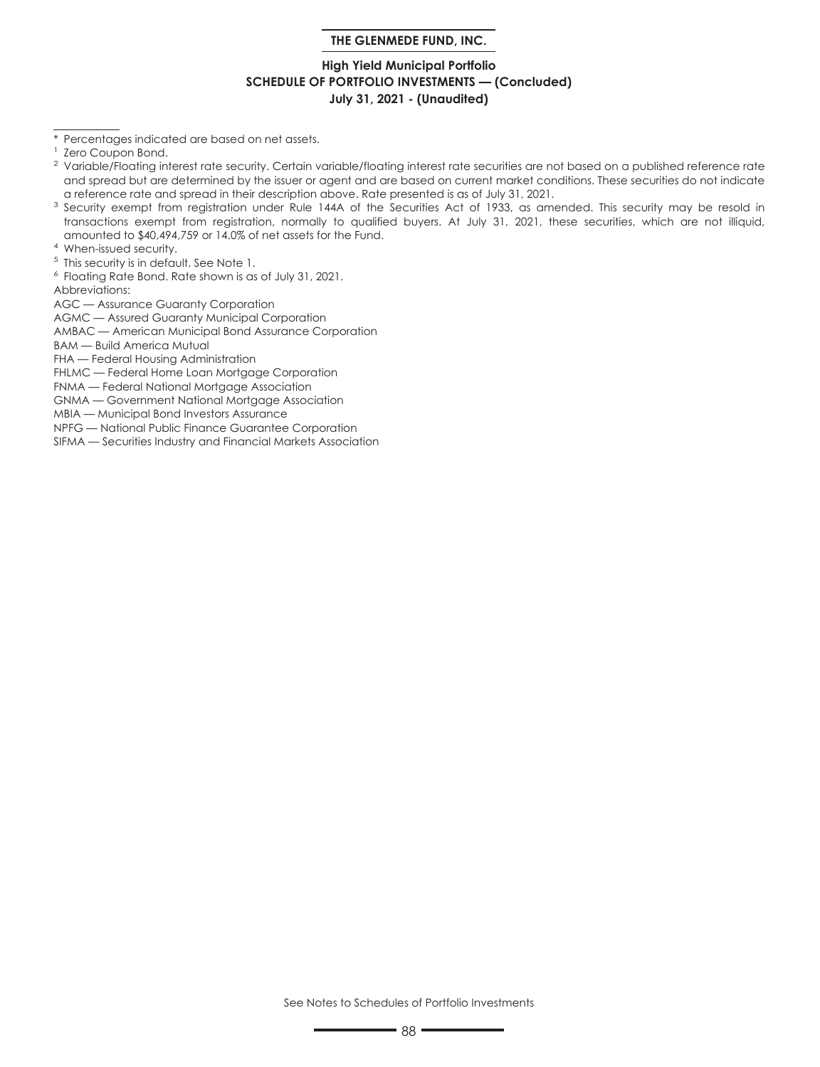### **High Yield Municipal Portfolio SCHEDULE OF PORTFOLIO INVESTMENTS — (Concluded) July 31, 2021 - (Unaudited)**

\* Percentages indicated are based on net assets.

- <sup>3</sup> Security exempt from registration under Rule 144A of the Securities Act of 1933, as amended. This security may be resold in transactions exempt from registration, normally to qualified buyers. At July 31, 2021, these securities, which are not illiquid, amounted to \$40,494,759 or 14.0% of net assets for the Fund.
- <sup>4</sup> When-issued security.
- <sup>5</sup> This security is in default. See Note 1.
- <sup>6</sup> Floating Rate Bond. Rate shown is as of July 31, 2021.

Abbreviations:

AGC — Assurance Guaranty Corporation

AGMC — Assured Guaranty Municipal Corporation

AMBAC — American Municipal Bond Assurance Corporation

BAM — Build America Mutual

FHA — Federal Housing Administration

FHLMC — Federal Home Loan Mortgage Corporation

FNMA — Federal National Mortgage Association GNMA — Government National Mortgage Association

MBIA — Municipal Bond Investors Assurance

NPFG — National Public Finance Guarantee Corporation

SIFMA — Securities Industry and Financial Markets Association

Zero Coupon Bond.

<sup>&</sup>lt;sup>2</sup> Variable/Floating interest rate security. Certain variable/floating interest rate securities are not based on a published reference rate and spread but are determined by the issuer or agent and are based on current market conditions. These securities do not indicate a reference rate and spread in their description above. Rate presented is as of July 31, 2021.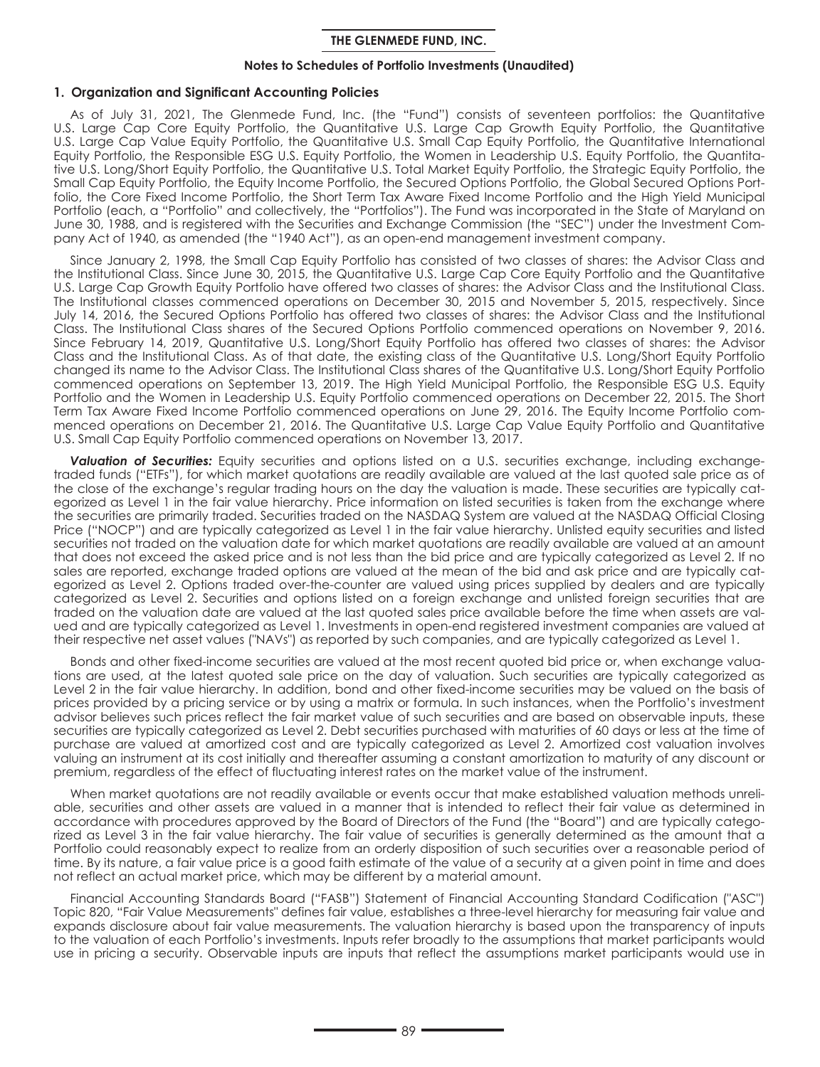#### **Notes to Schedules of Portfolio Investments (Unaudited)**

#### **1. Organization and Significant Accounting Policies**

As of July 31, 2021, The Glenmede Fund, Inc. (the "Fund") consists of seventeen portfolios: the Quantitative U.S. Large Cap Core Equity Portfolio, the Quantitative U.S. Large Cap Growth Equity Portfolio, the Quantitative U.S. Large Cap Value Equity Portfolio, the Quantitative U.S. Small Cap Equity Portfolio, the Quantitative International Equity Portfolio, the Responsible ESG U.S. Equity Portfolio, the Women in Leadership U.S. Equity Portfolio, the Quantitative U.S. Long/Short Equity Portfolio, the Quantitative U.S. Total Market Equity Portfolio, the Strategic Equity Portfolio, the Small Cap Equity Portfolio, the Equity Income Portfolio, the Secured Options Portfolio, the Global Secured Options Portfolio, the Core Fixed Income Portfolio, the Short Term Tax Aware Fixed Income Portfolio and the High Yield Municipal Portfolio (each, a "Portfolio" and collectively, the "Portfolios"). The Fund was incorporated in the State of Maryland on June 30, 1988, and is registered with the Securities and Exchange Commission (the "SEC") under the Investment Company Act of 1940, as amended (the "1940 Act"), as an open-end management investment company.

Since January 2, 1998, the Small Cap Equity Portfolio has consisted of two classes of shares: the Advisor Class and the Institutional Class. Since June 30, 2015, the Quantitative U.S. Large Cap Core Equity Portfolio and the Quantitative U.S. Large Cap Growth Equity Portfolio have offered two classes of shares: the Advisor Class and the Institutional Class. The Institutional classes commenced operations on December 30, 2015 and November 5, 2015, respectively. Since July 14, 2016, the Secured Options Portfolio has offered two classes of shares: the Advisor Class and the Institutional Class. The Institutional Class shares of the Secured Options Portfolio commenced operations on November 9, 2016. Since February 14, 2019, Quantitative U.S. Long/Short Equity Portfolio has offered two classes of shares: the Advisor Class and the Institutional Class. As of that date, the existing class of the Quantitative U.S. Long/Short Equity Portfolio changed its name to the Advisor Class. The Institutional Class shares of the Quantitative U.S. Long/Short Equity Portfolio commenced operations on September 13, 2019. The High Yield Municipal Portfolio, the Responsible ESG U.S. Equity Portfolio and the Women in Leadership U.S. Equity Portfolio commenced operations on December 22, 2015. The Short Term Tax Aware Fixed Income Portfolio commenced operations on June 29, 2016. The Equity Income Portfolio commenced operations on December 21, 2016. The Quantitative U.S. Large Cap Value Equity Portfolio and Quantitative U.S. Small Cap Equity Portfolio commenced operations on November 13, 2017.

*Valuation of Securities:* Equity securities and options listed on a U.S. securities exchange, including exchangetraded funds ("ETFs"), for which market quotations are readily available are valued at the last quoted sale price as of the close of the exchange's regular trading hours on the day the valuation is made. These securities are typically categorized as Level 1 in the fair value hierarchy. Price information on listed securities is taken from the exchange where the securities are primarily traded. Securities traded on the NASDAQ System are valued at the NASDAQ Official Closing Price ("NOCP") and are typically categorized as Level 1 in the fair value hierarchy. Unlisted equity securities and listed securities not traded on the valuation date for which market quotations are readily available are valued at an amount that does not exceed the asked price and is not less than the bid price and are typically categorized as Level 2. If no sales are reported, exchange traded options are valued at the mean of the bid and ask price and are typically categorized as Level 2. Options traded over-the-counter are valued using prices supplied by dealers and are typically categorized as Level 2. Securities and options listed on a foreign exchange and unlisted foreign securities that are traded on the valuation date are valued at the last quoted sales price available before the time when assets are valued and are typically categorized as Level 1. Investments in open-end registered investment companies are valued at their respective net asset values ("NAVs") as reported by such companies, and are typically categorized as Level 1.

Bonds and other fixed-income securities are valued at the most recent quoted bid price or, when exchange valuations are used, at the latest quoted sale price on the day of valuation. Such securities are typically categorized as Level 2 in the fair value hierarchy. In addition, bond and other fixed-income securities may be valued on the basis of prices provided by a pricing service or by using a matrix or formula. In such instances, when the Portfolio's investment advisor believes such prices reflect the fair market value of such securities and are based on observable inputs, these securities are typically categorized as Level 2. Debt securities purchased with maturities of 60 days or less at the time of purchase are valued at amortized cost and are typically categorized as Level 2. Amortized cost valuation involves valuing an instrument at its cost initially and thereafter assuming a constant amortization to maturity of any discount or premium, regardless of the effect of fluctuating interest rates on the market value of the instrument.

When market quotations are not readily available or events occur that make established valuation methods unreliable, securities and other assets are valued in a manner that is intended to reflect their fair value as determined in accordance with procedures approved by the Board of Directors of the Fund (the "Board") and are typically categorized as Level 3 in the fair value hierarchy. The fair value of securities is generally determined as the amount that a Portfolio could reasonably expect to realize from an orderly disposition of such securities over a reasonable period of time. By its nature, a fair value price is a good faith estimate of the value of a security at a given point in time and does not reflect an actual market price, which may be different by a material amount.

Financial Accounting Standards Board ("FASB") Statement of Financial Accounting Standard Codification ("ASC") Topic 820, "Fair Value Measurements" defines fair value, establishes a three-level hierarchy for measuring fair value and expands disclosure about fair value measurements. The valuation hierarchy is based upon the transparency of inputs to the valuation of each Portfolio's investments. Inputs refer broadly to the assumptions that market participants would use in pricing a security. Observable inputs are inputs that reflect the assumptions market participants would use in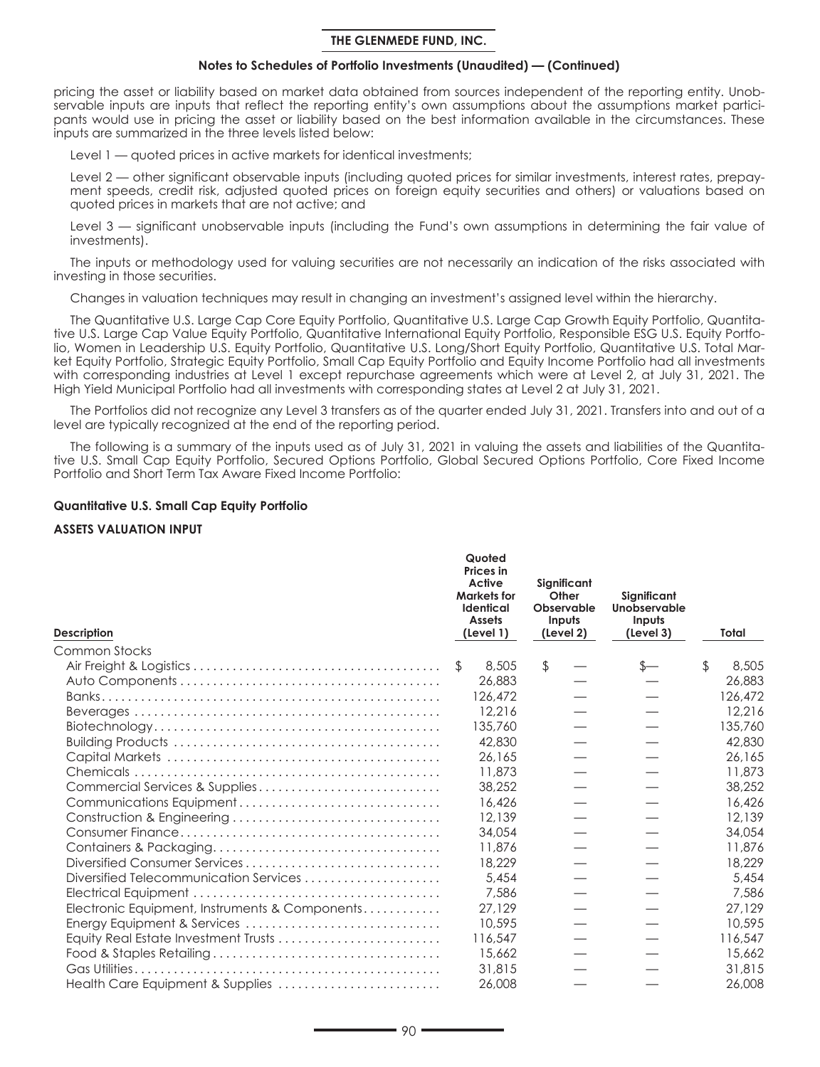### **Notes to Schedules of Portfolio Investments (Unaudited) — (Continued)**

pricing the asset or liability based on market data obtained from sources independent of the reporting entity. Unobservable inputs are inputs that reflect the reporting entity's own assumptions about the assumptions market participants would use in pricing the asset or liability based on the best information available in the circumstances. These inputs are summarized in the three levels listed below:

Level 1 — quoted prices in active markets for identical investments;

Level 2 — other significant observable inputs (including quoted prices for similar investments, interest rates, prepayment speeds, credit risk, adjusted quoted prices on foreign equity securities and others) or valuations based on quoted prices in markets that are not active; and

Level 3 — significant unobservable inputs (including the Fund's own assumptions in determining the fair value of investments).

The inputs or methodology used for valuing securities are not necessarily an indication of the risks associated with investing in those securities.

Changes in valuation techniques may result in changing an investment's assigned level within the hierarchy.

The Quantitative U.S. Large Cap Core Equity Portfolio, Quantitative U.S. Large Cap Growth Equity Portfolio, Quantitative U.S. Large Cap Value Equity Portfolio, Quantitative International Equity Portfolio, Responsible ESG U.S. Equity Portfolio, Women in Leadership U.S. Equity Portfolio, Quantitative U.S. Long/Short Equity Portfolio, Quantitative U.S. Total Market Equity Portfolio, Strategic Equity Portfolio, Small Cap Equity Portfolio and Equity Income Portfolio had all investments with corresponding industries at Level 1 except repurchase agreements which were at Level 2, at July 31, 2021. The High Yield Municipal Portfolio had all investments with corresponding states at Level 2 at July 31, 2021.

The Portfolios did not recognize any Level 3 transfers as of the quarter ended July 31, 2021. Transfers into and out of a level are typically recognized at the end of the reporting period.

The following is a summary of the inputs used as of July 31, 2021 in valuing the assets and liabilities of the Quantitative U.S. Small Cap Equity Portfolio, Secured Options Portfolio, Global Secured Options Portfolio, Core Fixed Income Portfolio and Short Term Tax Aware Fixed Income Portfolio:

#### **Quantitative U.S. Small Cap Equity Portfolio**

#### **ASSETS VALUATION INPUT**

| <b>Description</b>                             | Quoted<br><b>Prices</b> in<br>Active<br><b>Markets for</b><br>Identical<br><b>Assets</b><br>(Level 1) | Significant<br>Other<br>Observable<br>Inputs<br>(Level 2) | Significant<br>Unobservable<br>Inputs<br>(Level 3) | Total       |
|------------------------------------------------|-------------------------------------------------------------------------------------------------------|-----------------------------------------------------------|----------------------------------------------------|-------------|
| Common Stocks                                  |                                                                                                       |                                                           |                                                    |             |
|                                                | \$<br>8,505                                                                                           | \$                                                        | $s-$                                               | \$<br>8,505 |
|                                                | 26,883                                                                                                |                                                           |                                                    | 26,883      |
|                                                | 126,472                                                                                               |                                                           |                                                    | 126,472     |
|                                                | 12,216                                                                                                |                                                           |                                                    | 12.216      |
|                                                | 135,760                                                                                               |                                                           |                                                    | 135,760     |
|                                                | 42,830                                                                                                |                                                           |                                                    | 42,830      |
|                                                | 26,165                                                                                                |                                                           |                                                    | 26,165      |
|                                                | 11,873                                                                                                |                                                           |                                                    | 11,873      |
| Commercial Services & Supplies                 | 38,252                                                                                                |                                                           |                                                    | 38,252      |
| Communications Equipment                       | 16,426                                                                                                |                                                           |                                                    | 16,426      |
|                                                | 12,139                                                                                                |                                                           |                                                    | 12,139      |
|                                                | 34,054                                                                                                |                                                           |                                                    | 34,054      |
|                                                | 11,876                                                                                                |                                                           |                                                    | 11,876      |
| Diversified Consumer Services                  | 18,229                                                                                                |                                                           |                                                    | 18,229      |
| Diversified Telecommunication Services         | 5,454                                                                                                 |                                                           |                                                    | 5,454       |
|                                                | 7,586                                                                                                 |                                                           |                                                    | 7.586       |
| Electronic Equipment, Instruments & Components | 27,129                                                                                                |                                                           |                                                    | 27,129      |
| Energy Equipment & Services                    | 10,595                                                                                                |                                                           |                                                    | 10,595      |
| Equity Real Estate Investment Trusts           | 116,547                                                                                               |                                                           |                                                    | 116,547     |
|                                                | 15,662                                                                                                |                                                           |                                                    | 15,662      |
|                                                | 31,815                                                                                                |                                                           |                                                    | 31,815      |
| Health Care Equipment & Supplies               | 26,008                                                                                                |                                                           |                                                    | 26,008      |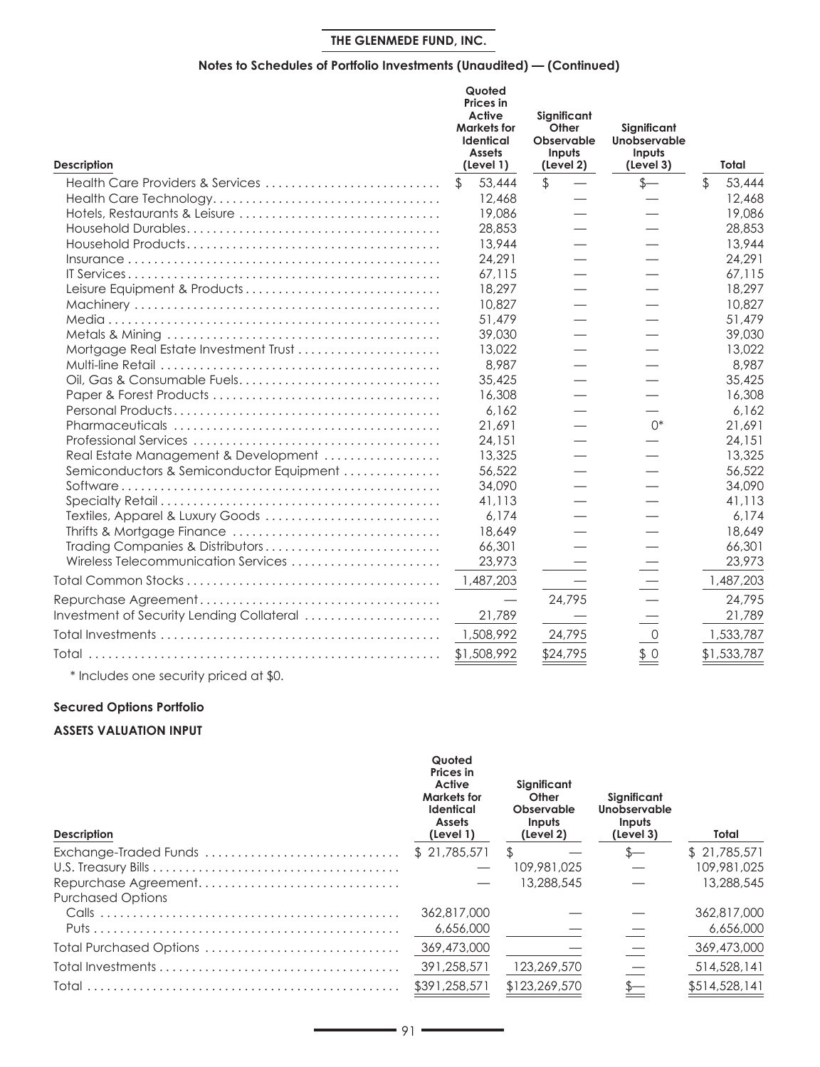## **Notes to Schedules of Portfolio Investments (Unaudited) — (Continued)**

| Description                               |              | Quoted<br><b>Prices</b> in<br>Active<br><b>Markets for</b><br><b>Identical</b><br><b>Assets</b><br>(Level 1) |               | Significant<br>Other<br>Observable<br>Inputs<br>(Level 2) | Significant<br>Unobservable<br>Inputs<br>(Level 3) | Total        |
|-------------------------------------------|--------------|--------------------------------------------------------------------------------------------------------------|---------------|-----------------------------------------------------------|----------------------------------------------------|--------------|
| Health Care Providers & Services          | $\mathbb{S}$ | 53,444                                                                                                       | $\frac{1}{2}$ |                                                           | $s-$                                               | \$<br>53,444 |
|                                           |              | 12,468                                                                                                       |               |                                                           |                                                    | 12,468       |
| Hotels, Restaurants & Leisure             |              | 19,086                                                                                                       |               |                                                           |                                                    | 19,086       |
|                                           |              | 28,853                                                                                                       |               |                                                           |                                                    | 28,853       |
|                                           |              | 13,944                                                                                                       |               |                                                           |                                                    | 13,944       |
|                                           |              | 24,291                                                                                                       |               |                                                           |                                                    | 24,291       |
|                                           |              | 67,115                                                                                                       |               |                                                           |                                                    | 67,115       |
| Leisure Equipment & Products              |              | 18,297                                                                                                       |               |                                                           |                                                    | 18.297       |
|                                           |              | 10,827                                                                                                       |               |                                                           |                                                    | 10.827       |
|                                           |              | 51.479                                                                                                       |               |                                                           |                                                    | 51,479       |
|                                           |              | 39,030                                                                                                       |               |                                                           |                                                    | 39,030       |
| Mortgage Real Estate Investment Trust     |              | 13,022                                                                                                       |               |                                                           |                                                    | 13,022       |
|                                           |              | 8,987                                                                                                        |               |                                                           |                                                    | 8.987        |
| Oil, Gas & Consumable Fuels               |              | 35,425                                                                                                       |               |                                                           |                                                    | 35,425       |
|                                           |              | 16,308                                                                                                       |               |                                                           |                                                    | 16,308       |
|                                           |              | 6.162                                                                                                        |               |                                                           |                                                    | 6.162        |
|                                           |              | 21.691                                                                                                       |               |                                                           | $()^*$                                             | 21.691       |
|                                           |              | 24,151                                                                                                       |               |                                                           |                                                    | 24,151       |
| Real Estate Management & Development      |              | 13,325                                                                                                       |               |                                                           |                                                    | 13,325       |
| Semiconductors & Semiconductor Equipment  |              | 56,522                                                                                                       |               |                                                           |                                                    | 56,522       |
|                                           |              | 34,090                                                                                                       |               |                                                           |                                                    | 34,090       |
|                                           |              | 41,113                                                                                                       |               |                                                           |                                                    | 41,113       |
| Textiles, Apparel & Luxury Goods          |              | 6.174                                                                                                        |               |                                                           |                                                    | 6.174        |
|                                           |              | 18,649                                                                                                       |               |                                                           |                                                    | 18,649       |
| Trading Companies & Distributors          |              | 66,301                                                                                                       |               |                                                           |                                                    | 66,301       |
| Wireless Telecommunication Services       |              | 23,973                                                                                                       |               |                                                           |                                                    | 23,973       |
|                                           |              | 1,487,203                                                                                                    |               |                                                           |                                                    | 1,487,203    |
|                                           |              |                                                                                                              |               | 24,795                                                    |                                                    | 24,795       |
| Investment of Security Lending Collateral |              | 21,789                                                                                                       |               |                                                           |                                                    | 21,789       |
|                                           |              | 1,508,992                                                                                                    |               | 24,795                                                    | $\mathsf O$                                        | 1,533,787    |
|                                           |              | \$1,508,992                                                                                                  |               | \$24,795                                                  | \$0                                                | \$1,533,787  |

\* Includes one security priced at \$0.

# **Secured Options Portfolio**

## **ASSETS VALUATION INPUT**

| <b>Description</b>                               | Quoted<br>Prices in<br>Active<br><b>Markets for</b><br><b>Identical</b><br><b>Assets</b><br>(Level 1) | Significant<br>Other<br>Observable<br>Inputs<br>(Level 2) | Significant<br>Unobservable<br>Inputs<br>(Level 3) | Total         |
|--------------------------------------------------|-------------------------------------------------------------------------------------------------------|-----------------------------------------------------------|----------------------------------------------------|---------------|
|                                                  | \$21,785,571                                                                                          | $\mathcal{F}$                                             | $S-$                                               | \$21,785,571  |
|                                                  |                                                                                                       | 109,981,025                                               |                                                    | 109,981,025   |
| Repurchase Agreement<br><b>Purchased Options</b> |                                                                                                       | 13,288,545                                                |                                                    | 13,288,545    |
|                                                  | 362,817,000                                                                                           |                                                           |                                                    | 362,817,000   |
|                                                  | 6,656,000                                                                                             |                                                           |                                                    | 6,656,000     |
| Total Purchased Options                          | 369,473,000                                                                                           |                                                           |                                                    | 369,473,000   |
|                                                  | 391,258,571                                                                                           | 123,269,570                                               |                                                    | 514,528,141   |
| Total                                            | \$391,258,571                                                                                         | \$123,269,570                                             |                                                    | \$514,528,141 |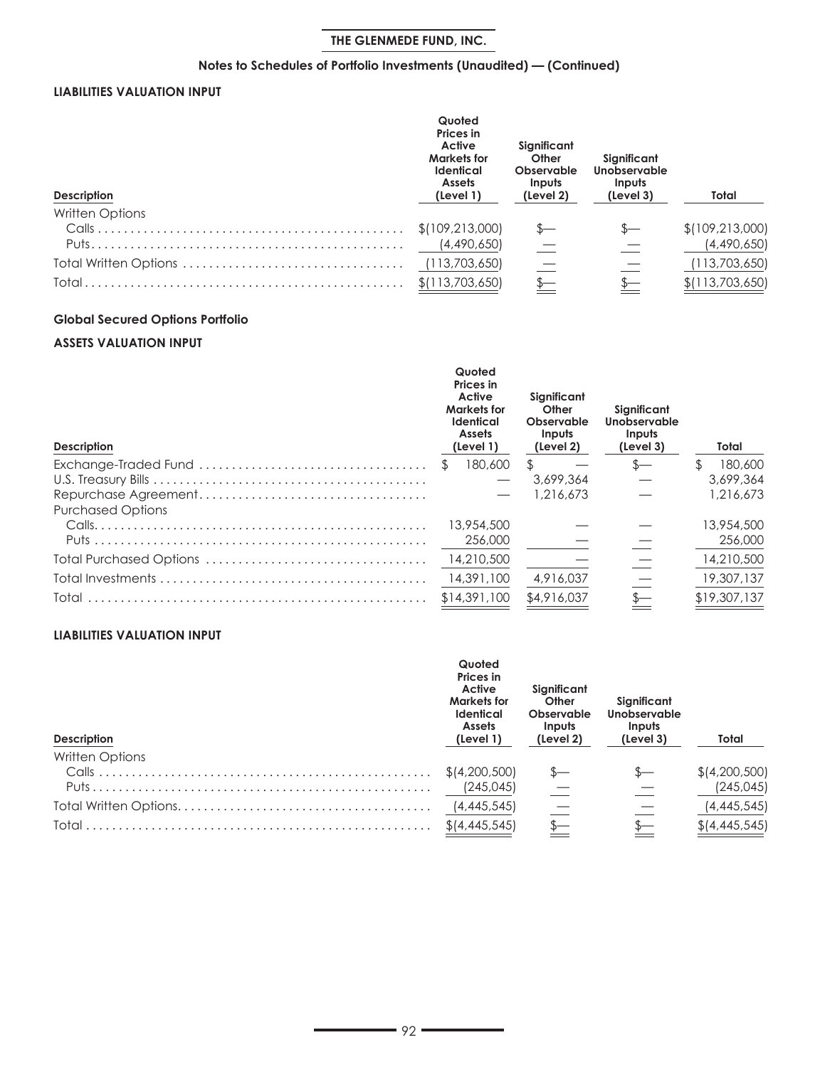## **Notes to Schedules of Portfolio Investments (Unaudited) — (Continued)**

## **LIABILITIES VALUATION INPUT**

| <b>Description</b>     | Quoted<br>Prices in<br>Active<br><b>Markets for</b><br><b>Identical</b><br><b>Assets</b><br>(Level 1) | Significant<br>Other<br>Observable<br>Inputs<br>(Level 2) | Sianificant<br>Unobservable<br>Inputs<br>(Level 3) | Total             |
|------------------------|-------------------------------------------------------------------------------------------------------|-----------------------------------------------------------|----------------------------------------------------|-------------------|
| <b>Written Options</b> |                                                                                                       |                                                           |                                                    |                   |
|                        | \$(109, 213, 000)                                                                                     |                                                           |                                                    | \$(109, 213, 000) |
|                        | (4,490,650)                                                                                           |                                                           |                                                    | (4,490,650)       |
|                        | (113,703,650)                                                                                         |                                                           |                                                    | (113,703,650)     |
|                        | \$(113,703,650)                                                                                       |                                                           |                                                    | \$(113,703,650)   |

# **Global Secured Options Portfolio**

## **ASSETS VALUATION INPUT**

| <b>Description</b>       | Quoted<br><b>Prices</b> in<br>Active<br><b>Markets for</b><br><b>Identical</b><br><b>Assets</b><br>(Level 1) | Sianificant<br>Other<br>Observable<br><b>Inputs</b><br>(Level 2) | Significant<br>Unobservable<br>Inputs<br>(Level 3) | Total        |
|--------------------------|--------------------------------------------------------------------------------------------------------------|------------------------------------------------------------------|----------------------------------------------------|--------------|
|                          | 180,600                                                                                                      | S.                                                               |                                                    | 180,600      |
|                          |                                                                                                              | 3,699,364                                                        |                                                    | 3,699,364    |
| <b>Purchased Options</b> |                                                                                                              | 1,216,673                                                        |                                                    | 1,216,673    |
|                          | 13,954,500                                                                                                   |                                                                  |                                                    | 13,954,500   |
|                          | 256,000                                                                                                      |                                                                  |                                                    | 256,000      |
|                          | 14,210,500                                                                                                   |                                                                  |                                                    | 14,210,500   |
|                          | 14,391,100                                                                                                   | 4,916,037                                                        |                                                    | 19,307,137   |
| Total                    | \$14,391,100                                                                                                 | \$4,916,037                                                      |                                                    | \$19,307,137 |

## **LIABILITIES VALUATION INPUT**

| <b>Description</b>     | Quoted<br>Prices in<br>Active<br><b>Markets for</b><br><b>Identical</b><br><b>Assets</b><br>(Level 1) | Significant<br>Other<br>Observable<br>Inputs<br>(Level 2) | Significant<br>Unobservable<br>Inputs<br>(Level 3) | Total           |
|------------------------|-------------------------------------------------------------------------------------------------------|-----------------------------------------------------------|----------------------------------------------------|-----------------|
| <b>Written Options</b> |                                                                                                       |                                                           |                                                    |                 |
|                        |                                                                                                       |                                                           |                                                    | \$ (4,200,500)  |
|                        | (245, 045)                                                                                            |                                                           |                                                    | (245, 045)      |
|                        | (4,445,545)                                                                                           |                                                           |                                                    | (4,445,545)     |
|                        | \$1,445,545]                                                                                          |                                                           |                                                    | $$$ (4,445,545) |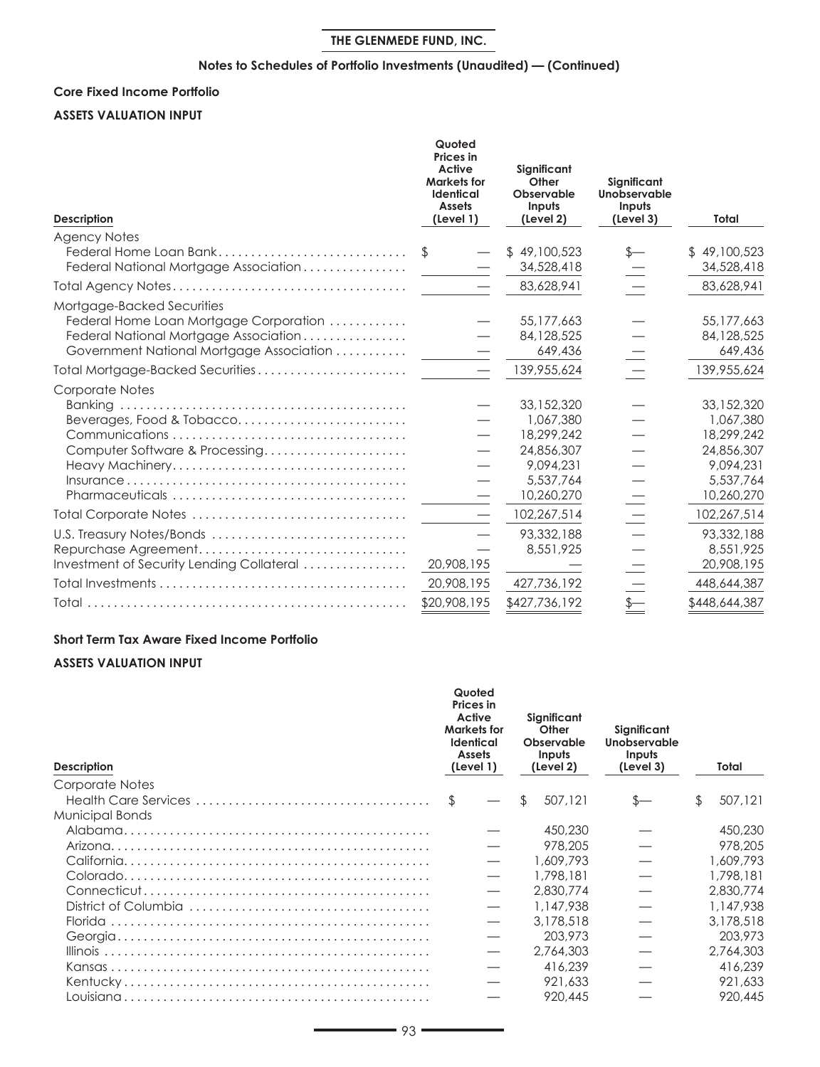## **Notes to Schedules of Portfolio Investments (Unaudited) — (Continued)**

## **Core Fixed Income Portfolio**

### **ASSETS VALUATION INPUT**

| <b>Description</b>                                                                              | Quoted<br><b>Prices</b> in<br>Active<br><b>Markets for</b><br><b>Identical</b><br><b>Assets</b><br>(Level 1) | Significant<br>Other<br>Observable<br>Inputs<br>(Level 2) | Significant<br>Unobservable<br>Inputs<br>(Level 3) | Total         |
|-------------------------------------------------------------------------------------------------|--------------------------------------------------------------------------------------------------------------|-----------------------------------------------------------|----------------------------------------------------|---------------|
| <b>Agency Notes</b>                                                                             |                                                                                                              |                                                           |                                                    |               |
| Federal Home Loan Bank                                                                          | \$                                                                                                           | \$49,100,523                                              | $s-$                                               | \$49,100,523  |
| Federal National Mortgage Association                                                           |                                                                                                              | 34,528,418                                                |                                                    | 34,528,418    |
|                                                                                                 |                                                                                                              | 83,628,941                                                |                                                    | 83,628,941    |
| Mortgage-Backed Securities                                                                      |                                                                                                              |                                                           |                                                    |               |
| Federal Home Loan Mortgage Corporation                                                          |                                                                                                              | 55,177,663                                                |                                                    | 55,177,663    |
| Federal National Mortgage Association                                                           |                                                                                                              | 84,128,525                                                |                                                    | 84,128,525    |
| Government National Mortgage Association                                                        |                                                                                                              | 649,436                                                   |                                                    | 649,436       |
| Total Mortgage-Backed Securities                                                                |                                                                                                              | 139,955,624                                               |                                                    | 139,955,624   |
| Corporate Notes                                                                                 |                                                                                                              |                                                           |                                                    |               |
|                                                                                                 |                                                                                                              | 33,152,320                                                |                                                    | 33,152,320    |
| Beverages, Food & Tobacco                                                                       |                                                                                                              | 1,067,380                                                 |                                                    | 1,067,380     |
|                                                                                                 |                                                                                                              | 18,299,242                                                |                                                    | 18,299,242    |
| Computer Software & Processing                                                                  |                                                                                                              | 24,856,307                                                |                                                    | 24,856,307    |
|                                                                                                 |                                                                                                              | 9.094.231                                                 |                                                    | 9.094.231     |
| $Insurance \ldots \ldots \ldots \ldots \ldots \ldots \ldots \ldots \ldots \ldots \ldots \ldots$ |                                                                                                              | 5,537,764                                                 |                                                    | 5,537,764     |
|                                                                                                 |                                                                                                              | 10,260,270                                                |                                                    | 10,260,270    |
|                                                                                                 |                                                                                                              | 102,267,514                                               |                                                    | 102,267,514   |
| U.S. Treasury Notes/Bonds                                                                       |                                                                                                              | 93,332,188                                                |                                                    | 93,332,188    |
|                                                                                                 |                                                                                                              | 8,551,925                                                 |                                                    | 8,551,925     |
| Investment of Security Lending Collateral                                                       | 20,908,195                                                                                                   |                                                           |                                                    | 20,908,195    |
|                                                                                                 | 20,908,195                                                                                                   | 427,736,192                                               |                                                    | 448,644,387   |
|                                                                                                 | \$20,908,195                                                                                                 | \$427,736,192                                             | $\frac{\mathsf{s}-}{}$                             | \$448,644,387 |

### **Short Term Tax Aware Fixed Income Portfolio**

### **ASSETS VALUATION INPUT**

| <b>Description</b> |    | Quoted<br>Prices in<br>Active<br>Markets for<br><b>Identical</b><br><b>Assets</b><br>(Level 1) | Significant<br>Other<br>Observable<br>Inputs<br>(Level 2) |           | Significant<br>Unobservable<br>Inputs<br>(Level 3) | Total     |
|--------------------|----|------------------------------------------------------------------------------------------------|-----------------------------------------------------------|-----------|----------------------------------------------------|-----------|
| Corporate Notes    |    |                                                                                                |                                                           |           |                                                    |           |
|                    | \$ |                                                                                                | \$                                                        | 507,121   | S—                                                 | 507,121   |
| Municipal Bonds    |    |                                                                                                |                                                           |           |                                                    |           |
|                    |    |                                                                                                |                                                           | 450,230   |                                                    | 450,230   |
|                    |    |                                                                                                |                                                           | 978,205   |                                                    | 978,205   |
|                    |    |                                                                                                |                                                           | 1,609,793 |                                                    | 1,609,793 |
|                    |    |                                                                                                |                                                           | 1,798,181 |                                                    | 1,798,181 |
|                    |    |                                                                                                |                                                           | 2,830,774 |                                                    | 2,830,774 |
|                    |    |                                                                                                |                                                           | 1,147,938 |                                                    | 1,147,938 |
|                    |    |                                                                                                |                                                           | 3,178,518 |                                                    | 3,178,518 |
|                    |    |                                                                                                |                                                           | 203,973   |                                                    | 203,973   |
|                    |    |                                                                                                |                                                           | 2.764.303 |                                                    | 2,764,303 |
|                    |    |                                                                                                |                                                           | 416,239   |                                                    | 416,239   |
|                    |    |                                                                                                |                                                           | 921,633   |                                                    | 921,633   |
|                    |    |                                                                                                |                                                           | 920,445   |                                                    | 920,445   |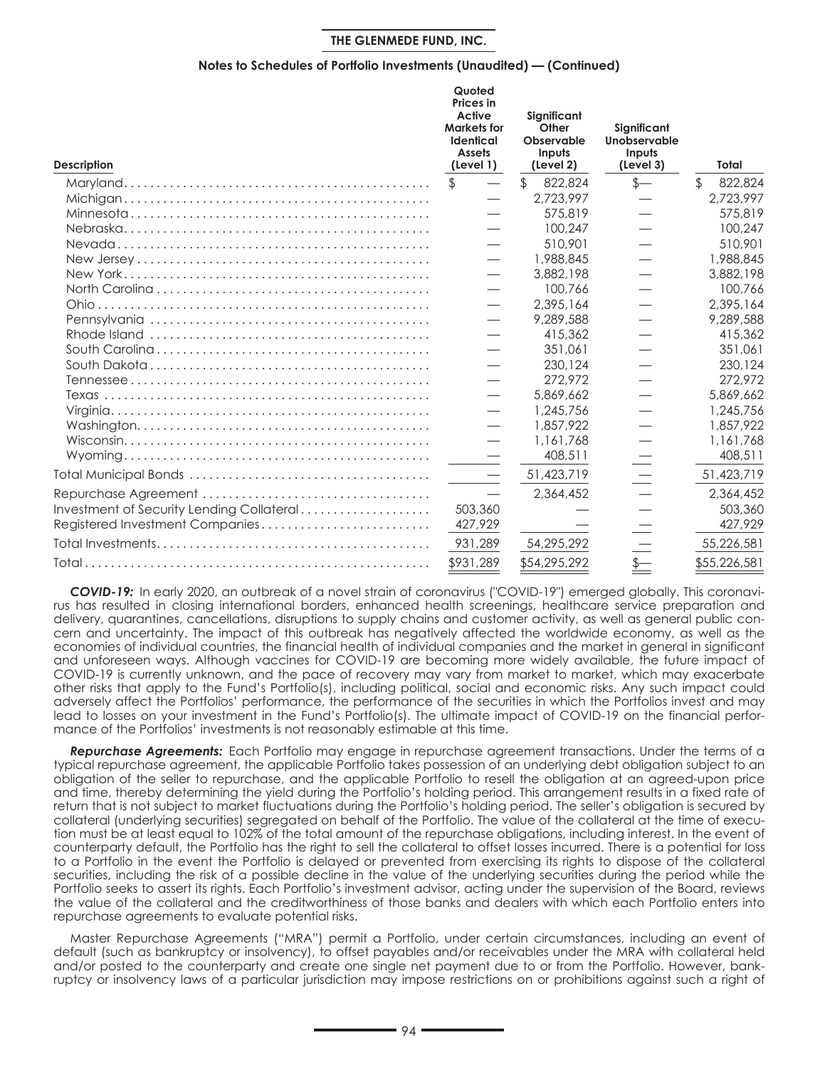#### **Notes to Schedules of Portfolio Investments (Unaudited) — (Continued)**

| <b>Description</b>                        | Quoted<br><b>Prices</b> in<br>Active<br><b>Markets for</b><br>Identical<br><b>Assets</b><br>(Level 1) | Significant<br>Other<br>Observable<br>Inputs<br>(Level 2) | Significant<br>Unobservable<br>Inputs<br>(Level 3)                    | Total                   |
|-------------------------------------------|-------------------------------------------------------------------------------------------------------|-----------------------------------------------------------|-----------------------------------------------------------------------|-------------------------|
|                                           | $\mathfrak{P}$                                                                                        | $\mathbb{S}$<br>822,824                                   | $s-$                                                                  | $\mathbb{S}$<br>822,824 |
|                                           |                                                                                                       | 2,723,997                                                 |                                                                       | 2,723,997               |
|                                           |                                                                                                       | 575,819                                                   |                                                                       | 575,819                 |
|                                           |                                                                                                       | 100.247                                                   |                                                                       | 100,247                 |
|                                           |                                                                                                       | 510,901                                                   |                                                                       | 510,901                 |
|                                           | $\overbrace{\phantom{13333}}$                                                                         | 1,988,845                                                 |                                                                       | 1,988,845               |
|                                           |                                                                                                       | 3,882,198                                                 |                                                                       | 3,882,198               |
|                                           |                                                                                                       | 100,766                                                   |                                                                       | 100,766                 |
|                                           | $\qquad \qquad \overline{\qquad \qquad }$                                                             | 2,395,164                                                 |                                                                       | 2,395,164               |
|                                           | $\qquad \qquad \overline{\qquad \qquad }$                                                             | 9,289,588                                                 |                                                                       | 9,289,588               |
|                                           |                                                                                                       | 415,362                                                   |                                                                       | 415,362                 |
|                                           |                                                                                                       | 351.061                                                   |                                                                       | 351.061                 |
|                                           |                                                                                                       | 230,124                                                   |                                                                       | 230,124                 |
|                                           |                                                                                                       | 272.972                                                   |                                                                       | 272.972                 |
|                                           | $\equiv$                                                                                              | 5,869,662                                                 |                                                                       | 5,869,662               |
|                                           | $\qquad \qquad \overline{\qquad \qquad }$                                                             | 1,245,756                                                 |                                                                       | 1,245,756               |
|                                           |                                                                                                       | 1,857,922                                                 |                                                                       | 1,857,922               |
|                                           | $\overbrace{\phantom{aaaaa}}$                                                                         | 1,161,768                                                 |                                                                       | 1.161.768               |
|                                           |                                                                                                       | 408,511                                                   |                                                                       | 408,511                 |
|                                           | $\qquad \qquad$                                                                                       | 51,423,719                                                |                                                                       | 51,423,719              |
|                                           | $\qquad \qquad \longleftarrow$                                                                        | 2,364,452                                                 |                                                                       | 2,364,452               |
| Investment of Security Lending Collateral | 503,360                                                                                               |                                                           |                                                                       | 503,360                 |
| Registered Investment Companies           | 427,929                                                                                               |                                                           |                                                                       | 427,929                 |
|                                           | 931,289                                                                                               | 54,295,292                                                |                                                                       | 55,226,581              |
|                                           | \$931,289                                                                                             | \$54,295,292                                              | $\frac{\textstyle \oint \qquad \qquad }{ \textstyle =\qquad \qquad }$ | \$55,226,581            |

*COVID-19:* In early 2020, an outbreak of a novel strain of coronavirus ("COVID-19") emerged globally. This coronavirus has resulted in closing international borders, enhanced health screenings, healthcare service preparation and delivery, quarantines, cancellations, disruptions to supply chains and customer activity, as well as general public concern and uncertainty. The impact of this outbreak has negatively affected the worldwide economy, as well as the economies of individual countries, the financial health of individual companies and the market in general in significant and unforeseen ways. Although vaccines for COVID-19 are becoming more widely available, the future impact of COVID-19 is currently unknown, and the pace of recovery may vary from market to market, which may exacerbate other risks that apply to the Fund's Portfolio(s), including political, social and economic risks. Any such impact could adversely affect the Portfolios' performance, the performance of the securities in which the Portfolios invest and may lead to losses on your investment in the Fund's Portfolio(s). The ultimate impact of COVID-19 on the financial performance of the Portfolios' investments is not reasonably estimable at this time.

*Repurchase Agreements:* Each Portfolio may engage in repurchase agreement transactions. Under the terms of a typical repurchase agreement, the applicable Portfolio takes possession of an underlying debt obligation subject to an obligation of the seller to repurchase, and the applicable Portfolio to resell the obligation at an agreed-upon price and time, thereby determining the yield during the Portfolio's holding period. This arrangement results in a fixed rate of return that is not subject to market fluctuations during the Portfolio's holding period. The seller's obligation is secured by collateral (underlying securities) segregated on behalf of the Portfolio. The value of the collateral at the time of execution must be at least equal to 102% of the total amount of the repurchase obligations, including interest. In the event of counterparty default, the Portfolio has the right to sell the collateral to offset losses incurred. There is a potential for loss to a Portfolio in the event the Portfolio is delayed or prevented from exercising its rights to dispose of the collateral securities, including the risk of a possible decline in the value of the underlying securities during the period while the Portfolio seeks to assert its rights. Each Portfolio's investment advisor, acting under the supervision of the Board, reviews the value of the collateral and the creditworthiness of those banks and dealers with which each Portfolio enters into repurchase agreements to evaluate potential risks.

Master Repurchase Agreements ("MRA") permit a Portfolio, under certain circumstances, including an event of default (such as bankruptcy or insolvency), to offset payables and/or receivables under the MRA with collateral held and/or posted to the counterparty and create one single net payment due to or from the Portfolio. However, bankruptcy or insolvency laws of a particular jurisdiction may impose restrictions on or prohibitions against such a right of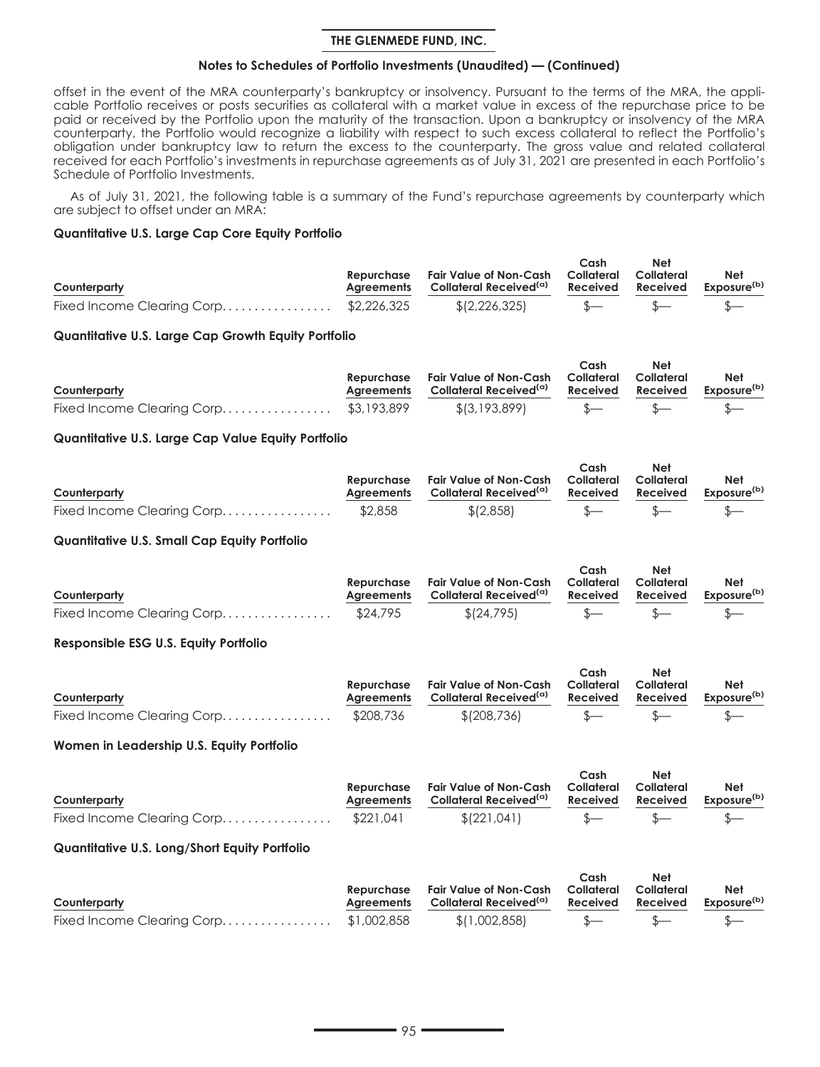### **Notes to Schedules of Portfolio Investments (Unaudited) — (Continued)**

offset in the event of the MRA counterparty's bankruptcy or insolvency. Pursuant to the terms of the MRA, the applicable Portfolio receives or posts securities as collateral with a market value in excess of the repurchase price to be paid or received by the Portfolio upon the maturity of the transaction. Upon a bankruptcy or insolvency of the MRA counterparty, the Portfolio would recognize a liability with respect to such excess collateral to reflect the Portfolio's obligation under bankruptcy law to return the excess to the counterparty. The gross value and related collateral received for each Portfolio's investments in repurchase agreements as of July 31, 2021 are presented in each Portfolio's Schedule of Portfolio Investments.

As of July 31, 2021, the following table is a summary of the Fund's repurchase agreements by counterparty which are subject to offset under an MRA:

### **Quantitative U.S. Large Cap Core Equity Portfolio**

|                                       |            |                                    | Cash     | <b>Net</b> |                         |
|---------------------------------------|------------|------------------------------------|----------|------------|-------------------------|
|                                       | Repurchase | Fair Value of Non-Cash Collateral  |          | Collateral | Net                     |
| Counterparty                          | Aareements | Collateral Received <sup>(a)</sup> | Received | Received   | Exposure <sup>(b)</sup> |
| Fixed Income Clearing Corp\$2,226,325 |            | \$(2,226,325)                      |          |            |                         |

### **Quantitative U.S. Large Cap Growth Equity Portfolio**

|                                       |            |                                               | Cash     | <b>Net</b> |                         |
|---------------------------------------|------------|-----------------------------------------------|----------|------------|-------------------------|
|                                       | Repurchase | Fair Value of Non-Cash Collateral             |          | Collateral | Net                     |
| Counterparty                          |            | Agreements Collateral Received <sup>(a)</sup> | Received | Received   | Exposure <sup>(b)</sup> |
| Fixed Income Clearing Corp\$3,193,899 |            | \$(3,193,899)                                 |          |            |                         |

## **Quantitative U.S. Large Cap Value Equity Portfolio**

|                            |            |                                    | Cash       | Net        |                         |
|----------------------------|------------|------------------------------------|------------|------------|-------------------------|
|                            | Repurchase | Fair Value of Non-Cash             | Collateral | Collateral | Net                     |
| Counterparty               | Aareements | Collateral Received <sup>(a)</sup> | Received   | Received   | Exposure <sup>(b)</sup> |
| Fixed Income Clearing Corp | \$2,858    | \$12,858                           |            |            |                         |

### **Quantitative U.S. Small Cap Equity Portfolio**

|                            |            |                                    | Cash     | <b>Net</b> |                         |
|----------------------------|------------|------------------------------------|----------|------------|-------------------------|
|                            | Repurchase | Fair Value of Non-Cash Collateral  |          | Collateral | Net                     |
| Counterparty               | Aareements | Collateral Received <sup>(a)</sup> | Received | Received   | Exposure <sup>(b)</sup> |
| Fixed Income Clearing Corp | \$24,795   | \$(24,795)                         |          |            |                         |

### **Responsible ESG U.S. Equity Portfolio**

|              |            |                                    | Cash       | <b>Net</b> |                         |
|--------------|------------|------------------------------------|------------|------------|-------------------------|
|              | Repurchase | Fair Value of Non-Cash             | Collateral | Collateral | <b>Net</b>              |
| Counterparty | Aareements | Collateral Received <sup>(a)</sup> | Received   | Received   | Exposure <sup>(b)</sup> |
|              |            | \$ (208, 736)                      |            |            |                         |

### **Women in Leadership U.S. Equity Portfolio**

|              | Repurchase | Fair Value of Non-Cash             | Cash<br>Collateral | <b>Net</b><br>Collateral | Net                     |
|--------------|------------|------------------------------------|--------------------|--------------------------|-------------------------|
| Counterparty | Aareements | Collateral Received <sup>(a)</sup> | Received           | Received                 | Exposure <sup>(b)</sup> |
|              |            | \$ (221, 041)                      |                    |                          |                         |

### **Quantitative U.S. Long/Short Equity Portfolio**

| Counterparty                          | Repurchase<br>Aareements | Fair Value of Non-Cash Collateral Collateral<br>Collateral Received <sup>(a)</sup> | Cash<br>Received | Net<br>Received | Net<br>Exposure <sup>(b)</sup> |
|---------------------------------------|--------------------------|------------------------------------------------------------------------------------|------------------|-----------------|--------------------------------|
|                                       |                          |                                                                                    |                  |                 |                                |
| Fixed Income Clearing Corp\$1,002,858 |                          | \$(1,002,858)                                                                      |                  |                 |                                |

**Cash**

**Net**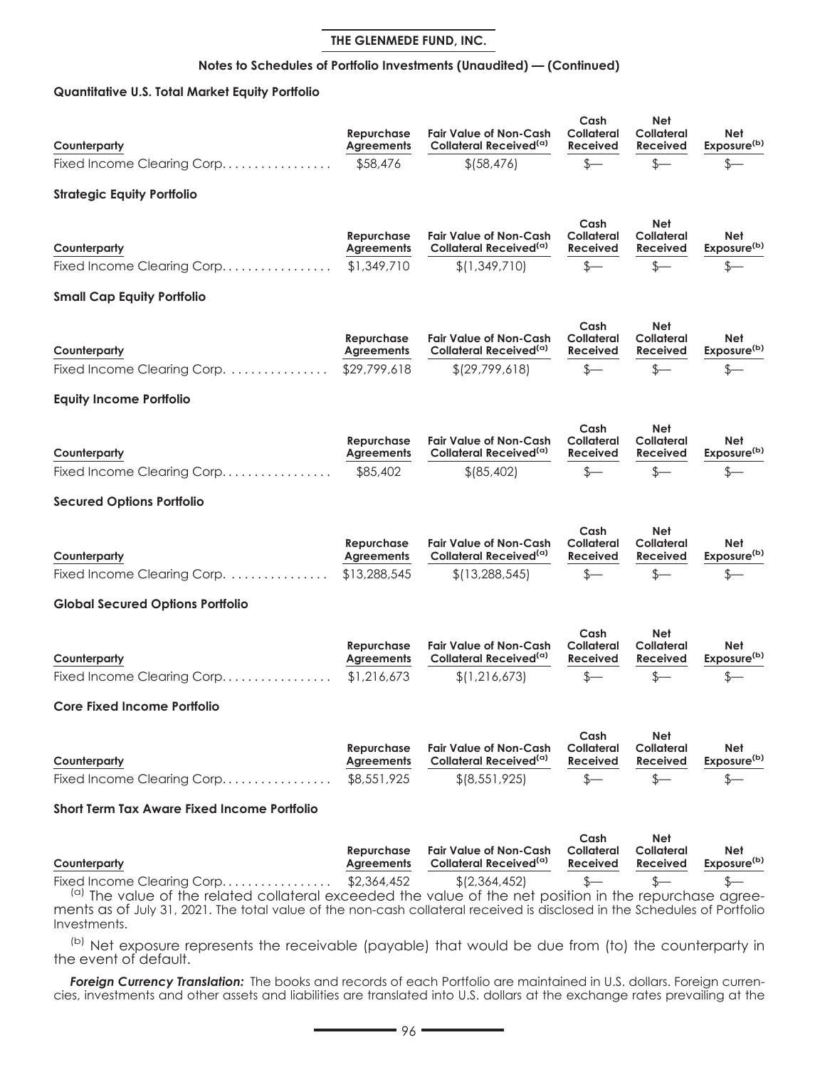## **Notes to Schedules of Portfolio Investments (Unaudited) — (Continued)**

## **Quantitative U.S. Total Market Equity Portfolio**

| Counterparty<br>Fixed Income Clearing Corp                                                                                                                                                           | Repurchase<br><b>Agreements</b><br>\$58,476     | <b>Fair Value of Non-Cash</b><br>Collateral Received <sup>(a)</sup><br>\$ (58, 476)     | Cash<br>Collateral<br><b>Received</b><br>$\frac{2}{2}$ | Net<br>Collateral<br><b>Received</b><br>\$—                | Net<br>Exposure <sup>(b)</sup><br>S-                    |
|------------------------------------------------------------------------------------------------------------------------------------------------------------------------------------------------------|-------------------------------------------------|-----------------------------------------------------------------------------------------|--------------------------------------------------------|------------------------------------------------------------|---------------------------------------------------------|
| <b>Strategic Equity Portfolio</b>                                                                                                                                                                    |                                                 |                                                                                         |                                                        |                                                            |                                                         |
| Counterparty<br>Fixed Income Clearing Corp                                                                                                                                                           | Repurchase<br><b>Agreements</b><br>\$1,349,710  | <b>Fair Value of Non-Cash</b><br>Collateral Received <sup>(a)</sup><br>\$(1,349,710)    | Cash<br>Collateral<br><b>Received</b><br>$s-$          | Net<br>Collateral<br><b>Received</b><br>\$—                | Net<br>Exposure <sup>(b)</sup><br>s—                    |
| <b>Small Cap Equity Portfolio</b>                                                                                                                                                                    |                                                 |                                                                                         |                                                        |                                                            |                                                         |
| Counterparty<br>Fixed Income Clearing Corp.                                                                                                                                                          | Repurchase<br><b>Agreements</b><br>\$29,799,618 | <b>Fair Value of Non-Cash</b><br>Collateral Received <sup>(a)</sup><br>\$(29,799,618)   | Cash<br><b>Collateral</b><br>Received<br>$\frac{1}{2}$ | Net<br>Collateral<br>Received<br>$s-$                      | Net<br>Exposure <sup>(b)</sup><br>$_{\tiny{\text{S}-}}$ |
| <b>Equity Income Portfolio</b>                                                                                                                                                                       |                                                 |                                                                                         |                                                        |                                                            |                                                         |
| Counterparty<br>Fixed Income Clearing Corp                                                                                                                                                           | Repurchase<br><b>Agreements</b><br>\$85,402     | <b>Fair Value of Non-Cash</b><br>Collateral Received <sup>(a)</sup><br>\$ (85, 402)     | Cash<br>Collateral<br>Received<br>\$—                  | Net<br><b>Collateral</b><br>Received<br>S—                 | Net<br>Exposure <sup>(b)</sup><br>\$–                   |
| <b>Secured Options Portfolio</b>                                                                                                                                                                     |                                                 |                                                                                         |                                                        |                                                            |                                                         |
| Counterparty<br>Fixed Income Clearing Corp.                                                                                                                                                          | Repurchase<br><b>Agreements</b><br>\$13,288,545 | <b>Fair Value of Non-Cash</b><br>Collateral Received <sup>(a)</sup><br>\$(13, 288, 545) | Cash<br>Collateral<br><b>Received</b><br>$s-$          | <b>Net</b><br><b>Collateral</b><br><b>Received</b><br>$s-$ | Net<br>Exposure <sup>(b)</sup>                          |
| <b>Global Secured Options Portfolio</b>                                                                                                                                                              |                                                 |                                                                                         |                                                        |                                                            |                                                         |
| Counterparty<br>Fixed Income Clearing Corp                                                                                                                                                           | Repurchase<br><b>Agreements</b><br>\$1,216,673  | <b>Fair Value of Non-Cash</b><br>Collateral Received <sup>(a)</sup><br>\$(1,216,673)    | Cash<br>Collateral<br><b>Received</b><br>$s-$          | Net<br>Collateral<br><b>Received</b><br>\$–                | Net<br>Exposure <sup>(b)</sup><br>\$-                   |
| <b>Core Fixed Income Portfolio</b>                                                                                                                                                                   |                                                 |                                                                                         |                                                        |                                                            |                                                         |
| Counterparty<br>Fixed Income Clearing Corp                                                                                                                                                           | Repurchase<br><b>Agreements</b><br>\$8,551,925  | <b>Fair Value of Non-Cash</b><br>Collateral Received <sup>(a)</sup><br>\$ (8,551,925)   | Cash<br>Collateral<br><b>Received</b><br>$s-$          | Net<br>Collateral<br>Received<br>\$—                       | Net<br>Exposure <sup>(b)</sup><br>\$-                   |
|                                                                                                                                                                                                      |                                                 |                                                                                         |                                                        |                                                            |                                                         |
| Short Term Tax Aware Fixed Income Portfolio<br>Counterparty<br>Fixed Income Clearing Corp<br>(a) The value of the related collateral exceeded the value of the net position in the repurchase agree- | Repurchase<br><b>Agreements</b><br>\$2,364,452  | <b>Fair Value of Non-Cash</b><br>Collateral Received <sup>(a)</sup><br>\$(2,364,452)    | Cash<br>Collateral<br><b>Received</b><br>$\frac{2}{2}$ | Net<br>Collateral<br>Received<br>$s-$                      | <b>Net</b><br>Exposure <sup>(b)</sup><br>\$-            |
| ments as of July 31, 2021. The total value of the non-cash collateral received is disclosed in the Schedules of Portfolio<br>Investments.                                                            |                                                 |                                                                                         |                                                        |                                                            |                                                         |

(b) Net exposure represents the receivable (payable) that would be due from (to) the counterparty in the event of default.

*Foreign Currency Translation:* The books and records of each Portfolio are maintained in U.S. dollars. Foreign currencies, investments and other assets and liabilities are translated into U.S. dollars at the exchange rates prevailing at the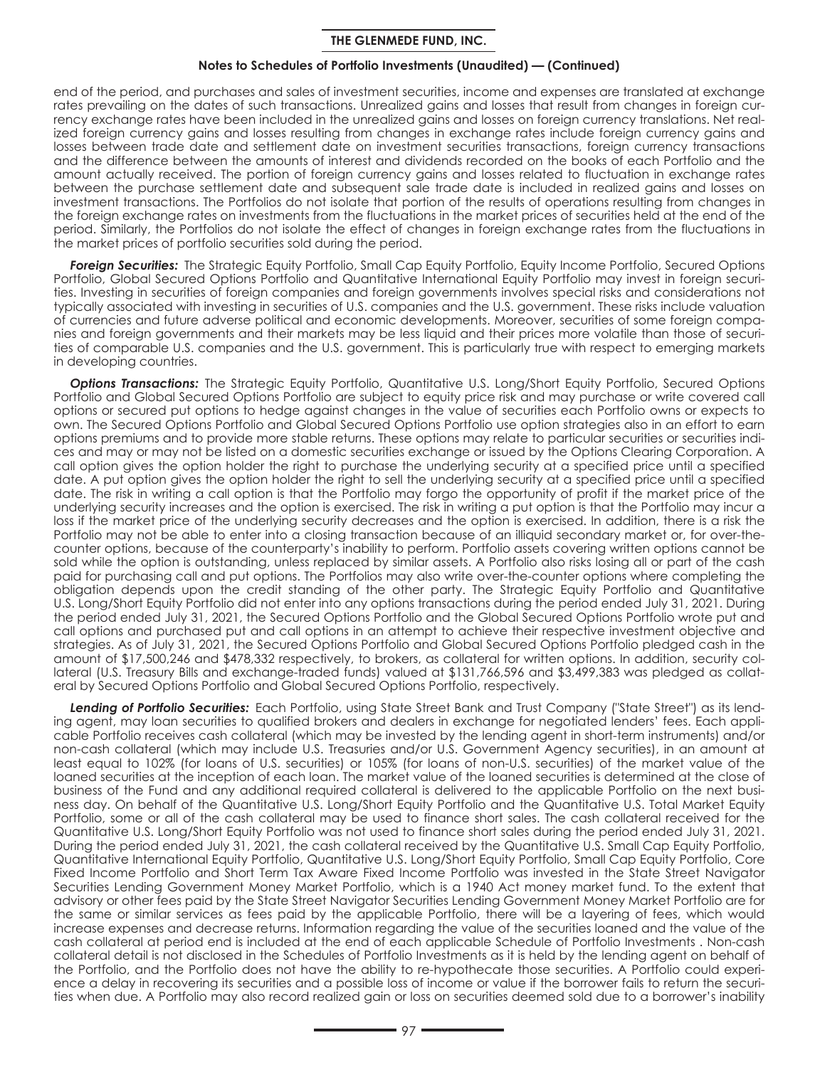### **Notes to Schedules of Portfolio Investments (Unaudited) — (Continued)**

end of the period, and purchases and sales of investment securities, income and expenses are translated at exchange rates prevailing on the dates of such transactions. Unrealized gains and losses that result from changes in foreign currency exchange rates have been included in the unrealized gains and losses on foreign currency translations. Net realized foreign currency gains and losses resulting from changes in exchange rates include foreign currency gains and losses between trade date and settlement date on investment securities transactions, foreign currency transactions and the difference between the amounts of interest and dividends recorded on the books of each Portfolio and the amount actually received. The portion of foreign currency gains and losses related to fluctuation in exchange rates between the purchase settlement date and subsequent sale trade date is included in realized gains and losses on investment transactions. The Portfolios do not isolate that portion of the results of operations resulting from changes in the foreign exchange rates on investments from the fluctuations in the market prices of securities held at the end of the period. Similarly, the Portfolios do not isolate the effect of changes in foreign exchange rates from the fluctuations in the market prices of portfolio securities sold during the period.

*Foreign Securities:* The Strategic Equity Portfolio, Small Cap Equity Portfolio, Equity Income Portfolio, Secured Options Portfolio, Global Secured Options Portfolio and Quantitative International Equity Portfolio may invest in foreign securities. Investing in securities of foreign companies and foreign governments involves special risks and considerations not typically associated with investing in securities of U.S. companies and the U.S. government. These risks include valuation of currencies and future adverse political and economic developments. Moreover, securities of some foreign companies and foreign governments and their markets may be less liquid and their prices more volatile than those of securities of comparable U.S. companies and the U.S. government. This is particularly true with respect to emerging markets in developing countries.

*Options Transactions:* The Strategic Equity Portfolio, Quantitative U.S. Long/Short Equity Portfolio, Secured Options Portfolio and Global Secured Options Portfolio are subject to equity price risk and may purchase or write covered call options or secured put options to hedge against changes in the value of securities each Portfolio owns or expects to own. The Secured Options Portfolio and Global Secured Options Portfolio use option strategies also in an effort to earn options premiums and to provide more stable returns. These options may relate to particular securities or securities indices and may or may not be listed on a domestic securities exchange or issued by the Options Clearing Corporation. A call option gives the option holder the right to purchase the underlying security at a specified price until a specified date. A put option gives the option holder the right to sell the underlying security at a specified price until a specified date. The risk in writing a call option is that the Portfolio may forgo the opportunity of profit if the market price of the underlying security increases and the option is exercised. The risk in writing a put option is that the Portfolio may incur a loss if the market price of the underlying security decreases and the option is exercised. In addition, there is a risk the Portfolio may not be able to enter into a closing transaction because of an illiquid secondary market or, for over-thecounter options, because of the counterparty's inability to perform. Portfolio assets covering written options cannot be sold while the option is outstanding, unless replaced by similar assets. A Portfolio also risks losing all or part of the cash paid for purchasing call and put options. The Portfolios may also write over-the-counter options where completing the obligation depends upon the credit standing of the other party. The Strategic Equity Portfolio and Quantitative U.S. Long/Short Equity Portfolio did not enter into any options transactions during the period ended July 31, 2021. During the period ended July 31, 2021, the Secured Options Portfolio and the Global Secured Options Portfolio wrote put and call options and purchased put and call options in an attempt to achieve their respective investment objective and strategies. As of July 31, 2021, the Secured Options Portfolio and Global Secured Options Portfolio pledged cash in the amount of \$17,500,246 and \$478,332 respectively, to brokers, as collateral for written options. In addition, security collateral (U.S. Treasury Bills and exchange-traded funds) valued at \$131,766,596 and \$3,499,383 was pledged as collateral by Secured Options Portfolio and Global Secured Options Portfolio, respectively.

*Lending of Portfolio Securities:* Each Portfolio, using State Street Bank and Trust Company ("State Street") as its lending agent, may loan securities to qualified brokers and dealers in exchange for negotiated lenders' fees. Each applicable Portfolio receives cash collateral (which may be invested by the lending agent in short-term instruments) and/or non-cash collateral (which may include U.S. Treasuries and/or U.S. Government Agency securities), in an amount at least equal to 102% (for loans of U.S. securities) or 105% (for loans of non-U.S. securities) of the market value of the loaned securities at the inception of each loan. The market value of the loaned securities is determined at the close of business of the Fund and any additional required collateral is delivered to the applicable Portfolio on the next business day. On behalf of the Quantitative U.S. Long/Short Equity Portfolio and the Quantitative U.S. Total Market Equity Portfolio, some or all of the cash collateral may be used to finance short sales. The cash collateral received for the Quantitative U.S. Long/Short Equity Portfolio was not used to finance short sales during the period ended July 31, 2021. During the period ended July 31, 2021, the cash collateral received by the Quantitative U.S. Small Cap Equity Portfolio, Quantitative International Equity Portfolio, Quantitative U.S. Long/Short Equity Portfolio, Small Cap Equity Portfolio, Core Fixed Income Portfolio and Short Term Tax Aware Fixed Income Portfolio was invested in the State Street Navigator Securities Lending Government Money Market Portfolio, which is a 1940 Act money market fund. To the extent that advisory or other fees paid by the State Street Navigator Securities Lending Government Money Market Portfolio are for the same or similar services as fees paid by the applicable Portfolio, there will be a layering of fees, which would increase expenses and decrease returns. Information regarding the value of the securities loaned and the value of the cash collateral at period end is included at the end of each applicable Schedule of Portfolio Investments . Non-cash collateral detail is not disclosed in the Schedules of Portfolio Investments as it is held by the lending agent on behalf of the Portfolio, and the Portfolio does not have the ability to re-hypothecate those securities. A Portfolio could experience a delay in recovering its securities and a possible loss of income or value if the borrower fails to return the securities when due. A Portfolio may also record realized gain or loss on securities deemed sold due to a borrower's inability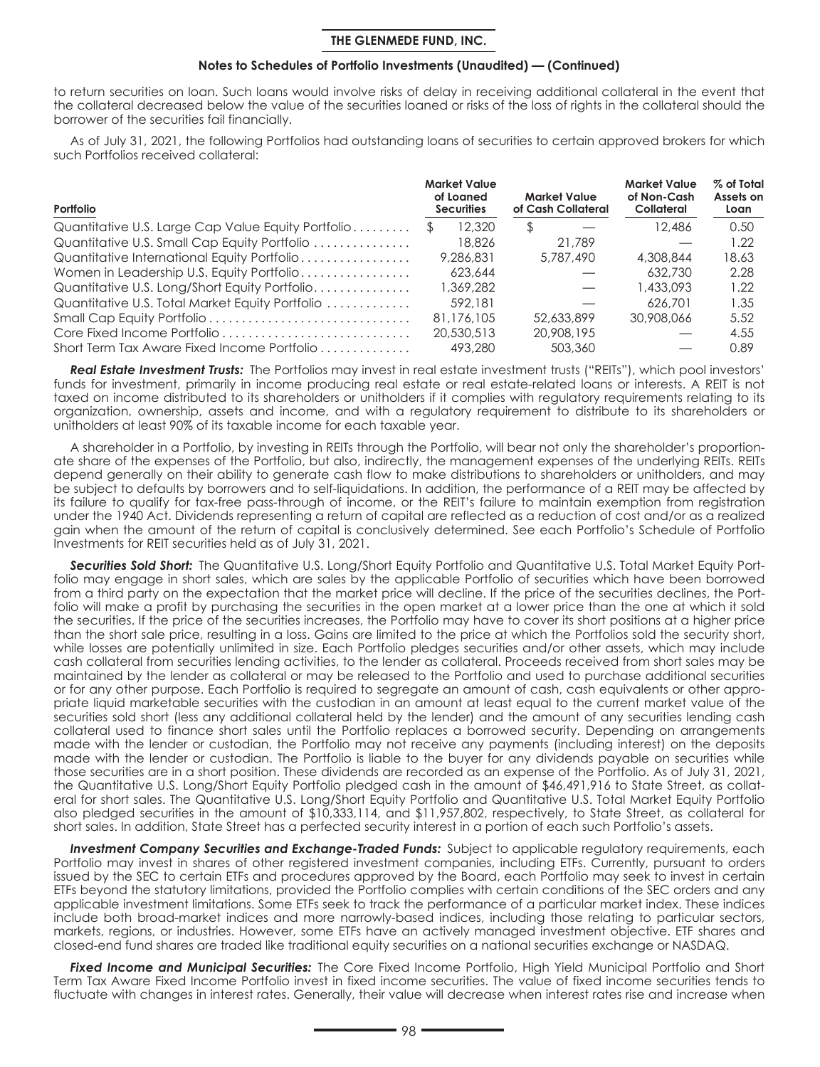### **Notes to Schedules of Portfolio Investments (Unaudited) — (Continued)**

to return securities on loan. Such loans would involve risks of delay in receiving additional collateral in the event that the collateral decreased below the value of the securities loaned or risks of the loss of rights in the collateral should the borrower of the securities fail financially.

As of July 31, 2021, the following Portfolios had outstanding loans of securities to certain approved brokers for which such Portfolios received collateral:

| Portfolio                                          |               | <b>Market Value</b><br>of Loaned<br><b>Securities</b> |     | <b>Market Value</b><br>of Cash Collateral | <b>Market Value</b><br>of Non-Cash<br>Collateral | % of Total<br>Assets on<br>Loan |
|----------------------------------------------------|---------------|-------------------------------------------------------|-----|-------------------------------------------|--------------------------------------------------|---------------------------------|
| Quantitative U.S. Large Cap Value Equity Portfolio | <sup>\$</sup> | 12,320                                                | \$. |                                           | 12,486                                           | 0.50                            |
| Quantitative U.S. Small Cap Equity Portfolio       |               | 18,826                                                |     | 21.789                                    |                                                  | 1.22                            |
| Quantitative International Equity Portfolio        |               | 9,286,831                                             |     | 5,787,490                                 | 4,308,844                                        | 18.63                           |
| Women in Leadership U.S. Equity Portfolio          |               | 623,644                                               |     |                                           | 632.730                                          | 2.28                            |
| Quantitative U.S. Long/Short Equity Portfolio      |               | 1,369,282                                             |     |                                           | 1,433,093                                        | 1.22                            |
| Quantitative U.S. Total Market Equity Portfolio    |               | 592.181                                               |     |                                           | 626.701                                          | 1.35                            |
|                                                    |               | 81,176,105                                            |     | 52,633,899                                | 30.908.066                                       | 5.52                            |
|                                                    |               | 20,530,513                                            |     | 20,908,195                                |                                                  | 4.55                            |
| Short Term Tax Aware Fixed Income Portfolio        |               | 493.280                                               |     | 503,360                                   |                                                  | 0.89                            |

*Real Estate Investment Trusts:* The Portfolios may invest in real estate investment trusts ("REITs"), which pool investors' funds for investment, primarily in income producing real estate or real estate-related loans or interests. A REIT is not taxed on income distributed to its shareholders or unitholders if it complies with regulatory requirements relating to its organization, ownership, assets and income, and with a regulatory requirement to distribute to its shareholders or unitholders at least 90% of its taxable income for each taxable year.

A shareholder in a Portfolio, by investing in REITs through the Portfolio, will bear not only the shareholder's proportionate share of the expenses of the Portfolio, but also, indirectly, the management expenses of the underlying REITs. REITs depend generally on their ability to generate cash flow to make distributions to shareholders or unitholders, and may be subject to defaults by borrowers and to self-liquidations. In addition, the performance of a REIT may be affected by its failure to qualify for tax-free pass-through of income, or the REIT's failure to maintain exemption from registration under the 1940 Act. Dividends representing a return of capital are reflected as a reduction of cost and/or as a realized gain when the amount of the return of capital is conclusively determined. See each Portfolio's Schedule of Portfolio Investments for REIT securities held as of July 31, 2021.

*Securities Sold Short:* The Quantitative U.S. Long/Short Equity Portfolio and Quantitative U.S. Total Market Equity Portfolio may engage in short sales, which are sales by the applicable Portfolio of securities which have been borrowed from a third party on the expectation that the market price will decline. If the price of the securities declines, the Portfolio will make a profit by purchasing the securities in the open market at a lower price than the one at which it sold the securities. If the price of the securities increases, the Portfolio may have to cover its short positions at a higher price than the short sale price, resulting in a loss. Gains are limited to the price at which the Portfolios sold the security short, while losses are potentially unlimited in size. Each Portfolio pledges securities and/or other assets, which may include cash collateral from securities lending activities, to the lender as collateral. Proceeds received from short sales may be maintained by the lender as collateral or may be released to the Portfolio and used to purchase additional securities or for any other purpose. Each Portfolio is required to segregate an amount of cash, cash equivalents or other appropriate liquid marketable securities with the custodian in an amount at least equal to the current market value of the securities sold short (less any additional collateral held by the lender) and the amount of any securities lending cash collateral used to finance short sales until the Portfolio replaces a borrowed security. Depending on arrangements made with the lender or custodian, the Portfolio may not receive any payments (including interest) on the deposits made with the lender or custodian. The Portfolio is liable to the buyer for any dividends payable on securities while those securities are in a short position. These dividends are recorded as an expense of the Portfolio. As of July 31, 2021, the Quantitative U.S. Long/Short Equity Portfolio pledged cash in the amount of \$46,491,916 to State Street, as collateral for short sales. The Quantitative U.S. Long/Short Equity Portfolio and Quantitative U.S. Total Market Equity Portfolio also pledged securities in the amount of \$10,333,114, and \$11,957,802, respectively, to State Street, as collateral for short sales. In addition, State Street has a perfected security interest in a portion of each such Portfolio's assets.

Investment Company Securities and Exchange-Traded Funds: Subject to applicable regulatory requirements, each Portfolio may invest in shares of other registered investment companies, including ETFs. Currently, pursuant to orders issued by the SEC to certain ETFs and procedures approved by the Board, each Portfolio may seek to invest in certain ETFs beyond the statutory limitations, provided the Portfolio complies with certain conditions of the SEC orders and any applicable investment limitations. Some ETFs seek to track the performance of a particular market index. These indices include both broad-market indices and more narrowly-based indices, including those relating to particular sectors, markets, regions, or industries. However, some ETFs have an actively managed investment objective. ETF shares and closed-end fund shares are traded like traditional equity securities on a national securities exchange or NASDAQ.

*Fixed Income and Municipal Securities:* The Core Fixed Income Portfolio, High Yield Municipal Portfolio and Short Term Tax Aware Fixed Income Portfolio invest in fixed income securities. The value of fixed income securities tends to fluctuate with changes in interest rates. Generally, their value will decrease when interest rates rise and increase when